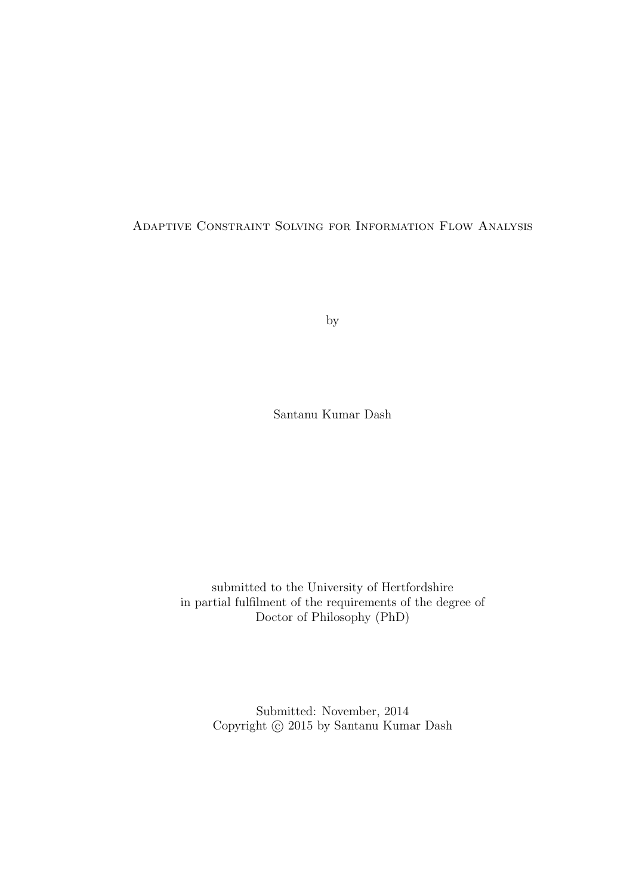## Adaptive Constraint Solving for Information Flow Analysis

by

Santanu Kumar Dash

submitted to the University of Hertfordshire in partial fulfilment of the requirements of the degree of Doctor of Philosophy (PhD)

> Submitted: November, 2014 Copyright  $\odot$  2015 by Santanu Kumar Dash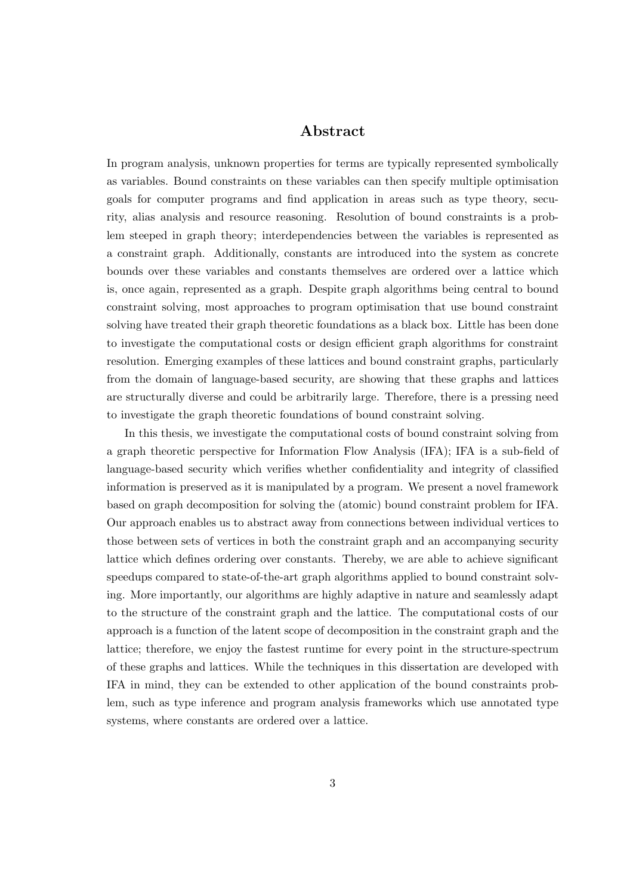### Abstract

In program analysis, unknown properties for terms are typically represented symbolically as variables. Bound constraints on these variables can then specify multiple optimisation goals for computer programs and find application in areas such as type theory, security, alias analysis and resource reasoning. Resolution of bound constraints is a problem steeped in graph theory; interdependencies between the variables is represented as a constraint graph. Additionally, constants are introduced into the system as concrete bounds over these variables and constants themselves are ordered over a lattice which is, once again, represented as a graph. Despite graph algorithms being central to bound constraint solving, most approaches to program optimisation that use bound constraint solving have treated their graph theoretic foundations as a black box. Little has been done to investigate the computational costs or design efficient graph algorithms for constraint resolution. Emerging examples of these lattices and bound constraint graphs, particularly from the domain of language-based security, are showing that these graphs and lattices are structurally diverse and could be arbitrarily large. Therefore, there is a pressing need to investigate the graph theoretic foundations of bound constraint solving.

In this thesis, we investigate the computational costs of bound constraint solving from a graph theoretic perspective for Information Flow Analysis (IFA); IFA is a sub-field of language-based security which verifies whether confidentiality and integrity of classified information is preserved as it is manipulated by a program. We present a novel framework based on graph decomposition for solving the (atomic) bound constraint problem for IFA. Our approach enables us to abstract away from connections between individual vertices to those between sets of vertices in both the constraint graph and an accompanying security lattice which defines ordering over constants. Thereby, we are able to achieve significant speedups compared to state-of-the-art graph algorithms applied to bound constraint solving. More importantly, our algorithms are highly adaptive in nature and seamlessly adapt to the structure of the constraint graph and the lattice. The computational costs of our approach is a function of the latent scope of decomposition in the constraint graph and the lattice; therefore, we enjoy the fastest runtime for every point in the structure-spectrum of these graphs and lattices. While the techniques in this dissertation are developed with IFA in mind, they can be extended to other application of the bound constraints problem, such as type inference and program analysis frameworks which use annotated type systems, where constants are ordered over a lattice.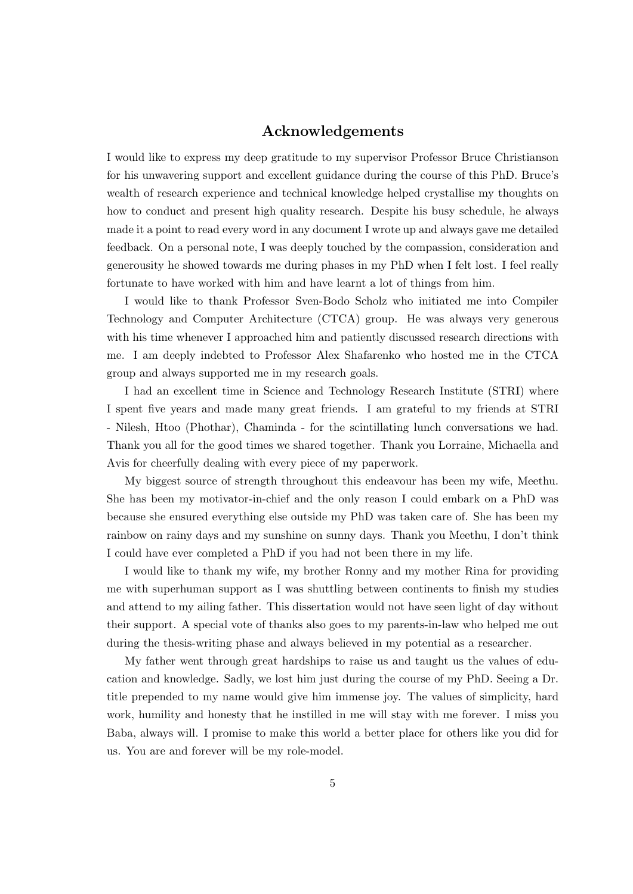### Acknowledgements

I would like to express my deep gratitude to my supervisor Professor Bruce Christianson for his unwavering support and excellent guidance during the course of this PhD. Bruce's wealth of research experience and technical knowledge helped crystallise my thoughts on how to conduct and present high quality research. Despite his busy schedule, he always made it a point to read every word in any document I wrote up and always gave me detailed feedback. On a personal note, I was deeply touched by the compassion, consideration and generousity he showed towards me during phases in my PhD when I felt lost. I feel really fortunate to have worked with him and have learnt a lot of things from him.

I would like to thank Professor Sven-Bodo Scholz who initiated me into Compiler Technology and Computer Architecture (CTCA) group. He was always very generous with his time whenever I approached him and patiently discussed research directions with me. I am deeply indebted to Professor Alex Shafarenko who hosted me in the CTCA group and always supported me in my research goals.

I had an excellent time in Science and Technology Research Institute (STRI) where I spent five years and made many great friends. I am grateful to my friends at STRI - Nilesh, Htoo (Phothar), Chaminda - for the scintillating lunch conversations we had. Thank you all for the good times we shared together. Thank you Lorraine, Michaella and Avis for cheerfully dealing with every piece of my paperwork.

My biggest source of strength throughout this endeavour has been my wife, Meethu. She has been my motivator-in-chief and the only reason I could embark on a PhD was because she ensured everything else outside my PhD was taken care of. She has been my rainbow on rainy days and my sunshine on sunny days. Thank you Meethu, I don't think I could have ever completed a PhD if you had not been there in my life.

I would like to thank my wife, my brother Ronny and my mother Rina for providing me with superhuman support as I was shuttling between continents to finish my studies and attend to my ailing father. This dissertation would not have seen light of day without their support. A special vote of thanks also goes to my parents-in-law who helped me out during the thesis-writing phase and always believed in my potential as a researcher.

My father went through great hardships to raise us and taught us the values of education and knowledge. Sadly, we lost him just during the course of my PhD. Seeing a Dr. title prepended to my name would give him immense joy. The values of simplicity, hard work, humility and honesty that he instilled in me will stay with me forever. I miss you Baba, always will. I promise to make this world a better place for others like you did for us. You are and forever will be my role-model.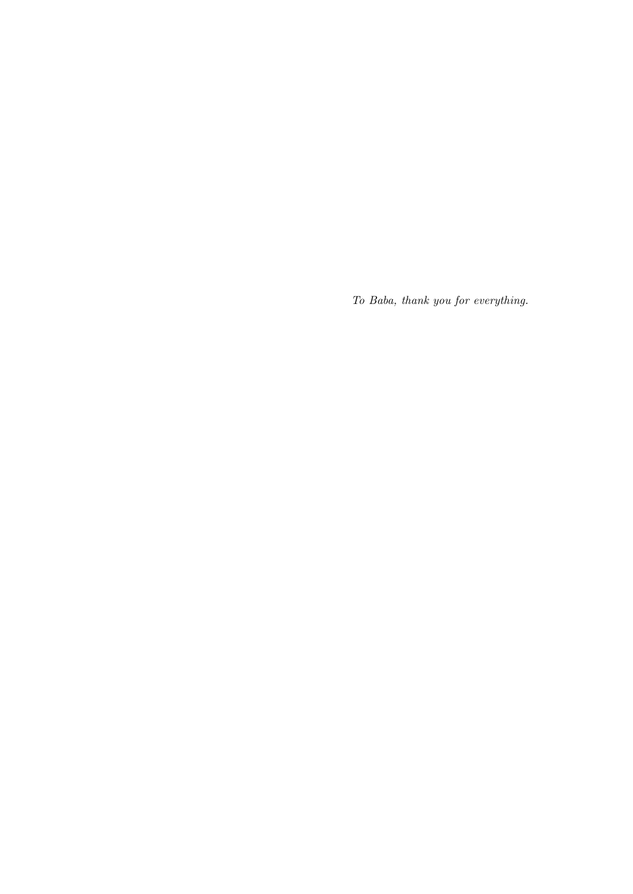To Baba, thank you for everything.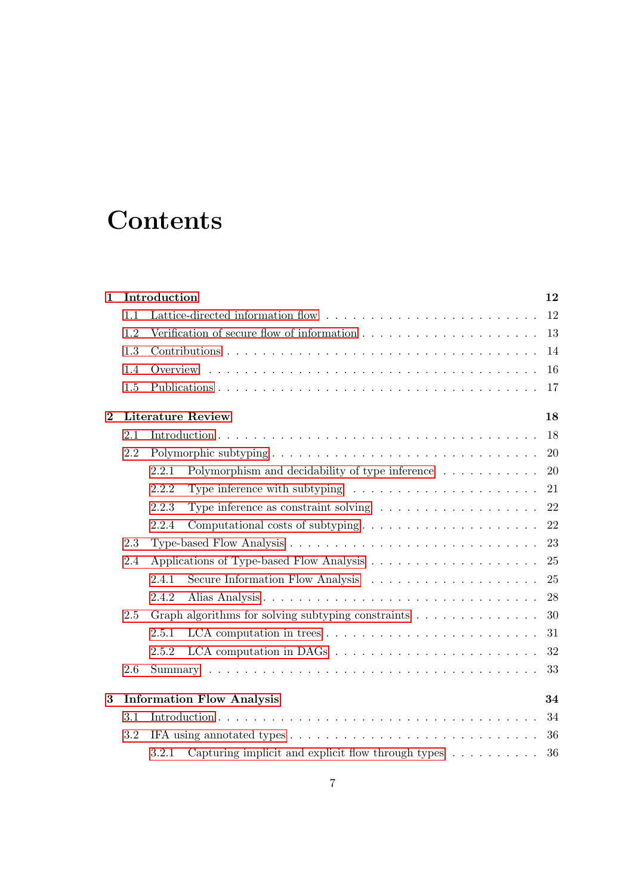# **Contents**

| $\mathbf{1}$ |     | Introduction |                                                                                  | 12 |
|--------------|-----|--------------|----------------------------------------------------------------------------------|----|
|              | 1.1 |              |                                                                                  | 12 |
|              | 1.2 |              |                                                                                  | 13 |
|              | 1.3 |              |                                                                                  | 14 |
|              | 1.4 |              |                                                                                  | 16 |
|              | 1.5 |              |                                                                                  | 17 |
| $\mathbf{2}$ |     |              | <b>Literature Review</b>                                                         | 18 |
|              | 2.1 |              |                                                                                  | 18 |
|              | 2.2 |              |                                                                                  | 20 |
|              |     | 2.2.1        | Polymorphism and decidability of type inference $\dots \dots \dots$              | 20 |
|              |     | 2.2.2        | Type inference with subtyping $\ldots \ldots \ldots \ldots \ldots \ldots \ldots$ | 21 |
|              |     | 2.2.3        | Type inference as constraint solving $\ldots \ldots \ldots \ldots \ldots$        | 22 |
|              |     | 2.2.4        | Computational costs of subtyping $\ldots \ldots \ldots \ldots \ldots \ldots$     | 22 |
|              | 2.3 |              |                                                                                  | 23 |
|              | 2.4 |              |                                                                                  | 25 |
|              |     | 2.4.1        |                                                                                  | 25 |
|              |     | 2.4.2        |                                                                                  | 28 |
|              | 2.5 |              | Graph algorithms for solving subtyping constraints $\dots \dots \dots \dots$     | 30 |
|              |     | 2.5.1        |                                                                                  | 31 |
|              |     | 2.5.2        |                                                                                  | 32 |
|              | 2.6 |              |                                                                                  | 33 |
| 3            |     |              | <b>Information Flow Analysis</b>                                                 | 34 |
|              | 3.1 |              |                                                                                  | 34 |
|              | 3.2 |              |                                                                                  | 36 |
|              |     | 3.2.1        | Capturing implicit and explicit flow through types $\dots \dots \dots$           | 36 |
|              |     |              |                                                                                  |    |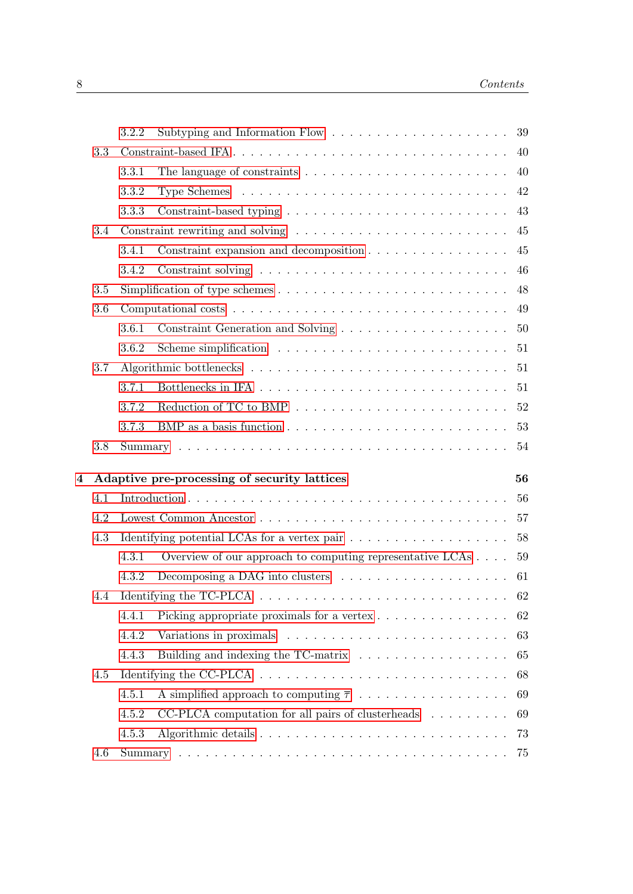|   |     | 3.2.2 | Subtyping and Information Flow $\dots \dots \dots \dots \dots \dots \dots$                                         | 39 |
|---|-----|-------|--------------------------------------------------------------------------------------------------------------------|----|
|   | 3.3 |       |                                                                                                                    | 40 |
|   |     | 3.3.1 | The language of constraints $\hfill\ldots\ldots\ldots\ldots\ldots\ldots\ldots\ldots\ldots\ldots\ldots\ldots\ldots$ | 40 |
|   |     | 3.3.2 |                                                                                                                    | 42 |
|   |     | 3.3.3 |                                                                                                                    | 43 |
|   | 3.4 |       | Constraint rewriting and solving $\ldots \ldots \ldots \ldots \ldots \ldots \ldots$                                | 45 |
|   |     | 3.4.1 | Constraint expansion and decomposition                                                                             | 45 |
|   |     | 3.4.2 |                                                                                                                    | 46 |
|   | 3.5 |       |                                                                                                                    | 48 |
|   | 3.6 |       |                                                                                                                    | 49 |
|   |     | 3.6.1 |                                                                                                                    | 50 |
|   |     | 3.6.2 |                                                                                                                    | 51 |
|   | 3.7 |       |                                                                                                                    | 51 |
|   |     | 3.7.1 |                                                                                                                    | 51 |
|   |     | 3.7.2 |                                                                                                                    | 52 |
|   |     | 3.7.3 | BMP as a basis function $\ldots \ldots \ldots \ldots \ldots \ldots \ldots \ldots$                                  | 53 |
|   |     |       |                                                                                                                    |    |
|   | 3.8 |       |                                                                                                                    | 54 |
| 4 |     |       | Adaptive pre-processing of security lattices                                                                       | 56 |
|   | 4.1 |       |                                                                                                                    | 56 |
|   | 4.2 |       |                                                                                                                    | 57 |
|   | 4.3 |       | Identifying potential LCAs for a vertex pair $\dots \dots \dots \dots \dots \dots$                                 | 58 |
|   |     | 4.3.1 | Overview of our approach to computing representative LCAs $\dots$ .                                                | 59 |
|   |     | 4.3.2 |                                                                                                                    | 61 |
|   | 4.4 |       |                                                                                                                    | 62 |
|   |     | 4.4.1 | Picking appropriate proximals for a vertex $\dots \dots \dots \dots \dots$                                         | 62 |
|   |     | 4.4.2 |                                                                                                                    | 63 |
|   |     | 4.4.3 | Building and indexing the TC-matrix $\ldots \ldots \ldots \ldots \ldots$                                           | 65 |
|   | 4.5 |       |                                                                                                                    | 68 |
|   |     | 4.5.1 | A simplified approach to computing $\overline{\tau} \dots \dots \dots \dots \dots \dots$                           | 69 |
|   |     | 4.5.2 | CC-PLCA computation for all pairs of clusterheads                                                                  | 69 |
|   |     | 4.5.3 |                                                                                                                    | 73 |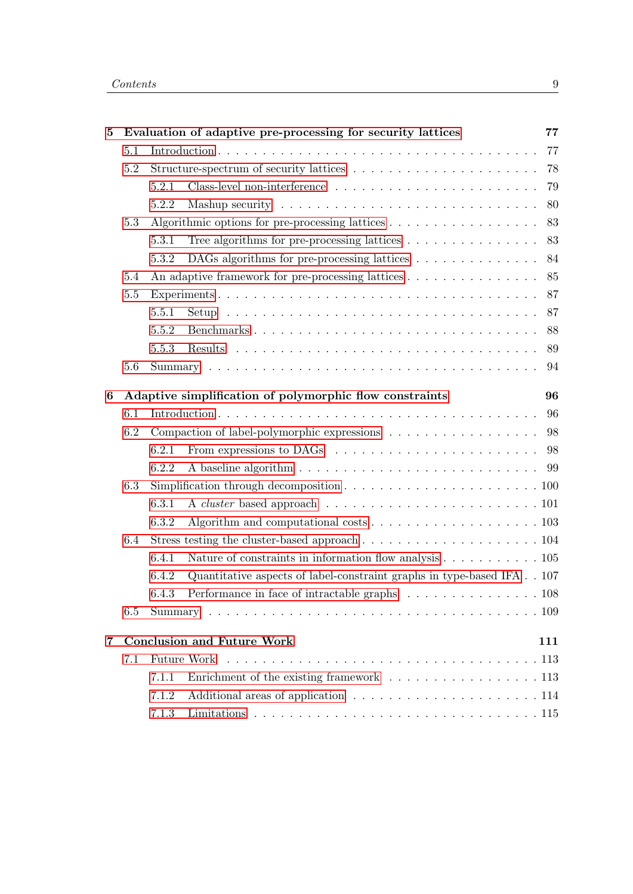| 5 |     |                                                      | Evaluation of adaptive pre-processing for security lattices                                        | 77   |
|---|-----|------------------------------------------------------|----------------------------------------------------------------------------------------------------|------|
|   | 5.1 |                                                      |                                                                                                    |      |
|   | 5.2 |                                                      |                                                                                                    |      |
|   |     | 5.2.1                                                |                                                                                                    | 79   |
|   |     | 5.2.2                                                |                                                                                                    | 80   |
|   | 5.3 |                                                      | Algorithmic options for pre-processing lattices 83                                                 |      |
|   |     | 5.3.1                                                | Tree algorithms for pre-processing lattices $\ldots \ldots \ldots \ldots \ldots$ 83                |      |
|   |     | 5.3.2                                                | DAGs algorithms for pre-processing lattices                                                        | - 84 |
|   | 5.4 | An adaptive framework for pre-processing lattices 85 |                                                                                                    |      |
|   | 5.5 |                                                      |                                                                                                    |      |
|   |     | 5.5.1                                                |                                                                                                    |      |
|   |     | 5.5.2                                                | Benchmarks                                                                                         | 88   |
|   |     | 5.5.3                                                |                                                                                                    |      |
|   | 5.6 |                                                      |                                                                                                    |      |
| 6 |     |                                                      | Adaptive simplification of polymorphic flow constraints                                            | 96   |
|   | 6.1 |                                                      |                                                                                                    |      |
|   | 6.2 |                                                      | Compaction of label-polymorphic expressions 98                                                     |      |
|   |     | 6.2.1                                                | From expressions to DAGs $\dots \dots \dots \dots \dots \dots \dots \dots \dots \dots$ 98          |      |
|   |     | 6.2.2                                                |                                                                                                    |      |
|   | 6.3 |                                                      | Simplification through decomposition $\ldots \ldots \ldots \ldots \ldots \ldots \ldots \ldots 100$ |      |
|   |     | 6.3.1                                                |                                                                                                    |      |
|   |     | 6.3.2                                                |                                                                                                    |      |
|   | 6.4 |                                                      |                                                                                                    |      |
|   |     | 6.4.1                                                | Nature of constraints in information flow analysis 105                                             |      |
|   |     | 6.4.2                                                | Quantitative aspects of label-constraint graphs in type-based IFA 107                              |      |
|   |     | 6.4.3                                                | Performance in face of intractable graphs 108                                                      |      |
|   | 6.5 |                                                      |                                                                                                    |      |
| 7 |     |                                                      | <b>Conclusion and Future Work</b>                                                                  | 111  |
|   | 7.1 |                                                      | Future Work                                                                                        |      |
|   |     | 7.1.1                                                | Enrichment of the existing framework 113                                                           |      |
|   |     | 7.1.2                                                |                                                                                                    |      |
|   |     | 7.1.3                                                |                                                                                                    |      |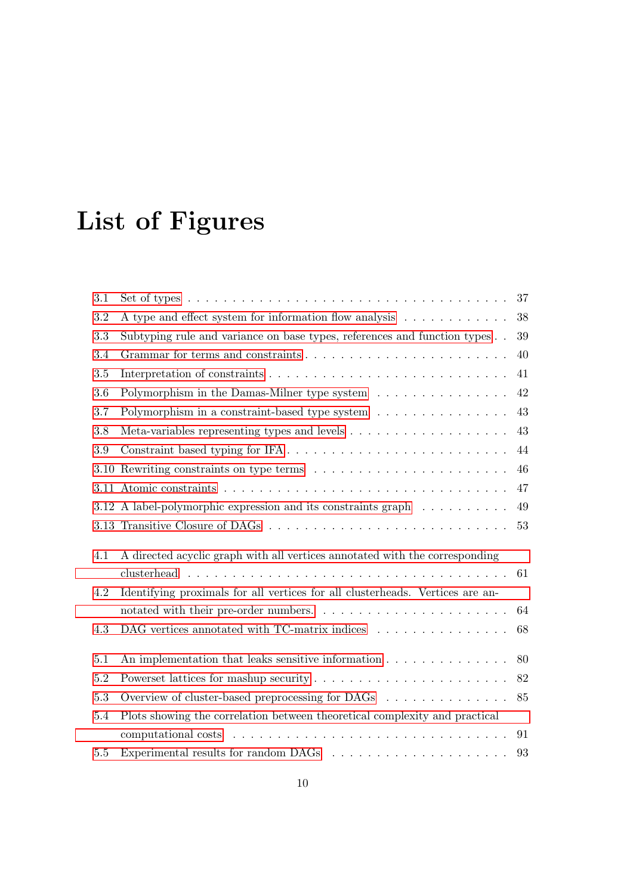# List of Figures

| 3.1     |                                                                                         | 37 |
|---------|-----------------------------------------------------------------------------------------|----|
| 3.2     | A type and effect system for information flow analysis                                  | 38 |
| 3.3     | Subtyping rule and variance on base types, references and function types                | 39 |
| 3.4     |                                                                                         | 40 |
| 3.5     |                                                                                         | 41 |
| 3.6     | Polymorphism in the Damas-Milner type system                                            | 42 |
| 3.7     | Polymorphism in a constraint-based type system $\ldots \ldots \ldots \ldots \ldots$     | 43 |
| 3.8     |                                                                                         | 43 |
| 3.9     |                                                                                         | 44 |
| 3.10    |                                                                                         | 46 |
|         |                                                                                         | 47 |
|         | 3.12 A label-polymorphic expression and its constraints graph $\dots \dots \dots$       | 49 |
|         |                                                                                         | 53 |
| 4.1     | A directed acyclic graph with all vertices annotated with the corresponding             | 61 |
| 4.2     | Identifying proximals for all vertices for all clusterheads. Vertices are an-           |    |
|         | notated with their pre-order numbers. $\dots \dots \dots \dots \dots \dots \dots \dots$ | 64 |
| 4.3     | DAG vertices annotated with TC-matrix indices                                           | 68 |
| 5.1     |                                                                                         | 80 |
| 5.2     |                                                                                         | 82 |
| 5.3     | Overview of cluster-based preprocessing for DAGs                                        | 85 |
| 5.4     | Plots showing the correlation between theoretical complexity and practical              |    |
|         |                                                                                         | 91 |
| $5.5\,$ | Experimental results for random DAGs $\ldots \ldots \ldots \ldots \ldots \ldots \ldots$ | 93 |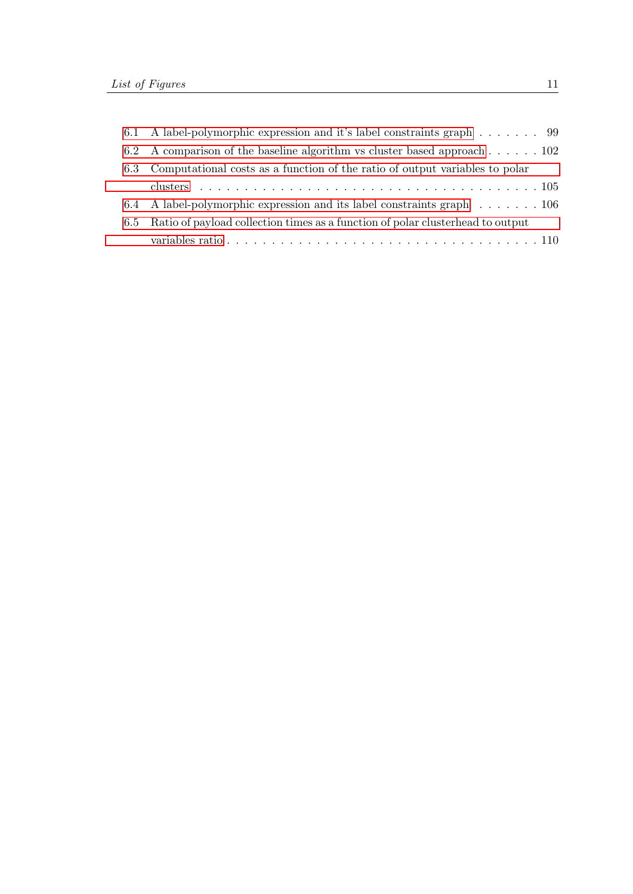| 6.1 A label-polymorphic expression and it's label constraints graph 99                 |
|----------------------------------------------------------------------------------------|
| 6.2 A comparison of the baseline algorithm vs cluster based approach $\dots \dots 102$ |
| 6.3 Computational costs as a function of the ratio of output variables to polar        |
|                                                                                        |
| 6.4 A label-polymorphic expression and its label constraints graph 106                 |
| 6.5 Ratio of payload collection times as a function of polar clusterhead to output     |
|                                                                                        |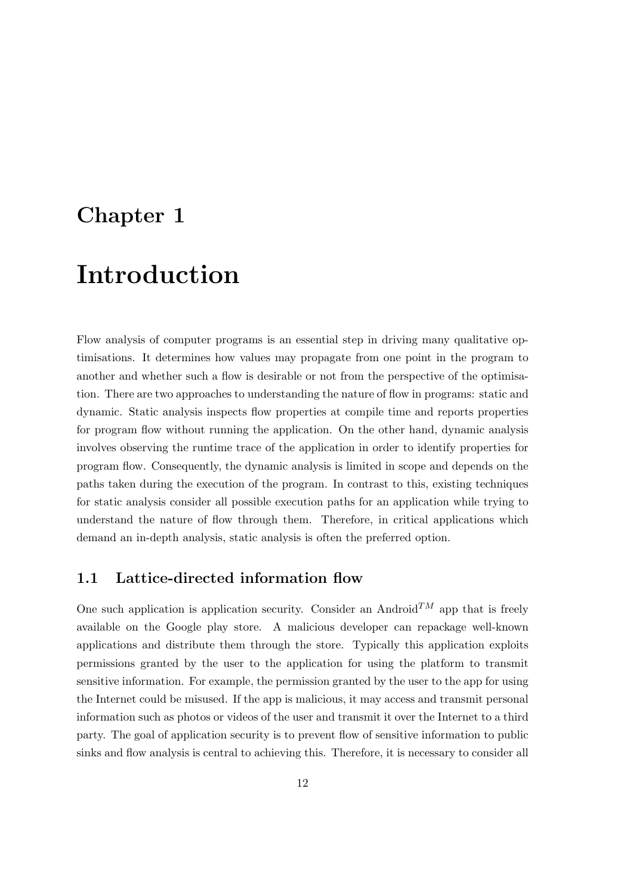## <span id="page-11-0"></span>Chapter 1

## Introduction

Flow analysis of computer programs is an essential step in driving many qualitative optimisations. It determines how values may propagate from one point in the program to another and whether such a flow is desirable or not from the perspective of the optimisation. There are two approaches to understanding the nature of flow in programs: static and dynamic. Static analysis inspects flow properties at compile time and reports properties for program flow without running the application. On the other hand, dynamic analysis involves observing the runtime trace of the application in order to identify properties for program flow. Consequently, the dynamic analysis is limited in scope and depends on the paths taken during the execution of the program. In contrast to this, existing techniques for static analysis consider all possible execution paths for an application while trying to understand the nature of flow through them. Therefore, in critical applications which demand an in-depth analysis, static analysis is often the preferred option.

## <span id="page-11-1"></span>1.1 Lattice-directed information flow

One such application is application security. Consider an Android<sup>TM</sup> app that is freely available on the Google play store. A malicious developer can repackage well-known applications and distribute them through the store. Typically this application exploits permissions granted by the user to the application for using the platform to transmit sensitive information. For example, the permission granted by the user to the app for using the Internet could be misused. If the app is malicious, it may access and transmit personal information such as photos or videos of the user and transmit it over the Internet to a third party. The goal of application security is to prevent flow of sensitive information to public sinks and flow analysis is central to achieving this. Therefore, it is necessary to consider all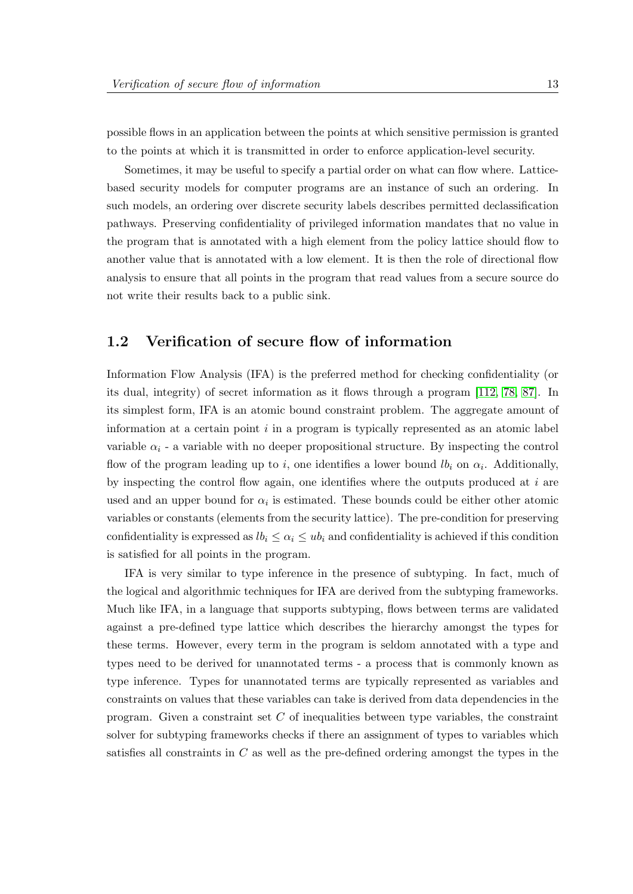possible flows in an application between the points at which sensitive permission is granted to the points at which it is transmitted in order to enforce application-level security.

Sometimes, it may be useful to specify a partial order on what can flow where. Latticebased security models for computer programs are an instance of such an ordering. In such models, an ordering over discrete security labels describes permitted declassification pathways. Preserving confidentiality of privileged information mandates that no value in the program that is annotated with a high element from the policy lattice should flow to another value that is annotated with a low element. It is then the role of directional flow analysis to ensure that all points in the program that read values from a secure source do not write their results back to a public sink.

## <span id="page-12-0"></span>1.2 Verification of secure flow of information

Information Flow Analysis (IFA) is the preferred method for checking confidentiality (or its dual, integrity) of secret information as it flows through a program [\[112,](#page-127-0) [78,](#page-124-0) [87\]](#page-124-1). In its simplest form, IFA is an atomic bound constraint problem. The aggregate amount of information at a certain point  $i$  in a program is typically represented as an atomic label variable  $\alpha_i$  - a variable with no deeper propositional structure. By inspecting the control flow of the program leading up to i, one identifies a lower bound  $lb_i$  on  $\alpha_i$ . Additionally, by inspecting the control flow again, one identifies where the outputs produced at  $i$  are used and an upper bound for  $\alpha_i$  is estimated. These bounds could be either other atomic variables or constants (elements from the security lattice). The pre-condition for preserving confidentiality is expressed as  $lb_i \leq \alpha_i \leq ub_i$  and confidentiality is achieved if this condition is satisfied for all points in the program.

IFA is very similar to type inference in the presence of subtyping. In fact, much of the logical and algorithmic techniques for IFA are derived from the subtyping frameworks. Much like IFA, in a language that supports subtyping, flows between terms are validated against a pre-defined type lattice which describes the hierarchy amongst the types for these terms. However, every term in the program is seldom annotated with a type and types need to be derived for unannotated terms - a process that is commonly known as type inference. Types for unannotated terms are typically represented as variables and constraints on values that these variables can take is derived from data dependencies in the program. Given a constraint set  $C$  of inequalities between type variables, the constraint solver for subtyping frameworks checks if there an assignment of types to variables which satisfies all constraints in C as well as the pre-defined ordering amongst the types in the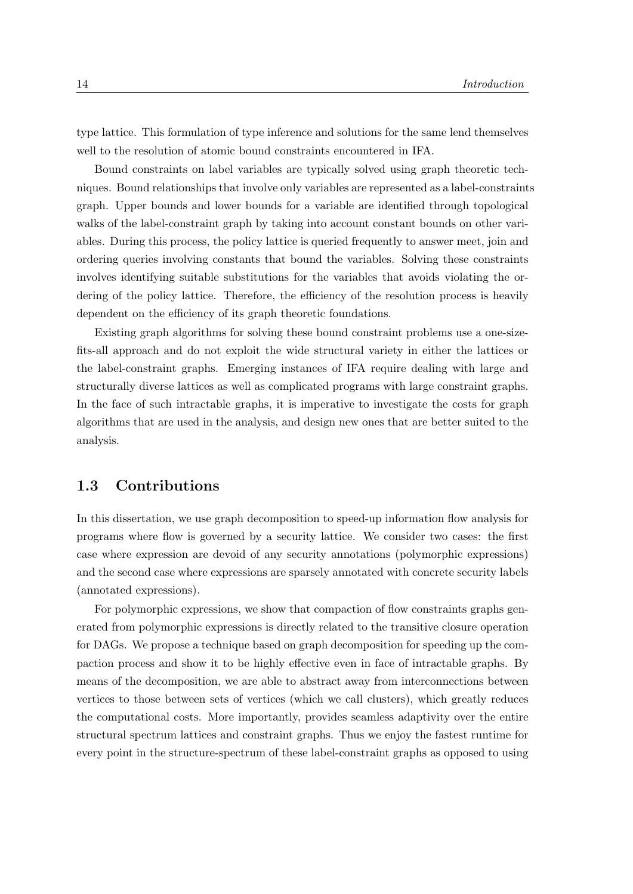type lattice. This formulation of type inference and solutions for the same lend themselves well to the resolution of atomic bound constraints encountered in IFA.

Bound constraints on label variables are typically solved using graph theoretic techniques. Bound relationships that involve only variables are represented as a label-constraints graph. Upper bounds and lower bounds for a variable are identified through topological walks of the label-constraint graph by taking into account constant bounds on other variables. During this process, the policy lattice is queried frequently to answer meet, join and ordering queries involving constants that bound the variables. Solving these constraints involves identifying suitable substitutions for the variables that avoids violating the ordering of the policy lattice. Therefore, the efficiency of the resolution process is heavily dependent on the efficiency of its graph theoretic foundations.

Existing graph algorithms for solving these bound constraint problems use a one-sizefits-all approach and do not exploit the wide structural variety in either the lattices or the label-constraint graphs. Emerging instances of IFA require dealing with large and structurally diverse lattices as well as complicated programs with large constraint graphs. In the face of such intractable graphs, it is imperative to investigate the costs for graph algorithms that are used in the analysis, and design new ones that are better suited to the analysis.

### <span id="page-13-0"></span>1.3 Contributions

In this dissertation, we use graph decomposition to speed-up information flow analysis for programs where flow is governed by a security lattice. We consider two cases: the first case where expression are devoid of any security annotations (polymorphic expressions) and the second case where expressions are sparsely annotated with concrete security labels (annotated expressions).

For polymorphic expressions, we show that compaction of flow constraints graphs generated from polymorphic expressions is directly related to the transitive closure operation for DAGs. We propose a technique based on graph decomposition for speeding up the compaction process and show it to be highly effective even in face of intractable graphs. By means of the decomposition, we are able to abstract away from interconnections between vertices to those between sets of vertices (which we call clusters), which greatly reduces the computational costs. More importantly, provides seamless adaptivity over the entire structural spectrum lattices and constraint graphs. Thus we enjoy the fastest runtime for every point in the structure-spectrum of these label-constraint graphs as opposed to using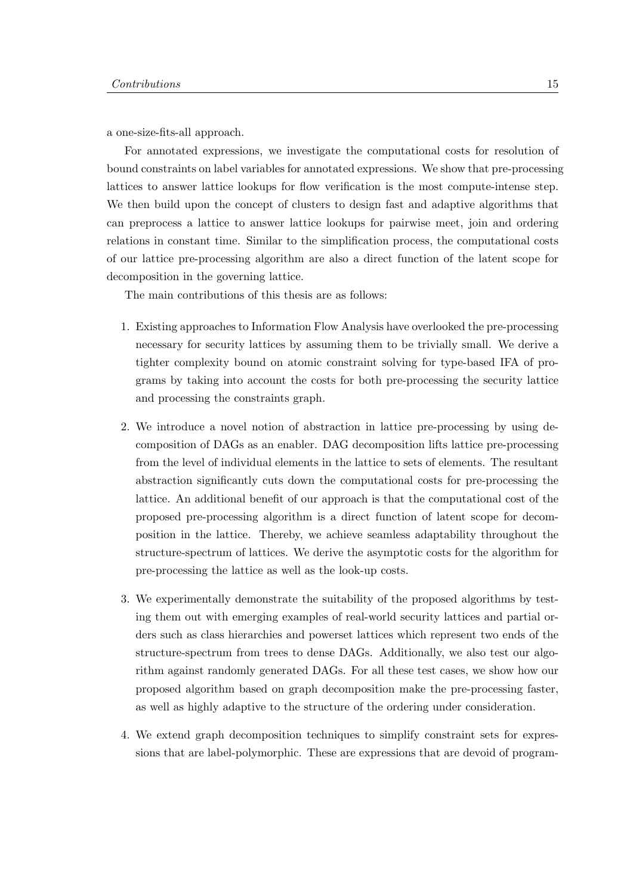a one-size-fits-all approach.

For annotated expressions, we investigate the computational costs for resolution of bound constraints on label variables for annotated expressions. We show that pre-processing lattices to answer lattice lookups for flow verification is the most compute-intense step. We then build upon the concept of clusters to design fast and adaptive algorithms that can preprocess a lattice to answer lattice lookups for pairwise meet, join and ordering relations in constant time. Similar to the simplification process, the computational costs of our lattice pre-processing algorithm are also a direct function of the latent scope for decomposition in the governing lattice.

The main contributions of this thesis are as follows:

- 1. Existing approaches to Information Flow Analysis have overlooked the pre-processing necessary for security lattices by assuming them to be trivially small. We derive a tighter complexity bound on atomic constraint solving for type-based IFA of programs by taking into account the costs for both pre-processing the security lattice and processing the constraints graph.
- 2. We introduce a novel notion of abstraction in lattice pre-processing by using decomposition of DAGs as an enabler. DAG decomposition lifts lattice pre-processing from the level of individual elements in the lattice to sets of elements. The resultant abstraction significantly cuts down the computational costs for pre-processing the lattice. An additional benefit of our approach is that the computational cost of the proposed pre-processing algorithm is a direct function of latent scope for decomposition in the lattice. Thereby, we achieve seamless adaptability throughout the structure-spectrum of lattices. We derive the asymptotic costs for the algorithm for pre-processing the lattice as well as the look-up costs.
- 3. We experimentally demonstrate the suitability of the proposed algorithms by testing them out with emerging examples of real-world security lattices and partial orders such as class hierarchies and powerset lattices which represent two ends of the structure-spectrum from trees to dense DAGs. Additionally, we also test our algorithm against randomly generated DAGs. For all these test cases, we show how our proposed algorithm based on graph decomposition make the pre-processing faster, as well as highly adaptive to the structure of the ordering under consideration.
- 4. We extend graph decomposition techniques to simplify constraint sets for expressions that are label-polymorphic. These are expressions that are devoid of program-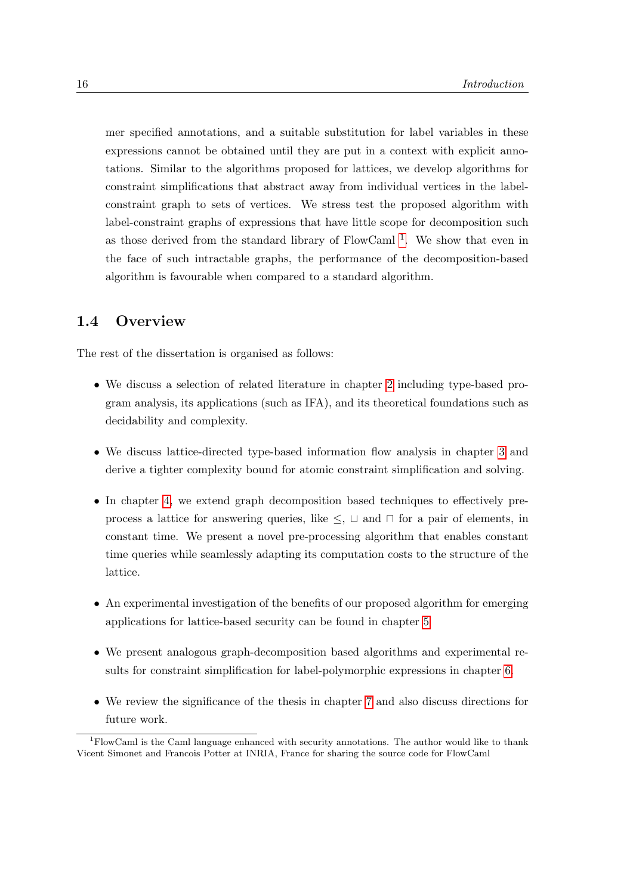mer specified annotations, and a suitable substitution for label variables in these expressions cannot be obtained until they are put in a context with explicit annotations. Similar to the algorithms proposed for lattices, we develop algorithms for constraint simplifications that abstract away from individual vertices in the labelconstraint graph to sets of vertices. We stress test the proposed algorithm with label-constraint graphs of expressions that have little scope for decomposition such as those derived from the standard library of  $FlowCam<sup>1</sup>$  $FlowCam<sup>1</sup>$  $FlowCam<sup>1</sup>$ . We show that even in the face of such intractable graphs, the performance of the decomposition-based algorithm is favourable when compared to a standard algorithm.

## <span id="page-15-0"></span>1.4 Overview

The rest of the dissertation is organised as follows:

- We discuss a selection of related literature in chapter [2](#page-17-0) including type-based program analysis, its applications (such as IFA), and its theoretical foundations such as decidability and complexity.
- We discuss lattice-directed type-based information flow analysis in chapter [3](#page-33-0) and derive a tighter complexity bound for atomic constraint simplification and solving.
- In chapter [4,](#page-55-0) we extend graph decomposition based techniques to effectively preprocess a lattice for answering queries, like  $\leq, \perp$  and  $\sqcap$  for a pair of elements, in constant time. We present a novel pre-processing algorithm that enables constant time queries while seamlessly adapting its computation costs to the structure of the lattice.
- An experimental investigation of the benefits of our proposed algorithm for emerging applications for lattice-based security can be found in chapter [5](#page-76-0)
- We present analogous graph-decomposition based algorithms and experimental results for constraint simplification for label-polymorphic expressions in chapter [6.](#page-95-0)
- We review the significance of the thesis in chapter [7](#page-110-0) and also discuss directions for future work.

<span id="page-15-1"></span><sup>1</sup>FlowCaml is the Caml language enhanced with security annotations. The author would like to thank Vicent Simonet and Francois Potter at INRIA, France for sharing the source code for FlowCaml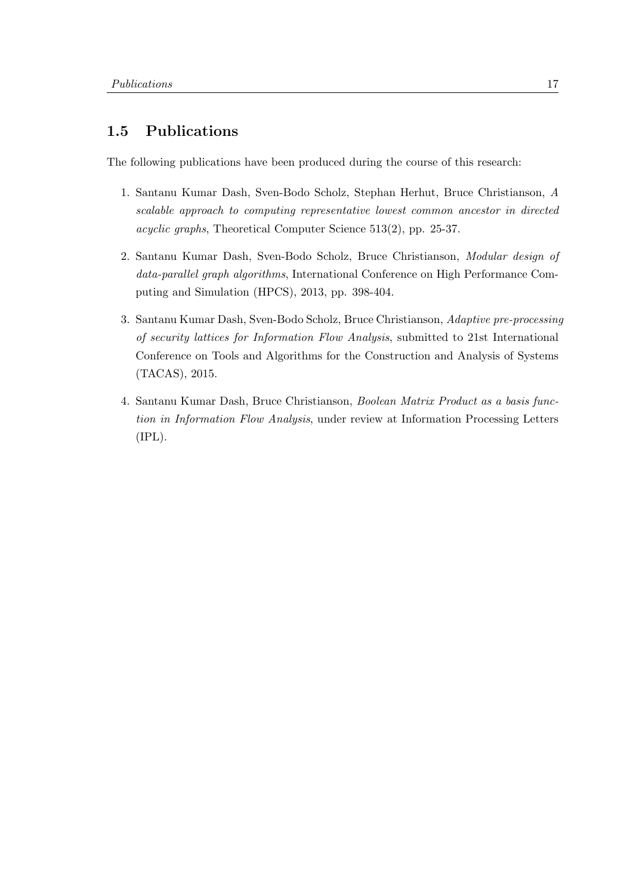## <span id="page-16-0"></span>1.5 Publications

The following publications have been produced during the course of this research:

- 1. Santanu Kumar Dash, Sven-Bodo Scholz, Stephan Herhut, Bruce Christianson, A scalable approach to computing representative lowest common ancestor in directed acyclic graphs, Theoretical Computer Science 513(2), pp. 25-37.
- 2. Santanu Kumar Dash, Sven-Bodo Scholz, Bruce Christianson, Modular design of data-parallel graph algorithms, International Conference on High Performance Computing and Simulation (HPCS), 2013, pp. 398-404.
- 3. Santanu Kumar Dash, Sven-Bodo Scholz, Bruce Christianson, Adaptive pre-processing of security lattices for Information Flow Analysis, submitted to 21st International Conference on Tools and Algorithms for the Construction and Analysis of Systems (TACAS), 2015.
- 4. Santanu Kumar Dash, Bruce Christianson, Boolean Matrix Product as a basis function in Information Flow Analysis, under review at Information Processing Letters (IPL).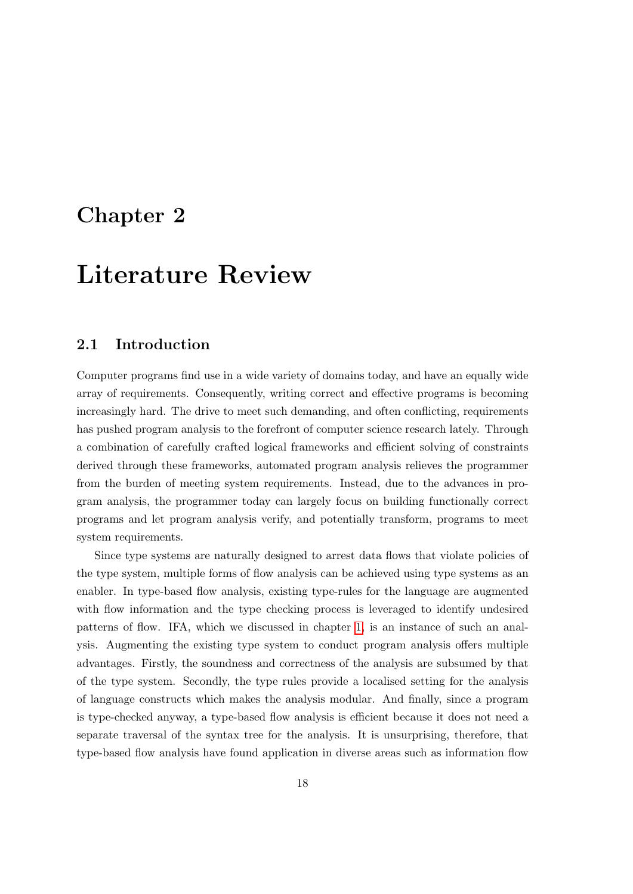## <span id="page-17-0"></span>Chapter 2

## Literature Review

## <span id="page-17-1"></span>2.1 Introduction

Computer programs find use in a wide variety of domains today, and have an equally wide array of requirements. Consequently, writing correct and effective programs is becoming increasingly hard. The drive to meet such demanding, and often conflicting, requirements has pushed program analysis to the forefront of computer science research lately. Through a combination of carefully crafted logical frameworks and efficient solving of constraints derived through these frameworks, automated program analysis relieves the programmer from the burden of meeting system requirements. Instead, due to the advances in program analysis, the programmer today can largely focus on building functionally correct programs and let program analysis verify, and potentially transform, programs to meet system requirements.

Since type systems are naturally designed to arrest data flows that violate policies of the type system, multiple forms of flow analysis can be achieved using type systems as an enabler. In type-based flow analysis, existing type-rules for the language are augmented with flow information and the type checking process is leveraged to identify undesired patterns of flow. IFA, which we discussed in chapter [1,](#page-11-0) is an instance of such an analysis. Augmenting the existing type system to conduct program analysis offers multiple advantages. Firstly, the soundness and correctness of the analysis are subsumed by that of the type system. Secondly, the type rules provide a localised setting for the analysis of language constructs which makes the analysis modular. And finally, since a program is type-checked anyway, a type-based flow analysis is efficient because it does not need a separate traversal of the syntax tree for the analysis. It is unsurprising, therefore, that type-based flow analysis have found application in diverse areas such as information flow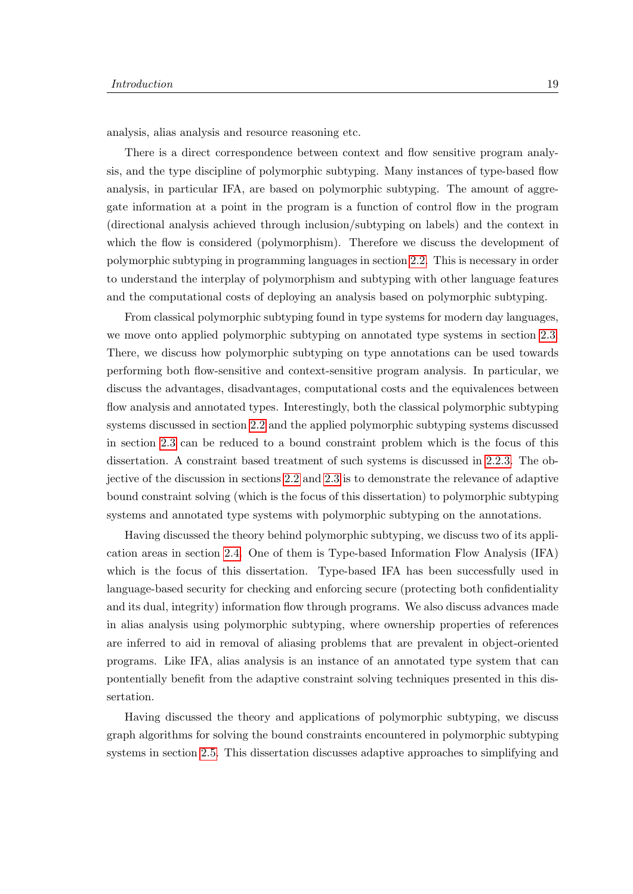analysis, alias analysis and resource reasoning etc.

There is a direct correspondence between context and flow sensitive program analysis, and the type discipline of polymorphic subtyping. Many instances of type-based flow analysis, in particular IFA, are based on polymorphic subtyping. The amount of aggregate information at a point in the program is a function of control flow in the program (directional analysis achieved through inclusion/subtyping on labels) and the context in which the flow is considered (polymorphism). Therefore we discuss the development of polymorphic subtyping in programming languages in section [2.2.](#page-19-0) This is necessary in order to understand the interplay of polymorphism and subtyping with other language features and the computational costs of deploying an analysis based on polymorphic subtyping.

From classical polymorphic subtyping found in type systems for modern day languages, we move onto applied polymorphic subtyping on annotated type systems in section [2.3.](#page-22-0) There, we discuss how polymorphic subtyping on type annotations can be used towards performing both flow-sensitive and context-sensitive program analysis. In particular, we discuss the advantages, disadvantages, computational costs and the equivalences between flow analysis and annotated types. Interestingly, both the classical polymorphic subtyping systems discussed in section [2.2](#page-19-0) and the applied polymorphic subtyping systems discussed in section [2.3](#page-22-0) can be reduced to a bound constraint problem which is the focus of this dissertation. A constraint based treatment of such systems is discussed in [2.2.3.](#page-21-0) The objective of the discussion in sections [2.2](#page-19-0) and [2.3](#page-22-0) is to demonstrate the relevance of adaptive bound constraint solving (which is the focus of this dissertation) to polymorphic subtyping systems and annotated type systems with polymorphic subtyping on the annotations.

Having discussed the theory behind polymorphic subtyping, we discuss two of its application areas in section [2.4.](#page-24-0) One of them is Type-based Information Flow Analysis (IFA) which is the focus of this dissertation. Type-based IFA has been successfully used in language-based security for checking and enforcing secure (protecting both confidentiality and its dual, integrity) information flow through programs. We also discuss advances made in alias analysis using polymorphic subtyping, where ownership properties of references are inferred to aid in removal of aliasing problems that are prevalent in object-oriented programs. Like IFA, alias analysis is an instance of an annotated type system that can pontentially benefit from the adaptive constraint solving techniques presented in this dissertation.

Having discussed the theory and applications of polymorphic subtyping, we discuss graph algorithms for solving the bound constraints encountered in polymorphic subtyping systems in section [2.5.](#page-29-0) This dissertation discusses adaptive approaches to simplifying and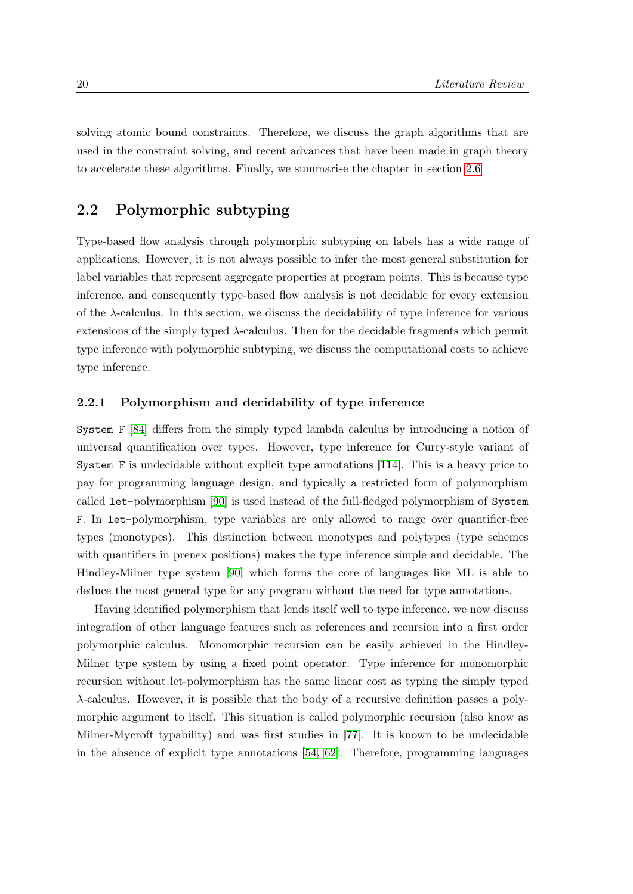solving atomic bound constraints. Therefore, we discuss the graph algorithms that are used in the constraint solving, and recent advances that have been made in graph theory to accelerate these algorithms. Finally, we summarise the chapter in section [2.6](#page-32-0)

## <span id="page-19-0"></span>2.2 Polymorphic subtyping

Type-based flow analysis through polymorphic subtyping on labels has a wide range of applications. However, it is not always possible to infer the most general substitution for label variables that represent aggregate properties at program points. This is because type inference, and consequently type-based flow analysis is not decidable for every extension of the  $\lambda$ -calculus. In this section, we discuss the decidability of type inference for various extensions of the simply typed  $\lambda$ -calculus. Then for the decidable fragments which permit type inference with polymorphic subtyping, we discuss the computational costs to achieve type inference.

#### <span id="page-19-1"></span>2.2.1 Polymorphism and decidability of type inference

System F [\[84\]](#page-124-2) differs from the simply typed lambda calculus by introducing a notion of universal quantification over types. However, type inference for Curry-style variant of System F is undecidable without explicit type annotations [\[114\]](#page-127-1). This is a heavy price to pay for programming language design, and typically a restricted form of polymorphism called let-polymorphism [\[90\]](#page-125-0) is used instead of the full-fledged polymorphism of System F. In let-polymorphism, type variables are only allowed to range over quantifier-free types (monotypes). This distinction between monotypes and polytypes (type schemes with quantifiers in prenex positions) makes the type inference simple and decidable. The Hindley-Milner type system [\[90\]](#page-125-0) which forms the core of languages like ML is able to deduce the most general type for any program without the need for type annotations.

Having identified polymorphism that lends itself well to type inference, we now discuss integration of other language features such as references and recursion into a first order polymorphic calculus. Monomorphic recursion can be easily achieved in the Hindley-Milner type system by using a fixed point operator. Type inference for monomorphic recursion without let-polymorphism has the same linear cost as typing the simply typed λ-calculus. However, it is possible that the body of a recursive definition passes a polymorphic argument to itself. This situation is called polymorphic recursion (also know as Milner-Mycroft typability) and was first studies in [\[77\]](#page-123-0). It is known to be undecidable in the absence of explicit type annotations [\[54,](#page-121-0) [62\]](#page-122-0). Therefore, programming languages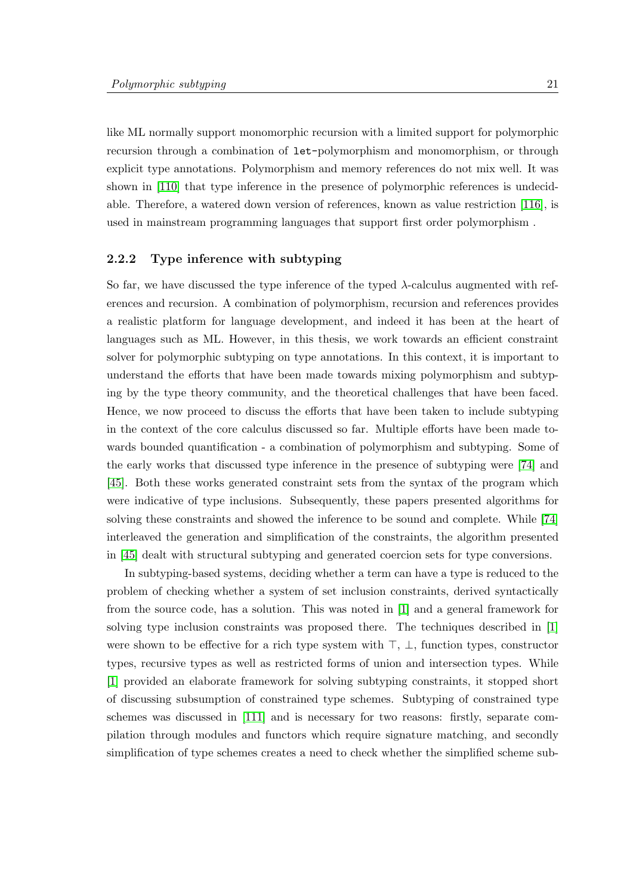like ML normally support monomorphic recursion with a limited support for polymorphic recursion through a combination of let-polymorphism and monomorphism, or through explicit type annotations. Polymorphism and memory references do not mix well. It was shown in [\[110\]](#page-126-0) that type inference in the presence of polymorphic references is undecidable. Therefore, a watered down version of references, known as value restriction [\[116\]](#page-127-2), is used in mainstream programming languages that support first order polymorphism .

#### <span id="page-20-0"></span>2.2.2 Type inference with subtyping

So far, we have discussed the type inference of the typed  $\lambda$ -calculus augmented with references and recursion. A combination of polymorphism, recursion and references provides a realistic platform for language development, and indeed it has been at the heart of languages such as ML. However, in this thesis, we work towards an efficient constraint solver for polymorphic subtyping on type annotations. In this context, it is important to understand the efforts that have been made towards mixing polymorphism and subtyping by the type theory community, and the theoretical challenges that have been faced. Hence, we now proceed to discuss the efforts that have been taken to include subtyping in the context of the core calculus discussed so far. Multiple efforts have been made towards bounded quantification - a combination of polymorphism and subtyping. Some of the early works that discussed type inference in the presence of subtyping were [\[74\]](#page-123-1) and [\[45\]](#page-120-0). Both these works generated constraint sets from the syntax of the program which were indicative of type inclusions. Subsequently, these papers presented algorithms for solving these constraints and showed the inference to be sound and complete. While [\[74\]](#page-123-1) interleaved the generation and simplification of the constraints, the algorithm presented in [\[45\]](#page-120-0) dealt with structural subtyping and generated coercion sets for type conversions.

In subtyping-based systems, deciding whether a term can have a type is reduced to the problem of checking whether a system of set inclusion constraints, derived syntactically from the source code, has a solution. This was noted in [\[1\]](#page-116-0) and a general framework for solving type inclusion constraints was proposed there. The techniques described in [\[1\]](#page-116-0) were shown to be effective for a rich type system with  $\top$ ,  $\bot$ , function types, constructor types, recursive types as well as restricted forms of union and intersection types. While [\[1\]](#page-116-0) provided an elaborate framework for solving subtyping constraints, it stopped short of discussing subsumption of constrained type schemes. Subtyping of constrained type schemes was discussed in [\[111\]](#page-127-3) and is necessary for two reasons: firstly, separate compilation through modules and functors which require signature matching, and secondly simplification of type schemes creates a need to check whether the simplified scheme sub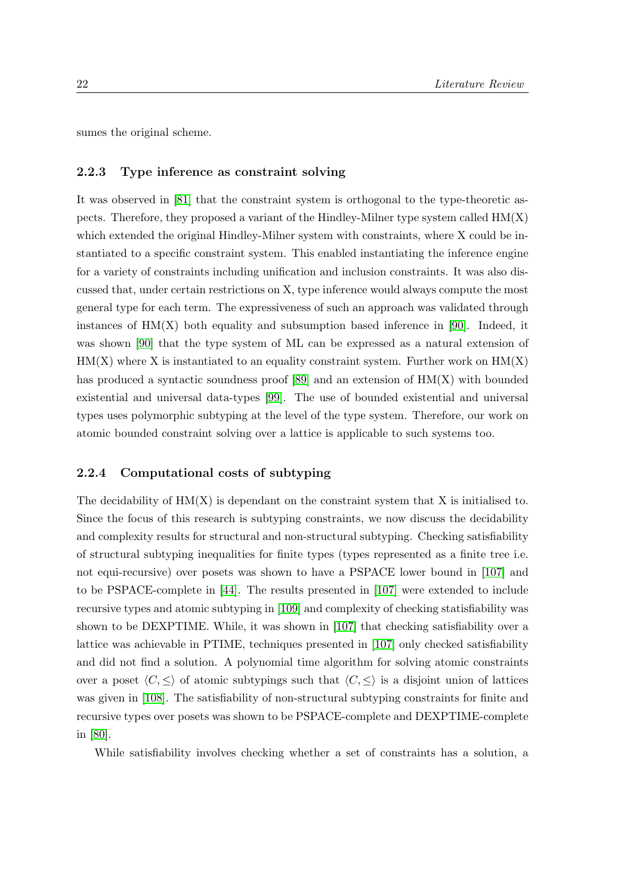sumes the original scheme.

#### <span id="page-21-0"></span>2.2.3 Type inference as constraint solving

It was observed in [\[81\]](#page-124-3) that the constraint system is orthogonal to the type-theoretic aspects. Therefore, they proposed a variant of the Hindley-Milner type system called  $HM(X)$ which extended the original Hindley-Milner system with constraints, where X could be instantiated to a specific constraint system. This enabled instantiating the inference engine for a variety of constraints including unification and inclusion constraints. It was also discussed that, under certain restrictions on X, type inference would always compute the most general type for each term. The expressiveness of such an approach was validated through instances of  $HM(X)$  both equality and subsumption based inference in [\[90\]](#page-125-0). Indeed, it was shown [\[90\]](#page-125-0) that the type system of ML can be expressed as a natural extension of  $HM(X)$  where X is instantiated to an equality constraint system. Further work on  $HM(X)$ has produced a syntactic soundness proof [\[89\]](#page-125-1) and an extension of HM(X) with bounded existential and universal data-types [\[99\]](#page-126-1). The use of bounded existential and universal types uses polymorphic subtyping at the level of the type system. Therefore, our work on atomic bounded constraint solving over a lattice is applicable to such systems too.

#### <span id="page-21-1"></span>2.2.4 Computational costs of subtyping

The decidability of  $HM(X)$  is dependant on the constraint system that X is initialised to. Since the focus of this research is subtyping constraints, we now discuss the decidability and complexity results for structural and non-structural subtyping. Checking satisfiability of structural subtyping inequalities for finite types (types represented as a finite tree i.e. not equi-recursive) over posets was shown to have a PSPACE lower bound in [\[107\]](#page-126-2) and to be PSPACE-complete in [\[44\]](#page-120-1). The results presented in [\[107\]](#page-126-2) were extended to include recursive types and atomic subtyping in [\[109\]](#page-126-3) and complexity of checking statisfiability was shown to be DEXPTIME. While, it was shown in [\[107\]](#page-126-2) that checking satisfiability over a lattice was achievable in PTIME, techniques presented in [\[107\]](#page-126-2) only checked satisfiability and did not find a solution. A polynomial time algorithm for solving atomic constraints over a poset  $\langle C, \leq \rangle$  of atomic subtypings such that  $\langle C, \leq \rangle$  is a disjoint union of lattices was given in [\[108\]](#page-126-4). The satisfiability of non-structural subtyping constraints for finite and recursive types over posets was shown to be PSPACE-complete and DEXPTIME-complete in [\[80\]](#page-124-4).

While satisfiability involves checking whether a set of constraints has a solution, a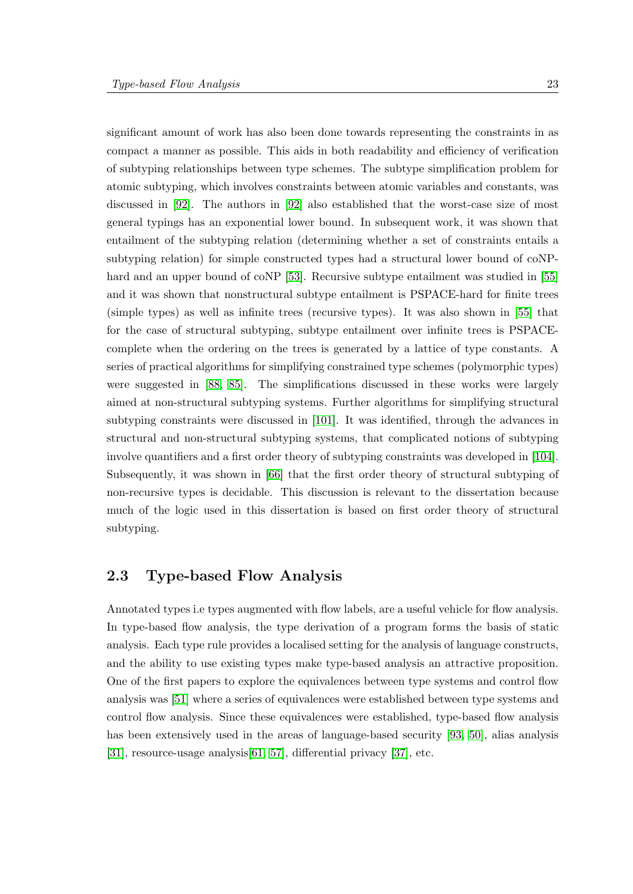significant amount of work has also been done towards representing the constraints in as compact a manner as possible. This aids in both readability and efficiency of verification of subtyping relationships between type schemes. The subtype simplification problem for atomic subtyping, which involves constraints between atomic variables and constants, was discussed in [\[92\]](#page-125-2). The authors in [\[92\]](#page-125-2) also established that the worst-case size of most general typings has an exponential lower bound. In subsequent work, it was shown that entailment of the subtyping relation (determining whether a set of constraints entails a subtyping relation) for simple constructed types had a structural lower bound of coNP-hard and an upper bound of coNP [\[53\]](#page-121-1). Recursive subtype entailment was studied in [\[55\]](#page-121-2) and it was shown that nonstructural subtype entailment is PSPACE-hard for finite trees (simple types) as well as infinite trees (recursive types). It was also shown in [\[55\]](#page-121-2) that for the case of structural subtyping, subtype entailment over infinite trees is PSPACEcomplete when the ordering on the trees is generated by a lattice of type constants. A series of practical algorithms for simplifying constrained type schemes (polymorphic types) were suggested in [\[88,](#page-124-5) [85\]](#page-124-6). The simplifications discussed in these works were largely aimed at non-structural subtyping systems. Further algorithms for simplifying structural subtyping constraints were discussed in [\[101\]](#page-126-5). It was identified, through the advances in structural and non-structural subtyping systems, that complicated notions of subtyping involve quantifiers and a first order theory of subtyping constraints was developed in [\[104\]](#page-126-6). Subsequently, it was shown in [\[66\]](#page-123-2) that the first order theory of structural subtyping of non-recursive types is decidable. This discussion is relevant to the dissertation because much of the logic used in this dissertation is based on first order theory of structural subtyping.

## <span id="page-22-0"></span>2.3 Type-based Flow Analysis

Annotated types i.e types augmented with flow labels, are a useful vehicle for flow analysis. In type-based flow analysis, the type derivation of a program forms the basis of static analysis. Each type rule provides a localised setting for the analysis of language constructs, and the ability to use existing types make type-based analysis an attractive proposition. One of the first papers to explore the equivalences between type systems and control flow analysis was [\[51\]](#page-121-3) where a series of equivalences were established between type systems and control flow analysis. Since these equivalences were established, type-based flow analysis has been extensively used in the areas of language-based security [\[93,](#page-125-3) [50\]](#page-121-4), alias analysis [\[31\]](#page-119-0), resource-usage analysis[\[61,](#page-122-1) [57\]](#page-122-2), differential privacy [\[37\]](#page-120-2), etc.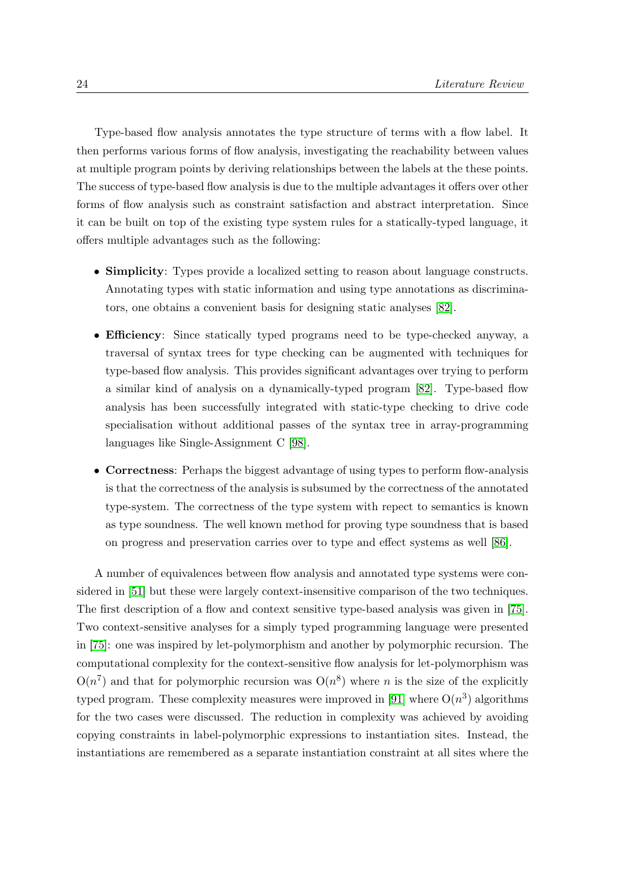Type-based flow analysis annotates the type structure of terms with a flow label. It then performs various forms of flow analysis, investigating the reachability between values at multiple program points by deriving relationships between the labels at the these points. The success of type-based flow analysis is due to the multiple advantages it offers over other forms of flow analysis such as constraint satisfaction and abstract interpretation. Since it can be built on top of the existing type system rules for a statically-typed language, it offers multiple advantages such as the following:

- Simplicity: Types provide a localized setting to reason about language constructs. Annotating types with static information and using type annotations as discriminators, one obtains a convenient basis for designing static analyses [\[82\]](#page-124-7).
- Efficiency: Since statically typed programs need to be type-checked anyway, a traversal of syntax trees for type checking can be augmented with techniques for type-based flow analysis. This provides significant advantages over trying to perform a similar kind of analysis on a dynamically-typed program [\[82\]](#page-124-7). Type-based flow analysis has been successfully integrated with static-type checking to drive code specialisation without additional passes of the syntax tree in array-programming languages like Single-Assignment C [\[98\]](#page-125-4).
- Correctness: Perhaps the biggest advantage of using types to perform flow-analysis is that the correctness of the analysis is subsumed by the correctness of the annotated type-system. The correctness of the type system with repect to semantics is known as type soundness. The well known method for proving type soundness that is based on progress and preservation carries over to type and effect systems as well [\[86\]](#page-124-8).

A number of equivalences between flow analysis and annotated type systems were considered in [\[51\]](#page-121-3) but these were largely context-insensitive comparison of the two techniques. The first description of a flow and context sensitive type-based analysis was given in [\[75\]](#page-123-3). Two context-sensitive analyses for a simply typed programming language were presented in [\[75\]](#page-123-3): one was inspired by let-polymorphism and another by polymorphic recursion. The computational complexity for the context-sensitive flow analysis for let-polymorphism was  $O(n^7)$  and that for polymorphic recursion was  $O(n^8)$  where n is the size of the explicitly typed program. These complexity measures were improved in [\[91\]](#page-125-5) where  $O(n^3)$  algorithms for the two cases were discussed. The reduction in complexity was achieved by avoiding copying constraints in label-polymorphic expressions to instantiation sites. Instead, the instantiations are remembered as a separate instantiation constraint at all sites where the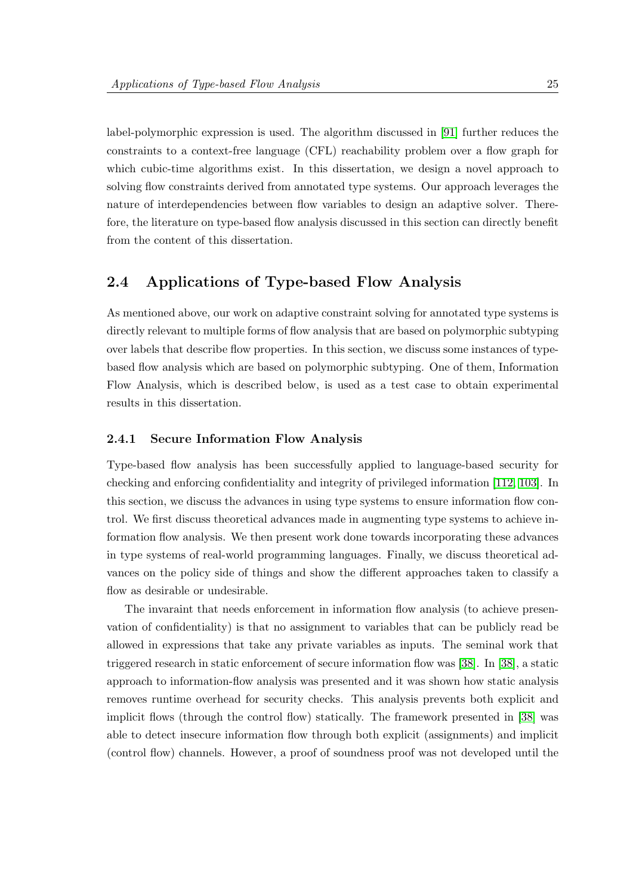label-polymorphic expression is used. The algorithm discussed in [\[91\]](#page-125-5) further reduces the constraints to a context-free language (CFL) reachability problem over a flow graph for which cubic-time algorithms exist. In this dissertation, we design a novel approach to solving flow constraints derived from annotated type systems. Our approach leverages the nature of interdependencies between flow variables to design an adaptive solver. Therefore, the literature on type-based flow analysis discussed in this section can directly benefit from the content of this dissertation.

## <span id="page-24-0"></span>2.4 Applications of Type-based Flow Analysis

As mentioned above, our work on adaptive constraint solving for annotated type systems is directly relevant to multiple forms of flow analysis that are based on polymorphic subtyping over labels that describe flow properties. In this section, we discuss some instances of typebased flow analysis which are based on polymorphic subtyping. One of them, Information Flow Analysis, which is described below, is used as a test case to obtain experimental results in this dissertation.

#### <span id="page-24-1"></span>2.4.1 Secure Information Flow Analysis

Type-based flow analysis has been successfully applied to language-based security for checking and enforcing confidentiality and integrity of privileged information [\[112,](#page-127-0) [103\]](#page-126-7). In this section, we discuss the advances in using type systems to ensure information flow control. We first discuss theoretical advances made in augmenting type systems to achieve information flow analysis. We then present work done towards incorporating these advances in type systems of real-world programming languages. Finally, we discuss theoretical advances on the policy side of things and show the different approaches taken to classify a flow as desirable or undesirable.

The invaraint that needs enforcement in information flow analysis (to achieve presenvation of confidentiality) is that no assignment to variables that can be publicly read be allowed in expressions that take any private variables as inputs. The seminal work that triggered research in static enforcement of secure information flow was [\[38\]](#page-120-3). In [\[38\]](#page-120-3), a static approach to information-flow analysis was presented and it was shown how static analysis removes runtime overhead for security checks. This analysis prevents both explicit and implicit flows (through the control flow) statically. The framework presented in [\[38\]](#page-120-3) was able to detect insecure information flow through both explicit (assignments) and implicit (control flow) channels. However, a proof of soundness proof was not developed until the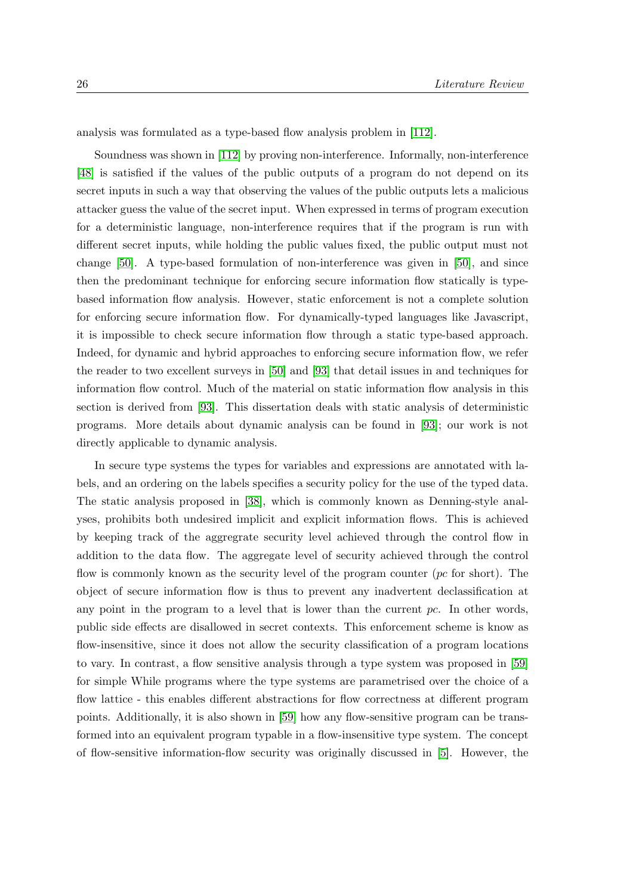analysis was formulated as a type-based flow analysis problem in [\[112\]](#page-127-0).

Soundness was shown in [\[112\]](#page-127-0) by proving non-interference. Informally, non-interference [\[48\]](#page-121-5) is satisfied if the values of the public outputs of a program do not depend on its secret inputs in such a way that observing the values of the public outputs lets a malicious attacker guess the value of the secret input. When expressed in terms of program execution for a deterministic language, non-interference requires that if the program is run with different secret inputs, while holding the public values fixed, the public output must not change [\[50\]](#page-121-4). A type-based formulation of non-interference was given in [\[50\]](#page-121-4), and since then the predominant technique for enforcing secure information flow statically is typebased information flow analysis. However, static enforcement is not a complete solution for enforcing secure information flow. For dynamically-typed languages like Javascript, it is impossible to check secure information flow through a static type-based approach. Indeed, for dynamic and hybrid approaches to enforcing secure information flow, we refer the reader to two excellent surveys in [\[50\]](#page-121-4) and [\[93\]](#page-125-3) that detail issues in and techniques for information flow control. Much of the material on static information flow analysis in this section is derived from [\[93\]](#page-125-3). This dissertation deals with static analysis of deterministic programs. More details about dynamic analysis can be found in [\[93\]](#page-125-3); our work is not directly applicable to dynamic analysis.

In secure type systems the types for variables and expressions are annotated with labels, and an ordering on the labels specifies a security policy for the use of the typed data. The static analysis proposed in [\[38\]](#page-120-3), which is commonly known as Denning-style analyses, prohibits both undesired implicit and explicit information flows. This is achieved by keeping track of the aggregrate security level achieved through the control flow in addition to the data flow. The aggregate level of security achieved through the control flow is commonly known as the security level of the program counter ( $pc$  for short). The object of secure information flow is thus to prevent any inadvertent declassification at any point in the program to a level that is lower than the current  $pc$ . In other words, public side effects are disallowed in secret contexts. This enforcement scheme is know as flow-insensitive, since it does not allow the security classification of a program locations to vary. In contrast, a flow sensitive analysis through a type system was proposed in [\[59\]](#page-122-3) for simple While programs where the type systems are parametrised over the choice of a flow lattice - this enables different abstractions for flow correctness at different program points. Additionally, it is also shown in [\[59\]](#page-122-3) how any flow-sensitive program can be transformed into an equivalent program typable in a flow-insensitive type system. The concept of flow-sensitive information-flow security was originally discussed in [\[5\]](#page-116-1). However, the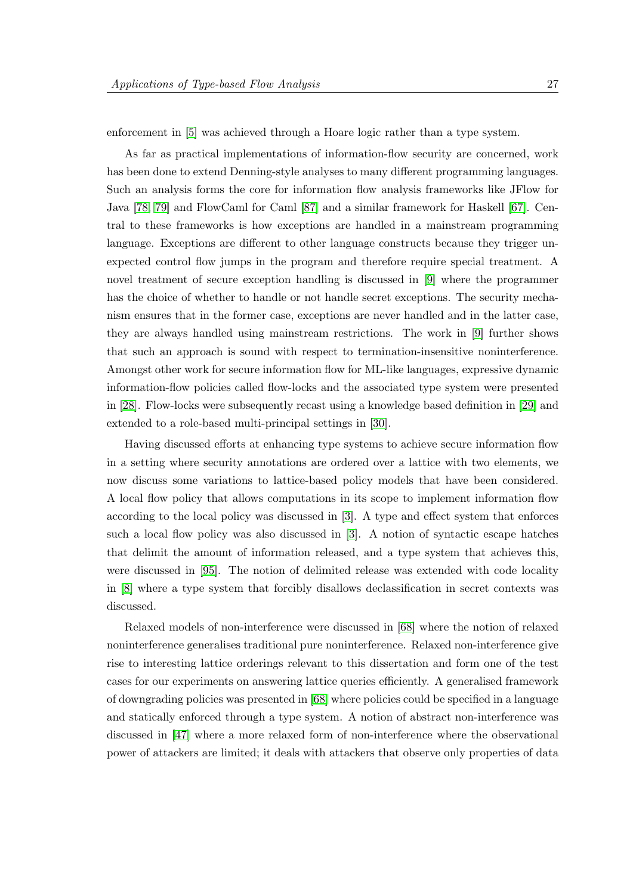enforcement in [\[5\]](#page-116-1) was achieved through a Hoare logic rather than a type system.

As far as practical implementations of information-flow security are concerned, work has been done to extend Denning-style analyses to many different programming languages. Such an analysis forms the core for information flow analysis frameworks like JFlow for Java [\[78,](#page-124-0) [79\]](#page-124-9) and FlowCaml for Caml [\[87\]](#page-124-1) and a similar framework for Haskell [\[67\]](#page-123-4). Central to these frameworks is how exceptions are handled in a mainstream programming language. Exceptions are different to other language constructs because they trigger unexpected control flow jumps in the program and therefore require special treatment. A novel treatment of secure exception handling is discussed in [\[9\]](#page-117-0) where the programmer has the choice of whether to handle or not handle secret exceptions. The security mechanism ensures that in the former case, exceptions are never handled and in the latter case, they are always handled using mainstream restrictions. The work in [\[9\]](#page-117-0) further shows that such an approach is sound with respect to termination-insensitive noninterference. Amongst other work for secure information flow for ML-like languages, expressive dynamic information-flow policies called flow-locks and the associated type system were presented in [\[28\]](#page-119-1). Flow-locks were subsequently recast using a knowledge based definition in [\[29\]](#page-119-2) and extended to a role-based multi-principal settings in [\[30\]](#page-119-3).

Having discussed efforts at enhancing type systems to achieve secure information flow in a setting where security annotations are ordered over a lattice with two elements, we now discuss some variations to lattice-based policy models that have been considered. A local flow policy that allows computations in its scope to implement information flow according to the local policy was discussed in [\[3\]](#page-116-2). A type and effect system that enforces such a local flow policy was also discussed in [\[3\]](#page-116-2). A notion of syntactic escape hatches that delimit the amount of information released, and a type system that achieves this, were discussed in [\[95\]](#page-125-6). The notion of delimited release was extended with code locality in [\[8\]](#page-117-1) where a type system that forcibly disallows declassification in secret contexts was discussed.

Relaxed models of non-interference were discussed in [\[68\]](#page-123-5) where the notion of relaxed noninterference generalises traditional pure noninterference. Relaxed non-interference give rise to interesting lattice orderings relevant to this dissertation and form one of the test cases for our experiments on answering lattice queries efficiently. A generalised framework of downgrading policies was presented in [\[68\]](#page-123-5) where policies could be specified in a language and statically enforced through a type system. A notion of abstract non-interference was discussed in [\[47\]](#page-121-6) where a more relaxed form of non-interference where the observational power of attackers are limited; it deals with attackers that observe only properties of data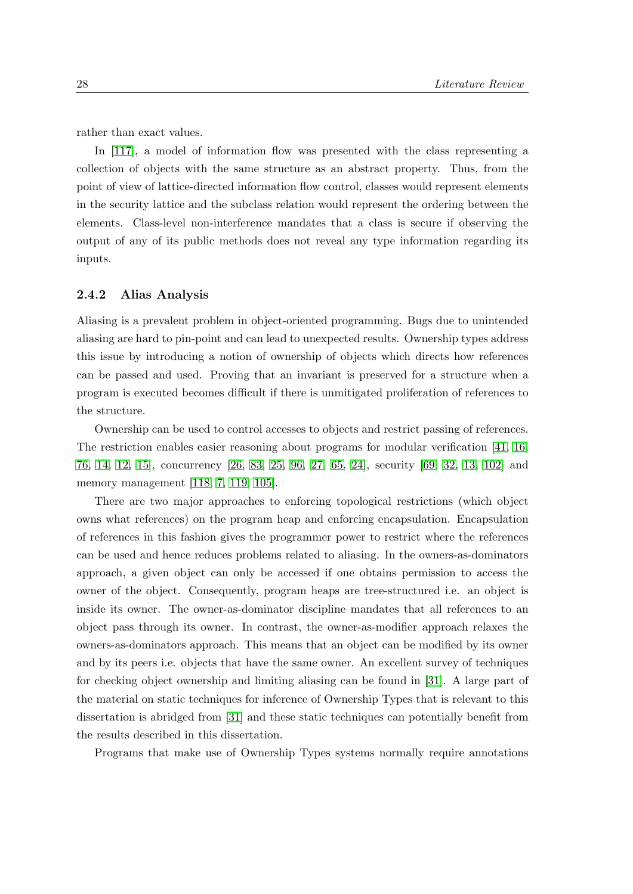rather than exact values.

In [\[117\]](#page-127-4), a model of information flow was presented with the class representing a collection of objects with the same structure as an abstract property. Thus, from the point of view of lattice-directed information flow control, classes would represent elements in the security lattice and the subclass relation would represent the ordering between the elements. Class-level non-interference mandates that a class is secure if observing the output of any of its public methods does not reveal any type information regarding its inputs.

#### <span id="page-27-0"></span>2.4.2 Alias Analysis

Aliasing is a prevalent problem in object-oriented programming. Bugs due to unintended aliasing are hard to pin-point and can lead to unexpected results. Ownership types address this issue by introducing a notion of ownership of objects which directs how references can be passed and used. Proving that an invariant is preserved for a structure when a program is executed becomes difficult if there is unmitigated proliferation of references to the structure.

Ownership can be used to control accesses to objects and restrict passing of references. The restriction enables easier reasoning about programs for modular verification [\[41,](#page-120-4) [16,](#page-117-2) [76,](#page-123-6) [14,](#page-117-3) [12,](#page-117-4) [15\]](#page-117-5), concurrency [\[26,](#page-119-4) [83,](#page-124-10) [25,](#page-118-0) [96,](#page-125-7) [27,](#page-119-5) [65,](#page-122-4) [24\]](#page-118-1), security [\[69,](#page-123-7) [32,](#page-119-6) [13,](#page-117-6) [102\]](#page-126-8) and memory management [\[118,](#page-127-5) [7,](#page-116-3) [119,](#page-127-6) [105\]](#page-126-9).

There are two major approaches to enforcing topological restrictions (which object owns what references) on the program heap and enforcing encapsulation. Encapsulation of references in this fashion gives the programmer power to restrict where the references can be used and hence reduces problems related to aliasing. In the owners-as-dominators approach, a given object can only be accessed if one obtains permission to access the owner of the object. Consequently, program heaps are tree-structured i.e. an object is inside its owner. The owner-as-dominator discipline mandates that all references to an object pass through its owner. In contrast, the owner-as-modifier approach relaxes the owners-as-dominators approach. This means that an object can be modified by its owner and by its peers i.e. objects that have the same owner. An excellent survey of techniques for checking object ownership and limiting aliasing can be found in [\[31\]](#page-119-0). A large part of the material on static techniques for inference of Ownership Types that is relevant to this dissertation is abridged from [\[31\]](#page-119-0) and these static techniques can potentially benefit from the results described in this dissertation.

Programs that make use of Ownership Types systems normally require annotations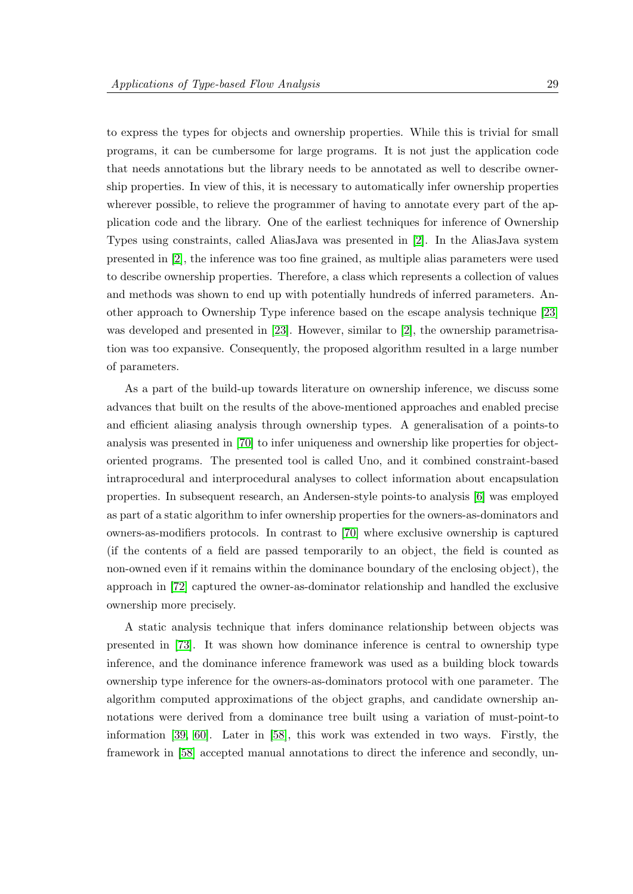to express the types for objects and ownership properties. While this is trivial for small programs, it can be cumbersome for large programs. It is not just the application code that needs annotations but the library needs to be annotated as well to describe ownership properties. In view of this, it is necessary to automatically infer ownership properties wherever possible, to relieve the programmer of having to annotate every part of the application code and the library. One of the earliest techniques for inference of Ownership Types using constraints, called AliasJava was presented in [\[2\]](#page-116-4). In the AliasJava system presented in [\[2\]](#page-116-4), the inference was too fine grained, as multiple alias parameters were used to describe ownership properties. Therefore, a class which represents a collection of values and methods was shown to end up with potentially hundreds of inferred parameters. Another approach to Ownership Type inference based on the escape analysis technique [\[23\]](#page-118-2) was developed and presented in [\[23\]](#page-118-2). However, similar to [\[2\]](#page-116-4), the ownership parametrisation was too expansive. Consequently, the proposed algorithm resulted in a large number of parameters.

As a part of the build-up towards literature on ownership inference, we discuss some advances that built on the results of the above-mentioned approaches and enabled precise and efficient aliasing analysis through ownership types. A generalisation of a points-to analysis was presented in [\[70\]](#page-123-8) to infer uniqueness and ownership like properties for objectoriented programs. The presented tool is called Uno, and it combined constraint-based intraprocedural and interprocedural analyses to collect information about encapsulation properties. In subsequent research, an Andersen-style points-to analysis [\[6\]](#page-116-5) was employed as part of a static algorithm to infer ownership properties for the owners-as-dominators and owners-as-modifiers protocols. In contrast to [\[70\]](#page-123-8) where exclusive ownership is captured (if the contents of a field are passed temporarily to an object, the field is counted as non-owned even if it remains within the dominance boundary of the enclosing object), the approach in [\[72\]](#page-123-9) captured the owner-as-dominator relationship and handled the exclusive ownership more precisely.

A static analysis technique that infers dominance relationship between objects was presented in [\[73\]](#page-123-10). It was shown how dominance inference is central to ownership type inference, and the dominance inference framework was used as a building block towards ownership type inference for the owners-as-dominators protocol with one parameter. The algorithm computed approximations of the object graphs, and candidate ownership annotations were derived from a dominance tree built using a variation of must-point-to information [\[39,](#page-120-5) [60\]](#page-122-5). Later in [\[58\]](#page-122-6), this work was extended in two ways. Firstly, the framework in [\[58\]](#page-122-6) accepted manual annotations to direct the inference and secondly, un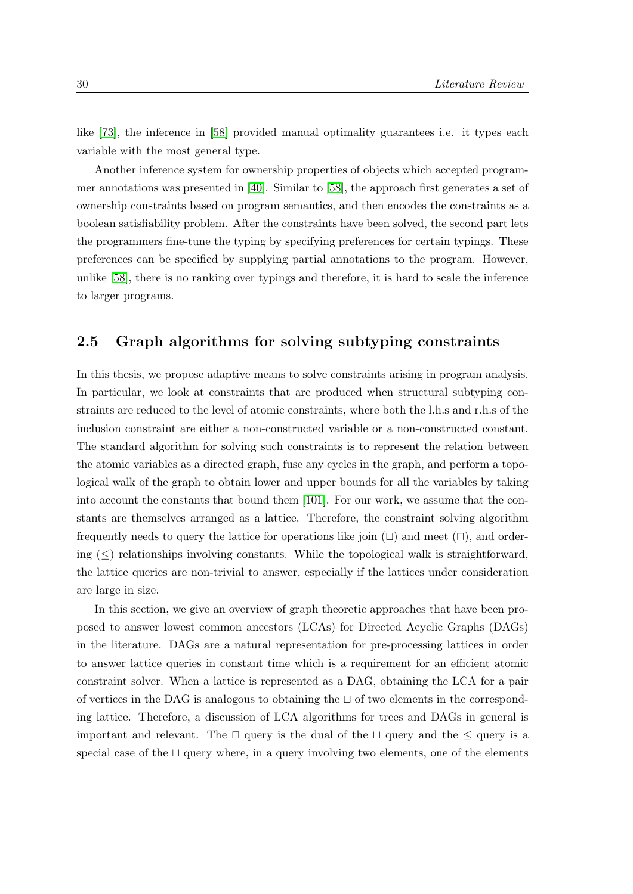like [\[73\]](#page-123-10), the inference in [\[58\]](#page-122-6) provided manual optimality guarantees i.e. it types each variable with the most general type.

Another inference system for ownership properties of objects which accepted programmer annotations was presented in [\[40\]](#page-120-6). Similar to [\[58\]](#page-122-6), the approach first generates a set of ownership constraints based on program semantics, and then encodes the constraints as a boolean satisfiability problem. After the constraints have been solved, the second part lets the programmers fine-tune the typing by specifying preferences for certain typings. These preferences can be specified by supplying partial annotations to the program. However, unlike [\[58\]](#page-122-6), there is no ranking over typings and therefore, it is hard to scale the inference to larger programs.

## <span id="page-29-0"></span>2.5 Graph algorithms for solving subtyping constraints

In this thesis, we propose adaptive means to solve constraints arising in program analysis. In particular, we look at constraints that are produced when structural subtyping constraints are reduced to the level of atomic constraints, where both the l.h.s and r.h.s of the inclusion constraint are either a non-constructed variable or a non-constructed constant. The standard algorithm for solving such constraints is to represent the relation between the atomic variables as a directed graph, fuse any cycles in the graph, and perform a topological walk of the graph to obtain lower and upper bounds for all the variables by taking into account the constants that bound them [\[101\]](#page-126-5). For our work, we assume that the constants are themselves arranged as a lattice. Therefore, the constraint solving algorithm frequently needs to query the lattice for operations like join  $(\square)$  and meet  $(\square)$ , and ordering  $(\leq)$  relationships involving constants. While the topological walk is straightforward, the lattice queries are non-trivial to answer, especially if the lattices under consideration are large in size.

In this section, we give an overview of graph theoretic approaches that have been proposed to answer lowest common ancestors (LCAs) for Directed Acyclic Graphs (DAGs) in the literature. DAGs are a natural representation for pre-processing lattices in order to answer lattice queries in constant time which is a requirement for an efficient atomic constraint solver. When a lattice is represented as a DAG, obtaining the LCA for a pair of vertices in the DAG is analogous to obtaining the  $\sqcup$  of two elements in the corresponding lattice. Therefore, a discussion of LCA algorithms for trees and DAGs in general is important and relevant. The  $\sqcap$  query is the dual of the  $\sqcup$  query and the  $\leq$  query is a special case of the  $\sqcup$  query where, in a query involving two elements, one of the elements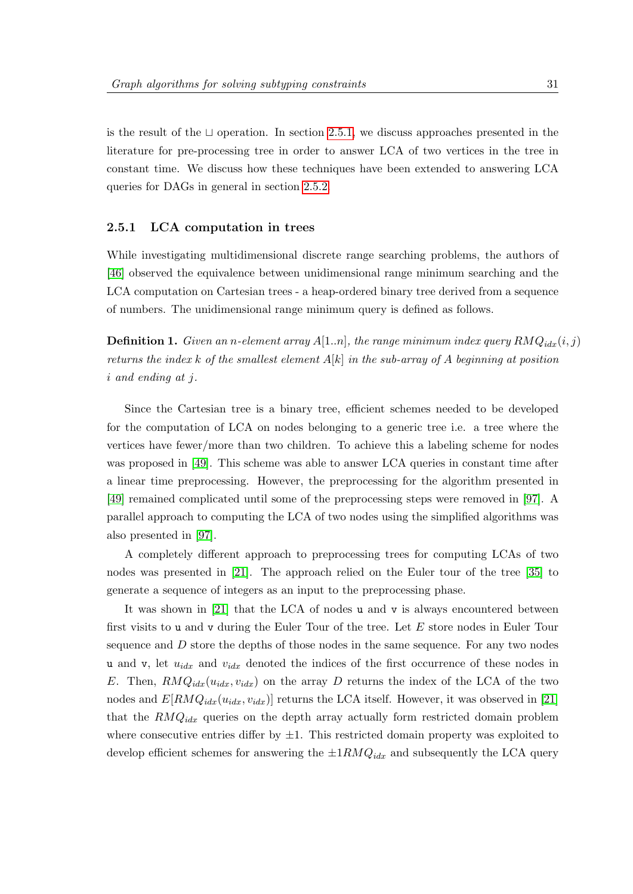is the result of the  $\sqcup$  operation. In section [2.5.1,](#page-30-0) we discuss approaches presented in the literature for pre-processing tree in order to answer LCA of two vertices in the tree in constant time. We discuss how these techniques have been extended to answering LCA queries for DAGs in general in section [2.5.2.](#page-31-0)

#### <span id="page-30-0"></span>2.5.1 LCA computation in trees

While investigating multidimensional discrete range searching problems, the authors of [\[46\]](#page-121-7) observed the equivalence between unidimensional range minimum searching and the LCA computation on Cartesian trees - a heap-ordered binary tree derived from a sequence of numbers. The unidimensional range minimum query is defined as follows.

**Definition 1.** Given an n-element array  $A[1..n]$ , the range minimum index query  $RMQ_{idx}(i, j)$ returns the index k of the smallest element  $A[k]$  in the sub-array of A beginning at position i and ending at j.

Since the Cartesian tree is a binary tree, efficient schemes needed to be developed for the computation of LCA on nodes belonging to a generic tree i.e. a tree where the vertices have fewer/more than two children. To achieve this a labeling scheme for nodes was proposed in [\[49\]](#page-121-8). This scheme was able to answer LCA queries in constant time after a linear time preprocessing. However, the preprocessing for the algorithm presented in [\[49\]](#page-121-8) remained complicated until some of the preprocessing steps were removed in [\[97\]](#page-125-8). A parallel approach to computing the LCA of two nodes using the simplified algorithms was also presented in [\[97\]](#page-125-8).

A completely different approach to preprocessing trees for computing LCAs of two nodes was presented in [\[21\]](#page-118-3). The approach relied on the Euler tour of the tree [\[35\]](#page-120-7) to generate a sequence of integers as an input to the preprocessing phase.

It was shown in [\[21\]](#page-118-3) that the LCA of nodes  $u$  and  $v$  is always encountered between first visits to  $\bf{u}$  and  $\bf{v}$  during the Euler Tour of the tree. Let E store nodes in Euler Tour sequence and D store the depths of those nodes in the same sequence. For any two nodes u and v, let  $u_{idx}$  and  $v_{idx}$  denoted the indices of the first occurrence of these nodes in E. Then,  $RMQ_{idx}(u_{idx}, v_{idx})$  on the array D returns the index of the LCA of the two nodes and  $E[RMQ_{idx}(u_{idx}, v_{idx})]$  returns the LCA itself. However, it was observed in [\[21\]](#page-118-3) that the  $RMQ_{idx}$  queries on the depth array actually form restricted domain problem where consecutive entries differ by  $\pm 1$ . This restricted domain property was exploited to develop efficient schemes for answering the  $\pm 1RMQ_{idx}$  and subsequently the LCA query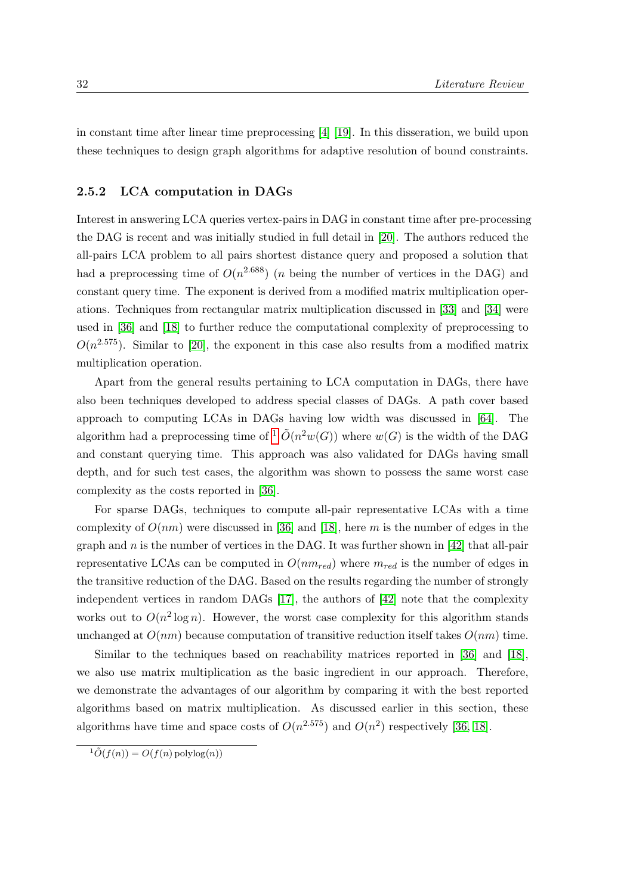in constant time after linear time preprocessing [\[4\]](#page-116-6) [\[19\]](#page-118-4). In this disseration, we build upon these techniques to design graph algorithms for adaptive resolution of bound constraints.

#### <span id="page-31-0"></span>2.5.2 LCA computation in DAGs

Interest in answering LCA queries vertex-pairs in DAG in constant time after pre-processing the DAG is recent and was initially studied in full detail in [\[20\]](#page-118-5). The authors reduced the all-pairs LCA problem to all pairs shortest distance query and proposed a solution that had a preprocessing time of  $O(n^{2.688})$  (*n* being the number of vertices in the DAG) and constant query time. The exponent is derived from a modified matrix multiplication operations. Techniques from rectangular matrix multiplication discussed in [\[33\]](#page-119-7) and [\[34\]](#page-119-8) were used in [\[36\]](#page-120-8) and [\[18\]](#page-118-6) to further reduce the computational complexity of preprocessing to  $O(n^{2.575})$ . Similar to [\[20\]](#page-118-5), the exponent in this case also results from a modified matrix multiplication operation.

Apart from the general results pertaining to LCA computation in DAGs, there have also been techniques developed to address special classes of DAGs. A path cover based approach to computing LCAs in DAGs having low width was discussed in [\[64\]](#page-122-7). The algorithm had a preprocessing time of <sup>[1](#page-31-1)</sup>  $\tilde{O}(n^2w(G))$  where  $w(G)$  is the width of the DAG and constant querying time. This approach was also validated for DAGs having small depth, and for such test cases, the algorithm was shown to possess the same worst case complexity as the costs reported in [\[36\]](#page-120-8).

For sparse DAGs, techniques to compute all-pair representative LCAs with a time complexity of  $O(nm)$  were discussed in [\[36\]](#page-120-8) and [\[18\]](#page-118-6), here m is the number of edges in the graph and  $n$  is the number of vertices in the DAG. It was further shown in [\[42\]](#page-120-9) that all-pair representative LCAs can be computed in  $O(nm_{red})$  where  $m_{red}$  is the number of edges in the transitive reduction of the DAG. Based on the results regarding the number of strongly independent vertices in random DAGs [\[17\]](#page-118-7), the authors of [\[42\]](#page-120-9) note that the complexity works out to  $O(n^2 \log n)$ . However, the worst case complexity for this algorithm stands unchanged at  $O(nm)$  because computation of transitive reduction itself takes  $O(nm)$  time.

Similar to the techniques based on reachability matrices reported in [\[36\]](#page-120-8) and [\[18\]](#page-118-6), we also use matrix multiplication as the basic ingredient in our approach. Therefore, we demonstrate the advantages of our algorithm by comparing it with the best reported algorithms based on matrix multiplication. As discussed earlier in this section, these algorithms have time and space costs of  $O(n^{2.575})$  and  $O(n^2)$  respectively [\[36,](#page-120-8) [18\]](#page-118-6).

<span id="page-31-1"></span> ${}^{1}\tilde{O}(f(n)) = O(f(n) \operatorname{polylog}(n))$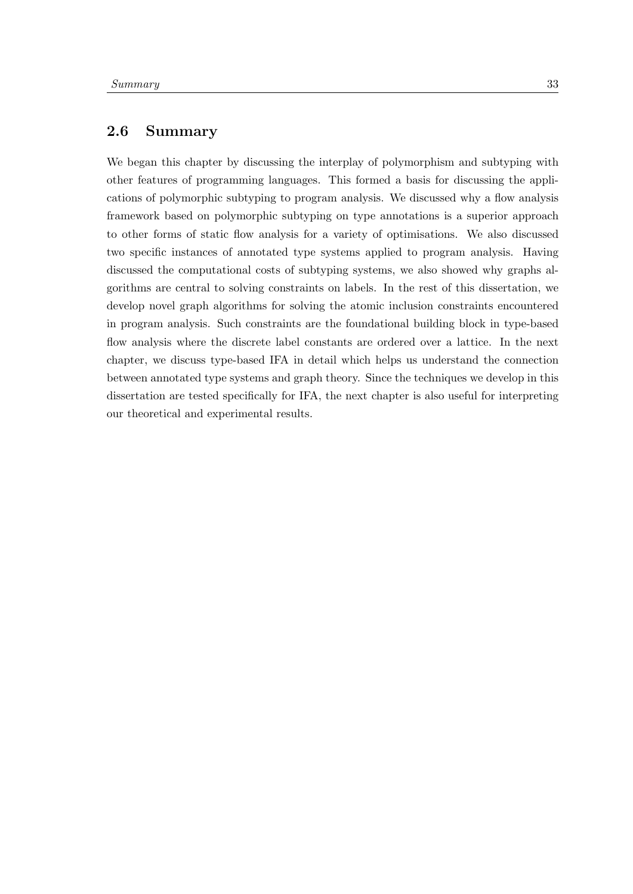### <span id="page-32-0"></span>2.6 Summary

We began this chapter by discussing the interplay of polymorphism and subtyping with other features of programming languages. This formed a basis for discussing the applications of polymorphic subtyping to program analysis. We discussed why a flow analysis framework based on polymorphic subtyping on type annotations is a superior approach to other forms of static flow analysis for a variety of optimisations. We also discussed two specific instances of annotated type systems applied to program analysis. Having discussed the computational costs of subtyping systems, we also showed why graphs algorithms are central to solving constraints on labels. In the rest of this dissertation, we develop novel graph algorithms for solving the atomic inclusion constraints encountered in program analysis. Such constraints are the foundational building block in type-based flow analysis where the discrete label constants are ordered over a lattice. In the next chapter, we discuss type-based IFA in detail which helps us understand the connection between annotated type systems and graph theory. Since the techniques we develop in this dissertation are tested specifically for IFA, the next chapter is also useful for interpreting our theoretical and experimental results.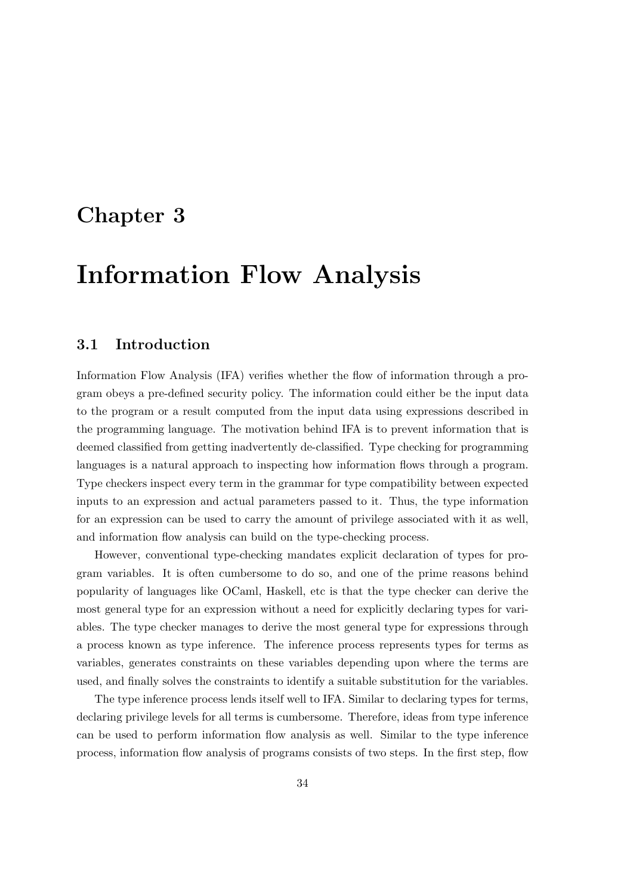## <span id="page-33-0"></span>Chapter 3

## Information Flow Analysis

## <span id="page-33-1"></span>3.1 Introduction

Information Flow Analysis (IFA) verifies whether the flow of information through a program obeys a pre-defined security policy. The information could either be the input data to the program or a result computed from the input data using expressions described in the programming language. The motivation behind IFA is to prevent information that is deemed classified from getting inadvertently de-classified. Type checking for programming languages is a natural approach to inspecting how information flows through a program. Type checkers inspect every term in the grammar for type compatibility between expected inputs to an expression and actual parameters passed to it. Thus, the type information for an expression can be used to carry the amount of privilege associated with it as well, and information flow analysis can build on the type-checking process.

However, conventional type-checking mandates explicit declaration of types for program variables. It is often cumbersome to do so, and one of the prime reasons behind popularity of languages like OCaml, Haskell, etc is that the type checker can derive the most general type for an expression without a need for explicitly declaring types for variables. The type checker manages to derive the most general type for expressions through a process known as type inference. The inference process represents types for terms as variables, generates constraints on these variables depending upon where the terms are used, and finally solves the constraints to identify a suitable substitution for the variables.

The type inference process lends itself well to IFA. Similar to declaring types for terms, declaring privilege levels for all terms is cumbersome. Therefore, ideas from type inference can be used to perform information flow analysis as well. Similar to the type inference process, information flow analysis of programs consists of two steps. In the first step, flow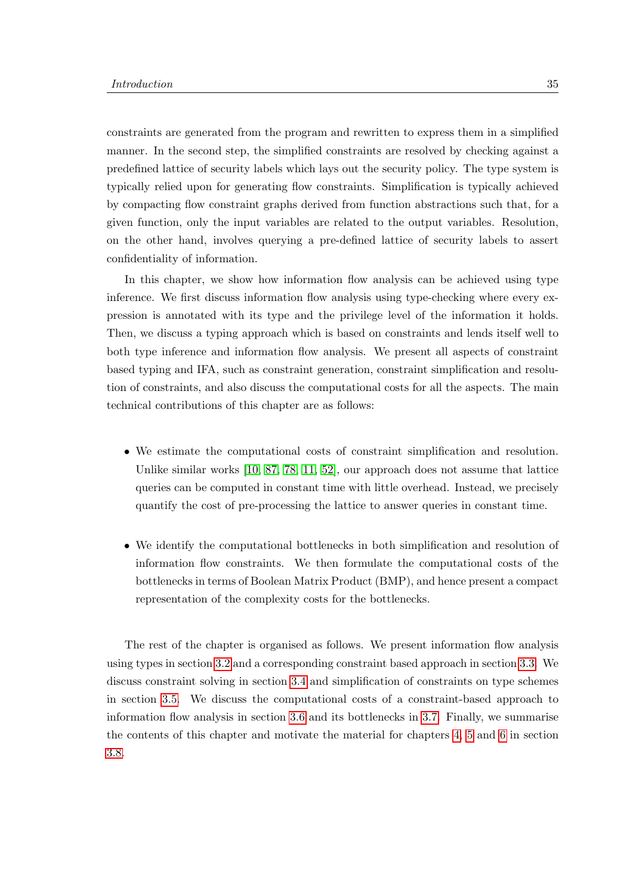constraints are generated from the program and rewritten to express them in a simplified manner. In the second step, the simplified constraints are resolved by checking against a predefined lattice of security labels which lays out the security policy. The type system is typically relied upon for generating flow constraints. Simplification is typically achieved by compacting flow constraint graphs derived from function abstractions such that, for a given function, only the input variables are related to the output variables. Resolution, on the other hand, involves querying a pre-defined lattice of security labels to assert confidentiality of information.

In this chapter, we show how information flow analysis can be achieved using type inference. We first discuss information flow analysis using type-checking where every expression is annotated with its type and the privilege level of the information it holds. Then, we discuss a typing approach which is based on constraints and lends itself well to both type inference and information flow analysis. We present all aspects of constraint based typing and IFA, such as constraint generation, constraint simplification and resolution of constraints, and also discuss the computational costs for all the aspects. The main technical contributions of this chapter are as follows:

- We estimate the computational costs of constraint simplification and resolution. Unlike similar works [\[10,](#page-117-7) [87,](#page-124-1) [78,](#page-124-0) [11,](#page-117-8) [52\]](#page-121-9), our approach does not assume that lattice queries can be computed in constant time with little overhead. Instead, we precisely quantify the cost of pre-processing the lattice to answer queries in constant time.
- We identify the computational bottlenecks in both simplification and resolution of information flow constraints. We then formulate the computational costs of the bottlenecks in terms of Boolean Matrix Product (BMP), and hence present a compact representation of the complexity costs for the bottlenecks.

The rest of the chapter is organised as follows. We present information flow analysis using types in section [3.2](#page-35-0) and a corresponding constraint based approach in section [3.3.](#page-39-0) We discuss constraint solving in section [3.4](#page-44-0) and simplification of constraints on type schemes in section [3.5.](#page-47-0) We discuss the computational costs of a constraint-based approach to information flow analysis in section [3.6](#page-48-0) and its bottlenecks in [3.7.](#page-50-1) Finally, we summarise the contents of this chapter and motivate the material for chapters [4,](#page-55-0) [5](#page-76-0) and [6](#page-95-0) in section [3.8.](#page-53-0)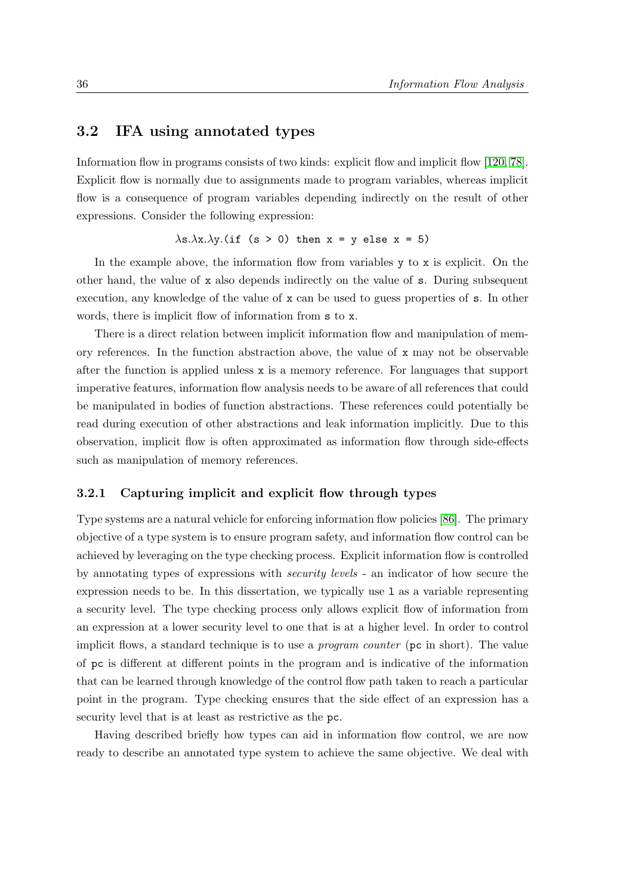## <span id="page-35-0"></span>3.2 IFA using annotated types

Information flow in programs consists of two kinds: explicit flow and implicit flow [\[120,](#page-127-7) [78\]](#page-124-0). Explicit flow is normally due to assignments made to program variables, whereas implicit flow is a consequence of program variables depending indirectly on the result of other expressions. Consider the following expression:

 $\lambda$ s. $\lambda$ x. $\lambda$ y.(if (s > 0) then x = y else x = 5)

In the example above, the information flow from variables  $y$  to  $x$  is explicit. On the other hand, the value of x also depends indirectly on the value of s. During subsequent execution, any knowledge of the value of x can be used to guess properties of s. In other words, there is implicit flow of information from s to x.

There is a direct relation between implicit information flow and manipulation of memory references. In the function abstraction above, the value of  $x$  may not be observable after the function is applied unless x is a memory reference. For languages that support imperative features, information flow analysis needs to be aware of all references that could be manipulated in bodies of function abstractions. These references could potentially be read during execution of other abstractions and leak information implicitly. Due to this observation, implicit flow is often approximated as information flow through side-effects such as manipulation of memory references.

#### <span id="page-35-1"></span>3.2.1 Capturing implicit and explicit flow through types

Type systems are a natural vehicle for enforcing information flow policies [\[86\]](#page-124-8). The primary objective of a type system is to ensure program safety, and information flow control can be achieved by leveraging on the type checking process. Explicit information flow is controlled by annotating types of expressions with security levels - an indicator of how secure the expression needs to be. In this dissertation, we typically use l as a variable representing a security level. The type checking process only allows explicit flow of information from an expression at a lower security level to one that is at a higher level. In order to control implicit flows, a standard technique is to use a *program counter* (pc in short). The value of pc is different at different points in the program and is indicative of the information that can be learned through knowledge of the control flow path taken to reach a particular point in the program. Type checking ensures that the side effect of an expression has a security level that is at least as restrictive as the pc.

Having described briefly how types can aid in information flow control, we are now ready to describe an annotated type system to achieve the same objective. We deal with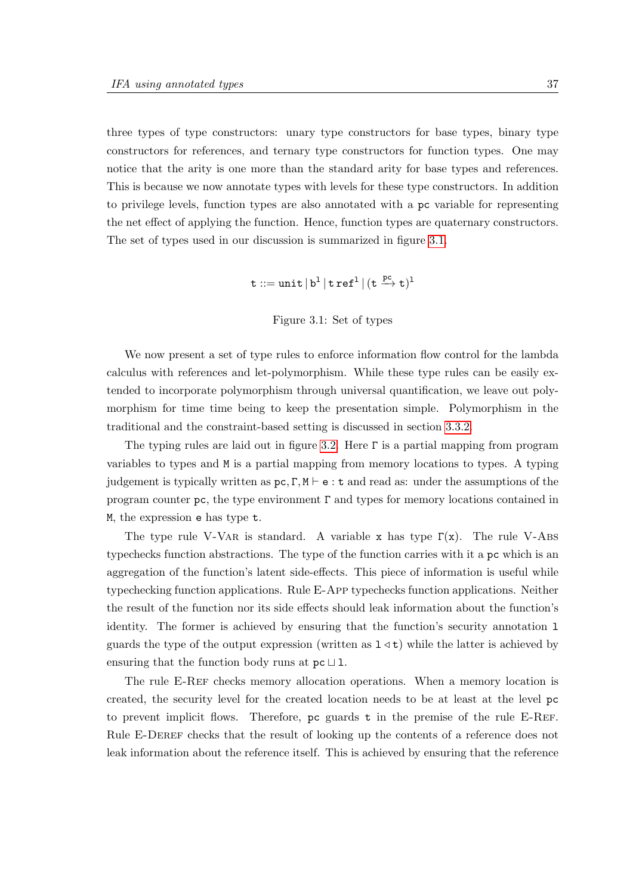three types of type constructors: unary type constructors for base types, binary type constructors for references, and ternary type constructors for function types. One may notice that the arity is one more than the standard arity for base types and references. This is because we now annotate types with levels for these type constructors. In addition to privilege levels, function types are also annotated with a pc variable for representing the net effect of applying the function. Hence, function types are quaternary constructors. The set of types used in our discussion is summarized in figure [3.1.](#page-36-0)

$$
\mathtt{t}::=\mathtt{unit}~|~\mathtt{b}^{1}~|~\mathtt{t}~\mathtt{ref}^{1}~|~(\mathtt{t}~\mathop{\longrightarrow}^{\mathtt{pc}}~\mathtt{t})^{1}
$$

#### Figure 3.1: Set of types

<span id="page-36-0"></span>We now present a set of type rules to enforce information flow control for the lambda calculus with references and let-polymorphism. While these type rules can be easily extended to incorporate polymorphism through universal quantification, we leave out polymorphism for time time being to keep the presentation simple. Polymorphism in the traditional and the constraint-based setting is discussed in section [3.3.2.](#page-41-0)

The typing rules are laid out in figure [3.2.](#page-37-0) Here  $\Gamma$  is a partial mapping from program variables to types and M is a partial mapping from memory locations to types. A typing judgement is typically written as  $\mathsf{pc}, \Gamma, \mathsf{M} \vdash \mathsf{e} : \mathsf{t}$  and read as: under the assumptions of the program counter pc, the type environment  $\Gamma$  and types for memory locations contained in M, the expression e has type t.

The type rule V-Var is standard. A variable x has type  $\Gamma(x)$ . The rule V-Abs typechecks function abstractions. The type of the function carries with it a pc which is an aggregation of the function's latent side-effects. This piece of information is useful while typechecking function applications. Rule E-App typechecks function applications. Neither the result of the function nor its side effects should leak information about the function's identity. The former is achieved by ensuring that the function's security annotation l guards the type of the output expression (written as  $1 \triangleleft t$ ) while the latter is achieved by ensuring that the function body runs at  $pc \sqcup 1$ .

The rule E-REF checks memory allocation operations. When a memory location is created, the security level for the created location needs to be at least at the level pc to prevent implicit flows. Therefore, pc guards t in the premise of the rule E-Ref. Rule E-DEREF checks that the result of looking up the contents of a reference does not leak information about the reference itself. This is achieved by ensuring that the reference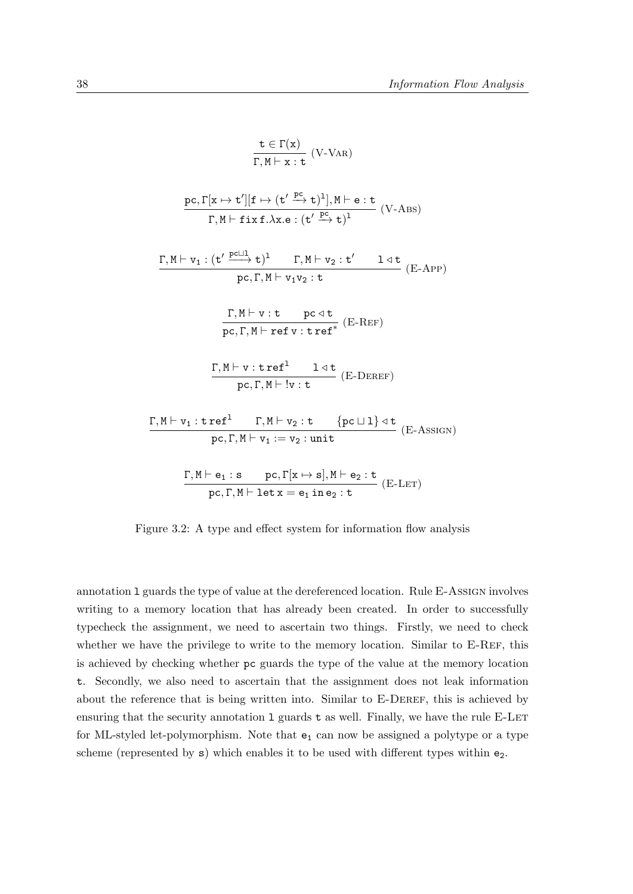<span id="page-37-0"></span>
$$
\frac{t \in \Gamma(x)}{\Gamma, M \vdash x : t} (V\text{-VaR})
$$
\n
$$
\frac{pc, \Gamma[x \mapsto t'] [f \mapsto (t' \xrightarrow{pc} t)^1], M \vdash e : t}{\Gamma, M \vdash fix f. \lambda x. e : (t' \xrightarrow{pc} t)^1} (V\text{-}ABS)
$$
\n
$$
\frac{\Gamma, M \vdash v_1 : (t' \xrightarrow{pc \sqcup 1} t)^1 \qquad \Gamma, M \vdash v_2 : t'}{\Gamma, M \vdash v_1 v_2 : t} (E\text{-}APP)
$$
\n
$$
\frac{\Gamma, M \vdash v : t \qquad pc \triangleleft t}{pc, \Gamma, M \vdash ref v : t ref^*} (E\text{-}REF)
$$
\n
$$
\frac{\Gamma, M \vdash v : t ref^1 \qquad 1 \triangleleft t}{pc, \Gamma, M \vdash ! v : t} (E\text{-}DEREF)
$$
\n
$$
\frac{\Gamma, M \vdash v_1 : t ref^1 \qquad \Gamma, M \vdash v_2 : t}{pc, \Gamma, M \vdash ! v_2 : unit} (E\text{-}ASK)
$$
\n
$$
\frac{\Gamma, M \vdash e_1 : s \qquad pc, \Gamma[x \mapsto s], M \vdash e_2 : t}{pc, \Gamma, M \vdash let x = e_1 \text{ in } e_2 : t} (E\text{-}LET)
$$

Figure 3.2: A type and effect system for information flow analysis

annotation l guards the type of value at the dereferenced location. Rule E-Assign involves writing to a memory location that has already been created. In order to successfully typecheck the assignment, we need to ascertain two things. Firstly, we need to check whether we have the privilege to write to the memory location. Similar to E-REF, this is achieved by checking whether pc guards the type of the value at the memory location t. Secondly, we also need to ascertain that the assignment does not leak information about the reference that is being written into. Similar to E-DEREF, this is achieved by ensuring that the security annotation 1 guards t as well. Finally, we have the rule E-LET for ML-styled let-polymorphism. Note that  $e_1$  can now be assigned a polytype or a type scheme (represented by  $s$ ) which enables it to be used with different types within  $e_2$ .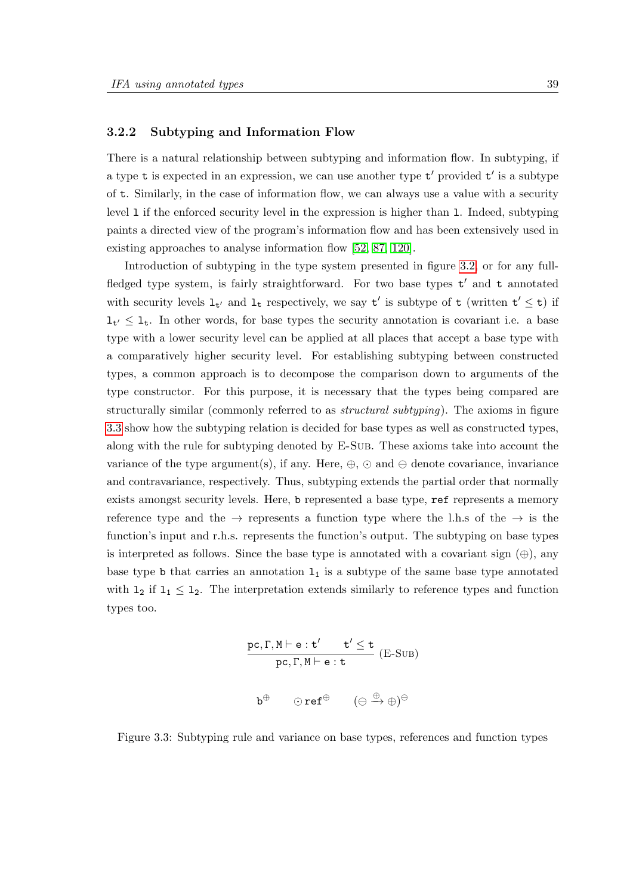#### 3.2.2 Subtyping and Information Flow

There is a natural relationship between subtyping and information flow. In subtyping, if a type  $t$  is expected in an expression, we can use another type  $t'$  provided  $t'$  is a subtype of t. Similarly, in the case of information flow, we can always use a value with a security level l if the enforced security level in the expression is higher than l. Indeed, subtyping paints a directed view of the program's information flow and has been extensively used in existing approaches to analyse information flow [\[52,](#page-121-0) [87,](#page-124-0) [120\]](#page-127-0).

Introduction of subtyping in the type system presented in figure [3.2,](#page-37-0) or for any fullfledged type system, is fairly straightforward. For two base types  $t'$  and  $t$  annotated with security levels  $1_{t'}$  and  $1_t$  respectively, we say  $t'$  is subtype of  $t$  (written  $t' \leq t$ ) if  $1_{t'} \leq 1_t$ . In other words, for base types the security annotation is covariant i.e. a base type with a lower security level can be applied at all places that accept a base type with a comparatively higher security level. For establishing subtyping between constructed types, a common approach is to decompose the comparison down to arguments of the type constructor. For this purpose, it is necessary that the types being compared are structurally similar (commonly referred to as *structural subtyping*). The axioms in figure [3.3](#page-38-0) show how the subtyping relation is decided for base types as well as constructed types, along with the rule for subtyping denoted by E-Sub. These axioms take into account the variance of the type argument(s), if any. Here,  $\oplus$ ,  $\odot$  and  $\ominus$  denote covariance, invariance and contravariance, respectively. Thus, subtyping extends the partial order that normally exists amongst security levels. Here, b represented a base type, ref represents a memory reference type and the  $\rightarrow$  represents a function type where the l.h.s of the  $\rightarrow$  is the function's input and r.h.s. represents the function's output. The subtyping on base types is interpreted as follows. Since the base type is annotated with a covariant sign  $(\oplus)$ , any base type b that carries an annotation  $1_1$  is a subtype of the same base type annotated with  $l_2$  if  $l_1 \leq l_2$ . The interpretation extends similarly to reference types and function types too.

$$
\begin{aligned} \frac{\text{pc}, \Gamma, \text{M} \vdash \text{e}: \text{t}^{\prime} \quad \text{t}^{\prime} \leq \text{t}}{\text{pc}, \Gamma, \text{M} \vdash \text{e}: \text{t}} \ (\text{E-SUB}) \\ \text{b}^{\oplus} \qquad & \odot \text{ref}^{\oplus} \qquad (\ominus \xrightarrow{\oplus} \oplus)^{\ominus} \end{aligned}
$$

<span id="page-38-0"></span>Figure 3.3: Subtyping rule and variance on base types, references and function types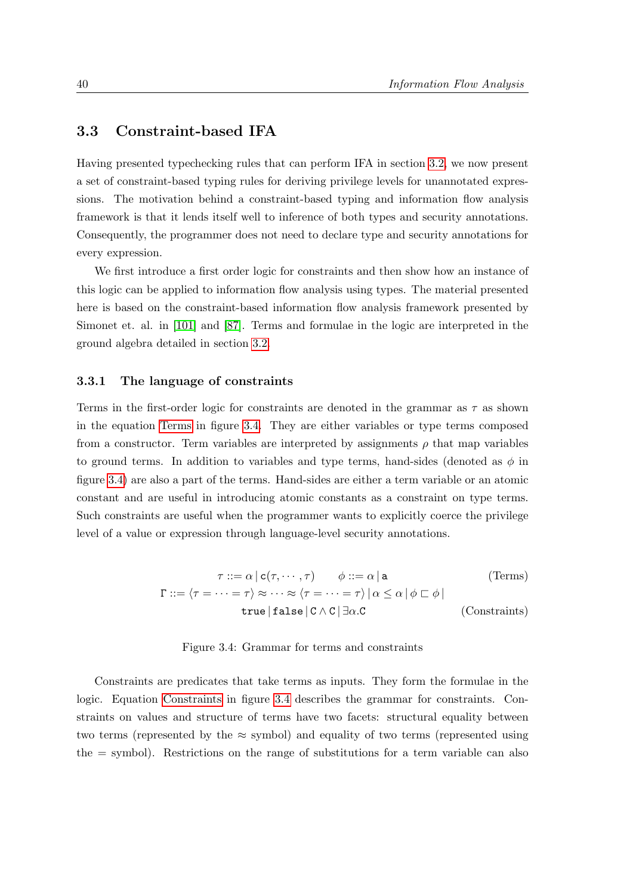# <span id="page-39-3"></span>3.3 Constraint-based IFA

Having presented typechecking rules that can perform IFA in section [3.2,](#page-35-0) we now present a set of constraint-based typing rules for deriving privilege levels for unannotated expressions. The motivation behind a constraint-based typing and information flow analysis framework is that it lends itself well to inference of both types and security annotations. Consequently, the programmer does not need to declare type and security annotations for every expression.

We first introduce a first order logic for constraints and then show how an instance of this logic can be applied to information flow analysis using types. The material presented here is based on the constraint-based information flow analysis framework presented by Simonet et. al. in [\[101\]](#page-126-0) and [\[87\]](#page-124-0). Terms and formulae in the logic are interpreted in the ground algebra detailed in section [3.2.](#page-35-0)

#### <span id="page-39-4"></span>3.3.1 The language of constraints

Terms in the first-order logic for constraints are denoted in the grammar as  $\tau$  as shown in the equation [Terms](#page-39-0) in figure [3.4.](#page-39-1) They are either variables or type terms composed from a constructor. Term variables are interpreted by assignments  $\rho$  that map variables to ground terms. In addition to variables and type terms, hand-sides (denoted as  $\phi$  in figure [3.4\)](#page-39-1) are also a part of the terms. Hand-sides are either a term variable or an atomic constant and are useful in introducing atomic constants as a constraint on type terms. Such constraints are useful when the programmer wants to explicitly coerce the privilege level of a value or expression through language-level security annotations.

<span id="page-39-1"></span>
$$
\tau ::= \alpha \mid c(\tau, \cdots, \tau) \qquad \phi ::= \alpha \mid a \qquad (\text{Terms})
$$

$$
\Gamma ::= \langle \tau = \cdots = \tau \rangle \approx \cdots \approx \langle \tau = \cdots = \tau \rangle \mid \alpha \le \alpha \mid \phi \sqsubset \phi \mid
$$

$$
\text{true} \mid \text{false} \mid C \land C \mid \exists \alpha. C \qquad (\text{Constraints})
$$

#### <span id="page-39-2"></span><span id="page-39-0"></span>Figure 3.4: Grammar for terms and constraints

Constraints are predicates that take terms as inputs. They form the formulae in the logic. Equation [Constraints](#page-39-2) in figure [3.4](#page-39-1) describes the grammar for constraints. Constraints on values and structure of terms have two facets: structural equality between two terms (represented by the  $\approx$  symbol) and equality of two terms (represented using the = symbol). Restrictions on the range of substitutions for a term variable can also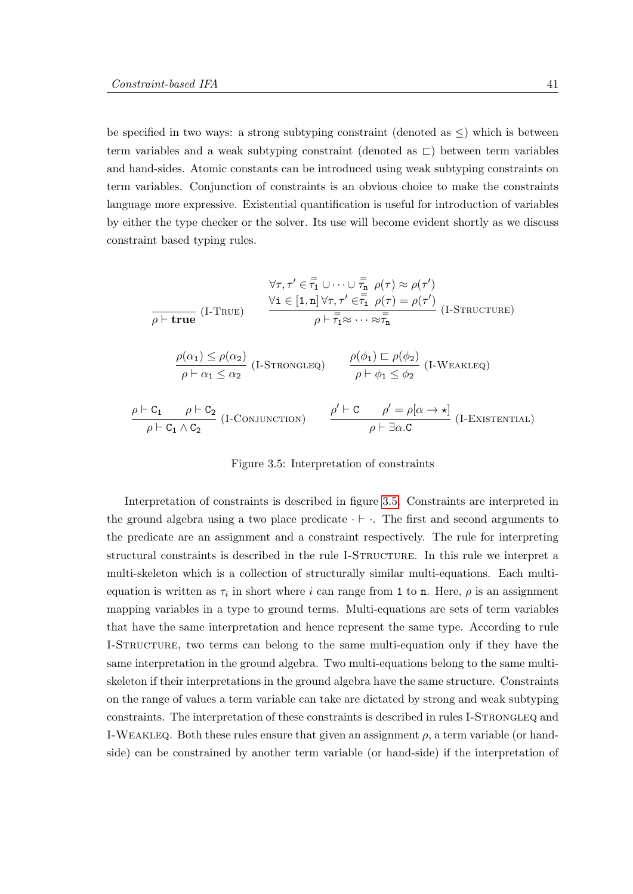be specified in two ways: a strong subtyping constraint (denoted as  $\leq$ ) which is between term variables and a weak subtyping constraint (denoted as  $\Box$ ) between term variables and hand-sides. Atomic constants can be introduced using weak subtyping constraints on term variables. Conjunction of constraints is an obvious choice to make the constraints language more expressive. Existential quantification is useful for introduction of variables by either the type checker or the solver. Its use will become evident shortly as we discuss constraint based typing rules.

<span id="page-40-0"></span>
$$
\forall \tau, \tau' \in \overline{\tau_1} \cup \cdots \cup \overline{\tau_n} \quad \rho(\tau) \approx \rho(\tau')
$$
\n
$$
\frac{\forall i \in [1, n] \forall \tau, \tau' \in \overline{\tau_1} \quad \rho(\tau) = \rho(\tau')}{\rho \vdash \overline{\tau_1} \approx \cdots \approx \overline{\tau_n}} \quad (I-STRUCTURE)
$$
\n
$$
\frac{\rho(\alpha_1) \le \rho(\alpha_2)}{\rho \vdash \alpha_1 \le \alpha_2} \quad (I-STRONGLEQ) \qquad \frac{\rho(\phi_1) \sqsubset \rho(\phi_2)}{\rho \vdash \phi_1 \le \phi_2} \quad (I-WEAKLEQ)
$$
\n
$$
\frac{\rho(\vdash C_1 \quad \rho \vdash C_2 \quad \rho \vdash C_3 \quad \rho \vdash C_4 \le \rho(\tau')}{\rho \vdash C_1 \land C_2} \quad (I-CONJUNCTION) \qquad \frac{\rho' \vdash C \quad \rho' = \rho[\alpha \to \star]}{\rho \vdash \exists \alpha. C} \quad (I-EXISTENTIAL)
$$

Figure 3.5: Interpretation of constraints

Interpretation of constraints is described in figure [3.5.](#page-40-0) Constraints are interpreted in the ground algebra using a two place predicate  $\cdot \vdash \cdot$ . The first and second arguments to the predicate are an assignment and a constraint respectively. The rule for interpreting structural constraints is described in the rule I-STRUCTURE. In this rule we interpret a multi-skeleton which is a collection of structurally similar multi-equations. Each multiequation is written as  $\tau_i$  in short where i can range from 1 to n. Here,  $\rho$  is an assignment mapping variables in a type to ground terms. Multi-equations are sets of term variables that have the same interpretation and hence represent the same type. According to rule I-Structure, two terms can belong to the same multi-equation only if they have the same interpretation in the ground algebra. Two multi-equations belong to the same multiskeleton if their interpretations in the ground algebra have the same structure. Constraints on the range of values a term variable can take are dictated by strong and weak subtyping constraints. The interpretation of these constraints is described in rules I-STRONGLEQ and I-WEAKLEQ. Both these rules ensure that given an assignment  $\rho$ , a term variable (or handside) can be constrained by another term variable (or hand-side) if the interpretation of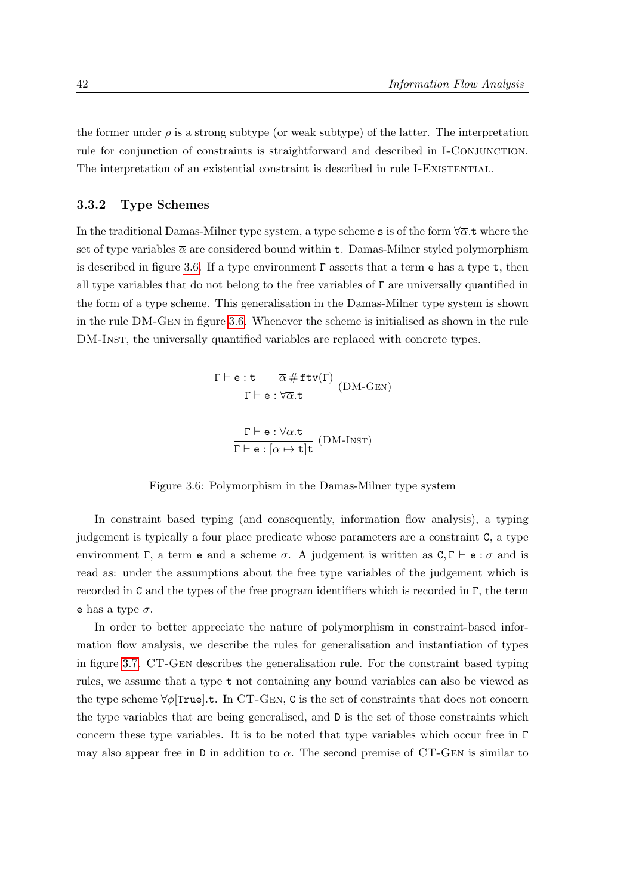the former under  $\rho$  is a strong subtype (or weak subtype) of the latter. The interpretation rule for conjunction of constraints is straightforward and described in I-Conjunction. The interpretation of an existential constraint is described in rule I-Existential.

# <span id="page-41-0"></span>3.3.2 Type Schemes

<span id="page-41-1"></span>In the traditional Damas-Milner type system, a type scheme s is of the form  $\forall \overline{\alpha}$ .t where the set of type variables  $\bar{\alpha}$  are considered bound within t. Damas-Milner styled polymorphism is described in figure [3.6.](#page-41-1) If a type environment  $\Gamma$  asserts that a term e has a type t, then all type variables that do not belong to the free variables of  $\Gamma$  are universally quantified in the form of a type scheme. This generalisation in the Damas-Milner type system is shown in the rule DM-Gen in figure [3.6.](#page-41-1) Whenever the scheme is initialised as shown in the rule DM-Inst, the universally quantified variables are replaced with concrete types.

$$
\frac{\Gamma \vdash e : t \quad \overline{\alpha} \# \text{ftv}(\Gamma)}{\Gamma \vdash e : \forall \overline{\alpha}.t} \text{ (DM-GEN)}
$$
\n
$$
\frac{\Gamma \vdash e : \forall \overline{\alpha}.t}{\Gamma \vdash e : [\overline{\alpha} \mapsto \overline{t}]t} \text{ (DM-INST)}
$$

Figure 3.6: Polymorphism in the Damas-Milner type system

In constraint based typing (and consequently, information flow analysis), a typing judgement is typically a four place predicate whose parameters are a constraint C, a type environment Γ, a term e and a scheme  $\sigma$ . A judgement is written as  $C, \Gamma \vdash e : \sigma$  and is read as: under the assumptions about the free type variables of the judgement which is recorded in C and the types of the free program identifiers which is recorded in Γ, the term e has a type  $\sigma$ .

In order to better appreciate the nature of polymorphism in constraint-based information flow analysis, we describe the rules for generalisation and instantiation of types in figure [3.7.](#page-42-0) CT-Gen describes the generalisation rule. For the constraint based typing rules, we assume that a type t not containing any bound variables can also be viewed as the type scheme  $\forall \phi$ [True].t. In CT-GEN, C is the set of constraints that does not concern the type variables that are being generalised, and D is the set of those constraints which concern these type variables. It is to be noted that type variables which occur free in Γ may also appear free in D in addition to  $\overline{\alpha}$ . The second premise of CT-GEN is similar to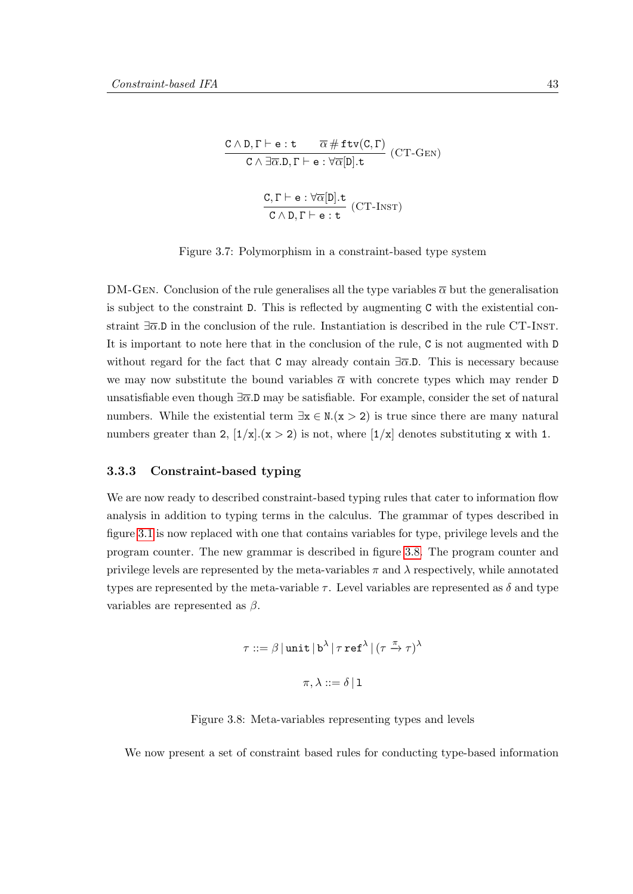<span id="page-42-0"></span>
$$
\frac{\mathtt{C}\wedge\mathtt{D},\Gamma\vdash\mathtt{e}:\mathtt{t}\qquad\overline{\alpha}\#\mathtt{ftv}(\mathtt{C},\Gamma)}{\mathtt{C}\wedge\exists\overline{\alpha}.\mathtt{D},\Gamma\vdash\mathtt{e}:\forall\overline{\alpha}[\mathtt{D}].\mathtt{t}}\ (\mathtt{CT}\text{-}\mathtt{G}\mathtt{E}\mathtt{N})\\[1mm]\underbrace{\mathtt{C},\Gamma\vdash\mathtt{e}:\forall\overline{\alpha}[\mathtt{D}].\mathtt{t}}_{\mathtt{C}\wedge\mathtt{D},\Gamma\vdash\mathtt{e}:\mathtt{t}}\ (\mathtt{CT}\text{-}\mathtt{INST})
$$

Figure 3.7: Polymorphism in a constraint-based type system

DM-GEN. Conclusion of the rule generalises all the type variables  $\overline{\alpha}$  but the generalisation is subject to the constraint D. This is reflected by augmenting C with the existential constraint ∃α.D in the conclusion of the rule. Instantiation is described in the rule CT-Inst. It is important to note here that in the conclusion of the rule, C is not augmented with D without regard for the fact that C may already contain  $\exists \overline{\alpha}$ .D. This is necessary because we may now substitute the bound variables  $\bar{\alpha}$  with concrete types which may render D unsatisfiable even though  $\exists \overline{\alpha}$ .D may be satisfiable. For example, consider the set of natural numbers. While the existential term  $\exists x \in N. (x > 2)$  is true since there are many natural numbers greater than 2,  $[1/x] \cdot (x > 2)$  is not, where  $[1/x]$  denotes substituting x with 1.

# 3.3.3 Constraint-based typing

<span id="page-42-1"></span>We are now ready to described constraint-based typing rules that cater to information flow analysis in addition to typing terms in the calculus. The grammar of types described in figure [3.1](#page-36-0) is now replaced with one that contains variables for type, privilege levels and the program counter. The new grammar is described in figure [3.8.](#page-42-1) The program counter and privilege levels are represented by the meta-variables  $\pi$  and  $\lambda$  respectively, while annotated types are represented by the meta-variable  $\tau$ . Level variables are represented as  $\delta$  and type variables are represented as  $\beta$ .

$$
\tau ::= \beta |\texttt{unit}| \, \mathsf{b}^{\lambda} |\tau \, \mathsf{ref}^{\lambda} | (\tau \xrightarrow{\pi} \tau)^{\lambda}
$$

$$
\pi, \lambda ::= \delta | \, \mathsf{1}
$$

Figure 3.8: Meta-variables representing types and levels

We now present a set of constraint based rules for conducting type-based information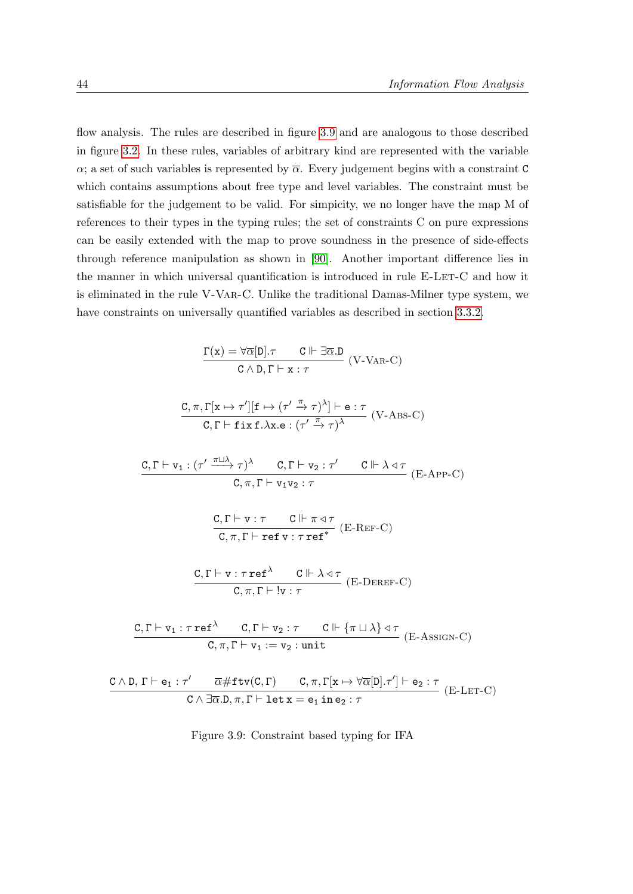flow analysis. The rules are described in figure [3.9](#page-43-0) and are analogous to those described in figure [3.2.](#page-37-0) In these rules, variables of arbitrary kind are represented with the variable  $\alpha$ ; a set of such variables is represented by  $\overline{\alpha}$ . Every judgement begins with a constraint C which contains assumptions about free type and level variables. The constraint must be satisfiable for the judgement to be valid. For simpicity, we no longer have the map M of references to their types in the typing rules; the set of constraints C on pure expressions can be easily extended with the map to prove soundness in the presence of side-effects through reference manipulation as shown in [\[90\]](#page-125-0). Another important difference lies in the manner in which universal quantification is introduced in rule E-LET-C and how it is eliminated in the rule V-Var-C. Unlike the traditional Damas-Milner type system, we have constraints on universally quantified variables as described in section [3.3.2.](#page-41-0)

$$
\frac{\Gamma(x)=\forall \overline{\alpha}[D].\tau \qquad C \Vdash \exists \overline{\alpha}.D}{C \land D, \Gamma \vdash x : \tau} \ (V\text{-}{\rm{VAR}}\text{-}{\rm{C}})
$$

<span id="page-43-0"></span>
$$
\frac{\mathtt{C}, \pi, \Gamma[x \mapsto \tau'][\mathtt{f} \mapsto (\tau'\xrightarrow{\pi} \tau)^\lambda] \vdash \mathtt{e} : \tau}{\mathtt{C}, \Gamma \vdash \mathtt{fix}\, \mathtt{f}.\lambda \mathtt{x}.\mathtt{e} : (\tau'\xrightarrow{\pi} \tau)^\lambda} \; (\text{V-ABS-C})
$$

$$
\frac{C, \Gamma \vdash v_1 : (\tau' \xrightarrow{\pi \Box \lambda} \tau)^\lambda \qquad C, \Gamma \vdash v_2 : \tau' \qquad C \Vdash \lambda \triangleleft \tau}{C, \pi, \Gamma \vdash v_1 v_2 : \tau} \quad (E-APP-C)
$$

$$
\frac{C, \Gamma \vdash v : \tau \qquad C \Vdash \pi \triangleleft \tau}{C, \pi, \Gamma \vdash \mathbf{ref} v : \tau \mathbf{ref}^*} \text{ (E-REF-C)}
$$

$$
\frac{\mathsf{C}, \Gamma \vdash \mathtt{v}: \tau \mathtt{ref}^{\lambda} \qquad \mathsf{C} \Vdash \lambda \triangleleft \tau}{\mathsf{C}, \pi, \Gamma \vdash !\mathtt{v}: \tau} \ (\mathrm{E}\text{-}\mathrm{D}\mathrm{e}\mathrm{r}\mathrm{e}\mathrm{F}\text{-}\mathrm{C})
$$

$$
\frac{C, \Gamma \vdash v_1 : \tau \,\mathrm{ref}^{\lambda} \qquad C, \Gamma \vdash v_2 : \tau \qquad C \Vdash \{\pi \sqcup \lambda\} \triangleleft \tau}{C, \pi, \Gamma \vdash v_1 := v_2 : \mathrm{unit}} \; (\mathrm{E}\text{-}\mathrm{Assign-C})
$$

$$
\frac{\mathtt{C}\wedge\mathtt{D},\, \Gamma\vdash e_1:\tau' \qquad \overline{\alpha}\#\mathtt{ftv}(\mathtt{C},\Gamma) \qquad \mathtt{C},\pi,\Gamma[x\mapsto \forall\overline{\alpha}[\mathtt{D}].\tau']\vdash e_2:\tau}{\mathtt{C}\wedge \exists\overline{\alpha}.\mathtt{D},\pi,\Gamma\vdash \mathtt{let}\, x=e_1\,\mathtt{in}\,e_2:\tau} \quad (\text{E-LET-C})
$$

Figure 3.9: Constraint based typing for IFA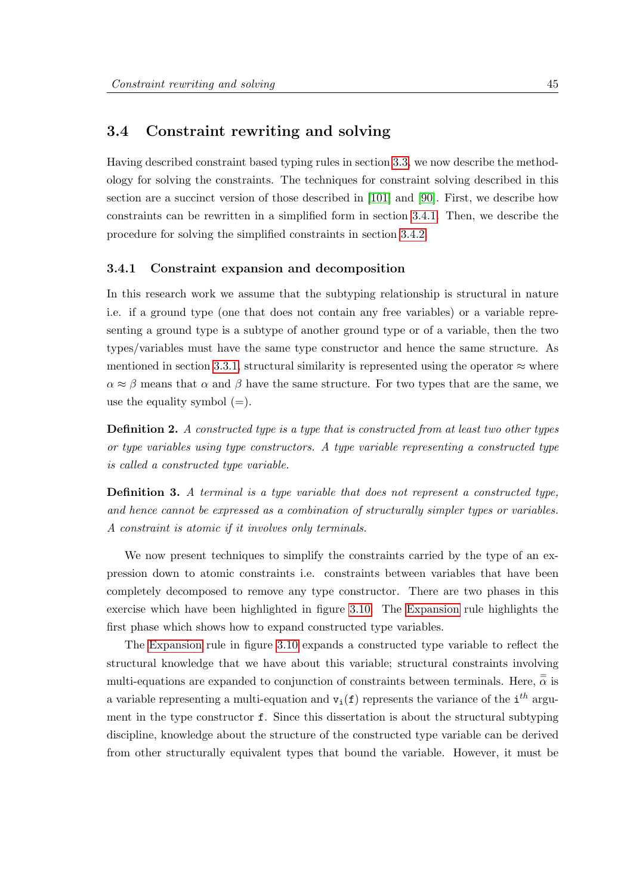# 3.4 Constraint rewriting and solving

Having described constraint based typing rules in section [3.3,](#page-39-3) we now describe the methodology for solving the constraints. The techniques for constraint solving described in this section are a succinct version of those described in [\[101\]](#page-126-0) and [\[90\]](#page-125-0). First, we describe how constraints can be rewritten in a simplified form in section [3.4.1.](#page-44-0) Then, we describe the procedure for solving the simplified constraints in section [3.4.2.](#page-45-0)

#### <span id="page-44-0"></span>3.4.1 Constraint expansion and decomposition

In this research work we assume that the subtyping relationship is structural in nature i.e. if a ground type (one that does not contain any free variables) or a variable representing a ground type is a subtype of another ground type or of a variable, then the two types/variables must have the same type constructor and hence the same structure. As mentioned in section [3.3.1,](#page-39-4) structural similarity is represented using the operator  $\approx$  where  $\alpha \approx \beta$  means that  $\alpha$  and  $\beta$  have the same structure. For two types that are the same, we use the equality symbol  $(=)$ .

Definition 2. A constructed type is a type that is constructed from at least two other types or type variables using type constructors. A type variable representing a constructed type is called a constructed type variable.

Definition 3. A terminal is a type variable that does not represent a constructed type, and hence cannot be expressed as a combination of structurally simpler types or variables. A constraint is atomic if it involves only terminals.

We now present techniques to simplify the constraints carried by the type of an expression down to atomic constraints i.e. constraints between variables that have been completely decomposed to remove any type constructor. There are two phases in this exercise which have been highlighted in figure [3.10.](#page-45-1) The [Expansion](#page-45-2) rule highlights the first phase which shows how to expand constructed type variables.

The [Expansion](#page-45-2) rule in figure [3.10](#page-45-1) expands a constructed type variable to reflect the structural knowledge that we have about this variable; structural constraints involving multi-equations are expanded to conjunction of constraints between terminals. Here,  $\frac{1}{\alpha}$  is a variable representing a multi-equation and  $v_i(f)$  represents the variance of the  $i^{th}$  argument in the type constructor f. Since this dissertation is about the structural subtyping discipline, knowledge about the structure of the constructed type variable can be derived from other structurally equivalent types that bound the variable. However, it must be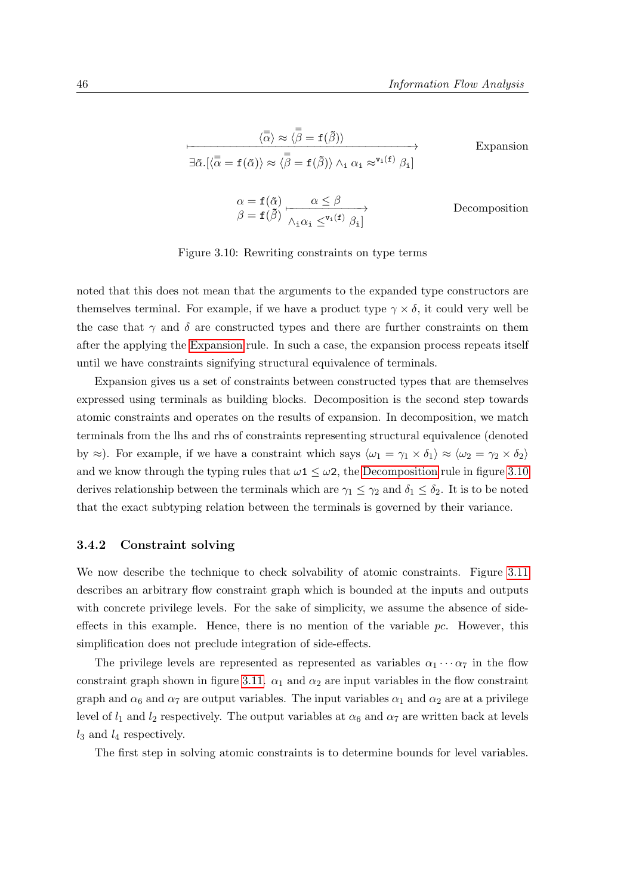<span id="page-45-3"></span><span id="page-45-2"></span><span id="page-45-1"></span>
$$
\frac{\langle \overline{\overline{\alpha}} \rangle \approx \langle \overline{\overline{\beta}} = f(\tilde{\beta}) \rangle}{\exists \tilde{\alpha}. [\langle \overline{\overline{\alpha}} = f(\tilde{\alpha}) \rangle \approx \langle \overline{\overline{\beta}} = f(\tilde{\beta}) \rangle \land_i \alpha_i \approx^{v_i(f)} \beta_i]}
$$
 Expansion  

$$
\alpha = f(\tilde{\alpha}) \xrightarrow[\beta]{} \alpha \leq \beta
$$
Decomposition  

$$
\beta = f(\tilde{\beta}) \xrightarrow[\lambda_i \alpha_i \leq^{v_i(f)} \beta_i]
$$



noted that this does not mean that the arguments to the expanded type constructors are themselves terminal. For example, if we have a product type  $\gamma \times \delta$ , it could very well be the case that  $\gamma$  and  $\delta$  are constructed types and there are further constraints on them after the applying the [Expansion](#page-45-2) rule. In such a case, the expansion process repeats itself until we have constraints signifying structural equivalence of terminals.

Expansion gives us a set of constraints between constructed types that are themselves expressed using terminals as building blocks. Decomposition is the second step towards atomic constraints and operates on the results of expansion. In decomposition, we match terminals from the lhs and rhs of constraints representing structural equivalence (denoted by  $\approx$ ). For example, if we have a constraint which says  $\langle \omega_1 = \gamma_1 \times \delta_1 \rangle \approx \langle \omega_2 = \gamma_2 \times \delta_2 \rangle$ and we know through the typing rules that  $\omega_1 \leq \omega_2$ , the [Decomposition](#page-45-3) rule in figure [3.10](#page-45-1) derives relationship between the terminals which are  $\gamma_1 \leq \gamma_2$  and  $\delta_1 \leq \delta_2$ . It is to be noted that the exact subtyping relation between the terminals is governed by their variance.

#### <span id="page-45-0"></span>3.4.2 Constraint solving

We now describe the technique to check solvability of atomic constraints. Figure [3.11](#page-46-0) describes an arbitrary flow constraint graph which is bounded at the inputs and outputs with concrete privilege levels. For the sake of simplicity, we assume the absence of sideeffects in this example. Hence, there is no mention of the variable pc. However, this simplification does not preclude integration of side-effects.

The privilege levels are represented as represented as variables  $\alpha_1 \cdots \alpha_7$  in the flow constraint graph shown in figure [3.11.](#page-46-0)  $\alpha_1$  and  $\alpha_2$  are input variables in the flow constraint graph and  $\alpha_6$  and  $\alpha_7$  are output variables. The input variables  $\alpha_1$  and  $\alpha_2$  are at a privilege level of  $l_1$  and  $l_2$  respectively. The output variables at  $\alpha_6$  and  $\alpha_7$  are written back at levels  $l_3$  and  $l_4$  respectively.

The first step in solving atomic constraints is to determine bounds for level variables.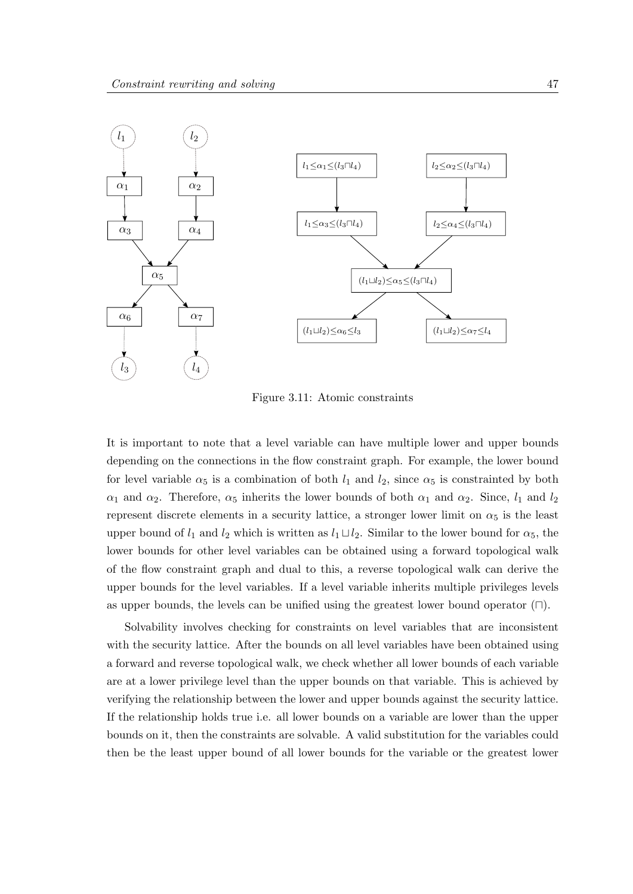<span id="page-46-0"></span>

Figure 3.11: Atomic constraints

It is important to note that a level variable can have multiple lower and upper bounds depending on the connections in the flow constraint graph. For example, the lower bound for level variable  $\alpha_5$  is a combination of both  $l_1$  and  $l_2$ , since  $\alpha_5$  is constrainted by both  $\alpha_1$  and  $\alpha_2$ . Therefore,  $\alpha_5$  inherits the lower bounds of both  $\alpha_1$  and  $\alpha_2$ . Since,  $l_1$  and  $l_2$ represent discrete elements in a security lattice, a stronger lower limit on  $\alpha_5$  is the least upper bound of  $l_1$  and  $l_2$  which is written as  $l_1 \sqcup l_2$ . Similar to the lower bound for  $\alpha_5$ , the lower bounds for other level variables can be obtained using a forward topological walk of the flow constraint graph and dual to this, a reverse topological walk can derive the upper bounds for the level variables. If a level variable inherits multiple privileges levels as upper bounds, the levels can be unified using the greatest lower bound operator  $(\sqcap)$ .

Solvability involves checking for constraints on level variables that are inconsistent with the security lattice. After the bounds on all level variables have been obtained using a forward and reverse topological walk, we check whether all lower bounds of each variable are at a lower privilege level than the upper bounds on that variable. This is achieved by verifying the relationship between the lower and upper bounds against the security lattice. If the relationship holds true i.e. all lower bounds on a variable are lower than the upper bounds on it, then the constraints are solvable. A valid substitution for the variables could then be the least upper bound of all lower bounds for the variable or the greatest lower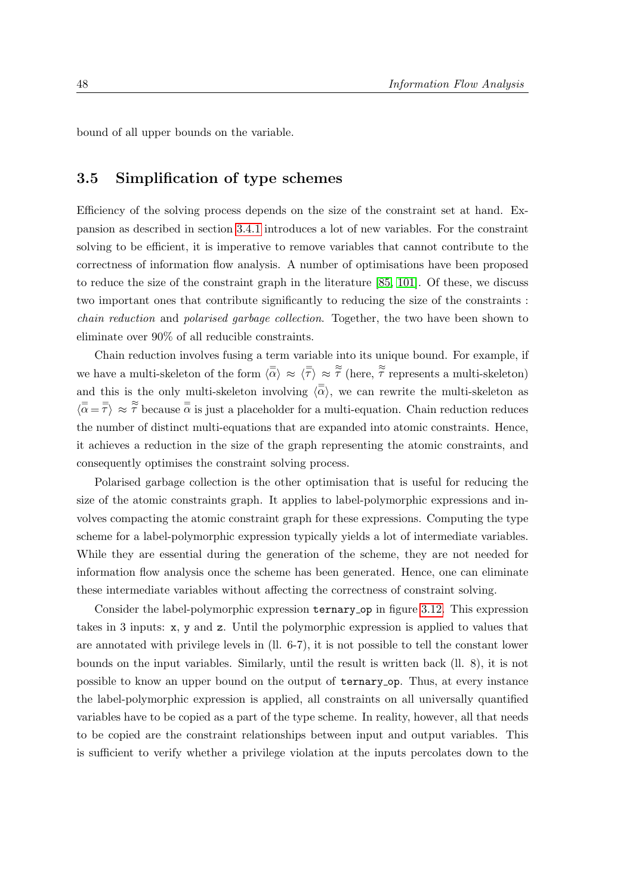bound of all upper bounds on the variable.

# <span id="page-47-0"></span>3.5 Simplification of type schemes

Efficiency of the solving process depends on the size of the constraint set at hand. Expansion as described in section [3.4.1](#page-44-0) introduces a lot of new variables. For the constraint solving to be efficient, it is imperative to remove variables that cannot contribute to the correctness of information flow analysis. A number of optimisations have been proposed to reduce the size of the constraint graph in the literature [\[85,](#page-124-1) [101\]](#page-126-0). Of these, we discuss two important ones that contribute significantly to reducing the size of the constraints : chain reduction and polarised garbage collection. Together, the two have been shown to eliminate over 90% of all reducible constraints.

Chain reduction involves fusing a term variable into its unique bound. For example, if we have a multi-skeleton of the form  $\langle \overline{\overline{\alpha}} \rangle \approx \langle \overline{\overline{\tau}} \rangle \approx \overline{\tilde{\tau}}$  (here,  $\overline{\tilde{\tau}}$  represents a multi-skeleton) and this is the only multi-skeleton involving  $\langle \overline{\overline{\alpha}} \rangle$ , we can rewrite the multi-skeleton as  $\langle \overline{\overline{a}} = \overline{\overline{\overline{\tau}}} \rangle \approx \tilde{\overline{\tau}}$  because  $\overline{\overline{a}}$  is just a placeholder for a multi-equation. Chain reduction reduces the number of distinct multi-equations that are expanded into atomic constraints. Hence, it achieves a reduction in the size of the graph representing the atomic constraints, and consequently optimises the constraint solving process.

Polarised garbage collection is the other optimisation that is useful for reducing the size of the atomic constraints graph. It applies to label-polymorphic expressions and involves compacting the atomic constraint graph for these expressions. Computing the type scheme for a label-polymorphic expression typically yields a lot of intermediate variables. While they are essential during the generation of the scheme, they are not needed for information flow analysis once the scheme has been generated. Hence, one can eliminate these intermediate variables without affecting the correctness of constraint solving.

Consider the label-polymorphic expression ternary op in figure [3.12.](#page-48-0) This expression takes in 3 inputs: x, y and z. Until the polymorphic expression is applied to values that are annotated with privilege levels in (ll. 6-7), it is not possible to tell the constant lower bounds on the input variables. Similarly, until the result is written back (ll. 8), it is not possible to know an upper bound on the output of ternary op. Thus, at every instance the label-polymorphic expression is applied, all constraints on all universally quantified variables have to be copied as a part of the type scheme. In reality, however, all that needs to be copied are the constraint relationships between input and output variables. This is sufficient to verify whether a privilege violation at the inputs percolates down to the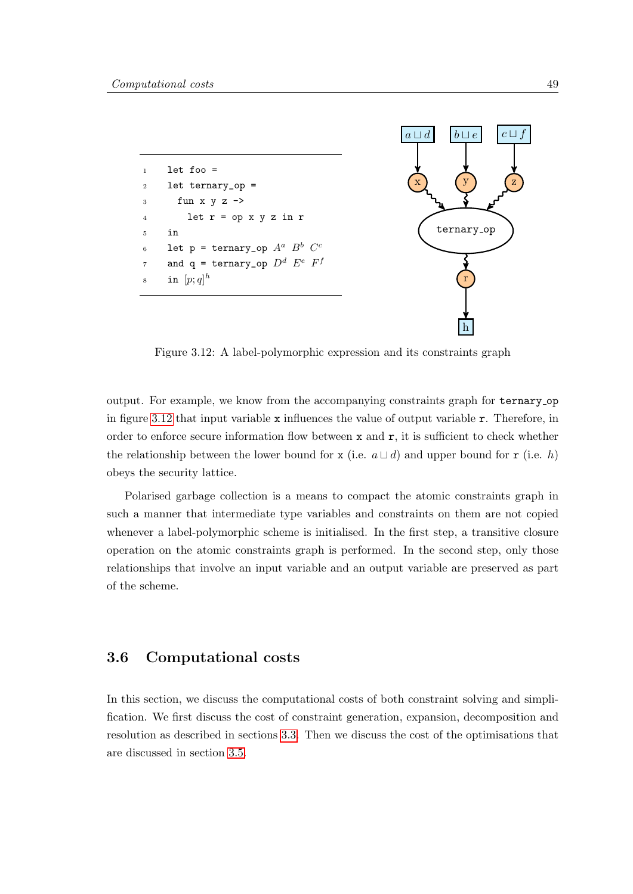<span id="page-48-0"></span>

Figure 3.12: A label-polymorphic expression and its constraints graph

output. For example, we know from the accompanying constraints graph for ternary op in figure [3.12](#page-48-0) that input variable  $x$  influences the value of output variable  $r$ . Therefore, in order to enforce secure information flow between  $x$  and  $r$ , it is sufficient to check whether the relationship between the lower bound for x (i.e.  $a \sqcup d$ ) and upper bound for r (i.e. h) obeys the security lattice.

Polarised garbage collection is a means to compact the atomic constraints graph in such a manner that intermediate type variables and constraints on them are not copied whenever a label-polymorphic scheme is initialised. In the first step, a transitive closure operation on the atomic constraints graph is performed. In the second step, only those relationships that involve an input variable and an output variable are preserved as part of the scheme.

# <span id="page-48-1"></span>3.6 Computational costs

In this section, we discuss the computational costs of both constraint solving and simplification. We first discuss the cost of constraint generation, expansion, decomposition and resolution as described in sections [3.3.](#page-39-3) Then we discuss the cost of the optimisations that are discussed in section [3.5.](#page-47-0)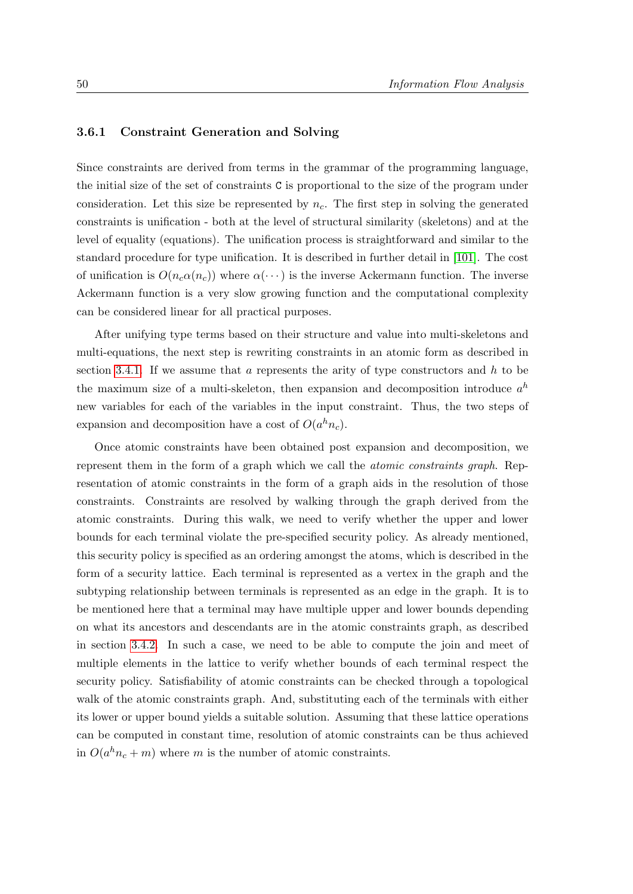# 3.6.1 Constraint Generation and Solving

Since constraints are derived from terms in the grammar of the programming language, the initial size of the set of constraints C is proportional to the size of the program under consideration. Let this size be represented by  $n_c$ . The first step in solving the generated constraints is unification - both at the level of structural similarity (skeletons) and at the level of equality (equations). The unification process is straightforward and similar to the standard procedure for type unification. It is described in further detail in [\[101\]](#page-126-0). The cost of unification is  $O(n_c\alpha(n_c))$  where  $\alpha(\cdots)$  is the inverse Ackermann function. The inverse Ackermann function is a very slow growing function and the computational complexity can be considered linear for all practical purposes.

After unifying type terms based on their structure and value into multi-skeletons and multi-equations, the next step is rewriting constraints in an atomic form as described in section [3.4.1.](#page-44-0) If we assume that a represents the arity of type constructors and  $h$  to be the maximum size of a multi-skeleton, then expansion and decomposition introduce  $a<sup>h</sup>$ new variables for each of the variables in the input constraint. Thus, the two steps of expansion and decomposition have a cost of  $O(a^h n_c)$ .

Once atomic constraints have been obtained post expansion and decomposition, we represent them in the form of a graph which we call the atomic constraints graph. Representation of atomic constraints in the form of a graph aids in the resolution of those constraints. Constraints are resolved by walking through the graph derived from the atomic constraints. During this walk, we need to verify whether the upper and lower bounds for each terminal violate the pre-specified security policy. As already mentioned, this security policy is specified as an ordering amongst the atoms, which is described in the form of a security lattice. Each terminal is represented as a vertex in the graph and the subtyping relationship between terminals is represented as an edge in the graph. It is to be mentioned here that a terminal may have multiple upper and lower bounds depending on what its ancestors and descendants are in the atomic constraints graph, as described in section [3.4.2.](#page-45-0) In such a case, we need to be able to compute the join and meet of multiple elements in the lattice to verify whether bounds of each terminal respect the security policy. Satisfiability of atomic constraints can be checked through a topological walk of the atomic constraints graph. And, substituting each of the terminals with either its lower or upper bound yields a suitable solution. Assuming that these lattice operations can be computed in constant time, resolution of atomic constraints can be thus achieved in  $O(a^h n_c + m)$  where m is the number of atomic constraints.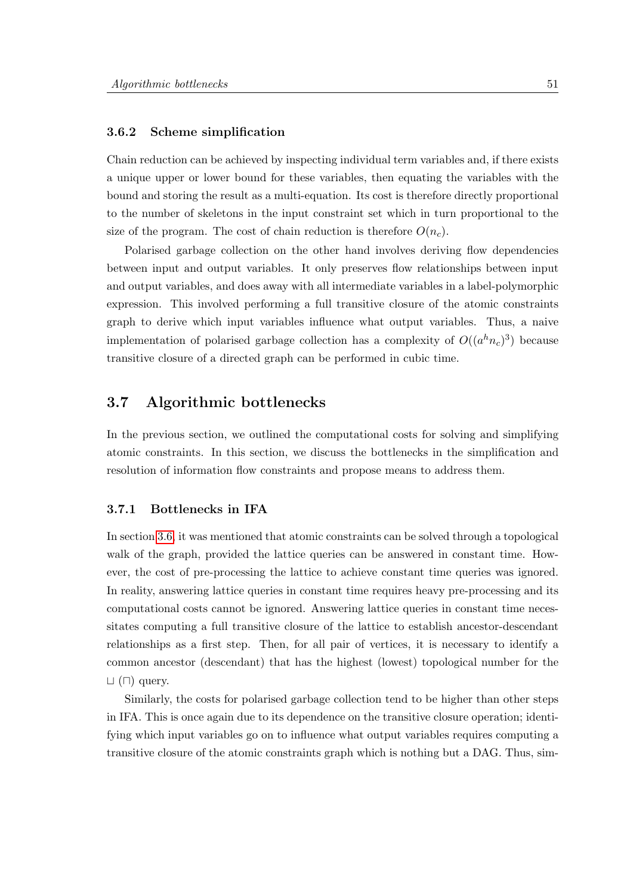#### 3.6.2 Scheme simplification

Chain reduction can be achieved by inspecting individual term variables and, if there exists a unique upper or lower bound for these variables, then equating the variables with the bound and storing the result as a multi-equation. Its cost is therefore directly proportional to the number of skeletons in the input constraint set which in turn proportional to the size of the program. The cost of chain reduction is therefore  $O(n_c)$ .

Polarised garbage collection on the other hand involves deriving flow dependencies between input and output variables. It only preserves flow relationships between input and output variables, and does away with all intermediate variables in a label-polymorphic expression. This involved performing a full transitive closure of the atomic constraints graph to derive which input variables influence what output variables. Thus, a naive implementation of polarised garbage collection has a complexity of  $O((a^h n_c)^3)$  because transitive closure of a directed graph can be performed in cubic time.

# <span id="page-50-0"></span>3.7 Algorithmic bottlenecks

In the previous section, we outlined the computational costs for solving and simplifying atomic constraints. In this section, we discuss the bottlenecks in the simplification and resolution of information flow constraints and propose means to address them.

# 3.7.1 Bottlenecks in IFA

In section [3.6,](#page-48-1) it was mentioned that atomic constraints can be solved through a topological walk of the graph, provided the lattice queries can be answered in constant time. However, the cost of pre-processing the lattice to achieve constant time queries was ignored. In reality, answering lattice queries in constant time requires heavy pre-processing and its computational costs cannot be ignored. Answering lattice queries in constant time necessitates computing a full transitive closure of the lattice to establish ancestor-descendant relationships as a first step. Then, for all pair of vertices, it is necessary to identify a common ancestor (descendant) that has the highest (lowest) topological number for the  $\Box$  ( $\Box$ ) query.

Similarly, the costs for polarised garbage collection tend to be higher than other steps in IFA. This is once again due to its dependence on the transitive closure operation; identifying which input variables go on to influence what output variables requires computing a transitive closure of the atomic constraints graph which is nothing but a DAG. Thus, sim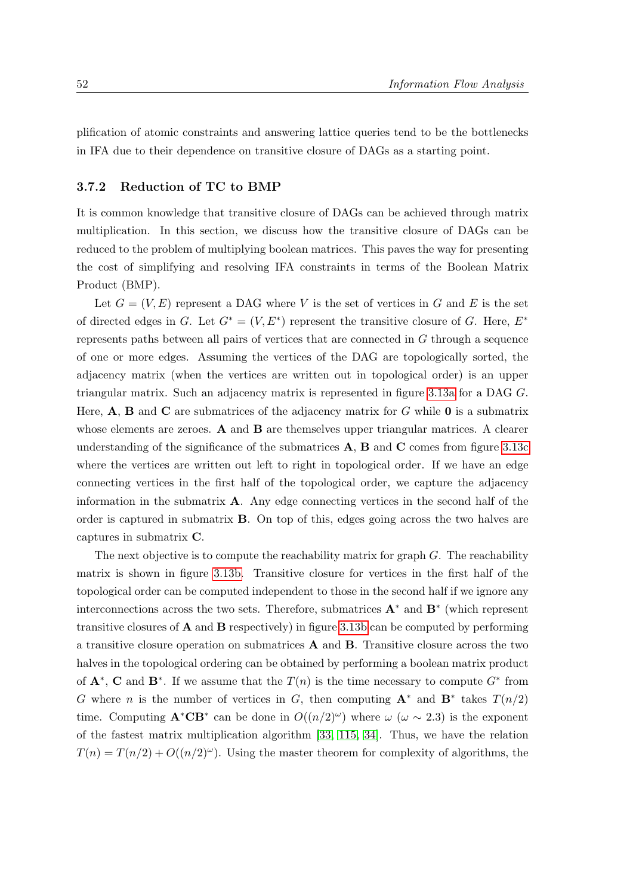plification of atomic constraints and answering lattice queries tend to be the bottlenecks in IFA due to their dependence on transitive closure of DAGs as a starting point.

#### 3.7.2 Reduction of TC to BMP

It is common knowledge that transitive closure of DAGs can be achieved through matrix multiplication. In this section, we discuss how the transitive closure of DAGs can be reduced to the problem of multiplying boolean matrices. This paves the way for presenting the cost of simplifying and resolving IFA constraints in terms of the Boolean Matrix Product (BMP).

Let  $G = (V, E)$  represent a DAG where V is the set of vertices in G and E is the set of directed edges in G. Let  $G^* = (V, E^*)$  represent the transitive closure of G. Here,  $E^*$ represents paths between all pairs of vertices that are connected in G through a sequence of one or more edges. Assuming the vertices of the DAG are topologically sorted, the adjacency matrix (when the vertices are written out in topological order) is an upper triangular matrix. Such an adjacency matrix is represented in figure [3.13a](#page-52-0) for a DAG G. Here,  $\bf{A}$ ,  $\bf{B}$  and  $\bf{C}$  are submatrices of the adjacency matrix for  $G$  while  $\bf{0}$  is a submatrix whose elements are zeroes. A and **B** are themselves upper triangular matrices. A clearer understanding of the significance of the submatrices  $A$ ,  $B$  and  $C$  comes from figure [3.13c](#page-52-1) where the vertices are written out left to right in topological order. If we have an edge connecting vertices in the first half of the topological order, we capture the adjacency information in the submatrix  $\bf{A}$ . Any edge connecting vertices in the second half of the order is captured in submatrix B. On top of this, edges going across the two halves are captures in submatrix C.

The next objective is to compute the reachability matrix for graph G. The reachability matrix is shown in figure [3.13b.](#page-52-2) Transitive closure for vertices in the first half of the topological order can be computed independent to those in the second half if we ignore any interconnections across the two sets. Therefore, submatrices  $A^*$  and  $B^*$  (which represent transitive closures of  $\bf{A}$  and  $\bf{B}$  respectively) in figure [3.13b](#page-52-2) can be computed by performing a transitive closure operation on submatrices A and B. Transitive closure across the two halves in the topological ordering can be obtained by performing a boolean matrix product of  $A^*$ , C and  $B^*$ . If we assume that the  $T(n)$  is the time necessary to compute  $G^*$  from G where *n* is the number of vertices in G, then computing  $A^*$  and  $B^*$  takes  $T(n/2)$ time. Computing  $\mathbf{A}^* \mathbf{C} \mathbf{B}^*$  can be done in  $O((n/2)^\omega)$  where  $\omega$  ( $\omega \sim 2.3$ ) is the exponent of the fastest matrix multiplication algorithm [\[33,](#page-119-0) [115,](#page-127-1) [34\]](#page-119-1). Thus, we have the relation  $T(n) = T(n/2) + O((n/2)^{\omega})$ . Using the master theorem for complexity of algorithms, the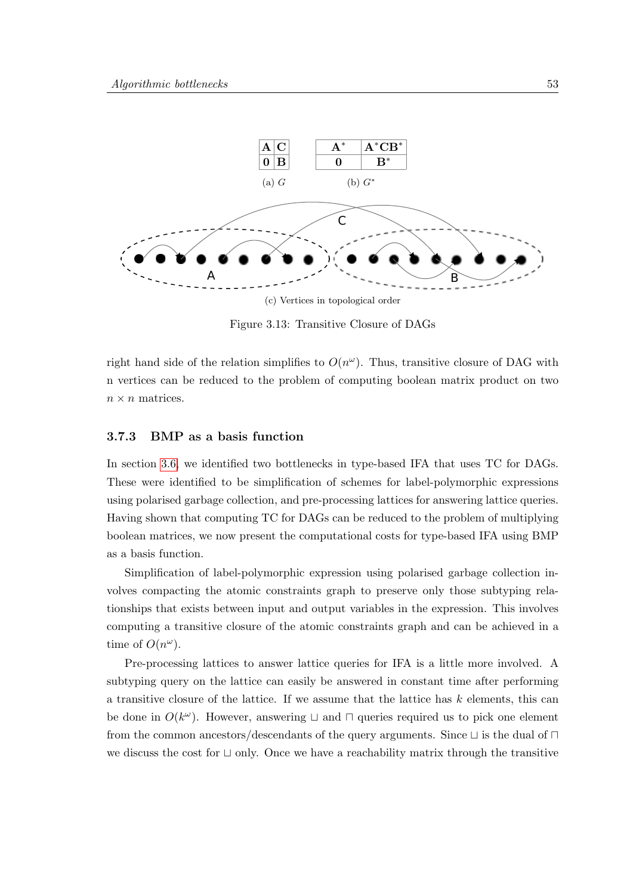<span id="page-52-1"></span><span id="page-52-0"></span>

<span id="page-52-2"></span>Figure 3.13: Transitive Closure of DAGs

right hand side of the relation simplifies to  $O(n^{\omega})$ . Thus, transitive closure of DAG with n vertices can be reduced to the problem of computing boolean matrix product on two  $n \times n$  matrices.

# 3.7.3 BMP as a basis function

In section [3.6,](#page-48-1) we identified two bottlenecks in type-based IFA that uses TC for DAGs. These were identified to be simplification of schemes for label-polymorphic expressions using polarised garbage collection, and pre-processing lattices for answering lattice queries. Having shown that computing TC for DAGs can be reduced to the problem of multiplying boolean matrices, we now present the computational costs for type-based IFA using BMP as a basis function.

Simplification of label-polymorphic expression using polarised garbage collection involves compacting the atomic constraints graph to preserve only those subtyping relationships that exists between input and output variables in the expression. This involves computing a transitive closure of the atomic constraints graph and can be achieved in a time of  $O(n^{\omega})$ .

Pre-processing lattices to answer lattice queries for IFA is a little more involved. A subtyping query on the lattice can easily be answered in constant time after performing a transitive closure of the lattice. If we assume that the lattice has k elements, this can be done in  $O(k^{\omega})$ . However, answering  $\sqcup$  and  $\sqcap$  queries required us to pick one element from the common ancestors/descendants of the query arguments. Since  $\sqcup$  is the dual of  $\sqcap$ we discuss the cost for  $\sqcup$  only. Once we have a reachability matrix through the transitive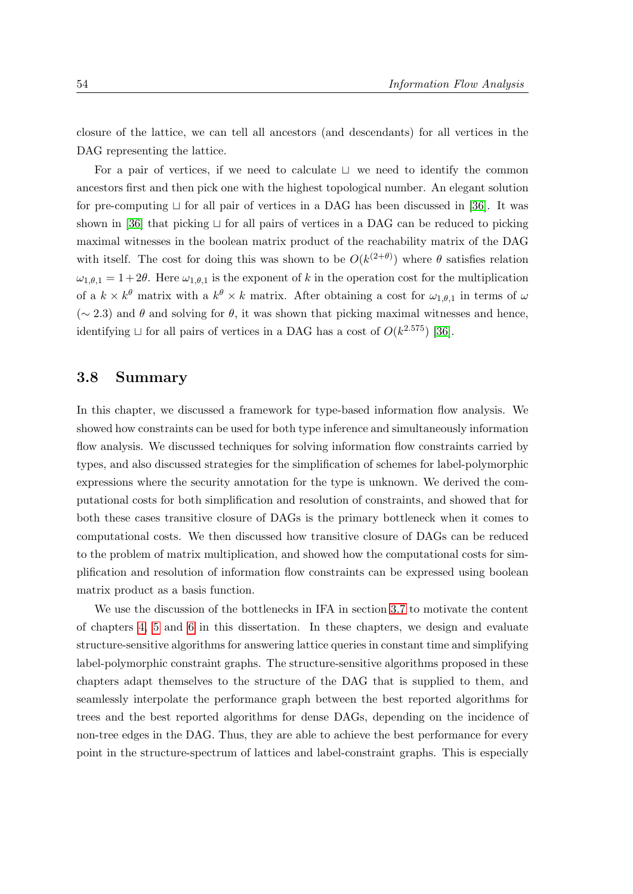closure of the lattice, we can tell all ancestors (and descendants) for all vertices in the DAG representing the lattice.

For a pair of vertices, if we need to calculate  $\sqcup$  we need to identify the common ancestors first and then pick one with the highest topological number. An elegant solution for pre-computing  $\sqcup$  for all pair of vertices in a DAG has been discussed in [\[36\]](#page-120-0). It was shown in [\[36\]](#page-120-0) that picking  $\sqcup$  for all pairs of vertices in a DAG can be reduced to picking maximal witnesses in the boolean matrix product of the reachability matrix of the DAG with itself. The cost for doing this was shown to be  $O(k^{(2+\theta)})$  where  $\theta$  satisfies relation  $\omega_{1,\theta,1} = 1+2\theta$ . Here  $\omega_{1,\theta,1}$  is the exponent of k in the operation cost for the multiplication of a  $k \times k^{\theta}$  matrix with a  $k^{\theta} \times k$  matrix. After obtaining a cost for  $\omega_{1,\theta,1}$  in terms of  $\omega$  $(∼ 2.3)$  and θ and solving for θ, it was shown that picking maximal witnesses and hence, identifying  $\sqcup$  for all pairs of vertices in a DAG has a cost of  $O(k^{2.575})$  [\[36\]](#page-120-0).

# 3.8 Summary

In this chapter, we discussed a framework for type-based information flow analysis. We showed how constraints can be used for both type inference and simultaneously information flow analysis. We discussed techniques for solving information flow constraints carried by types, and also discussed strategies for the simplification of schemes for label-polymorphic expressions where the security annotation for the type is unknown. We derived the computational costs for both simplification and resolution of constraints, and showed that for both these cases transitive closure of DAGs is the primary bottleneck when it comes to computational costs. We then discussed how transitive closure of DAGs can be reduced to the problem of matrix multiplication, and showed how the computational costs for simplification and resolution of information flow constraints can be expressed using boolean matrix product as a basis function.

We use the discussion of the bottlenecks in IFA in section [3.7](#page-50-0) to motivate the content of chapters [4,](#page-55-0) [5](#page-76-0) and [6](#page-95-0) in this dissertation. In these chapters, we design and evaluate structure-sensitive algorithms for answering lattice queries in constant time and simplifying label-polymorphic constraint graphs. The structure-sensitive algorithms proposed in these chapters adapt themselves to the structure of the DAG that is supplied to them, and seamlessly interpolate the performance graph between the best reported algorithms for trees and the best reported algorithms for dense DAGs, depending on the incidence of non-tree edges in the DAG. Thus, they are able to achieve the best performance for every point in the structure-spectrum of lattices and label-constraint graphs. This is especially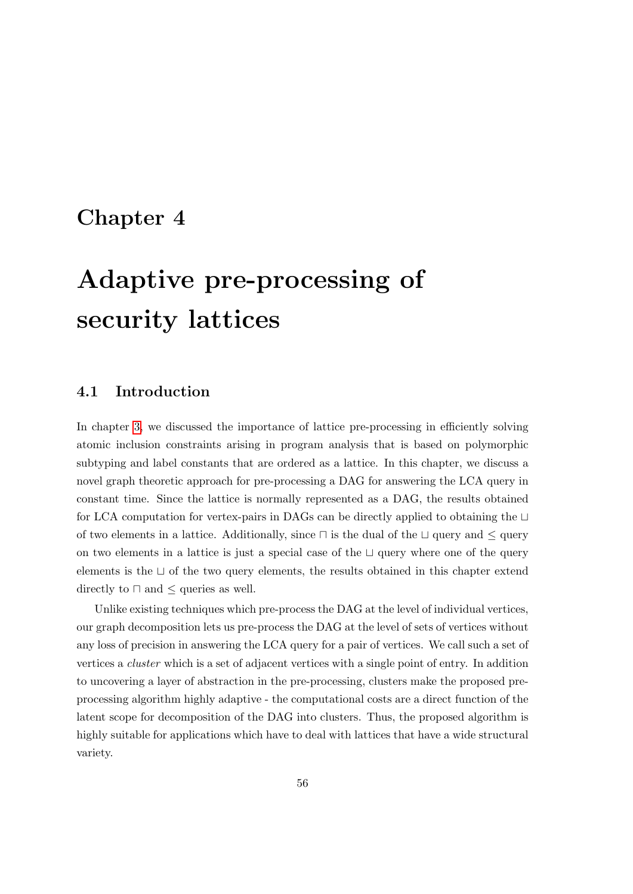# <span id="page-55-0"></span>Chapter 4

# Adaptive pre-processing of security lattices

# <span id="page-55-1"></span>4.1 Introduction

In chapter [3,](#page-33-0) we discussed the importance of lattice pre-processing in efficiently solving atomic inclusion constraints arising in program analysis that is based on polymorphic subtyping and label constants that are ordered as a lattice. In this chapter, we discuss a novel graph theoretic approach for pre-processing a DAG for answering the LCA query in constant time. Since the lattice is normally represented as a DAG, the results obtained for LCA computation for vertex-pairs in DAGs can be directly applied to obtaining the  $\Box$ of two elements in a lattice. Additionally, since  $\Box$  is the dual of the  $\Box$  query and  $\leq$  query on two elements in a lattice is just a special case of the  $\sqcup$  query where one of the query elements is the  $\sqcup$  of the two query elements, the results obtained in this chapter extend directly to  $\sqcap$  and  $\leq$  queries as well.

Unlike existing techniques which pre-process the DAG at the level of individual vertices, our graph decomposition lets us pre-process the DAG at the level of sets of vertices without any loss of precision in answering the LCA query for a pair of vertices. We call such a set of vertices a cluster which is a set of adjacent vertices with a single point of entry. In addition to uncovering a layer of abstraction in the pre-processing, clusters make the proposed preprocessing algorithm highly adaptive - the computational costs are a direct function of the latent scope for decomposition of the DAG into clusters. Thus, the proposed algorithm is highly suitable for applications which have to deal with lattices that have a wide structural variety.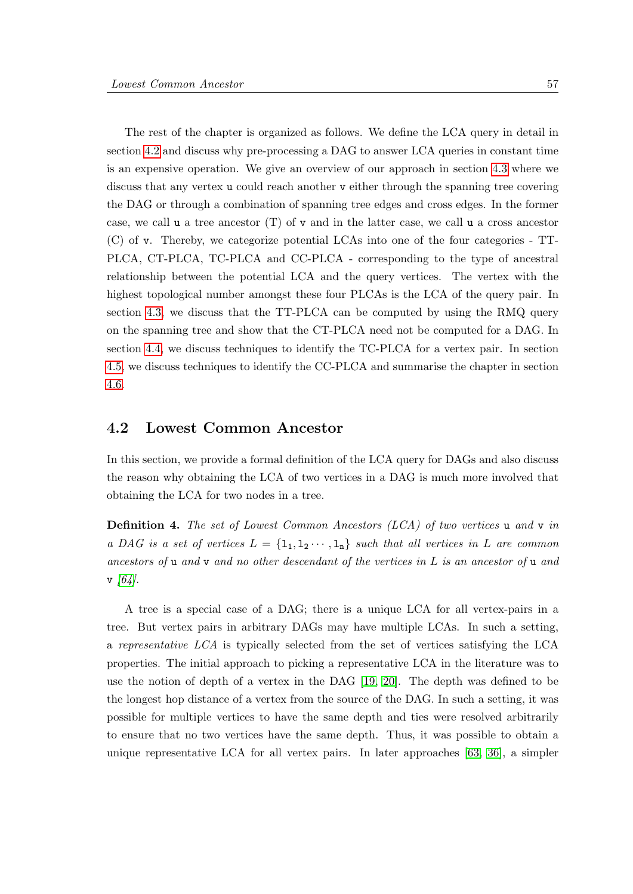The rest of the chapter is organized as follows. We define the LCA query in detail in section [4.2](#page-56-0) and discuss why pre-processing a DAG to answer LCA queries in constant time is an expensive operation. We give an overview of our approach in section [4.3](#page-57-0) where we discuss that any vertex u could reach another v either through the spanning tree covering the DAG or through a combination of spanning tree edges and cross edges. In the former case, we call u a tree ancestor (T) of v and in the latter case, we call u a cross ancestor (C) of v. Thereby, we categorize potential LCAs into one of the four categories - TT-PLCA, CT-PLCA, TC-PLCA and CC-PLCA - corresponding to the type of ancestral relationship between the potential LCA and the query vertices. The vertex with the highest topological number amongst these four PLCAs is the LCA of the query pair. In section [4.3,](#page-57-0) we discuss that the TT-PLCA can be computed by using the RMQ query on the spanning tree and show that the CT-PLCA need not be computed for a DAG. In section [4.4,](#page-61-0) we discuss techniques to identify the TC-PLCA for a vertex pair. In section [4.5,](#page-67-0) we discuss techniques to identify the CC-PLCA and summarise the chapter in section [4.6.](#page-74-0)

# <span id="page-56-0"></span>4.2 Lowest Common Ancestor

In this section, we provide a formal definition of the LCA query for DAGs and also discuss the reason why obtaining the LCA of two vertices in a DAG is much more involved that obtaining the LCA for two nodes in a tree.

Definition 4. The set of Lowest Common Ancestors (LCA) of two vertices u and v in a DAG is a set of vertices  $L = \{1_1, 1_2 \cdots, 1_n\}$  such that all vertices in L are common ancestors of u and v and no other descendant of the vertices in L is an ancestor of u and  $v \; 64$ .

A tree is a special case of a DAG; there is a unique LCA for all vertex-pairs in a tree. But vertex pairs in arbitrary DAGs may have multiple LCAs. In such a setting, a representative LCA is typically selected from the set of vertices satisfying the LCA properties. The initial approach to picking a representative LCA in the literature was to use the notion of depth of a vertex in the DAG [\[19,](#page-118-0) [20\]](#page-118-1). The depth was defined to be the longest hop distance of a vertex from the source of the DAG. In such a setting, it was possible for multiple vertices to have the same depth and ties were resolved arbitrarily to ensure that no two vertices have the same depth. Thus, it was possible to obtain a unique representative LCA for all vertex pairs. In later approaches [\[63,](#page-122-1) [36\]](#page-120-0), a simpler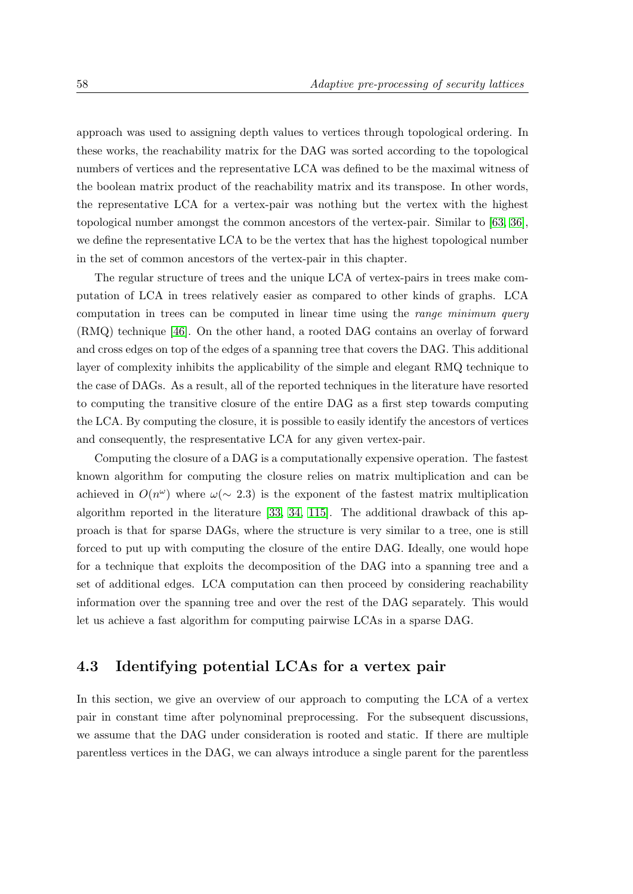approach was used to assigning depth values to vertices through topological ordering. In these works, the reachability matrix for the DAG was sorted according to the topological numbers of vertices and the representative LCA was defined to be the maximal witness of the boolean matrix product of the reachability matrix and its transpose. In other words, the representative LCA for a vertex-pair was nothing but the vertex with the highest topological number amongst the common ancestors of the vertex-pair. Similar to [\[63,](#page-122-1) [36\]](#page-120-0), we define the representative LCA to be the vertex that has the highest topological number in the set of common ancestors of the vertex-pair in this chapter.

The regular structure of trees and the unique LCA of vertex-pairs in trees make computation of LCA in trees relatively easier as compared to other kinds of graphs. LCA computation in trees can be computed in linear time using the *range minimum query* (RMQ) technique [\[46\]](#page-121-1). On the other hand, a rooted DAG contains an overlay of forward and cross edges on top of the edges of a spanning tree that covers the DAG. This additional layer of complexity inhibits the applicability of the simple and elegant RMQ technique to the case of DAGs. As a result, all of the reported techniques in the literature have resorted to computing the transitive closure of the entire DAG as a first step towards computing the LCA. By computing the closure, it is possible to easily identify the ancestors of vertices and consequently, the respresentative LCA for any given vertex-pair.

Computing the closure of a DAG is a computationally expensive operation. The fastest known algorithm for computing the closure relies on matrix multiplication and can be achieved in  $O(n^{\omega})$  where  $\omega(\sim 2.3)$  is the exponent of the fastest matrix multiplication algorithm reported in the literature [\[33,](#page-119-0) [34,](#page-119-1) [115\]](#page-127-1). The additional drawback of this approach is that for sparse DAGs, where the structure is very similar to a tree, one is still forced to put up with computing the closure of the entire DAG. Ideally, one would hope for a technique that exploits the decomposition of the DAG into a spanning tree and a set of additional edges. LCA computation can then proceed by considering reachability information over the spanning tree and over the rest of the DAG separately. This would let us achieve a fast algorithm for computing pairwise LCAs in a sparse DAG.

# <span id="page-57-0"></span>4.3 Identifying potential LCAs for a vertex pair

In this section, we give an overview of our approach to computing the LCA of a vertex pair in constant time after polynominal preprocessing. For the subsequent discussions, we assume that the DAG under consideration is rooted and static. If there are multiple parentless vertices in the DAG, we can always introduce a single parent for the parentless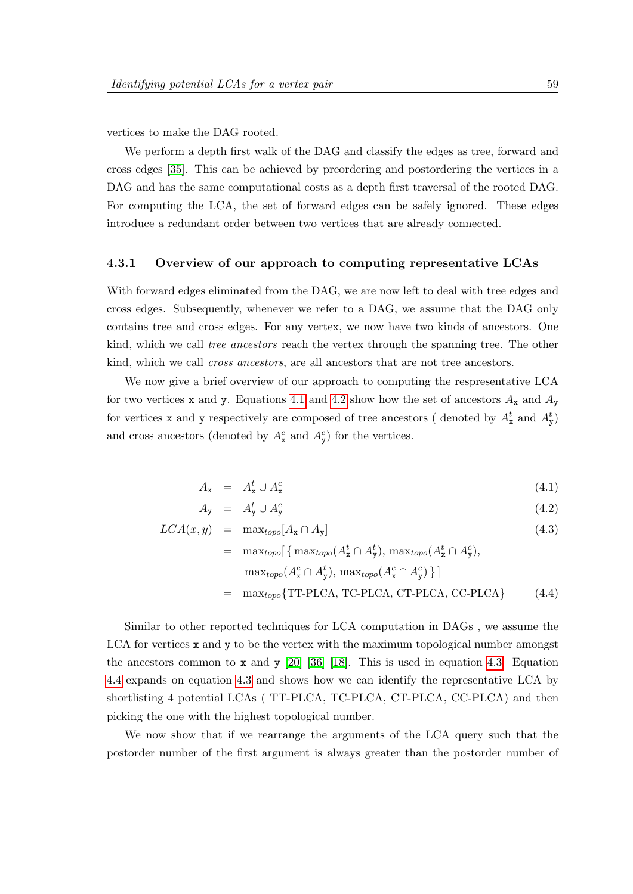vertices to make the DAG rooted.

We perform a depth first walk of the DAG and classify the edges as tree, forward and cross edges [\[35\]](#page-120-1). This can be achieved by preordering and postordering the vertices in a DAG and has the same computational costs as a depth first traversal of the rooted DAG. For computing the LCA, the set of forward edges can be safely ignored. These edges introduce a redundant order between two vertices that are already connected.

# 4.3.1 Overview of our approach to computing representative LCAs

With forward edges eliminated from the DAG, we are now left to deal with tree edges and cross edges. Subsequently, whenever we refer to a DAG, we assume that the DAG only contains tree and cross edges. For any vertex, we now have two kinds of ancestors. One kind, which we call tree ancestors reach the vertex through the spanning tree. The other kind, which we call cross ancestors, are all ancestors that are not tree ancestors.

We now give a brief overview of our approach to computing the respresentative LCA for two vertices x and y. Equations [4.1](#page-58-0) and [4.2](#page-58-0) show how the set of ancestors  $A_x$  and  $A_y$ for vertices **x** and **y** respectively are composed of tree ancestors ( denoted by  $A_x^t$  and  $A_y^t$ ) and cross ancestors (denoted by  $A_{\mathbf{x}}^c$  and  $A_{\mathbf{y}}^c$ ) for the vertices.

<span id="page-58-0"></span>
$$
A_{\mathbf{x}} = A_{\mathbf{x}}^t \cup A_{\mathbf{x}}^c \tag{4.1}
$$

$$
A_{\mathbf{y}} = A_{\mathbf{y}}^t \cup A_{\mathbf{y}}^c \tag{4.2}
$$

$$
LCA(x,y) = \max_{topo}[A_x \cap A_y]
$$
(4.3)  
= 
$$
\max_{topo}[\{\max_{topo}(A_x^t \cap A_y^t), \max_{topo}(A_x^t \cap A_y^c),
$$

$$
\max_{topo}(A_x^c \cap A_y^t), \max_{topo}(A_x^c \cap A_y^c)\}]
$$
  
= 
$$
\max_{topo}\{\text{TT-PLCA, TC-PLCA, CT-PLCA, CC-PLCA}\}
$$
(4.4)

Similar to other reported techniques for LCA computation in DAGs , we assume the LCA for vertices x and y to be the vertex with the maximum topological number amongst the ancestors common to x and y  $[20]$   $[36]$   $[18]$ . This is used in equation [4.3.](#page-58-0) Equation [4.4](#page-58-0) expands on equation [4.3](#page-58-0) and shows how we can identify the representative LCA by shortlisting 4 potential LCAs ( TT-PLCA, TC-PLCA, CT-PLCA, CC-PLCA) and then picking the one with the highest topological number.

We now show that if we rearrange the arguments of the LCA query such that the postorder number of the first argument is always greater than the postorder number of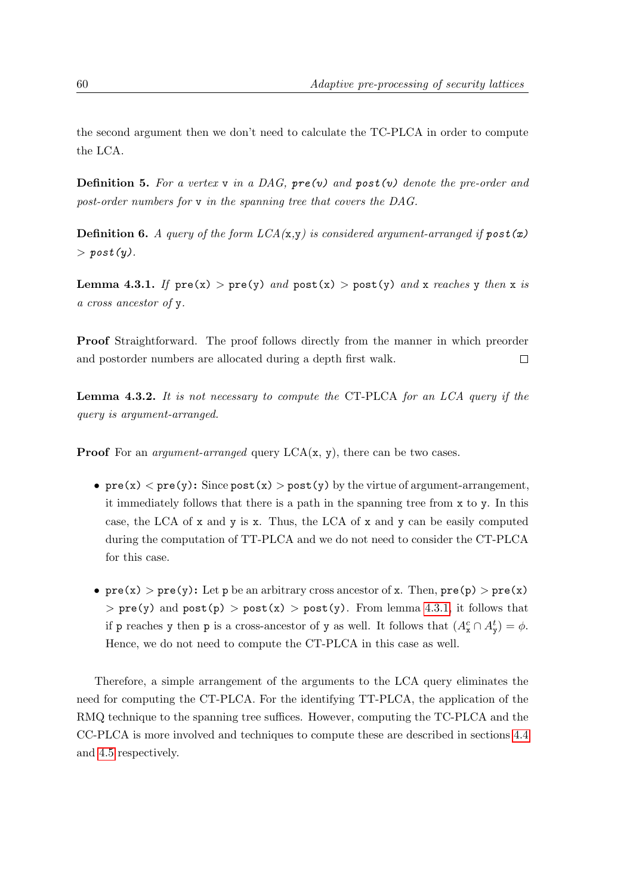the second argument then we don't need to calculate the TC-PLCA in order to compute the LCA.

**Definition 5.** For a vertex v in a DAG,  $pre(v)$  and  $post(v)$  denote the pre-order and post-order numbers for v in the spanning tree that covers the DAG.

**Definition 6.** A query of the form  $LCA(x,y)$  is considered argument-arranged if  $post(x)$  $>$  post(y).

<span id="page-59-0"></span>**Lemma 4.3.1.** If  $pre(x) > pre(y)$  and  $post(x) > post(y)$  and x reaches y then x is a cross ancestor of y.

Proof Straightforward. The proof follows directly from the manner in which preorder and postorder numbers are allocated during a depth first walk.  $\Box$ 

Lemma 4.3.2. It is not necessary to compute the CT-PLCA for an LCA query if the query is argument-arranged.

**Proof** For an *argument-arranged* query  $LCA(x, y)$ , there can be two cases.

- pre(x)  $\le$  pre(y): Since post(x)  $>$  post(y) by the virtue of argument-arrangement, it immediately follows that there is a path in the spanning tree from x to y. In this case, the LCA of x and y is x. Thus, the LCA of x and y can be easily computed during the computation of TT-PLCA and we do not need to consider the CT-PLCA for this case.
- $pre(x) > pre(y)$ : Let p be an arbitrary cross ancestor of x. Then,  $pre(p) > pre(x)$  $>$  pre(y) and post(p)  $>$  post(x)  $>$  post(y). From lemma [4.3.1,](#page-59-0) it follows that if p reaches y then p is a cross-ancestor of y as well. It follows that  $(A_x^c \cap A_y^t) = \phi$ . Hence, we do not need to compute the CT-PLCA in this case as well.

Therefore, a simple arrangement of the arguments to the LCA query eliminates the need for computing the CT-PLCA. For the identifying TT-PLCA, the application of the RMQ technique to the spanning tree suffices. However, computing the TC-PLCA and the CC-PLCA is more involved and techniques to compute these are described in sections [4.4](#page-61-0) and [4.5](#page-67-0) respectively.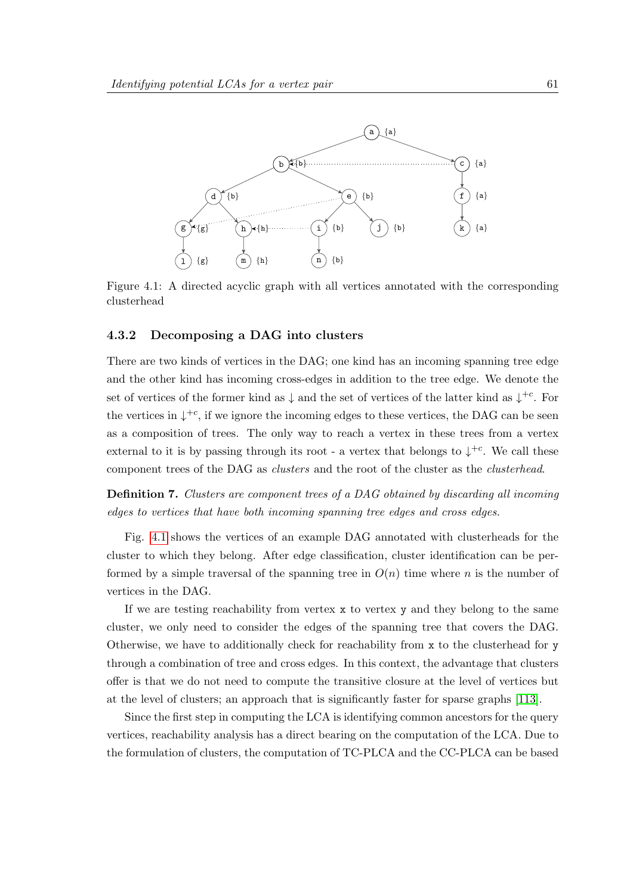<span id="page-60-0"></span>

Figure 4.1: A directed acyclic graph with all vertices annotated with the corresponding clusterhead

#### 4.3.2 Decomposing a DAG into clusters

There are two kinds of vertices in the DAG; one kind has an incoming spanning tree edge and the other kind has incoming cross-edges in addition to the tree edge. We denote the set of vertices of the former kind as  $\downarrow$  and the set of vertices of the latter kind as  $\downarrow ^{+c}$ . For the vertices in  $\downarrow^{+c}$ , if we ignore the incoming edges to these vertices, the DAG can be seen as a composition of trees. The only way to reach a vertex in these trees from a vertex external to it is by passing through its root - a vertex that belongs to  $\downarrow ^{+c}$ . We call these component trees of the DAG as clusters and the root of the cluster as the clusterhead.

Definition 7. Clusters are component trees of a DAG obtained by discarding all incoming edges to vertices that have both incoming spanning tree edges and cross edges.

Fig. [4.1](#page-60-0) shows the vertices of an example DAG annotated with clusterheads for the cluster to which they belong. After edge classification, cluster identification can be performed by a simple traversal of the spanning tree in  $O(n)$  time where n is the number of vertices in the DAG.

If we are testing reachability from vertex x to vertex y and they belong to the same cluster, we only need to consider the edges of the spanning tree that covers the DAG. Otherwise, we have to additionally check for reachability from x to the clusterhead for y through a combination of tree and cross edges. In this context, the advantage that clusters offer is that we do not need to compute the transitive closure at the level of vertices but at the level of clusters; an approach that is significantly faster for sparse graphs [\[113\]](#page-127-2).

Since the first step in computing the LCA is identifying common ancestors for the query vertices, reachability analysis has a direct bearing on the computation of the LCA. Due to the formulation of clusters, the computation of TC-PLCA and the CC-PLCA can be based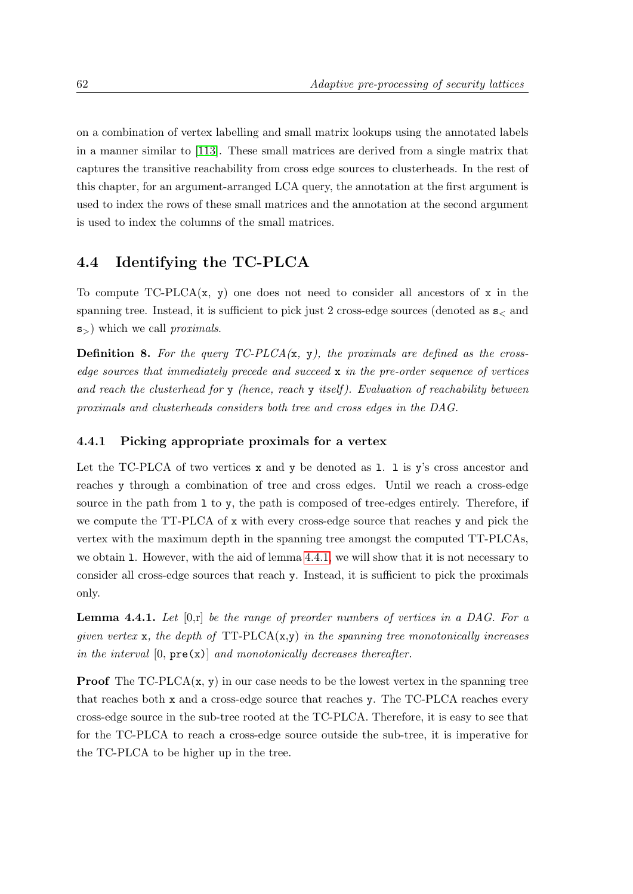on a combination of vertex labelling and small matrix lookups using the annotated labels in a manner similar to [\[113\]](#page-127-2). These small matrices are derived from a single matrix that captures the transitive reachability from cross edge sources to clusterheads. In the rest of this chapter, for an argument-arranged LCA query, the annotation at the first argument is used to index the rows of these small matrices and the annotation at the second argument is used to index the columns of the small matrices.

# <span id="page-61-0"></span>4.4 Identifying the TC-PLCA

To compute  $TC-PLCA(x, y)$  one does not need to consider all ancestors of x in the spanning tree. Instead, it is sufficient to pick just 2 cross-edge sources (denoted as  $s_{\le}$  and  $s_{>}$ ) which we call *proximals*.

**Definition 8.** For the query  $TC\text{-}PLCA(x, y)$ , the proximals are defined as the crossedge sources that immediately precede and succeed  $x$  in the pre-order sequence of vertices and reach the clusterhead for y (hence, reach y itself). Evaluation of reachability between proximals and clusterheads considers both tree and cross edges in the DAG.

# 4.4.1 Picking appropriate proximals for a vertex

Let the TC-PLCA of two vertices x and y be denoted as 1. 1 is y's cross ancestor and reaches y through a combination of tree and cross edges. Until we reach a cross-edge source in the path from l to y, the path is composed of tree-edges entirely. Therefore, if we compute the TT-PLCA of x with every cross-edge source that reaches y and pick the vertex with the maximum depth in the spanning tree amongst the computed TT-PLCAs, we obtain l. However, with the aid of lemma [4.4.1,](#page-61-1) we will show that it is not necessary to consider all cross-edge sources that reach y. Instead, it is sufficient to pick the proximals only.

<span id="page-61-1"></span>**Lemma 4.4.1.** Let  $[0, r]$  be the range of preorder numbers of vertices in a DAG. For a given vertex x, the depth of  $TT\text{-}PLCA(x,y)$  in the spanning tree monotonically increases in the interval  $[0, \text{pre}(x)]$  and monotonically decreases thereafter.

**Proof** The TC-PLCA $(x, y)$  in our case needs to be the lowest vertex in the spanning tree that reaches both x and a cross-edge source that reaches y. The TC-PLCA reaches every cross-edge source in the sub-tree rooted at the TC-PLCA. Therefore, it is easy to see that for the TC-PLCA to reach a cross-edge source outside the sub-tree, it is imperative for the TC-PLCA to be higher up in the tree.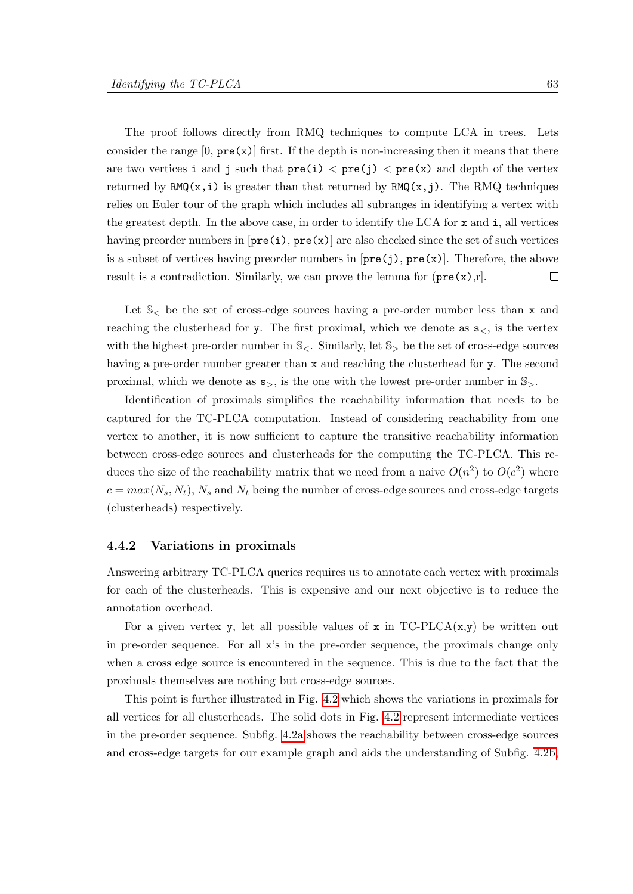The proof follows directly from RMQ techniques to compute LCA in trees. Lets consider the range  $[0, \text{pre}(x)]$  first. If the depth is non-increasing then it means that there are two vertices i and j such that  $pre(i) < pre(j)$  and depth of the vertex returned by RMQ( $(x,i)$ ) is greater than that returned by RMQ( $(x,j)$ ). The RMQ techniques relies on Euler tour of the graph which includes all subranges in identifying a vertex with the greatest depth. In the above case, in order to identify the LCA for x and i, all vertices having preorder numbers in  $[\text{pre}(i), \text{pre}(x)]$  are also checked since the set of such vertices is a subset of vertices having preorder numbers in  $[\text{pre}(j), \text{pre}(x)]$ . Therefore, the above result is a contradiction. Similarly, we can prove the lemma for  $(\text{pre}(x),r]$ .  $\Box$ 

Let  $\mathbb{S}_{\le}$  be the set of cross-edge sources having a pre-order number less than x and reaching the clusterhead for y. The first proximal, which we denote as  $s<sub>0</sub>$ , is the vertex with the highest pre-order number in  $\mathbb{S}_{\leq}$ . Similarly, let  $\mathbb{S}_{>}$  be the set of cross-edge sources having a pre-order number greater than x and reaching the clusterhead for y. The second proximal, which we denote as  $s_>,$  is the one with the lowest pre-order number in  $\mathbb{S}_>.$ 

Identification of proximals simplifies the reachability information that needs to be captured for the TC-PLCA computation. Instead of considering reachability from one vertex to another, it is now sufficient to capture the transitive reachability information between cross-edge sources and clusterheads for the computing the TC-PLCA. This reduces the size of the reachability matrix that we need from a naive  $O(n^2)$  to  $O(c^2)$  where  $c = max(N<sub>s</sub>, N<sub>t</sub>)$ ,  $N<sub>s</sub>$  and  $N<sub>t</sub>$  being the number of cross-edge sources and cross-edge targets (clusterheads) respectively.

# 4.4.2 Variations in proximals

Answering arbitrary TC-PLCA queries requires us to annotate each vertex with proximals for each of the clusterheads. This is expensive and our next objective is to reduce the annotation overhead.

For a given vertex y, let all possible values of  $x$  in TC-PLCA $(x,y)$  be written out in pre-order sequence. For all x's in the pre-order sequence, the proximals change only when a cross edge source is encountered in the sequence. This is due to the fact that the proximals themselves are nothing but cross-edge sources.

This point is further illustrated in Fig. [4.2](#page-63-0) which shows the variations in proximals for all vertices for all clusterheads. The solid dots in Fig. [4.2](#page-63-0) represent intermediate vertices in the pre-order sequence. Subfig. [4.2a](#page-63-1) shows the reachability between cross-edge sources and cross-edge targets for our example graph and aids the understanding of Subfig. [4.2b,](#page-63-2)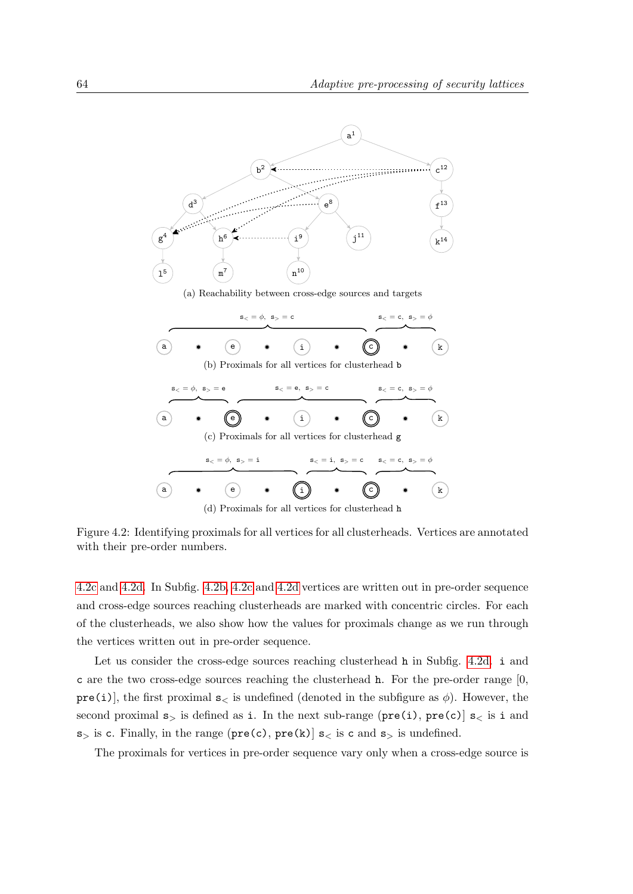<span id="page-63-2"></span><span id="page-63-1"></span><span id="page-63-0"></span>

<span id="page-63-4"></span><span id="page-63-3"></span>Figure 4.2: Identifying proximals for all vertices for all clusterheads. Vertices are annotated with their pre-order numbers.

[4.2c](#page-63-3) and [4.2d.](#page-63-4) In Subfig. [4.2b,](#page-63-2) [4.2c](#page-63-3) and [4.2d](#page-63-4) vertices are written out in pre-order sequence and cross-edge sources reaching clusterheads are marked with concentric circles. For each of the clusterheads, we also show how the values for proximals change as we run through the vertices written out in pre-order sequence.

Let us consider the cross-edge sources reaching clusterhead h in Subfig. [4.2d.](#page-63-4) i and c are the two cross-edge sources reaching the clusterhead h. For the pre-order range [0,  $pre(i)$ , the first proximal  $s<$  is undefined (denoted in the subfigure as  $\phi$ ). However, the second proximal  $s$  is defined as i. In the next sub-range (pre(i), pre(c)  $s$  is i and  $s$  is c. Finally, in the range (pre(c), pre(k)]  $s$  is c and  $s$  is undefined.

The proximals for vertices in pre-order sequence vary only when a cross-edge source is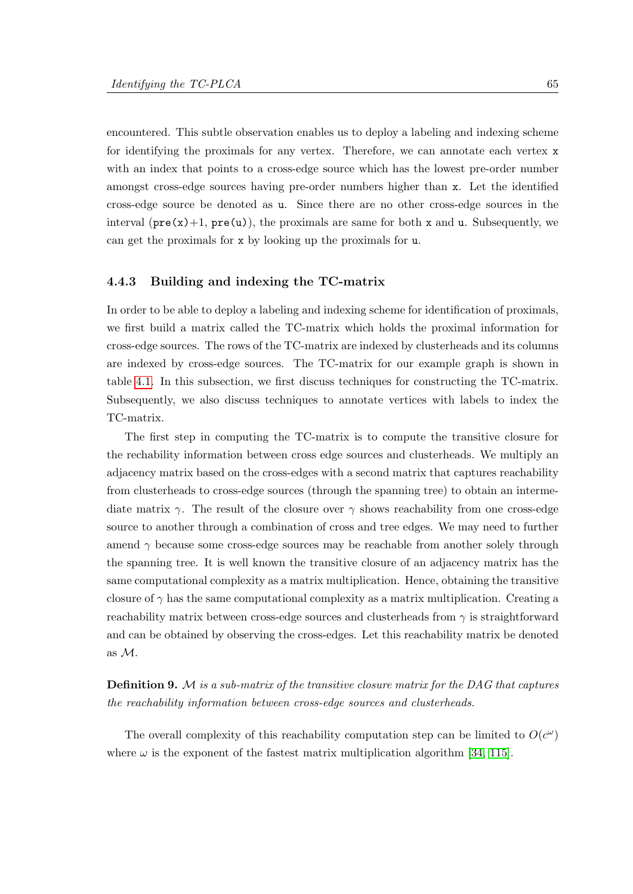encountered. This subtle observation enables us to deploy a labeling and indexing scheme for identifying the proximals for any vertex. Therefore, we can annotate each vertex x with an index that points to a cross-edge source which has the lowest pre-order number amongst cross-edge sources having pre-order numbers higher than x. Let the identified cross-edge source be denoted as u. Since there are no other cross-edge sources in the interval ( $pre(x)+1$ ,  $pre(u)$ ), the proximals are same for both x and u. Subsequently, we can get the proximals for x by looking up the proximals for u.

# 4.4.3 Building and indexing the TC-matrix

In order to be able to deploy a labeling and indexing scheme for identification of proximals, we first build a matrix called the TC-matrix which holds the proximal information for cross-edge sources. The rows of the TC-matrix are indexed by clusterheads and its columns are indexed by cross-edge sources. The TC-matrix for our example graph is shown in table [4.1.](#page-65-0) In this subsection, we first discuss techniques for constructing the TC-matrix. Subsequently, we also discuss techniques to annotate vertices with labels to index the TC-matrix.

The first step in computing the TC-matrix is to compute the transitive closure for the rechability information between cross edge sources and clusterheads. We multiply an adjacency matrix based on the cross-edges with a second matrix that captures reachability from clusterheads to cross-edge sources (through the spanning tree) to obtain an intermediate matrix  $\gamma$ . The result of the closure over  $\gamma$  shows reachability from one cross-edge source to another through a combination of cross and tree edges. We may need to further amend  $\gamma$  because some cross-edge sources may be reachable from another solely through the spanning tree. It is well known the transitive closure of an adjacency matrix has the same computational complexity as a matrix multiplication. Hence, obtaining the transitive closure of  $\gamma$  has the same computational complexity as a matrix multiplication. Creating a reachability matrix between cross-edge sources and clusterheads from  $\gamma$  is straightforward and can be obtained by observing the cross-edges. Let this reachability matrix be denoted as M.

**Definition 9.** M is a sub-matrix of the transitive closure matrix for the DAG that captures the reachability information between cross-edge sources and clusterheads.

The overall complexity of this reachability computation step can be limited to  $O(c^{\omega})$ where  $\omega$  is the exponent of the fastest matrix multiplication algorithm [\[34,](#page-119-1) [115\]](#page-127-1).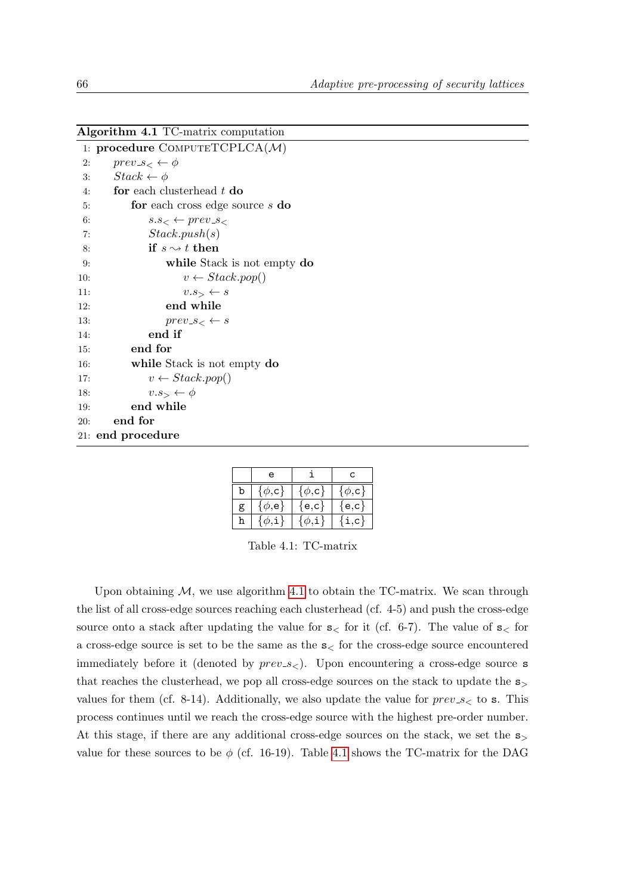<span id="page-65-1"></span>Algorithm 4.1 TC-matrix computation

|     | 1: procedure $COMPUTETCPLCA(\mathcal{M})$ |
|-----|-------------------------------------------|
| 2:  | $prev_s \leftarrow \phi$                  |
| 3:  | $Stack \leftarrow \phi$                   |
| 4:  | for each clusterhead $t$ do               |
| 5:  | for each cross edge source s do           |
| 6:  | $s.s_{\leq} \leftarrow prev\_s_{\leq}$    |
| 7:  | Stack.push(s)                             |
| 8:  | if $s \sim t$ then                        |
| 9:  | while Stack is not empty do               |
| 10: | $v \leftarrow Stack.pop()$                |
| 11: | $v.s_{>} \leftarrow s$                    |
| 12: | end while                                 |
| 13: | $prev_s \leftarrow s$                     |
| 14: | end if                                    |
| 15: | end for                                   |
| 16: | while Stack is not empty do               |
| 17: | $v \leftarrow Stack.pop()$                |
| 18: | $v.s_{>} \leftarrow \phi$                 |
| 19: | end while                                 |
| 20: | end for                                   |
|     | 21: end procedure                         |

|   | e                     |               |                         |
|---|-----------------------|---------------|-------------------------|
| b | $\{\phi, c\}$         | $\{\phi, c\}$ | $\{\phi, {\tt c}\}$     |
| g | $\{\phi,\mathsf{e}\}$ | e, c          | , e, c                  |
| n |                       | $\phi$ ,i     | $\cdot$ . $C^{\dagger}$ |

Table 4.1: TC-matrix

<span id="page-65-0"></span>Upon obtaining  $M$ , we use algorithm [4.1](#page-65-1) to obtain the TC-matrix. We scan through the list of all cross-edge sources reaching each clusterhead (cf. 4-5) and push the cross-edge source onto a stack after updating the value for  $s<$  for it (cf. 6-7). The value of  $s<$  for a cross-edge source is set to be the same as the  $s<sub>z</sub>$  for the cross-edge source encountered immediately before it (denoted by  $prev_s$ ). Upon encountering a cross-edge source s that reaches the clusterhead, we pop all cross-edge sources on the stack to update the s<sup>&</sup>gt; values for them (cf. 8-14). Additionally, we also update the value for  $prev_s<sub>0</sub>$  to s. This process continues until we reach the cross-edge source with the highest pre-order number. At this stage, if there are any additional cross-edge sources on the stack, we set the  $s_>$ value for these sources to be  $\phi$  (cf. 16-19). Table [4.1](#page-65-0) shows the TC-matrix for the DAG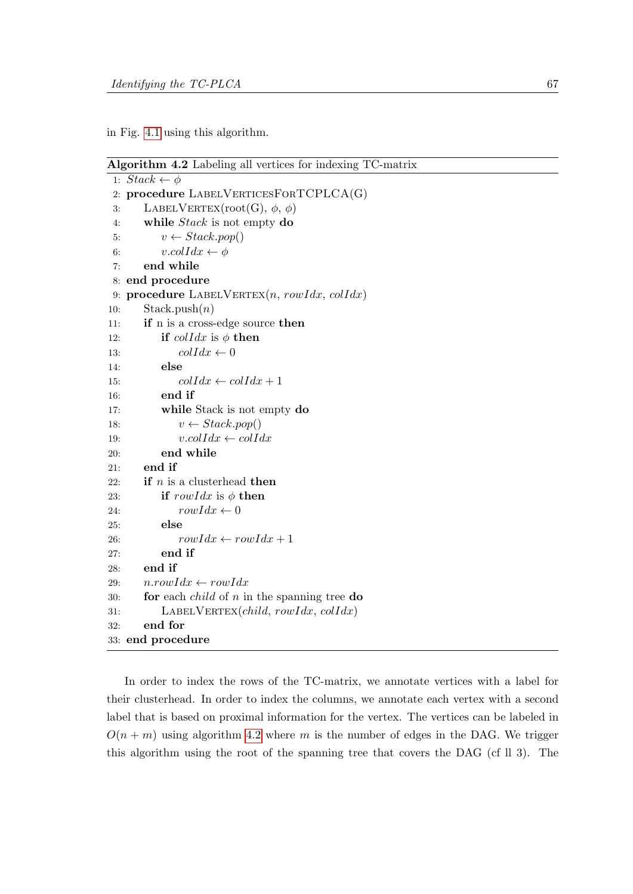in Fig. [4.1](#page-60-0) using this algorithm.

<span id="page-66-0"></span>Algorithm 4.2 Labeling all vertices for indexing TC-matrix

|     | 1: $Stack \leftarrow \phi$                           |
|-----|------------------------------------------------------|
|     | 2: procedure LABELVERTICESFORTCPLCA(G)               |
| 3:  | LABELVERTEX(root(G), $\phi$ , $\phi$ )               |
| 4:  | while <i>Stack</i> is not empty do                   |
| 5:  | $v \leftarrow Stack.pop()$                           |
| 6:  | $v.colIdx \leftarrow \phi$                           |
| 7:  | end while                                            |
| 8:  | end procedure                                        |
| 9:  | procedure LABELVERTEX $(n, rowIdx, colIdx)$          |
| 10: | Stack.push(n)                                        |
| 11: | if n is a cross-edge source then                     |
| 12: | if colldx is $\phi$ then                             |
| 13: | $colldx \leftarrow 0$                                |
| 14: | else                                                 |
| 15: | $colldx \leftarrow colldx + 1$                       |
| 16: | end if                                               |
| 17: | while Stack is not empty do                          |
| 18: | $v \leftarrow Stack.pop()$                           |
| 19: | $v.colldx \leftarrow colldx$                         |
| 20: | end while                                            |
| 21: | end if                                               |
| 22: | if $n$ is a clusterhead then                         |
| 23: | if rowIdx is $\phi$ then                             |
| 24: | $rowIdx \leftarrow 0$                                |
| 25: | else                                                 |
| 26: | $rowIdx \leftarrow rowIdx + 1$                       |
| 27: | end if                                               |
| 28: | end if                                               |
| 29: | $nrowIdx \leftarrow rowIdx$                          |
| 30: | for each <i>child</i> of $n$ in the spanning tree do |
| 31: | LABELVERTEX( <i>child, rowIdx, colIdx</i> )          |
| 32: | end for                                              |
|     | 33: end procedure                                    |

In order to index the rows of the TC-matrix, we annotate vertices with a label for their clusterhead. In order to index the columns, we annotate each vertex with a second label that is based on proximal information for the vertex. The vertices can be labeled in  $O(n+m)$  using algorithm [4.2](#page-66-0) where m is the number of edges in the DAG. We trigger this algorithm using the root of the spanning tree that covers the DAG (cf ll 3). The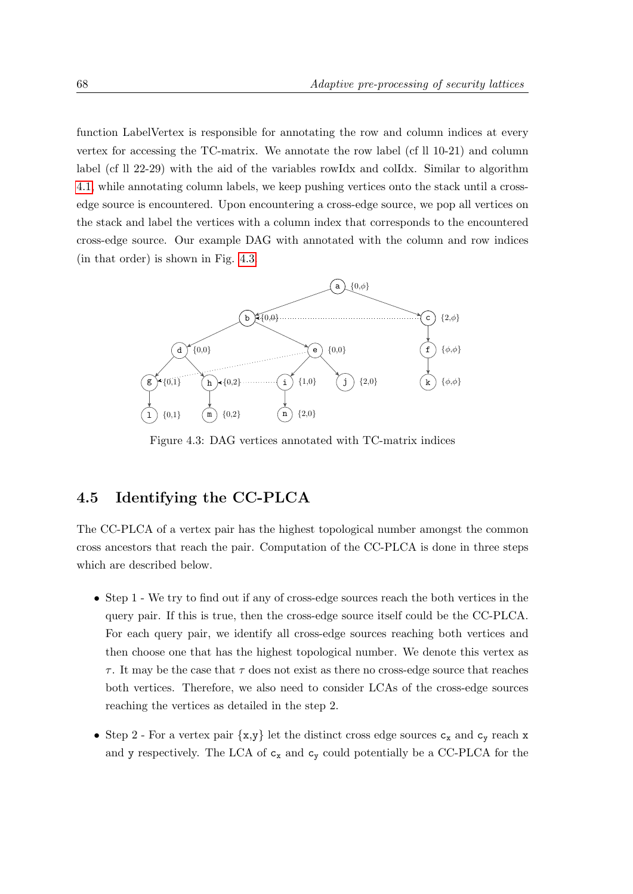function LabelVertex is responsible for annotating the row and column indices at every vertex for accessing the TC-matrix. We annotate the row label (cf ll 10-21) and column label (cf ll 22-29) with the aid of the variables rowIdx and colIdx. Similar to algorithm [4.1,](#page-65-1) while annotating column labels, we keep pushing vertices onto the stack until a crossedge source is encountered. Upon encountering a cross-edge source, we pop all vertices on the stack and label the vertices with a column index that corresponds to the encountered cross-edge source. Our example DAG with annotated with the column and row indices (in that order) is shown in Fig. [4.3.](#page-67-1)

<span id="page-67-1"></span>

Figure 4.3: DAG vertices annotated with TC-matrix indices

# <span id="page-67-0"></span>4.5 Identifying the CC-PLCA

The CC-PLCA of a vertex pair has the highest topological number amongst the common cross ancestors that reach the pair. Computation of the CC-PLCA is done in three steps which are described below.

- Step 1 We try to find out if any of cross-edge sources reach the both vertices in the query pair. If this is true, then the cross-edge source itself could be the CC-PLCA. For each query pair, we identify all cross-edge sources reaching both vertices and then choose one that has the highest topological number. We denote this vertex as  $\tau$ . It may be the case that  $\tau$  does not exist as there no cross-edge source that reaches both vertices. Therefore, we also need to consider LCAs of the cross-edge sources reaching the vertices as detailed in the step 2.
- Step 2 For a vertex pair  $\{x,y\}$  let the distinct cross edge sources  $c_x$  and  $c_y$  reach x and y respectively. The LCA of  $c_x$  and  $c_y$  could potentially be a CC-PLCA for the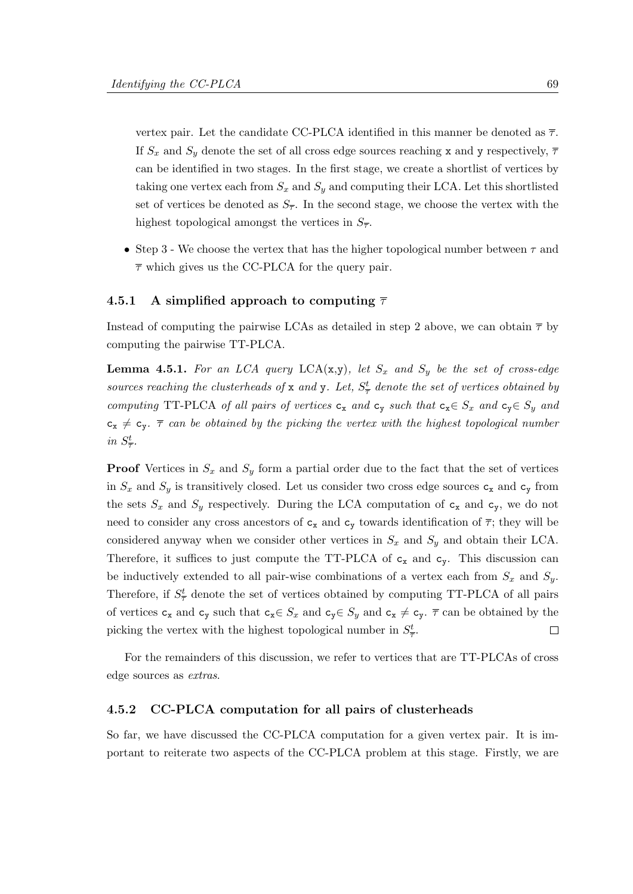vertex pair. Let the candidate CC-PLCA identified in this manner be denoted as  $\overline{\tau}$ . If  $S_x$  and  $S_y$  denote the set of all cross edge sources reaching x and y respectively,  $\overline{\tau}$ can be identified in two stages. In the first stage, we create a shortlist of vertices by taking one vertex each from  $S_x$  and  $S_y$  and computing their LCA. Let this shortlisted set of vertices be denoted as  $S_{\overline{\tau}}$ . In the second stage, we choose the vertex with the highest topological amongst the vertices in  $S_{\overline{t}}$ .

• Step 3 - We choose the vertex that has the higher topological number between  $\tau$  and  $\bar{\tau}$  which gives us the CC-PLCA for the query pair.

# 4.5.1 A simplified approach to computing  $\bar{\tau}$

Instead of computing the pairwise LCAs as detailed in step 2 above, we can obtain  $\bar{\tau}$  by computing the pairwise TT-PLCA.

**Lemma 4.5.1.** For an LCA query LCA(x,y), let  $S_x$  and  $S_y$  be the set of cross-edge sources reaching the clusterheads of x and y. Let,  $S_{\overline{\tau}}^t$  denote the set of vertices obtained by computing TT-PLCA of all pairs of vertices  $c_x$  and  $c_y$  such that  $c_x \in S_x$  and  $c_y \in S_y$  and  $c_x \neq c_y$ .  $\overline{\tau}$  can be obtained by the picking the vertex with the highest topological number in  $S^t_{\overline{\tau}}$ .

**Proof** Vertices in  $S_x$  and  $S_y$  form a partial order due to the fact that the set of vertices in  $S_x$  and  $S_y$  is transitively closed. Let us consider two cross edge sources  $c_x$  and  $c_y$  from the sets  $S_x$  and  $S_y$  respectively. During the LCA computation of  $c_x$  and  $c_y$ , we do not need to consider any cross ancestors of  $c_x$  and  $c_y$  towards identification of  $\overline{\tau}$ ; they will be considered anyway when we consider other vertices in  $S_x$  and  $S_y$  and obtain their LCA. Therefore, it suffices to just compute the TT-PLCA of  $c_x$  and  $c_y$ . This discussion can be inductively extended to all pair-wise combinations of a vertex each from  $S_x$  and  $S_y$ . Therefore, if  $S_{\overline{\tau}}^t$  denote the set of vertices obtained by computing TT-PLCA of all pairs of vertices  $c_x$  and  $c_y$  such that  $c_x \in S_x$  and  $c_y \in S_y$  and  $c_x \neq c_y$ .  $\overline{\tau}$  can be obtained by the picking the vertex with the highest topological number in  $S_{\overline{\tau}}^t$ .  $\Box$ 

For the remainders of this discussion, we refer to vertices that are TT-PLCAs of cross edge sources as extras.

#### 4.5.2 CC-PLCA computation for all pairs of clusterheads

So far, we have discussed the CC-PLCA computation for a given vertex pair. It is important to reiterate two aspects of the CC-PLCA problem at this stage. Firstly, we are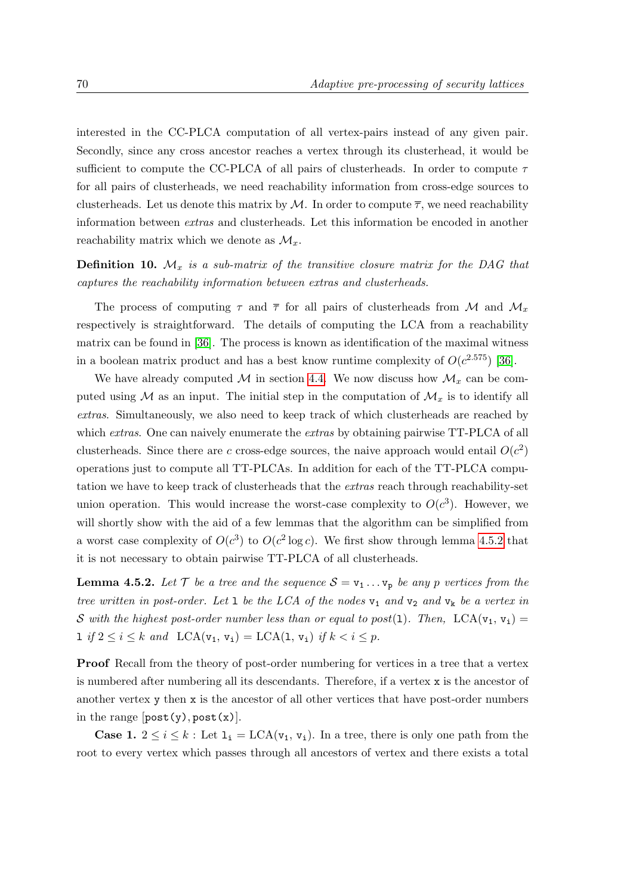interested in the CC-PLCA computation of all vertex-pairs instead of any given pair. Secondly, since any cross ancestor reaches a vertex through its clusterhead, it would be sufficient to compute the CC-PLCA of all pairs of clusterheads. In order to compute  $\tau$ for all pairs of clusterheads, we need reachability information from cross-edge sources to clusterheads. Let us denote this matrix by M. In order to compute  $\overline{\tau}$ , we need reachability information between extras and clusterheads. Let this information be encoded in another reachability matrix which we denote as  $\mathcal{M}_x$ .

**Definition 10.**  $\mathcal{M}_x$  is a sub-matrix of the transitive closure matrix for the DAG that captures the reachability information between extras and clusterheads.

The process of computing  $\tau$  and  $\bar{\tau}$  for all pairs of clusterheads from M and  $\mathcal{M}_x$ respectively is straightforward. The details of computing the LCA from a reachability matrix can be found in [\[36\]](#page-120-0). The process is known as identification of the maximal witness in a boolean matrix product and has a best know runtime complexity of  $O(c^{2.575})$  [\[36\]](#page-120-0).

We have already computed  $\mathcal M$  in section [4.4.](#page-61-0) We now discuss how  $\mathcal M_x$  can be computed using M as an input. The initial step in the computation of  $\mathcal{M}_x$  is to identify all extras. Simultaneously, we also need to keep track of which clusterheads are reached by which extras. One can naively enumerate the extras by obtaining pairwise TT-PLCA of all clusterheads. Since there are c cross-edge sources, the naive approach would entail  $O(c^2)$ operations just to compute all TT-PLCAs. In addition for each of the TT-PLCA computation we have to keep track of clusterheads that the extras reach through reachability-set union operation. This would increase the worst-case complexity to  $O(c^3)$ . However, we will shortly show with the aid of a few lemmas that the algorithm can be simplified from a worst case complexity of  $O(c^3)$  to  $O(c^2 \log c)$ . We first show through lemma [4.5.2](#page-69-0) that it is not necessary to obtain pairwise TT-PLCA of all clusterheads.

<span id="page-69-0"></span>**Lemma 4.5.2.** Let  $\mathcal{T}$  be a tree and the sequence  $\mathcal{S} = \mathbf{v}_1 \dots \mathbf{v}_p$  be any p vertices from the tree written in post-order. Let 1 be the LCA of the nodes  $v_1$  and  $v_2$  and  $v_k$  be a vertex in S with the highest post-order number less than or equal to post(1). Then,  $LCA(v_1, v_1)$  = 1 if  $2 \leq i \leq k$  and  $\text{LCA}(v_1, v_i) = \text{LCA}(1, v_i)$  if  $k < i \leq p$ .

Proof Recall from the theory of post-order numbering for vertices in a tree that a vertex is numbered after numbering all its descendants. Therefore, if a vertex x is the ancestor of another vertex y then x is the ancestor of all other vertices that have post-order numbers in the range  $[post(y), post(x)].$ 

**Case 1.**  $2 \leq i \leq k$ : Let  $1_i = LCA(v_1, v_i)$ . In a tree, there is only one path from the root to every vertex which passes through all ancestors of vertex and there exists a total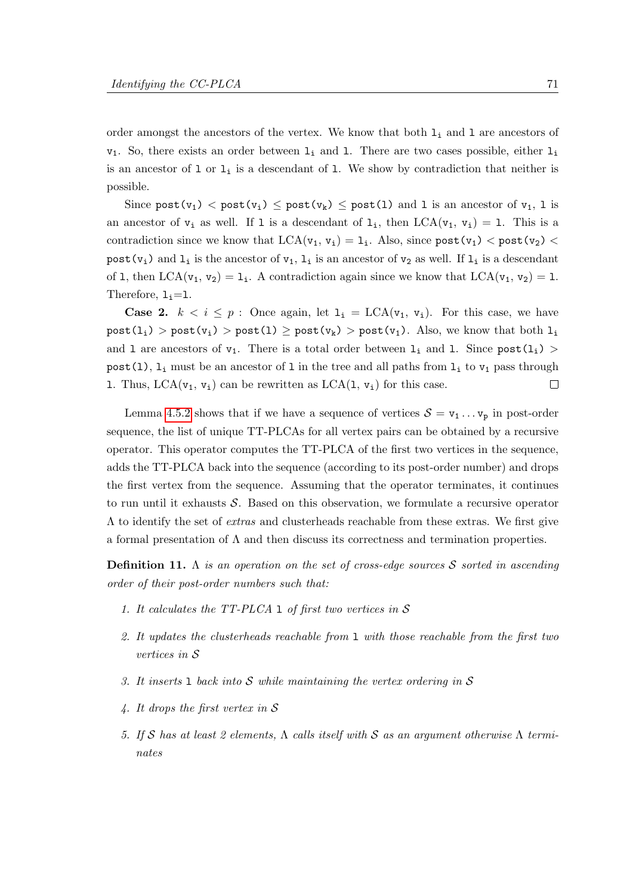order amongst the ancestors of the vertex. We know that both  $l_i$  and  $l$  are ancestors of  $v_1$ . So, there exists an order between  $l_i$  and 1. There are two cases possible, either  $l_i$ is an ancestor of  $1$  or  $1_i$  is a descendant of 1. We show by contradiction that neither is possible.

Since  $post(v_1) < post(v_i) \leq post(v_k) \leq post(1)$  and 1 is an ancestor of  $v_1$ , 1 is an ancestor of  $v_i$  as well. If 1 is a descendant of  $l_i$ , then  $LCA(v_i, v_i) = 1$ . This is a contradiction since we know that  $LCA(v_1, v_i) = 1$ . Also, since  $post(v_1) < post(v_2)$ post( $v_i$ ) and  $l_i$  is the ancestor of  $v_1$ ,  $l_i$  is an ancestor of  $v_2$  as well. If  $l_i$  is a descendant of 1, then  $LCA(v_1, v_2) = 1$ . A contradiction again since we know that  $LCA(v_1, v_2) = 1$ . Therefore,  $l_i=1$ .

**Case 2.**  $k < i \leq p$ : Once again, let  $\mathbf{1_i} = \text{LCA}(\mathbf{v_1}, \mathbf{v_i})$ . For this case, we have  $post(l_i) > post(v_i) > post(l) \ge post(v_k) > post(v_1)$ . Also, we know that both  $l_i$ and 1 are ancestors of  $v_1$ . There is a total order between  $l_i$  and 1. Since  $post(l_i)$ post(1),  $l_i$  must be an ancestor of 1 in the tree and all paths from  $l_i$  to  $v_1$  pass through 1. Thus,  $LCA(v_1, v_i)$  can be rewritten as  $LCA(1, v_i)$  for this case.  $\Box$ 

Lemma [4.5.2](#page-69-0) shows that if we have a sequence of vertices  $S = v_1 \dots v_p$  in post-order sequence, the list of unique TT-PLCAs for all vertex pairs can be obtained by a recursive operator. This operator computes the TT-PLCA of the first two vertices in the sequence, adds the TT-PLCA back into the sequence (according to its post-order number) and drops the first vertex from the sequence. Assuming that the operator terminates, it continues to run until it exhausts  $\mathcal{S}$ . Based on this observation, we formulate a recursive operator  $\Lambda$  to identify the set of *extras* and clusterheads reachable from these extras. We first give a formal presentation of  $\Lambda$  and then discuss its correctness and termination properties.

**Definition 11.**  $\Lambda$  is an operation on the set of cross-edge sources S sorted in ascending order of their post-order numbers such that:

- 1. It calculates the TT-PLCA 1 of first two vertices in  $S$
- 2. It updates the clusterheads reachable from l with those reachable from the first two vertices in S
- 3. It inserts 1 back into S while maintaining the vertex ordering in  $S$
- 4. It drops the first vertex in S
- 5. If S has at least 2 elements,  $\Lambda$  calls itself with S as an argument otherwise  $\Lambda$  terminates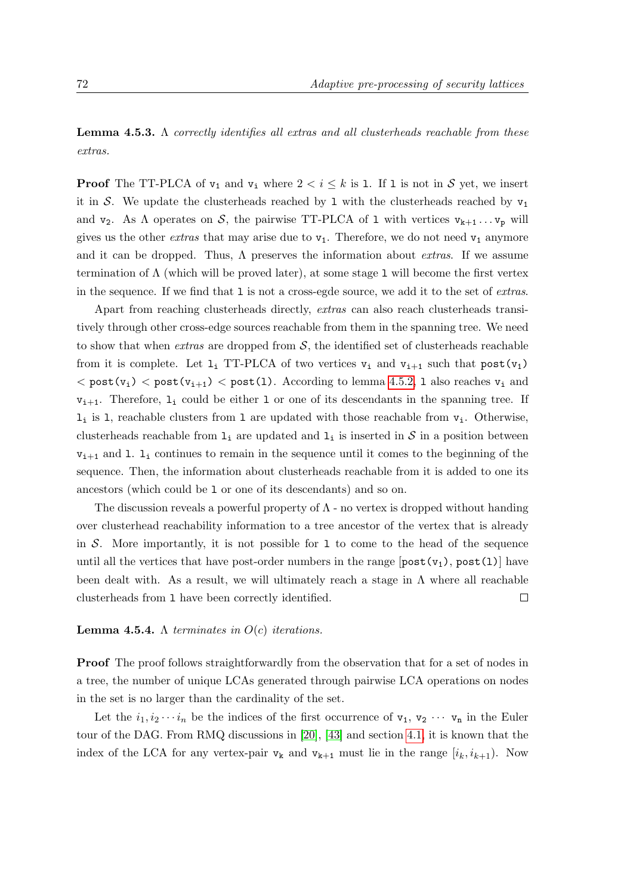**Lemma 4.5.3.**  $\Lambda$  correctly identifies all extras and all clusterheads reachable from these extras.

**Proof** The TT-PLCA of  $v_1$  and  $v_i$  where  $2 < i \leq k$  is 1. If 1 is not in S yet, we insert it in S. We update the clusterheads reached by 1 with the clusterheads reached by  $v_1$ and  $v_2$ . As  $\Lambda$  operates on  $S$ , the pairwise TT-PLCA of 1 with vertices  $v_{k+1} \ldots v_p$  will gives us the other extras that may arise due to  $v_1$ . Therefore, we do not need  $v_1$  anymore and it can be dropped. Thus,  $\Lambda$  preserves the information about *extras*. If we assume termination of  $\Lambda$  (which will be proved later), at some stage 1 will become the first vertex in the sequence. If we find that 1 is not a cross-egde source, we add it to the set of extras.

Apart from reaching clusterheads directly, extras can also reach clusterheads transitively through other cross-edge sources reachable from them in the spanning tree. We need to show that when *extras* are dropped from  $S$ , the identified set of clusterheads reachable from it is complete. Let  $l_i$  TT-PLCA of two vertices  $v_i$  and  $v_{i+1}$  such that  $post(v_1)$  $<$  post( $v_i$ )  $<$  post( $v_{i+1}$ )  $<$  post(1). According to lemma [4.5.2,](#page-69-0) 1 also reaches  $v_i$  and  $v_{i+1}$ . Therefore,  $l_i$  could be either 1 or one of its descendants in the spanning tree. If  $l_i$  is 1, reachable clusters from 1 are updated with those reachable from  $v_i$ . Otherwise, clusterheads reachable from  $1_i$  are updated and  $1_i$  is inserted in S in a position between  $v_{i+1}$  and 1.  $l_i$  continues to remain in the sequence until it comes to the beginning of the sequence. Then, the information about clusterheads reachable from it is added to one its ancestors (which could be l or one of its descendants) and so on.

The discussion reveals a powerful property of  $\Lambda$  - no vertex is dropped without handing over clusterhead reachability information to a tree ancestor of the vertex that is already in S. More importantly, it is not possible for 1 to come to the head of the sequence until all the vertices that have post-order numbers in the range  $[post(v_1), post(1)]$  have been dealt with. As a result, we will ultimately reach a stage in  $\Lambda$  where all reachable clusterheads from l have been correctly identified.  $\Box$ 

#### Lemma 4.5.4. Λ terminates in  $O(c)$  iterations.

**Proof** The proof follows straightforwardly from the observation that for a set of nodes in a tree, the number of unique LCAs generated through pairwise LCA operations on nodes in the set is no larger than the cardinality of the set.

Let the  $i_1, i_2 \cdots i_n$  be the indices of the first occurrence of  $v_1, v_2 \cdots v_n$  in the Euler tour of the DAG. From RMQ discussions in [\[20\]](#page-118-1), [\[43\]](#page-120-2) and section [4.1,](#page-55-1) it is known that the index of the LCA for any vertex-pair  $v_k$  and  $v_{k+1}$  must lie in the range  $[i_k, i_{k+1})$ . Now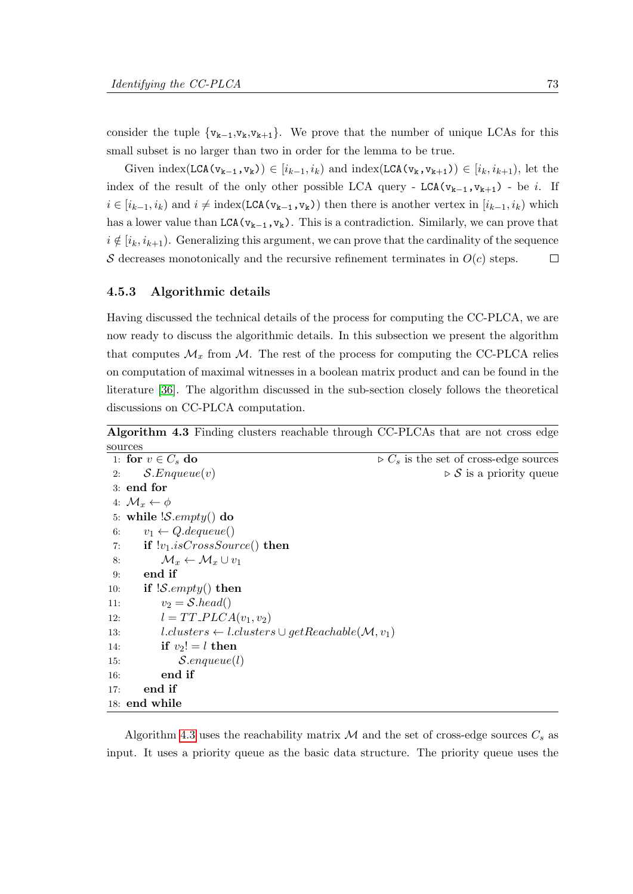consider the tuple  ${v_{k-1}, v_k, v_{k+1}}$ . We prove that the number of unique LCAs for this small subset is no larger than two in order for the lemma to be true.

Given index(LCA( $v_{k-1}, v_k$ )) ∈ [ $i_{k-1}, i_k$ ) and index(LCA( $v_k, v_{k+1}$ )) ∈ [ $i_k, i_{k+1}$ ), let the index of the result of the only other possible LCA query - LCA( $v_{k-1}, v_{k+1}$ ) - be *i*. If  $i \in [i_{k-1}, i_k)$  and  $i \neq \text{index}(\text{LCA}(v_{k-1}, v_k))$  then there is another vertex in  $[i_{k-1}, i_k)$  which has a lower value than  $LCA(v_{k-1},v_k)$ . This is a contradiction. Similarly, we can prove that  $i \notin [i_k, i_{k+1})$ . Generalizing this argument, we can prove that the cardinality of the sequence S decreases monotonically and the recursive refinement terminates in  $O(c)$  steps.  $\Box$ 

## 4.5.3 Algorithmic details

Having discussed the technical details of the process for computing the CC-PLCA, we are now ready to discuss the algorithmic details. In this subsection we present the algorithm that computes  $\mathcal{M}_x$  from  $\mathcal{M}$ . The rest of the process for computing the CC-PLCA relies on computation of maximal witnesses in a boolean matrix product and can be found in the literature [\[36\]](#page-120-0). The algorithm discussed in the sub-section closely follows the theoretical discussions on CC-PLCA computation.

<span id="page-72-0"></span>Algorithm 4.3 Finding clusters reachable through CC-PLCAs that are not cross edge

|     | sources                                                          |                                                       |
|-----|------------------------------------------------------------------|-------------------------------------------------------|
|     | 1: for $v \in C_s$ do                                            | $\triangleright C_s$ is the set of cross-edge sources |
| 2:  | $\mathcal{S}.Enqueue(v)$                                         | $\triangleright$ S is a priority queue                |
|     | $3:$ end for                                                     |                                                       |
|     | 4: $\mathcal{M}_x \leftarrow \phi$                               |                                                       |
|     | 5: while $\mathcal{S}.empty()$ do                                |                                                       |
| 6:  | $v_1 \leftarrow Q$ . dequeue()                                   |                                                       |
| 7:  | if $!v_1.isCrossSource()$ then                                   |                                                       |
| 8:  | $\mathcal{M}_x \leftarrow \mathcal{M}_x \cup v_1$                |                                                       |
| 9:  | end if                                                           |                                                       |
| 10: | if $\mathcal{S}.empty()$ then                                    |                                                       |
| 11: | $v_2 = S \cdot head()$                                           |                                                       |
| 12: | $l = TT\_PLCA(v_1, v_2)$                                         |                                                       |
| 13: | $l.class \leftarrow l.class \cup getReachable(\mathcal{M}, v_1)$ |                                                       |
| 14: | if $v_2! = l$ then                                               |                                                       |
| 15: | $\mathcal{S}.enqueue(l)$                                         |                                                       |
| 16: | end if                                                           |                                                       |
| 17: | end if                                                           |                                                       |
|     | $18:$ end while                                                  |                                                       |

Algorithm [4.3](#page-72-0) uses the reachability matrix  $M$  and the set of cross-edge sources  $C_s$  as input. It uses a priority queue as the basic data structure. The priority queue uses the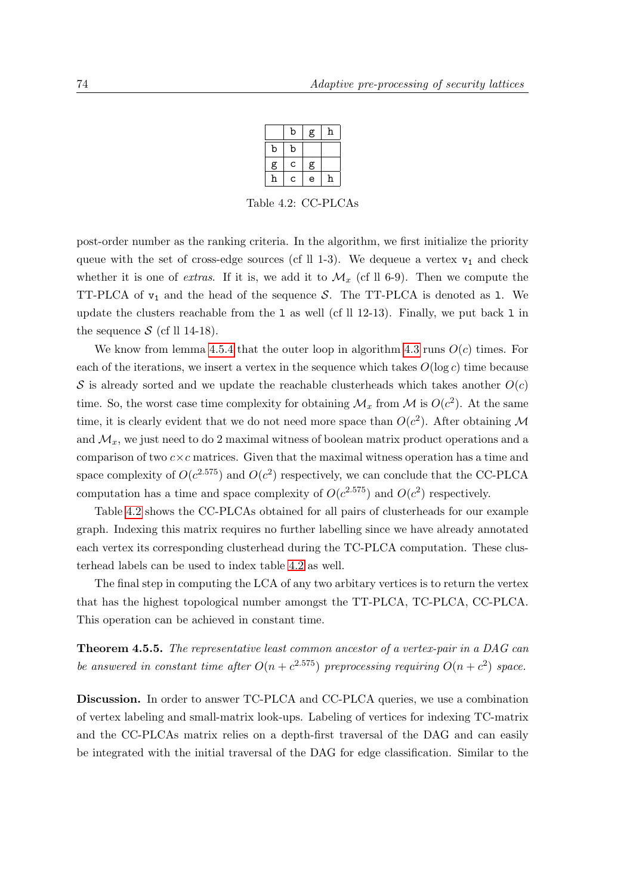|   | b           | g | h |
|---|-------------|---|---|
| b | b           |   |   |
| g | C           | g |   |
| h | $\mathbf C$ | e | h |

Table 4.2: CC-PLCAs

<span id="page-73-0"></span>post-order number as the ranking criteria. In the algorithm, we first initialize the priority queue with the set of cross-edge sources (cf ll 1-3). We dequeue a vertex  $v_1$  and check whether it is one of *extras*. If it is, we add it to  $\mathcal{M}_x$  (cf ll 6-9). Then we compute the TT-PLCA of  $v_1$  and the head of the sequence S. The TT-PLCA is denoted as 1. We update the clusters reachable from the 1 as well (cf  $\llbracket$  12-13). Finally, we put back 1 in the sequence  $S$  (cf II 14-18).

We know from lemma [4.5.4](#page-71-0) that the outer loop in algorithm [4.3](#page-72-0) runs  $O(c)$  times. For each of the iterations, we insert a vertex in the sequence which takes  $O(\log c)$  time because S is already sorted and we update the reachable clusterheads which takes another  $O(c)$ time. So, the worst case time complexity for obtaining  $\mathcal{M}_x$  from  $\mathcal{M}$  is  $O(c^2)$ . At the same time, it is clearly evident that we do not need more space than  $O(c^2)$ . After obtaining M and  $\mathcal{M}_x$ , we just need to do 2 maximal witness of boolean matrix product operations and a comparison of two  $c \times c$  matrices. Given that the maximal witness operation has a time and space complexity of  $O(c^{2.575})$  and  $O(c^2)$  respectively, we can conclude that the CC-PLCA computation has a time and space complexity of  $O(c^{2.575})$  and  $O(c^2)$  respectively.

Table [4.2](#page-73-0) shows the CC-PLCAs obtained for all pairs of clusterheads for our example graph. Indexing this matrix requires no further labelling since we have already annotated each vertex its corresponding clusterhead during the TC-PLCA computation. These clusterhead labels can be used to index table [4.2](#page-73-0) as well.

The final step in computing the LCA of any two arbitary vertices is to return the vertex that has the highest topological number amongst the TT-PLCA, TC-PLCA, CC-PLCA. This operation can be achieved in constant time.

Theorem 4.5.5. The representative least common ancestor of a vertex-pair in a DAG can be answered in constant time after  $O(n + c^{2.575})$  preprocessing requiring  $O(n + c^2)$  space.

Discussion. In order to answer TC-PLCA and CC-PLCA queries, we use a combination of vertex labeling and small-matrix look-ups. Labeling of vertices for indexing TC-matrix and the CC-PLCAs matrix relies on a depth-first traversal of the DAG and can easily be integrated with the initial traversal of the DAG for edge classification. Similar to the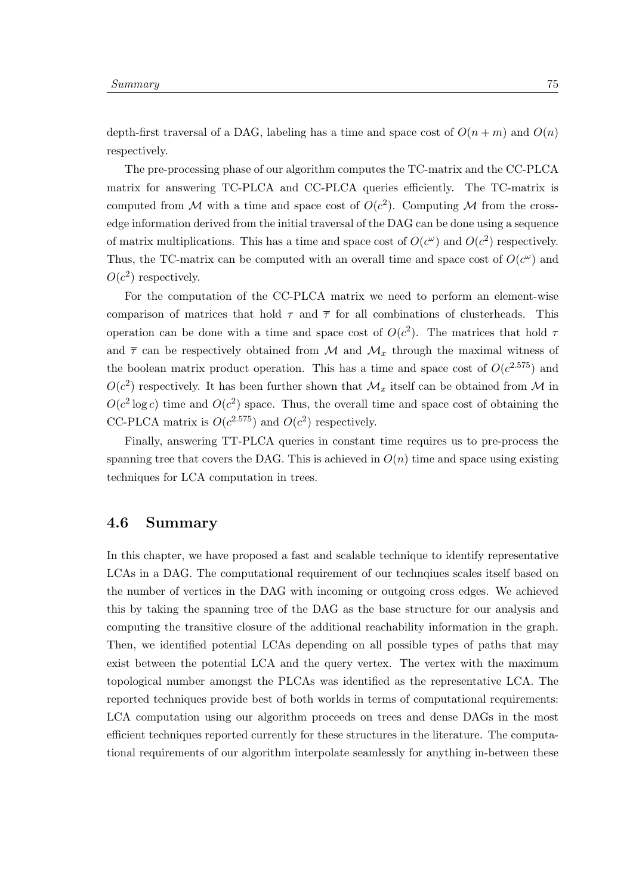depth-first traversal of a DAG, labeling has a time and space cost of  $O(n+m)$  and  $O(n)$ respectively.

The pre-processing phase of our algorithm computes the TC-matrix and the CC-PLCA matrix for answering TC-PLCA and CC-PLCA queries efficiently. The TC-matrix is computed from M with a time and space cost of  $O(c^2)$ . Computing M from the crossedge information derived from the initial traversal of the DAG can be done using a sequence of matrix multiplications. This has a time and space cost of  $O(c^{\omega})$  and  $O(c^2)$  respectively. Thus, the TC-matrix can be computed with an overall time and space cost of  $O(c^{\omega})$  and  $O(c^2)$  respectively.

For the computation of the CC-PLCA matrix we need to perform an element-wise comparison of matrices that hold  $\tau$  and  $\bar{\tau}$  for all combinations of clusterheads. This operation can be done with a time and space cost of  $O(c^2)$ . The matrices that hold  $\tau$ and  $\bar{\tau}$  can be respectively obtained from M and  $\mathcal{M}_x$  through the maximal witness of the boolean matrix product operation. This has a time and space cost of  $O(c^{2.575})$  and  $O(c^2)$  respectively. It has been further shown that  $\mathcal{M}_x$  itself can be obtained from M in  $O(c^2 \log c)$  time and  $O(c^2)$  space. Thus, the overall time and space cost of obtaining the CC-PLCA matrix is  $O(c^{2.575})$  and  $O(c^2)$  respectively.

Finally, answering TT-PLCA queries in constant time requires us to pre-process the spanning tree that covers the DAG. This is achieved in  $O(n)$  time and space using existing techniques for LCA computation in trees.

# 4.6 Summary

In this chapter, we have proposed a fast and scalable technique to identify representative LCAs in a DAG. The computational requirement of our technqiues scales itself based on the number of vertices in the DAG with incoming or outgoing cross edges. We achieved this by taking the spanning tree of the DAG as the base structure for our analysis and computing the transitive closure of the additional reachability information in the graph. Then, we identified potential LCAs depending on all possible types of paths that may exist between the potential LCA and the query vertex. The vertex with the maximum topological number amongst the PLCAs was identified as the representative LCA. The reported techniques provide best of both worlds in terms of computational requirements: LCA computation using our algorithm proceeds on trees and dense DAGs in the most efficient techniques reported currently for these structures in the literature. The computational requirements of our algorithm interpolate seamlessly for anything in-between these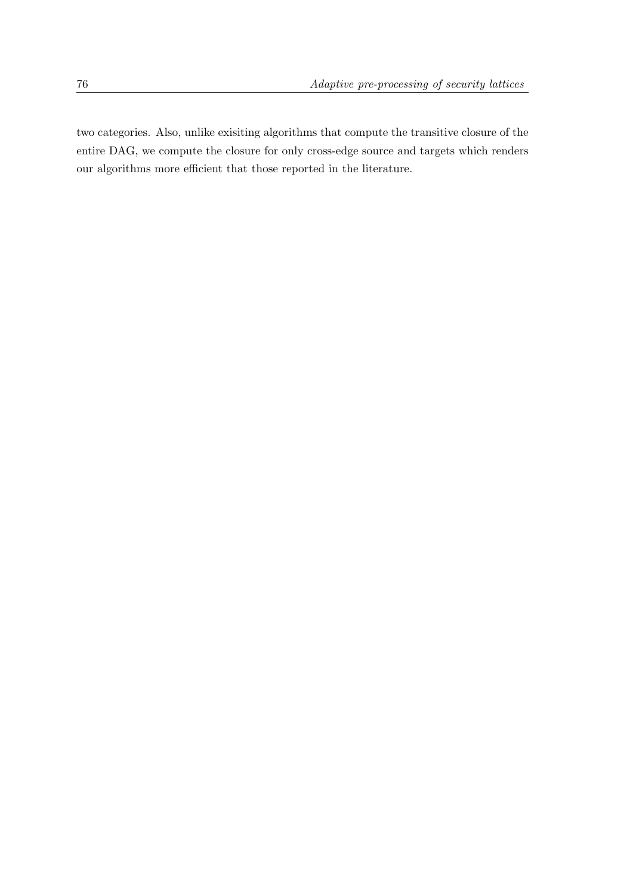two categories. Also, unlike exisiting algorithms that compute the transitive closure of the entire DAG, we compute the closure for only cross-edge source and targets which renders our algorithms more efficient that those reported in the literature.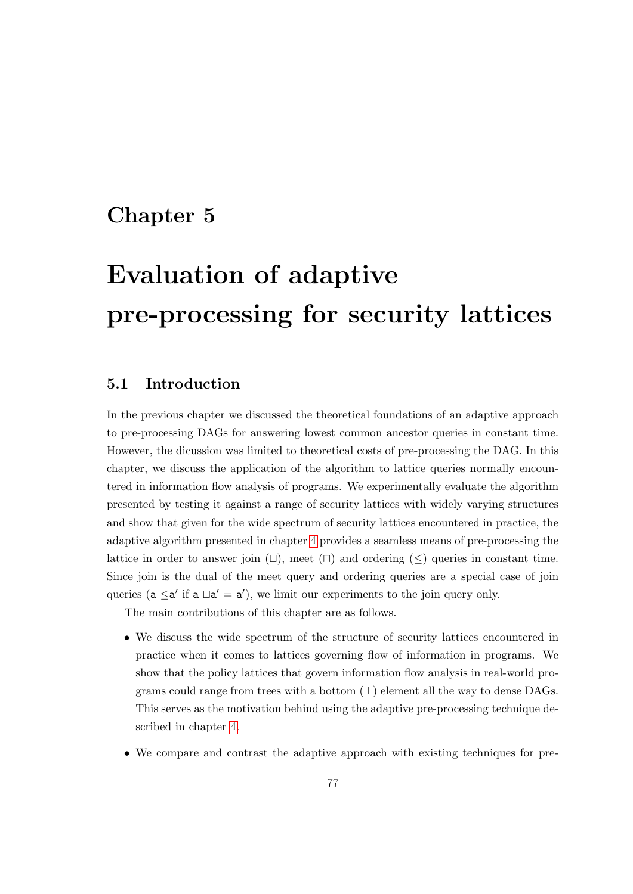# Chapter 5

# Evaluation of adaptive pre-processing for security lattices

# 5.1 Introduction

In the previous chapter we discussed the theoretical foundations of an adaptive approach to pre-processing DAGs for answering lowest common ancestor queries in constant time. However, the dicussion was limited to theoretical costs of pre-processing the DAG. In this chapter, we discuss the application of the algorithm to lattice queries normally encountered in information flow analysis of programs. We experimentally evaluate the algorithm presented by testing it against a range of security lattices with widely varying structures and show that given for the wide spectrum of security lattices encountered in practice, the adaptive algorithm presented in chapter [4](#page-55-0) provides a seamless means of pre-processing the lattice in order to answer join  $(\sqcup)$ , meet  $(\sqcap)$  and ordering  $(\le)$  queries in constant time. Since join is the dual of the meet query and ordering queries are a special case of join queries ( $a \le a'$  if  $a \sqcup a' = a'$ ), we limit our experiments to the join query only.

The main contributions of this chapter are as follows.

- We discuss the wide spectrum of the structure of security lattices encountered in practice when it comes to lattices governing flow of information in programs. We show that the policy lattices that govern information flow analysis in real-world programs could range from trees with a bottom  $( \perp )$  element all the way to dense DAGs. This serves as the motivation behind using the adaptive pre-processing technique described in chapter [4.](#page-55-0)
- We compare and contrast the adaptive approach with existing techniques for pre-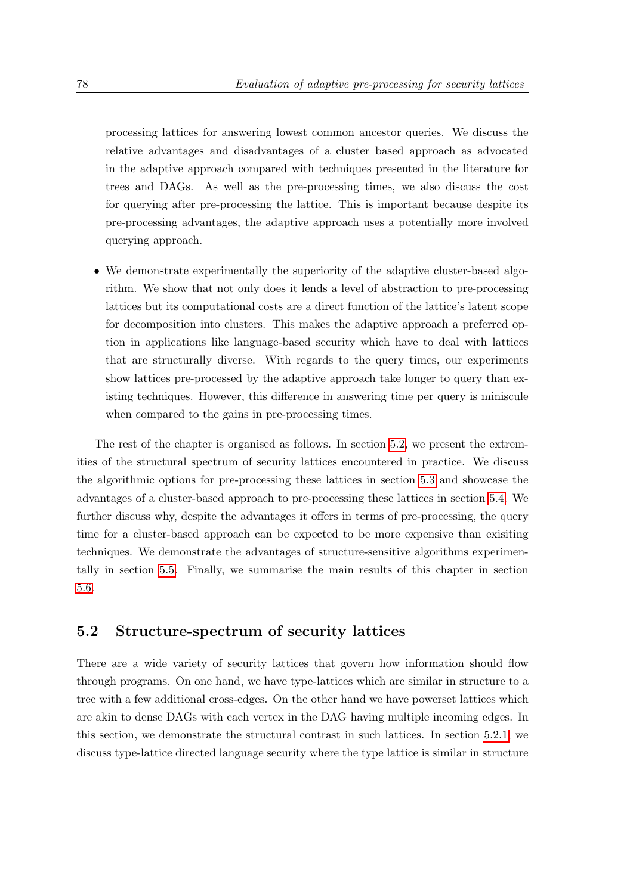processing lattices for answering lowest common ancestor queries. We discuss the relative advantages and disadvantages of a cluster based approach as advocated in the adaptive approach compared with techniques presented in the literature for trees and DAGs. As well as the pre-processing times, we also discuss the cost for querying after pre-processing the lattice. This is important because despite its pre-processing advantages, the adaptive approach uses a potentially more involved querying approach.

• We demonstrate experimentally the superiority of the adaptive cluster-based algorithm. We show that not only does it lends a level of abstraction to pre-processing lattices but its computational costs are a direct function of the lattice's latent scope for decomposition into clusters. This makes the adaptive approach a preferred option in applications like language-based security which have to deal with lattices that are structurally diverse. With regards to the query times, our experiments show lattices pre-processed by the adaptive approach take longer to query than existing techniques. However, this difference in answering time per query is miniscule when compared to the gains in pre-processing times.

The rest of the chapter is organised as follows. In section [5.2,](#page-77-0) we present the extremities of the structural spectrum of security lattices encountered in practice. We discuss the algorithmic options for pre-processing these lattices in section [5.3](#page-82-0) and showcase the advantages of a cluster-based approach to pre-processing these lattices in section [5.4.](#page-84-0) We further discuss why, despite the advantages it offers in terms of pre-processing, the query time for a cluster-based approach can be expected to be more expensive than exisiting techniques. We demonstrate the advantages of structure-sensitive algorithms experimentally in section [5.5.](#page-86-0) Finally, we summarise the main results of this chapter in section [5.6.](#page-93-0)

# <span id="page-77-0"></span>5.2 Structure-spectrum of security lattices

There are a wide variety of security lattices that govern how information should flow through programs. On one hand, we have type-lattices which are similar in structure to a tree with a few additional cross-edges. On the other hand we have powerset lattices which are akin to dense DAGs with each vertex in the DAG having multiple incoming edges. In this section, we demonstrate the structural contrast in such lattices. In section [5.2.1,](#page-78-0) we discuss type-lattice directed language security where the type lattice is similar in structure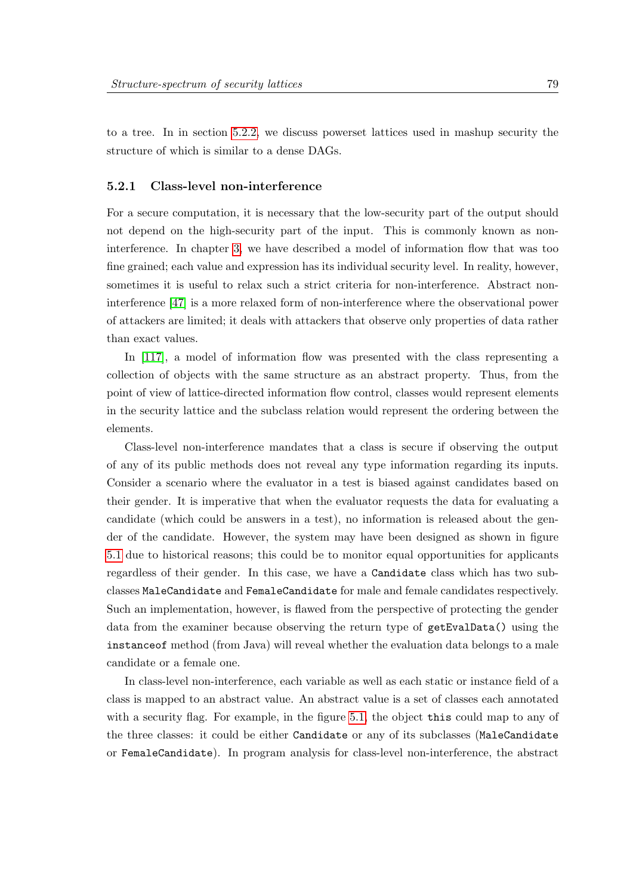to a tree. In in section [5.2.2,](#page-81-0) we discuss powerset lattices used in mashup security the structure of which is similar to a dense DAGs.

#### <span id="page-78-0"></span>5.2.1 Class-level non-interference

For a secure computation, it is necessary that the low-security part of the output should not depend on the high-security part of the input. This is commonly known as noninterference. In chapter [3,](#page-33-0) we have described a model of information flow that was too fine grained; each value and expression has its individual security level. In reality, however, sometimes it is useful to relax such a strict criteria for non-interference. Abstract noninterference [\[47\]](#page-121-0) is a more relaxed form of non-interference where the observational power of attackers are limited; it deals with attackers that observe only properties of data rather than exact values.

In [\[117\]](#page-127-0), a model of information flow was presented with the class representing a collection of objects with the same structure as an abstract property. Thus, from the point of view of lattice-directed information flow control, classes would represent elements in the security lattice and the subclass relation would represent the ordering between the elements.

Class-level non-interference mandates that a class is secure if observing the output of any of its public methods does not reveal any type information regarding its inputs. Consider a scenario where the evaluator in a test is biased against candidates based on their gender. It is imperative that when the evaluator requests the data for evaluating a candidate (which could be answers in a test), no information is released about the gender of the candidate. However, the system may have been designed as shown in figure [5.1](#page-79-0) due to historical reasons; this could be to monitor equal opportunities for applicants regardless of their gender. In this case, we have a Candidate class which has two subclasses MaleCandidate and FemaleCandidate for male and female candidates respectively. Such an implementation, however, is flawed from the perspective of protecting the gender data from the examiner because observing the return type of getEvalData() using the instanceof method (from Java) will reveal whether the evaluation data belongs to a male candidate or a female one.

In class-level non-interference, each variable as well as each static or instance field of a class is mapped to an abstract value. An abstract value is a set of classes each annotated with a security flag. For example, in the figure [5.1,](#page-79-0) the object this could map to any of the three classes: it could be either Candidate or any of its subclasses (MaleCandidate or FemaleCandidate). In program analysis for class-level non-interference, the abstract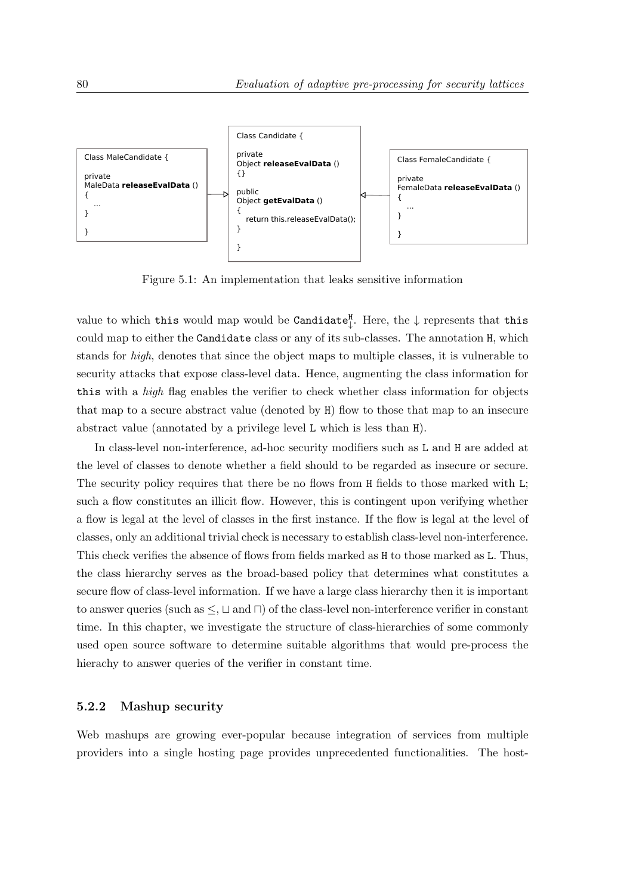<span id="page-79-0"></span>

Figure 5.1: An implementation that leaks sensitive information

value to which this would map would be Candidate<sup>H</sup><sub>↓</sub>. Here, the  $\downarrow$  represents that this could map to either the Candidate class or any of its sub-classes. The annotation H, which stands for high, denotes that since the object maps to multiple classes, it is vulnerable to security attacks that expose class-level data. Hence, augmenting the class information for this with a high flag enables the verifier to check whether class information for objects that map to a secure abstract value (denoted by H) flow to those that map to an insecure abstract value (annotated by a privilege level L which is less than H).

In class-level non-interference, ad-hoc security modifiers such as L and H are added at the level of classes to denote whether a field should to be regarded as insecure or secure. The security policy requires that there be no flows from H fields to those marked with L; such a flow constitutes an illicit flow. However, this is contingent upon verifying whether a flow is legal at the level of classes in the first instance. If the flow is legal at the level of classes, only an additional trivial check is necessary to establish class-level non-interference. This check verifies the absence of flows from fields marked as H to those marked as L. Thus, the class hierarchy serves as the broad-based policy that determines what constitutes a secure flow of class-level information. If we have a large class hierarchy then it is important to answer queries (such as  $\leq$ ,  $\sqcup$  and  $\sqcap$ ) of the class-level non-interference verifier in constant time. In this chapter, we investigate the structure of class-hierarchies of some commonly used open source software to determine suitable algorithms that would pre-process the hierachy to answer queries of the verifier in constant time.

### 5.2.2 Mashup security

Web mashups are growing ever-popular because integration of services from multiple providers into a single hosting page provides unprecedented functionalities. The host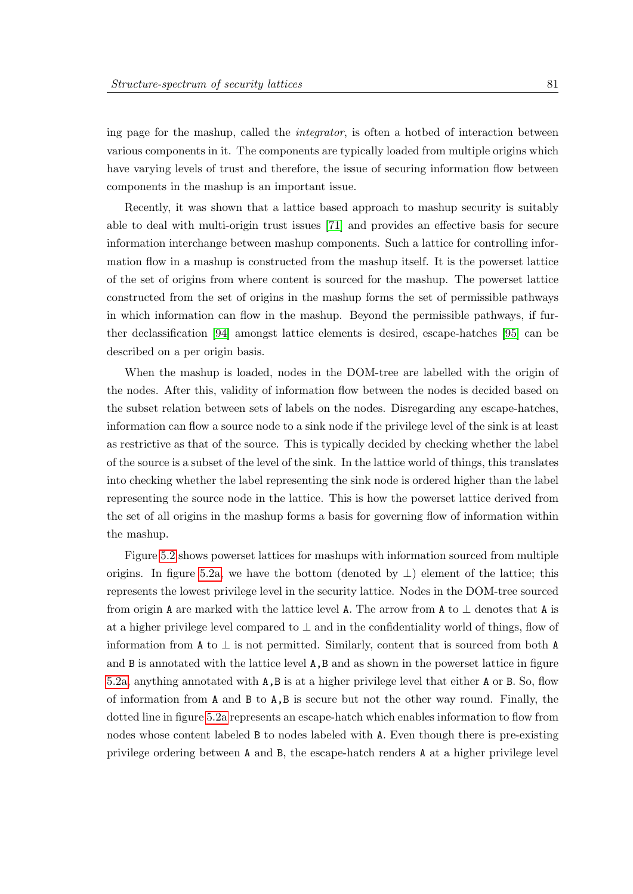ing page for the mashup, called the integrator, is often a hotbed of interaction between various components in it. The components are typically loaded from multiple origins which have varying levels of trust and therefore, the issue of securing information flow between components in the mashup is an important issue.

Recently, it was shown that a lattice based approach to mashup security is suitably able to deal with multi-origin trust issues [\[71\]](#page-123-0) and provides an effective basis for secure information interchange between mashup components. Such a lattice for controlling information flow in a mashup is constructed from the mashup itself. It is the powerset lattice of the set of origins from where content is sourced for the mashup. The powerset lattice constructed from the set of origins in the mashup forms the set of permissible pathways in which information can flow in the mashup. Beyond the permissible pathways, if further declassification [\[94\]](#page-125-0) amongst lattice elements is desired, escape-hatches [\[95\]](#page-125-1) can be described on a per origin basis.

When the mashup is loaded, nodes in the DOM-tree are labelled with the origin of the nodes. After this, validity of information flow between the nodes is decided based on the subset relation between sets of labels on the nodes. Disregarding any escape-hatches, information can flow a source node to a sink node if the privilege level of the sink is at least as restrictive as that of the source. This is typically decided by checking whether the label of the source is a subset of the level of the sink. In the lattice world of things, this translates into checking whether the label representing the sink node is ordered higher than the label representing the source node in the lattice. This is how the powerset lattice derived from the set of all origins in the mashup forms a basis for governing flow of information within the mashup.

Figure [5.2](#page-81-1) shows powerset lattices for mashups with information sourced from multiple origins. In figure [5.2a,](#page-81-2) we have the bottom (denoted by  $\perp$ ) element of the lattice; this represents the lowest privilege level in the security lattice. Nodes in the DOM-tree sourced from origin A are marked with the lattice level A. The arrow from A to  $\perp$  denotes that A is at a higher privilege level compared to  $\perp$  and in the confidentiality world of things, flow of information from A to  $\perp$  is not permitted. Similarly, content that is sourced from both A and B is annotated with the lattice level A,B and as shown in the powerset lattice in figure [5.2a,](#page-81-2) anything annotated with A,B is at a higher privilege level that either A or B. So, flow of information from A and B to A,B is secure but not the other way round. Finally, the dotted line in figure [5.2a](#page-81-2) represents an escape-hatch which enables information to flow from nodes whose content labeled B to nodes labeled with A. Even though there is pre-existing privilege ordering between A and B, the escape-hatch renders A at a higher privilege level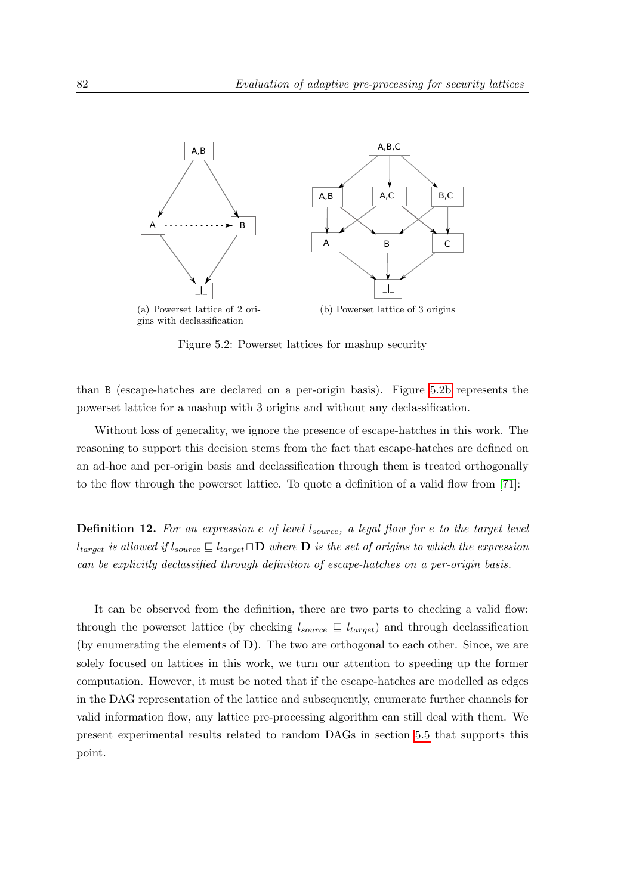<span id="page-81-2"></span><span id="page-81-1"></span>

<span id="page-81-3"></span>Figure 5.2: Powerset lattices for mashup security

than B (escape-hatches are declared on a per-origin basis). Figure [5.2b](#page-81-3) represents the powerset lattice for a mashup with 3 origins and without any declassification.

Without loss of generality, we ignore the presence of escape-hatches in this work. The reasoning to support this decision stems from the fact that escape-hatches are defined on an ad-hoc and per-origin basis and declassification through them is treated orthogonally to the flow through the powerset lattice. To quote a definition of a valid flow from [\[71\]](#page-123-0):

<span id="page-81-0"></span>**Definition 12.** For an expression e of level  $l_{source}$ , a legal flow for e to the target level  $l_{target}$  is allowed if  $l_{source} \sqsubseteq l_{target} \sqcap \mathbf{D}$  where  $\mathbf{D}$  is the set of origins to which the expression can be explicitly declassified through definition of escape-hatches on a per-origin basis.

It can be observed from the definition, there are two parts to checking a valid flow: through the powerset lattice (by checking  $l_{source} \subseteq l_{target}$ ) and through declassification (by enumerating the elements of D). The two are orthogonal to each other. Since, we are solely focused on lattices in this work, we turn our attention to speeding up the former computation. However, it must be noted that if the escape-hatches are modelled as edges in the DAG representation of the lattice and subsequently, enumerate further channels for valid information flow, any lattice pre-processing algorithm can still deal with them. We present experimental results related to random DAGs in section [5.5](#page-86-0) that supports this point.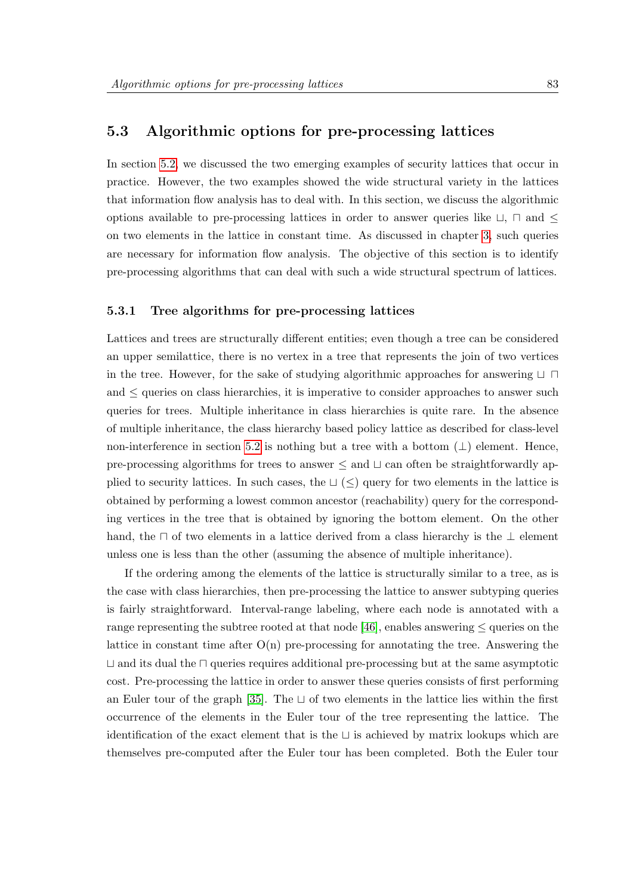# <span id="page-82-0"></span>5.3 Algorithmic options for pre-processing lattices

In section [5.2,](#page-77-0) we discussed the two emerging examples of security lattices that occur in practice. However, the two examples showed the wide structural variety in the lattices that information flow analysis has to deal with. In this section, we discuss the algorithmic options available to pre-processing lattices in order to answer queries like  $\sqcup$ ,  $\sqcap$  and  $\leq$ on two elements in the lattice in constant time. As discussed in chapter [3,](#page-33-0) such queries are necessary for information flow analysis. The objective of this section is to identify pre-processing algorithms that can deal with such a wide structural spectrum of lattices.

#### 5.3.1 Tree algorithms for pre-processing lattices

Lattices and trees are structurally different entities; even though a tree can be considered an upper semilattice, there is no vertex in a tree that represents the join of two vertices in the tree. However, for the sake of studying algorithmic approaches for answering  $\sqcup \sqcap$ and  $\leq$  queries on class hierarchies, it is imperative to consider approaches to answer such queries for trees. Multiple inheritance in class hierarchies is quite rare. In the absence of multiple inheritance, the class hierarchy based policy lattice as described for class-level non-interference in section [5.2](#page-77-0) is nothing but a tree with a bottom  $(\perp)$  element. Hence, pre-processing algorithms for trees to answer  $\leq$  and  $\sqcup$  can often be straightforwardly applied to security lattices. In such cases, the  $\sqcup$  ( $\leq$ ) query for two elements in the lattice is obtained by performing a lowest common ancestor (reachability) query for the corresponding vertices in the tree that is obtained by ignoring the bottom element. On the other hand, the  $\Box$  of two elements in a lattice derived from a class hierarchy is the  $\bot$  element unless one is less than the other (assuming the absence of multiple inheritance).

If the ordering among the elements of the lattice is structurally similar to a tree, as is the case with class hierarchies, then pre-processing the lattice to answer subtyping queries is fairly straightforward. Interval-range labeling, where each node is annotated with a range representing the subtree rooted at that node [\[46\]](#page-121-1), enables answering  $\leq$  queries on the lattice in constant time after  $O(n)$  pre-processing for annotating the tree. Answering the  $\sqcup$  and its dual the  $\sqcap$  queries requires additional pre-processing but at the same asymptotic cost. Pre-processing the lattice in order to answer these queries consists of first performing an Euler tour of the graph [\[35\]](#page-120-1). The  $\sqcup$  of two elements in the lattice lies within the first occurrence of the elements in the Euler tour of the tree representing the lattice. The identification of the exact element that is the  $\sqcup$  is achieved by matrix lookups which are themselves pre-computed after the Euler tour has been completed. Both the Euler tour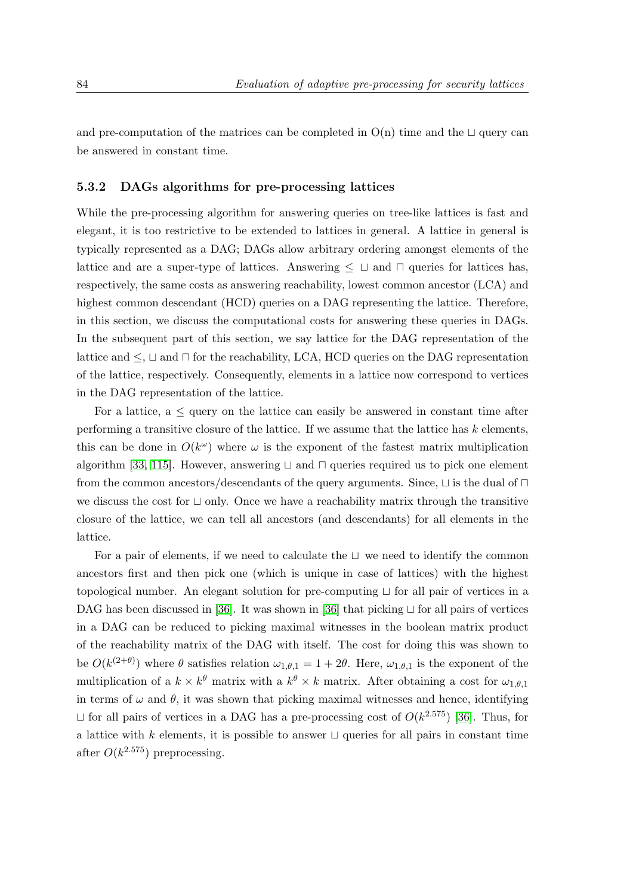and pre-computation of the matrices can be completed in  $O(n)$  time and the  $\Box$  query can be answered in constant time.

#### 5.3.2 DAGs algorithms for pre-processing lattices

While the pre-processing algorithm for answering queries on tree-like lattices is fast and elegant, it is too restrictive to be extended to lattices in general. A lattice in general is typically represented as a DAG; DAGs allow arbitrary ordering amongst elements of the lattice and are a super-type of lattices. Answering  $\leq \sqcup$  and  $\sqcap$  queries for lattices has, respectively, the same costs as answering reachability, lowest common ancestor (LCA) and highest common descendant (HCD) queries on a DAG representing the lattice. Therefore, in this section, we discuss the computational costs for answering these queries in DAGs. In the subsequent part of this section, we say lattice for the DAG representation of the lattice and  $\leq$ ,  $\sqcup$  and  $\sqcap$  for the reachability, LCA, HCD queries on the DAG representation of the lattice, respectively. Consequently, elements in a lattice now correspond to vertices in the DAG representation of the lattice.

For a lattice,  $a \leq$  query on the lattice can easily be answered in constant time after performing a transitive closure of the lattice. If we assume that the lattice has  $k$  elements, this can be done in  $O(k^{\omega})$  where  $\omega$  is the exponent of the fastest matrix multiplication algorithm [\[33,](#page-119-0) [115\]](#page-127-1). However, answering  $\sqcup$  and  $\sqcap$  queries required us to pick one element from the common ancestors/descendants of the query arguments. Since,  $\Box$  is the dual of  $\Box$ we discuss the cost for  $\sqcup$  only. Once we have a reachability matrix through the transitive closure of the lattice, we can tell all ancestors (and descendants) for all elements in the lattice.

For a pair of elements, if we need to calculate the  $\sqcup$  we need to identify the common ancestors first and then pick one (which is unique in case of lattices) with the highest topological number. An elegant solution for pre-computing  $\sqcup$  for all pair of vertices in a DAG has been discussed in [\[36\]](#page-120-0). It was shown in [36] that picking  $\sqcup$  for all pairs of vertices in a DAG can be reduced to picking maximal witnesses in the boolean matrix product of the reachability matrix of the DAG with itself. The cost for doing this was shown to be  $O(k^{(2+\theta)})$  where  $\theta$  satisfies relation  $\omega_{1,\theta,1} = 1 + 2\theta$ . Here,  $\omega_{1,\theta,1}$  is the exponent of the multiplication of a  $k \times k^{\theta}$  matrix with a  $k^{\theta} \times k$  matrix. After obtaining a cost for  $\omega_{1,\theta,1}$ in terms of  $\omega$  and  $\theta$ , it was shown that picking maximal witnesses and hence, identifying  $\Box$  for all pairs of vertices in a DAG has a pre-processing cost of  $O(k^{2.575})$  [\[36\]](#page-120-0). Thus, for a lattice with k elements, it is possible to answer  $\sqcup$  queries for all pairs in constant time after  $O(k^{2.575})$  preprocessing.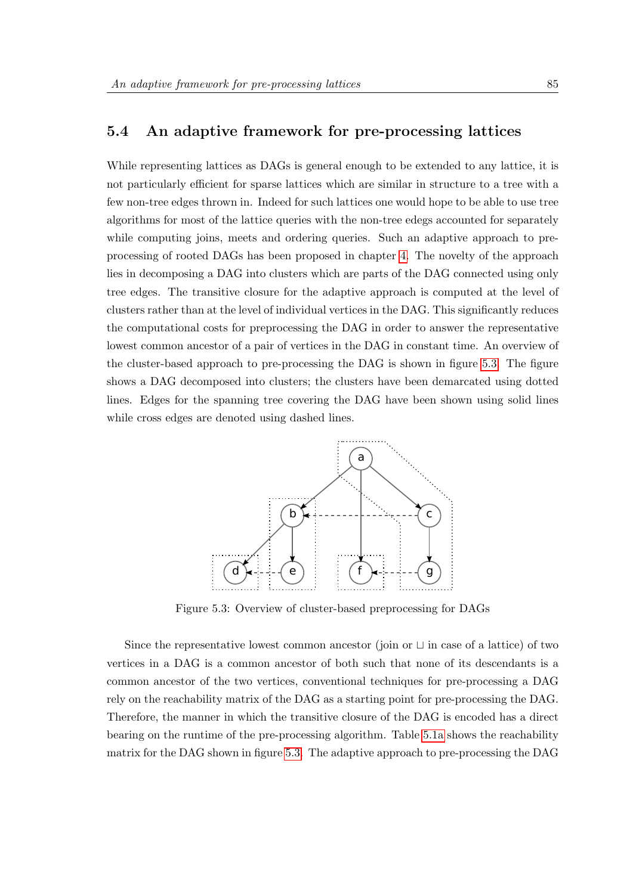# <span id="page-84-0"></span>5.4 An adaptive framework for pre-processing lattices

While representing lattices as DAGs is general enough to be extended to any lattice, it is not particularly efficient for sparse lattices which are similar in structure to a tree with a few non-tree edges thrown in. Indeed for such lattices one would hope to be able to use tree algorithms for most of the lattice queries with the non-tree edegs accounted for separately while computing joins, meets and ordering queries. Such an adaptive approach to preprocessing of rooted DAGs has been proposed in chapter [4.](#page-55-0) The novelty of the approach lies in decomposing a DAG into clusters which are parts of the DAG connected using only tree edges. The transitive closure for the adaptive approach is computed at the level of clusters rather than at the level of individual vertices in the DAG. This significantly reduces the computational costs for preprocessing the DAG in order to answer the representative lowest common ancestor of a pair of vertices in the DAG in constant time. An overview of the cluster-based approach to pre-processing the DAG is shown in figure [5.3.](#page-84-1) The figure shows a DAG decomposed into clusters; the clusters have been demarcated using dotted lines. Edges for the spanning tree covering the DAG have been shown using solid lines while cross edges are denoted using dashed lines.

<span id="page-84-1"></span>

Figure 5.3: Overview of cluster-based preprocessing for DAGs

Since the representative lowest common ancestor (join or  $\sqcup$  in case of a lattice) of two vertices in a DAG is a common ancestor of both such that none of its descendants is a common ancestor of the two vertices, conventional techniques for pre-processing a DAG rely on the reachability matrix of the DAG as a starting point for pre-processing the DAG. Therefore, the manner in which the transitive closure of the DAG is encoded has a direct bearing on the runtime of the pre-processing algorithm. Table [5.1a](#page-85-0) shows the reachability matrix for the DAG shown in figure [5.3.](#page-84-1) The adaptive approach to pre-processing the DAG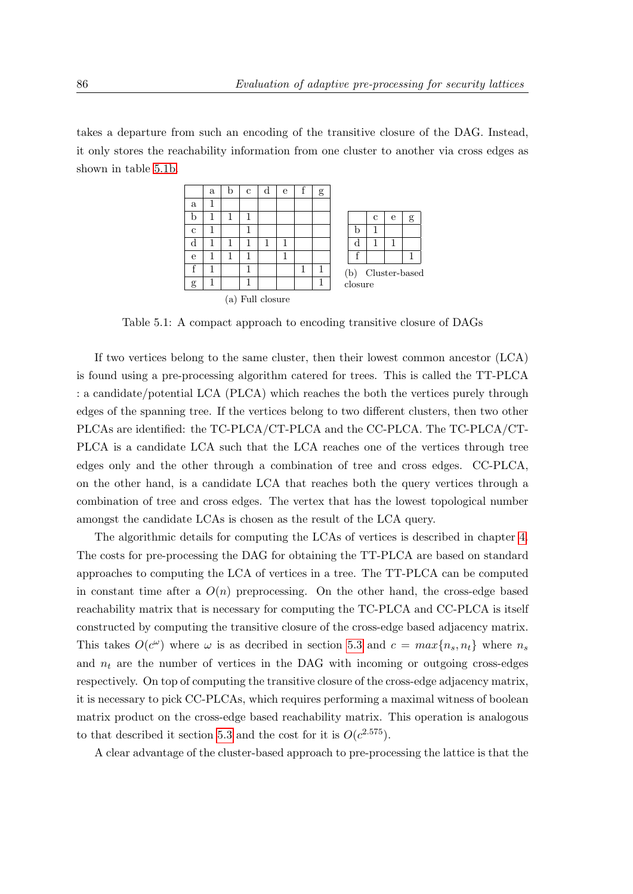<span id="page-85-0"></span>takes a departure from such an encoding of the transitive closure of the DAG. Instead, it only stores the reachability information from one cluster to another via cross edges as shown in table [5.1b.](#page-85-1)

<span id="page-85-1"></span>

Table 5.1: A compact approach to encoding transitive closure of DAGs

If two vertices belong to the same cluster, then their lowest common ancestor (LCA) is found using a pre-processing algorithm catered for trees. This is called the TT-PLCA : a candidate/potential LCA (PLCA) which reaches the both the vertices purely through edges of the spanning tree. If the vertices belong to two different clusters, then two other PLCAs are identified: the TC-PLCA/CT-PLCA and the CC-PLCA. The TC-PLCA/CT-PLCA is a candidate LCA such that the LCA reaches one of the vertices through tree edges only and the other through a combination of tree and cross edges. CC-PLCA, on the other hand, is a candidate LCA that reaches both the query vertices through a combination of tree and cross edges. The vertex that has the lowest topological number amongst the candidate LCAs is chosen as the result of the LCA query.

The algorithmic details for computing the LCAs of vertices is described in chapter [4.](#page-55-0) The costs for pre-processing the DAG for obtaining the TT-PLCA are based on standard approaches to computing the LCA of vertices in a tree. The TT-PLCA can be computed in constant time after a  $O(n)$  preprocessing. On the other hand, the cross-edge based reachability matrix that is necessary for computing the TC-PLCA and CC-PLCA is itself constructed by computing the transitive closure of the cross-edge based adjacency matrix. This takes  $O(c^{\omega})$  where  $\omega$  is as decribed in section [5.3](#page-82-0) and  $c = max\{n_s, n_t\}$  where  $n_s$ and  $n_t$  are the number of vertices in the DAG with incoming or outgoing cross-edges respectively. On top of computing the transitive closure of the cross-edge adjacency matrix, it is necessary to pick CC-PLCAs, which requires performing a maximal witness of boolean matrix product on the cross-edge based reachability matrix. This operation is analogous to that described it section [5.3](#page-82-0) and the cost for it is  $O(c^{2.575})$ .

A clear advantage of the cluster-based approach to pre-processing the lattice is that the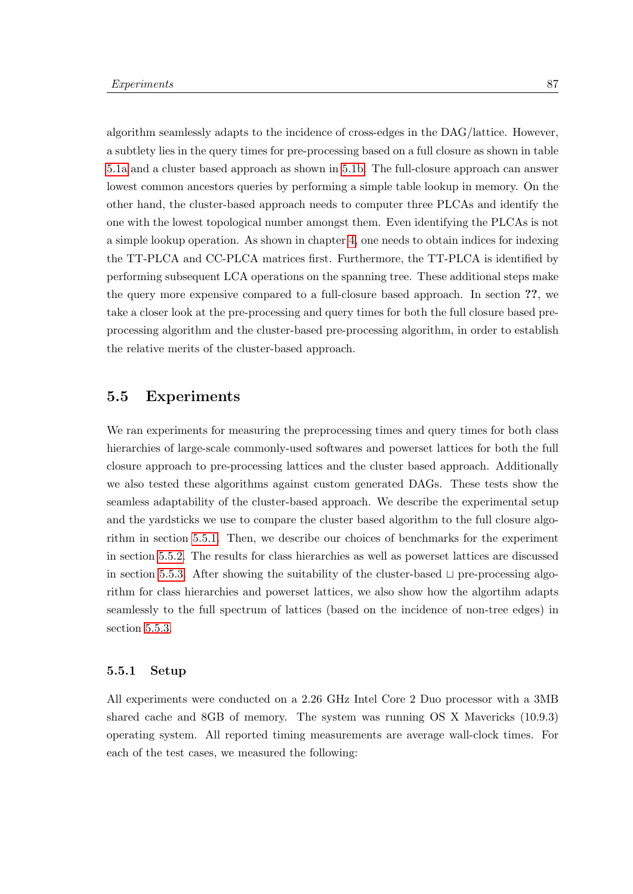algorithm seamlessly adapts to the incidence of cross-edges in the DAG/lattice. However, a subtlety lies in the query times for pre-processing based on a full closure as shown in table [5.1a](#page-85-0) and a cluster based approach as shown in [5.1b.](#page-85-1) The full-closure approach can answer lowest common ancestors queries by performing a simple table lookup in memory. On the other hand, the cluster-based approach needs to computer three PLCAs and identify the one with the lowest topological number amongst them. Even identifying the PLCAs is not a simple lookup operation. As shown in chapter [4,](#page-55-0) one needs to obtain indices for indexing the TT-PLCA and CC-PLCA matrices first. Furthermore, the TT-PLCA is identified by performing subsequent LCA operations on the spanning tree. These additional steps make the query more expensive compared to a full-closure based approach. In section ??, we take a closer look at the pre-processing and query times for both the full closure based preprocessing algorithm and the cluster-based pre-processing algorithm, in order to establish the relative merits of the cluster-based approach.

# <span id="page-86-0"></span>5.5 Experiments

We ran experiments for measuring the preprocessing times and query times for both class hierarchies of large-scale commonly-used softwares and powerset lattices for both the full closure approach to pre-processing lattices and the cluster based approach. Additionally we also tested these algorithms against custom generated DAGs. These tests show the seamless adaptability of the cluster-based approach. We describe the experimental setup and the yardsticks we use to compare the cluster based algorithm to the full closure algorithm in section [5.5.1.](#page-86-1) Then, we describe our choices of benchmarks for the experiment in section [5.5.2.](#page-87-0) The results for class hierarchies as well as powerset lattices are discussed in section [5.5.3.](#page-88-0) After showing the suitability of the cluster-based  $\Box$  pre-processing algorithm for class hierarchies and powerset lattices, we also show how the algortihm adapts seamlessly to the full spectrum of lattices (based on the incidence of non-tree edges) in section [5.5.3.](#page-88-0)

## <span id="page-86-1"></span>5.5.1 Setup

All experiments were conducted on a 2.26 GHz Intel Core 2 Duo processor with a 3MB shared cache and 8GB of memory. The system was running OS X Mavericks (10.9.3) operating system. All reported timing measurements are average wall-clock times. For each of the test cases, we measured the following: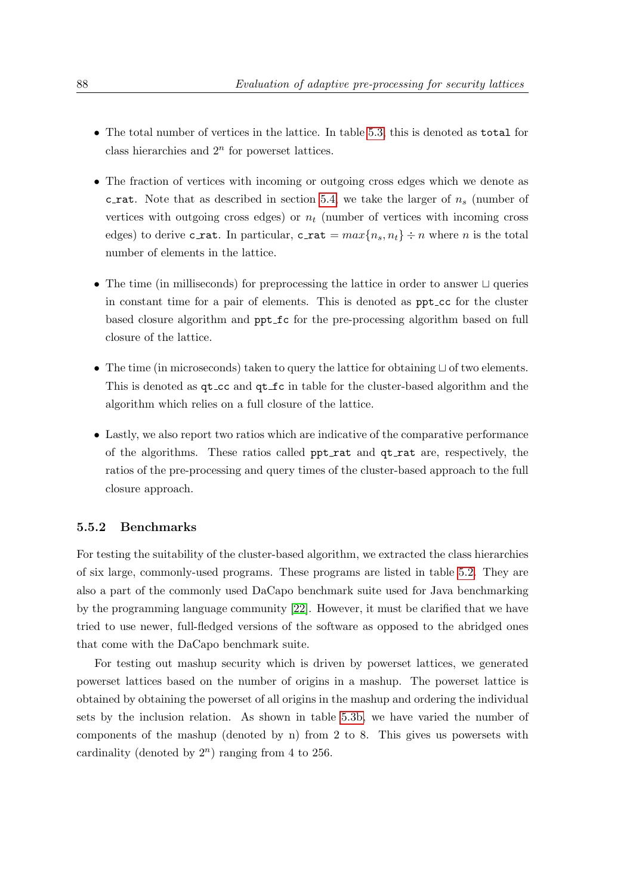- The total number of vertices in the lattice. In table [5.3,](#page-89-0) this is denoted as total for class hierarchies and  $2<sup>n</sup>$  for powerset lattices.
- The fraction of vertices with incoming or outgoing cross edges which we denote as c rat. Note that as described in section [5.4,](#page-84-0) we take the larger of  $n<sub>s</sub>$  (number of vertices with outgoing cross edges) or  $n_t$  (number of vertices with incoming cross edges) to derive c\_rat. In particular, c\_rat =  $max\{n_s, n_t\} \div n$  where n is the total number of elements in the lattice.
- The time (in milliseconds) for preprocessing the lattice in order to answer  $\sqcup$  queries in constant time for a pair of elements. This is denoted as ppt cc for the cluster based closure algorithm and ppt fc for the pre-processing algorithm based on full closure of the lattice.
- The time (in microseconds) taken to query the lattice for obtaining  $\sqcup$  of two elements. This is denoted as  $qt\_cc$  and  $qt\_fc$  in table for the cluster-based algorithm and the algorithm which relies on a full closure of the lattice.
- Lastly, we also report two ratios which are indicative of the comparative performance of the algorithms. These ratios called  $ppt$ -rat and  $qt$ -rat are, respectively, the ratios of the pre-processing and query times of the cluster-based approach to the full closure approach.

### <span id="page-87-0"></span>5.5.2 Benchmarks

For testing the suitability of the cluster-based algorithm, we extracted the class hierarchies of six large, commonly-used programs. These programs are listed in table [5.2.](#page-88-1) They are also a part of the commonly used DaCapo benchmark suite used for Java benchmarking by the programming language community [\[22\]](#page-118-0). However, it must be clarified that we have tried to use newer, full-fledged versions of the software as opposed to the abridged ones that come with the DaCapo benchmark suite.

For testing out mashup security which is driven by powerset lattices, we generated powerset lattices based on the number of origins in a mashup. The powerset lattice is obtained by obtaining the powerset of all origins in the mashup and ordering the individual sets by the inclusion relation. As shown in table [5.3b,](#page-89-1) we have varied the number of components of the mashup (denoted by n) from 2 to 8. This gives us powersets with cardinality (denoted by  $2^n$ ) ranging from 4 to 256.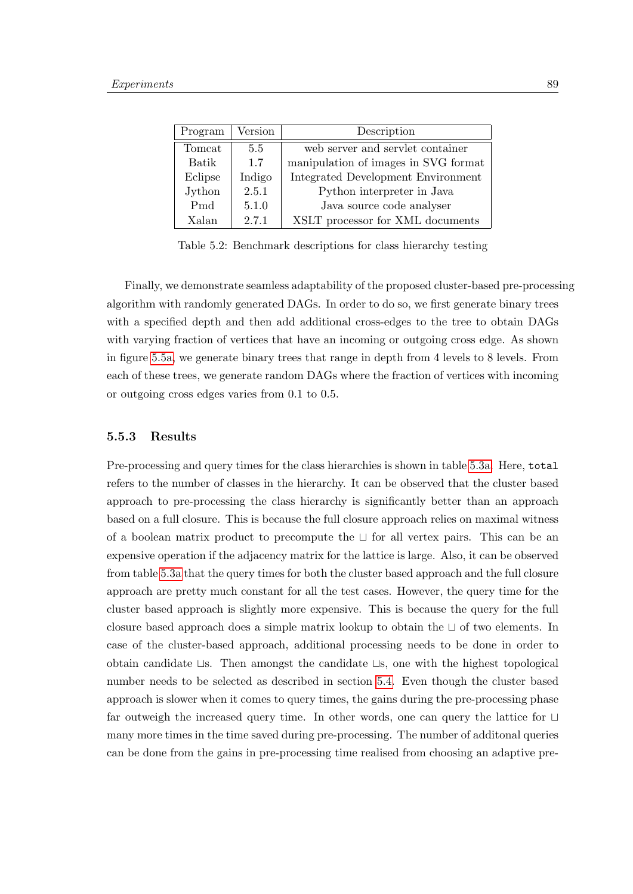<span id="page-88-1"></span>

| Program       | Version | Description                          |
|---------------|---------|--------------------------------------|
| Tomcat        | 5.5     | web server and servlet container     |
| Batik         | 1.7     | manipulation of images in SVG format |
| Eclipse       | Indigo  | Integrated Development Environment   |
| <b>Jython</b> | 2.5.1   | Python interpreter in Java           |
| Pmd           | 5.1.0   | Java source code analyser            |
| Xalan         | 2.7.1   | XSLT processor for XML documents     |

Table 5.2: Benchmark descriptions for class hierarchy testing

Finally, we demonstrate seamless adaptability of the proposed cluster-based pre-processing algorithm with randomly generated DAGs. In order to do so, we first generate binary trees with a specified depth and then add additional cross-edges to the tree to obtain DAGs with varying fraction of vertices that have an incoming or outgoing cross edge. As shown in figure [5.5a,](#page-92-0) we generate binary trees that range in depth from 4 levels to 8 levels. From each of these trees, we generate random DAGs where the fraction of vertices with incoming or outgoing cross edges varies from 0.1 to 0.5.

#### <span id="page-88-0"></span>5.5.3 Results

Pre-processing and query times for the class hierarchies is shown in table [5.3a.](#page-89-2) Here, total refers to the number of classes in the hierarchy. It can be observed that the cluster based approach to pre-processing the class hierarchy is significantly better than an approach based on a full closure. This is because the full closure approach relies on maximal witness of a boolean matrix product to precompute the  $\sqcup$  for all vertex pairs. This can be an expensive operation if the adjacency matrix for the lattice is large. Also, it can be observed from table [5.3a](#page-89-2) that the query times for both the cluster based approach and the full closure approach are pretty much constant for all the test cases. However, the query time for the cluster based approach is slightly more expensive. This is because the query for the full closure based approach does a simple matrix lookup to obtain the  $\sqcup$  of two elements. In case of the cluster-based approach, additional processing needs to be done in order to obtain candidate  $\Box$ s. Then amongst the candidate  $\Box$ s, one with the highest topological number needs to be selected as described in section [5.4.](#page-84-0) Even though the cluster based approach is slower when it comes to query times, the gains during the pre-processing phase far outweigh the increased query time. In other words, one can query the lattice for  $\Box$ many more times in the time saved during pre-processing. The number of additonal queries can be done from the gains in pre-processing time realised from choosing an adaptive pre-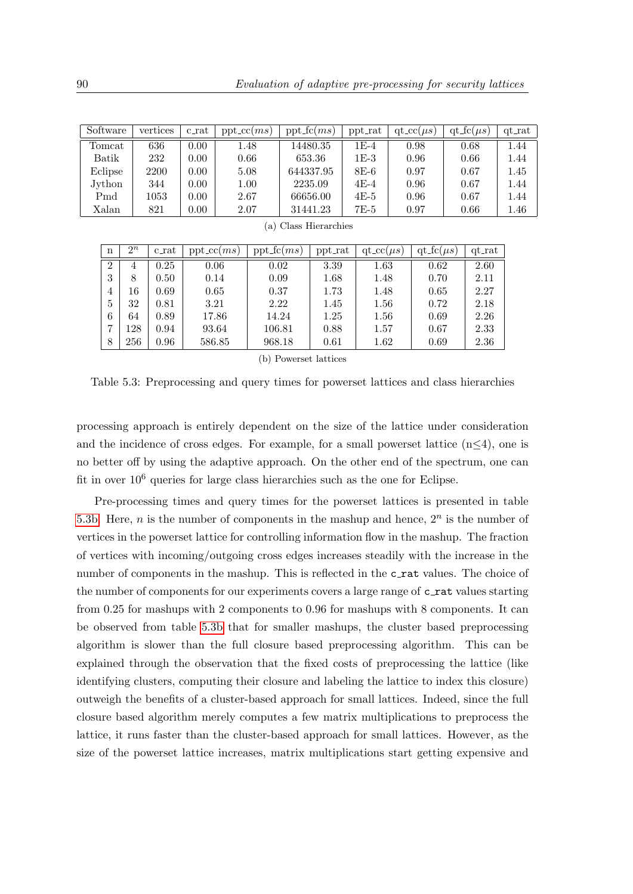<span id="page-89-2"></span><span id="page-89-0"></span>

| Software                | vertices | $c$ _rat       | $pt_{\text{ccl}}(ms)$ | $pt_f(ms)$ | ppt_rat | $\text{qt\_cc}(\mu s)$ | $at\_fc(\mu s)$ | qt_rat   |
|-------------------------|----------|----------------|-----------------------|------------|---------|------------------------|-----------------|----------|
| $\operatorname{Tomcat}$ | 636      | 0.00           | 1.48                  | 14480.35   | $1E-4$  | 0.98                   | 0.68            | 1.44     |
| Batik                   | 232      | $0.00^{\circ}$ | 0.66                  | 653.36     | $1E-3$  | 0.96                   | 0.66            | 1.44     |
| Eclipse                 | 2200     | 0.00           | 5.08                  | 644337.95  | $8E-6$  | 0.97                   | 0.67            | 1.45     |
| Jython                  | 344      | 0.00           | 1.00                  | 2235.09    | $4E-4$  | 0.96                   | 0.67            | 1.44     |
| $_{\mathrm{Pmd}}$       | 1053     | 0.00           | 2.67                  | 66656.00   | 4E-5    | 0.96                   | 0.67            | 1.44     |
| Xalan                   | 821      | $0.00\,$       | 2.07                  | 31441.23   | 7E-5    | 0.97                   | 0.66            | $1.46\,$ |

<span id="page-89-1"></span>

| n              | $2^n$ | $c$ -rat | $ppt_{\rm}cc(ms)$ | $ppt_f(c(ms)$ | ppt_rat | $\text{qt\_cc}(\mu s)$ | $qt_f(c(\mu s))$ | qt_rat |
|----------------|-------|----------|-------------------|---------------|---------|------------------------|------------------|--------|
| $\overline{2}$ | 4     | 0.25     | 0.06              | 0.02          | 3.39    | 1.63                   | 0.62             | 2.60   |
| 3              | 8     | 0.50     | 0.14              | 0.09          | 1.68    | 1.48                   | 0.70             | 2.11   |
| 4              | 16    | 0.69     | 0.65              | 0.37          | 1.73    | 1.48                   | 0.65             | 2.27   |
| 5              | 32    | 0.81     | 3.21              | 2.22          | 1.45    | $1.56\,$               | 0.72             | 2.18   |
| 6              | 64    | 0.89     | 17.86             | 14.24         | 1.25    | $1.56\,$               | 0.69             | 2.26   |
|                | 128   | 0.94     | 93.64             | 106.81        | 0.88    | 1.57                   | 0.67             | 2.33   |
| 8              | 256   | $0.96\,$ | 586.85            | 968.18        | 0.61    | 1.62                   | 0.69             | 2.36   |

(a) Class Hierarchies

(b) Powerset lattices

Table 5.3: Preprocessing and query times for powerset lattices and class hierarchies

processing approach is entirely dependent on the size of the lattice under consideration and the incidence of cross edges. For example, for a small powerset lattice  $(n \leq 4)$ , one is no better off by using the adaptive approach. On the other end of the spectrum, one can fit in over  $10^6$  queries for large class hierarchies such as the one for Eclipse.

Pre-processing times and query times for the powerset lattices is presented in table [5.3b.](#page-89-1) Here, *n* is the number of components in the mashup and hence,  $2^n$  is the number of vertices in the powerset lattice for controlling information flow in the mashup. The fraction of vertices with incoming/outgoing cross edges increases steadily with the increase in the number of components in the mashup. This is reflected in the c<sub>rat</sub> values. The choice of the number of components for our experiments covers a large range of c\_rat values starting from 0.25 for mashups with 2 components to 0.96 for mashups with 8 components. It can be observed from table [5.3b](#page-89-1) that for smaller mashups, the cluster based preprocessing algorithm is slower than the full closure based preprocessing algorithm. This can be explained through the observation that the fixed costs of preprocessing the lattice (like identifying clusters, computing their closure and labeling the lattice to index this closure) outweigh the benefits of a cluster-based approach for small lattices. Indeed, since the full closure based algorithm merely computes a few matrix multiplications to preprocess the lattice, it runs faster than the cluster-based approach for small lattices. However, as the size of the powerset lattice increases, matrix multiplications start getting expensive and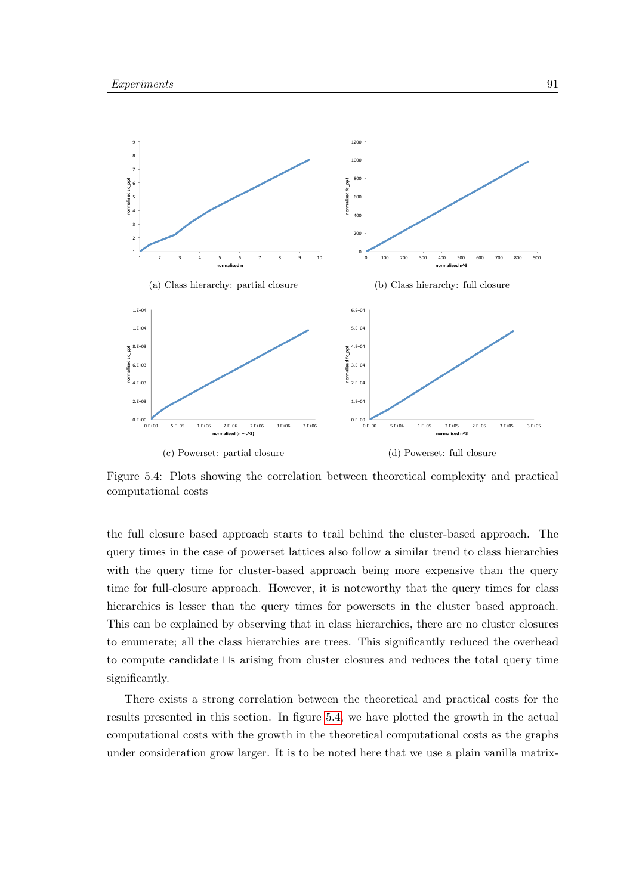<span id="page-90-3"></span><span id="page-90-2"></span><span id="page-90-1"></span><span id="page-90-0"></span>

<span id="page-90-4"></span>Figure 5.4: Plots showing the correlation between theoretical complexity and practical computational costs

the full closure based approach starts to trail behind the cluster-based approach. The query times in the case of powerset lattices also follow a similar trend to class hierarchies with the query time for cluster-based approach being more expensive than the query time for full-closure approach. However, it is noteworthy that the query times for class hierarchies is lesser than the query times for powersets in the cluster based approach. This can be explained by observing that in class hierarchies, there are no cluster closures to enumerate; all the class hierarchies are trees. This significantly reduced the overhead to compute candidate  $\Box$ s arising from cluster closures and reduces the total query time significantly.

There exists a strong correlation between the theoretical and practical costs for the results presented in this section. In figure [5.4,](#page-90-0) we have plotted the growth in the actual computational costs with the growth in the theoretical computational costs as the graphs under consideration grow larger. It is to be noted here that we use a plain vanilla matrix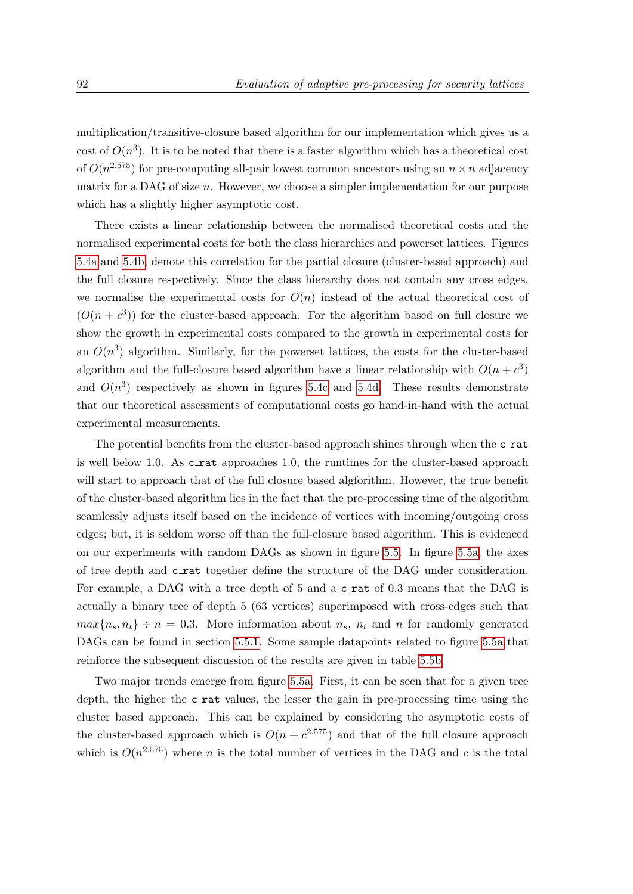multiplication/transitive-closure based algorithm for our implementation which gives us a cost of  $O(n^3)$ . It is to be noted that there is a faster algorithm which has a theoretical cost of  $O(n^{2.575})$  for pre-computing all-pair lowest common ancestors using an  $n \times n$  adjacency matrix for a DAG of size n. However, we choose a simpler implementation for our purpose which has a slightly higher asymptotic cost.

There exists a linear relationship between the normalised theoretical costs and the normalised experimental costs for both the class hierarchies and powerset lattices. Figures [5.4a](#page-90-1) and [5.4b,](#page-90-2) denote this correlation for the partial closure (cluster-based approach) and the full closure respectively. Since the class hierarchy does not contain any cross edges, we normalise the experimental costs for  $O(n)$  instead of the actual theoretical cost of  $(O(n + c<sup>3</sup>))$  for the cluster-based approach. For the algorithm based on full closure we show the growth in experimental costs compared to the growth in experimental costs for an  $O(n^3)$  algorithm. Similarly, for the powerset lattices, the costs for the cluster-based algorithm and the full-closure based algorithm have a linear relationship with  $O(n + c^3)$ and  $O(n^3)$  respectively as shown in figures [5.4c](#page-90-3) and [5.4d.](#page-90-4) These results demonstrate that our theoretical assessments of computational costs go hand-in-hand with the actual experimental measurements.

The potential benefits from the cluster-based approach shines through when the c\_rat is well below 1.0. As c\_rat approaches 1.0, the runtimes for the cluster-based approach will start to approach that of the full closure based algforithm. However, the true benefit of the cluster-based algorithm lies in the fact that the pre-processing time of the algorithm seamlessly adjusts itself based on the incidence of vertices with incoming/outgoing cross edges; but, it is seldom worse off than the full-closure based algorithm. This is evidenced on our experiments with random DAGs as shown in figure [5.5.](#page-92-1) In figure [5.5a,](#page-92-0) the axes of tree depth and c rat together define the structure of the DAG under consideration. For example, a DAG with a tree depth of 5 and a c\_rat of 0.3 means that the DAG is actually a binary tree of depth 5 (63 vertices) superimposed with cross-edges such that  $max\{n_s, n_t\} \div n = 0.3$ . More information about  $n_s$ ,  $n_t$  and n for randomly generated DAGs can be found in section [5.5.1.](#page-86-1) Some sample datapoints related to figure [5.5a](#page-92-0) that reinforce the subsequent discussion of the results are given in table [5.5b.](#page-92-2)

Two major trends emerge from figure [5.5a.](#page-92-0) First, it can be seen that for a given tree depth, the higher the c\_rat values, the lesser the gain in pre-processing time using the cluster based approach. This can be explained by considering the asymptotic costs of the cluster-based approach which is  $O(n + c^{2.575})$  and that of the full closure approach which is  $O(n^{2.575})$  where n is the total number of vertices in the DAG and c is the total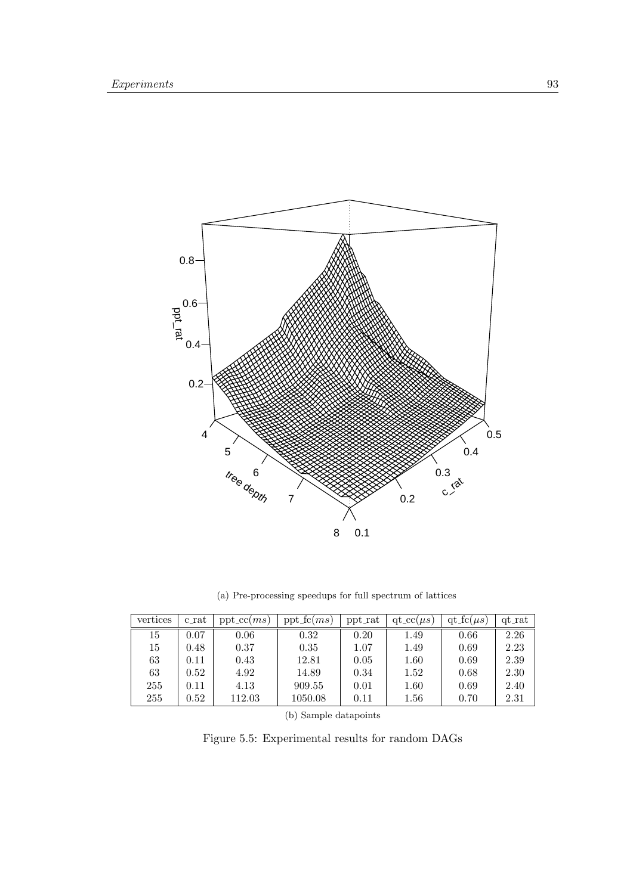<span id="page-92-1"></span><span id="page-92-0"></span>

(a) Pre-processing speedups for full spectrum of lattices

<span id="page-92-2"></span>

| vertices | c_rat    | $pt\_cc(ms)$ | $ppt_f(c(ms)$ | ppt_rat | $\text{qt\_cc}(\mu s)$ | $\text{qt\_fc}(\mu s)$ | qt_rat |
|----------|----------|--------------|---------------|---------|------------------------|------------------------|--------|
| 15       | 0.07     | 0.06         | 0.32          | 0.20    | 1.49                   | 0.66                   | 2.26   |
| 15       | 0.48     | 0.37         | 0.35          | 1.07    | 1.49                   | 0.69                   | 2.23   |
| 63       | 0.11     | 0.43         | 12.81         | 0.05    | $1.60\,$               | 0.69                   | 2.39   |
| 63       | 0.52     | 4.92         | 14.89         | 0.34    | 1.52                   | 0.68                   | 2.30   |
| 255      | $0.11\,$ | 4.13         | 909.55        | 0.01    | $1.60\,$               | 0.69                   | 2.40   |
| 255      | $0.52\,$ | 112.03       | 1050.08       | 0.11    | $1.56\,$               | 0.70                   | 2.31   |

(b) Sample datapoints

Figure 5.5: Experimental results for random DAGs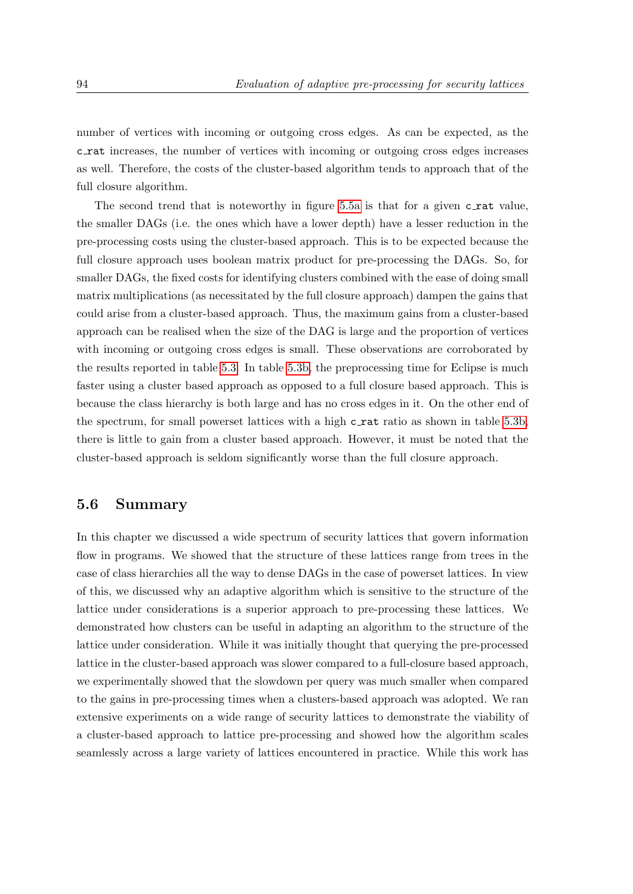number of vertices with incoming or outgoing cross edges. As can be expected, as the c rat increases, the number of vertices with incoming or outgoing cross edges increases as well. Therefore, the costs of the cluster-based algorithm tends to approach that of the full closure algorithm.

The second trend that is noteworthy in figure [5.5a](#page-92-0) is that for a given  $c$ -rat value, the smaller DAGs (i.e. the ones which have a lower depth) have a lesser reduction in the pre-processing costs using the cluster-based approach. This is to be expected because the full closure approach uses boolean matrix product for pre-processing the DAGs. So, for smaller DAGs, the fixed costs for identifying clusters combined with the ease of doing small matrix multiplications (as necessitated by the full closure approach) dampen the gains that could arise from a cluster-based approach. Thus, the maximum gains from a cluster-based approach can be realised when the size of the DAG is large and the proportion of vertices with incoming or outgoing cross edges is small. These observations are corroborated by the results reported in table [5.3.](#page-89-0) In table [5.3b,](#page-89-1) the preprocessing time for Eclipse is much faster using a cluster based approach as opposed to a full closure based approach. This is because the class hierarchy is both large and has no cross edges in it. On the other end of the spectrum, for small powerset lattices with a high  $c$ -rat ratio as shown in table [5.3b,](#page-89-1) there is little to gain from a cluster based approach. However, it must be noted that the cluster-based approach is seldom significantly worse than the full closure approach.

# <span id="page-93-0"></span>5.6 Summary

In this chapter we discussed a wide spectrum of security lattices that govern information flow in programs. We showed that the structure of these lattices range from trees in the case of class hierarchies all the way to dense DAGs in the case of powerset lattices. In view of this, we discussed why an adaptive algorithm which is sensitive to the structure of the lattice under considerations is a superior approach to pre-processing these lattices. We demonstrated how clusters can be useful in adapting an algorithm to the structure of the lattice under consideration. While it was initially thought that querying the pre-processed lattice in the cluster-based approach was slower compared to a full-closure based approach, we experimentally showed that the slowdown per query was much smaller when compared to the gains in pre-processing times when a clusters-based approach was adopted. We ran extensive experiments on a wide range of security lattices to demonstrate the viability of a cluster-based approach to lattice pre-processing and showed how the algorithm scales seamlessly across a large variety of lattices encountered in practice. While this work has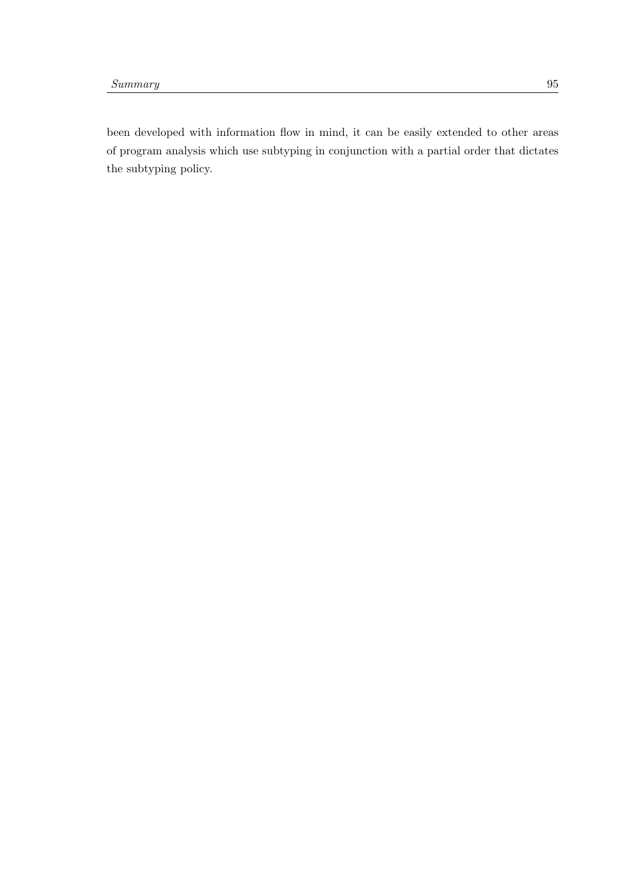been developed with information flow in mind, it can be easily extended to other areas of program analysis which use subtyping in conjunction with a partial order that dictates the subtyping policy.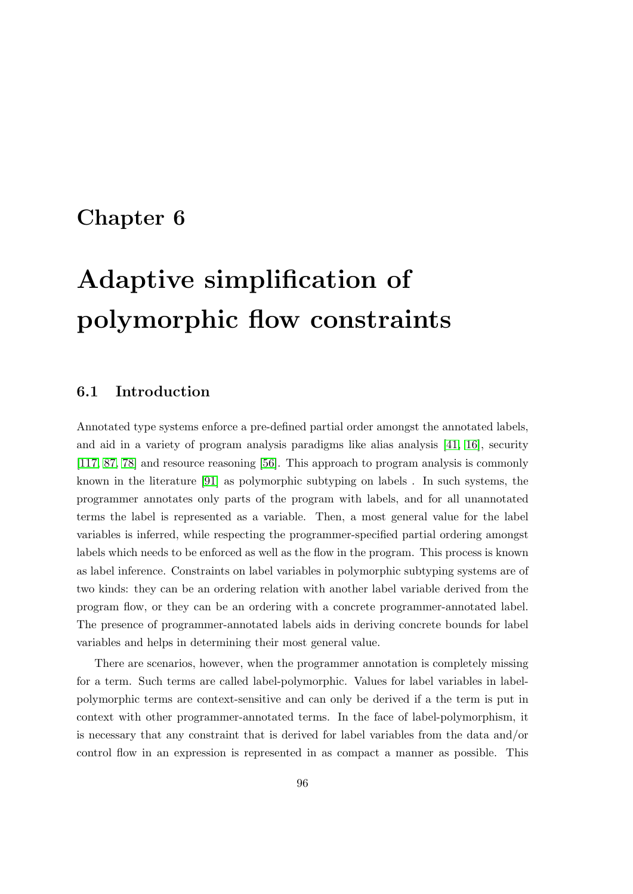# Chapter 6

# Adaptive simplification of polymorphic flow constraints

# 6.1 Introduction

Annotated type systems enforce a pre-defined partial order amongst the annotated labels, and aid in a variety of program analysis paradigms like alias analysis [\[41,](#page-120-2) [16\]](#page-117-0), security [\[117,](#page-127-0) [87,](#page-124-0) [78\]](#page-124-1) and resource reasoning [\[56\]](#page-121-2). This approach to program analysis is commonly known in the literature [\[91\]](#page-125-2) as polymorphic subtyping on labels . In such systems, the programmer annotates only parts of the program with labels, and for all unannotated terms the label is represented as a variable. Then, a most general value for the label variables is inferred, while respecting the programmer-specified partial ordering amongst labels which needs to be enforced as well as the flow in the program. This process is known as label inference. Constraints on label variables in polymorphic subtyping systems are of two kinds: they can be an ordering relation with another label variable derived from the program flow, or they can be an ordering with a concrete programmer-annotated label. The presence of programmer-annotated labels aids in deriving concrete bounds for label variables and helps in determining their most general value.

There are scenarios, however, when the programmer annotation is completely missing for a term. Such terms are called label-polymorphic. Values for label variables in labelpolymorphic terms are context-sensitive and can only be derived if a the term is put in context with other programmer-annotated terms. In the face of label-polymorphism, it is necessary that any constraint that is derived for label variables from the data and/or control flow in an expression is represented in as compact a manner as possible. This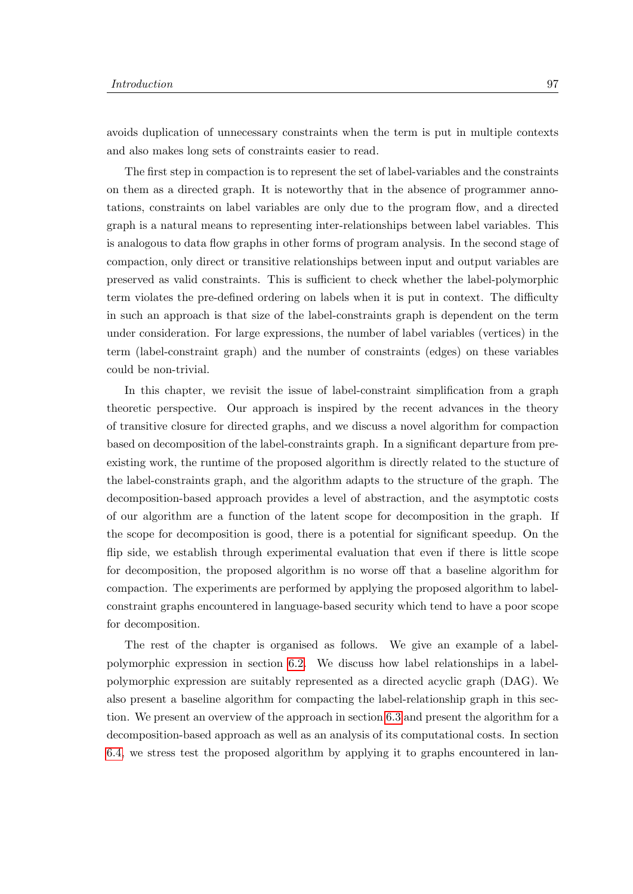avoids duplication of unnecessary constraints when the term is put in multiple contexts and also makes long sets of constraints easier to read.

The first step in compaction is to represent the set of label-variables and the constraints on them as a directed graph. It is noteworthy that in the absence of programmer annotations, constraints on label variables are only due to the program flow, and a directed graph is a natural means to representing inter-relationships between label variables. This is analogous to data flow graphs in other forms of program analysis. In the second stage of compaction, only direct or transitive relationships between input and output variables are preserved as valid constraints. This is sufficient to check whether the label-polymorphic term violates the pre-defined ordering on labels when it is put in context. The difficulty in such an approach is that size of the label-constraints graph is dependent on the term under consideration. For large expressions, the number of label variables (vertices) in the term (label-constraint graph) and the number of constraints (edges) on these variables could be non-trivial.

In this chapter, we revisit the issue of label-constraint simplification from a graph theoretic perspective. Our approach is inspired by the recent advances in the theory of transitive closure for directed graphs, and we discuss a novel algorithm for compaction based on decomposition of the label-constraints graph. In a significant departure from preexisting work, the runtime of the proposed algorithm is directly related to the stucture of the label-constraints graph, and the algorithm adapts to the structure of the graph. The decomposition-based approach provides a level of abstraction, and the asymptotic costs of our algorithm are a function of the latent scope for decomposition in the graph. If the scope for decomposition is good, there is a potential for significant speedup. On the flip side, we establish through experimental evaluation that even if there is little scope for decomposition, the proposed algorithm is no worse off that a baseline algorithm for compaction. The experiments are performed by applying the proposed algorithm to labelconstraint graphs encountered in language-based security which tend to have a poor scope for decomposition.

The rest of the chapter is organised as follows. We give an example of a labelpolymorphic expression in section [6.2.](#page-97-0) We discuss how label relationships in a labelpolymorphic expression are suitably represented as a directed acyclic graph (DAG). We also present a baseline algorithm for compacting the label-relationship graph in this section. We present an overview of the approach in section [6.3](#page-99-0) and present the algorithm for a decomposition-based approach as well as an analysis of its computational costs. In section [6.4,](#page-103-0) we stress test the proposed algorithm by applying it to graphs encountered in lan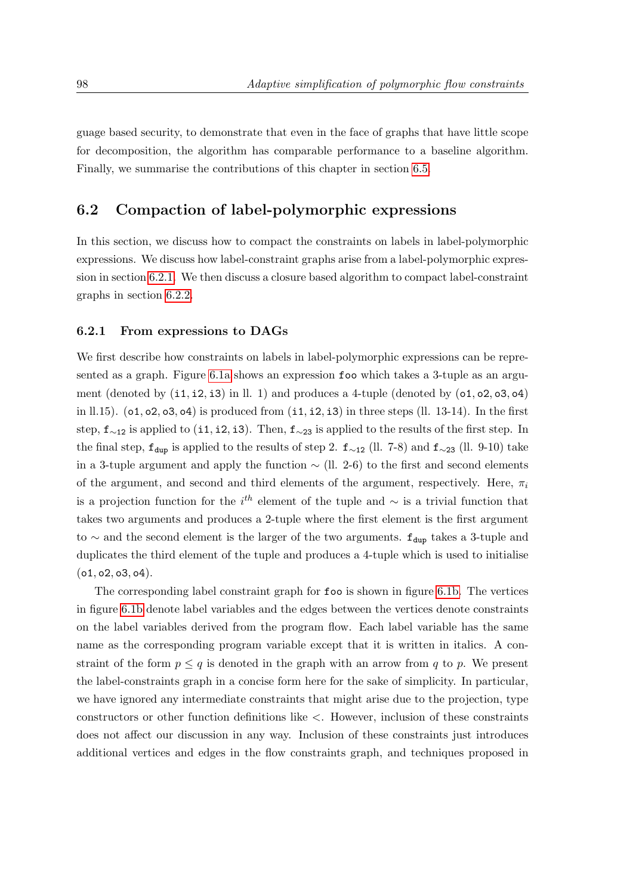guage based security, to demonstrate that even in the face of graphs that have little scope for decomposition, the algorithm has comparable performance to a baseline algorithm. Finally, we summarise the contributions of this chapter in section [6.5.](#page-108-0)

# <span id="page-97-0"></span>6.2 Compaction of label-polymorphic expressions

In this section, we discuss how to compact the constraints on labels in label-polymorphic expressions. We discuss how label-constraint graphs arise from a label-polymorphic expression in section [6.2.1.](#page-97-1) We then discuss a closure based algorithm to compact label-constraint graphs in section [6.2.2.](#page-98-0)

### <span id="page-97-1"></span>6.2.1 From expressions to DAGs

We first describe how constraints on labels in label-polymorphic expressions can be represented as a graph. Figure [6.1a](#page-98-1) shows an expression foo which takes a 3-tuple as an argument (denoted by  $(i1, i2, i3)$  in ll. 1) and produces a 4-tuple (denoted by  $(o1, o2, o3, o4)$ ) in  $|1.15\rangle$ . (**o1**, **o2**, **o3**, **o4**) is produced from  $(11, 12, 13)$  in three steps  $|11, 13-14\rangle$ . In the first step, f∼12 is applied to (i1, i2, i3). Then, f∼23 is applied to the results of the first step. In the final step,  $f_{\text{dup}}$  is applied to the results of step 2.  $f_{\sim 12}$  (ll. 7-8) and  $f_{\sim 23}$  (ll. 9-10) take in a 3-tuple argument and apply the function  $\sim$  (ll. 2-6) to the first and second elements of the argument, and second and third elements of the argument, respectively. Here,  $\pi_i$ is a projection function for the  $i<sup>th</sup>$  element of the tuple and  $\sim$  is a trivial function that takes two arguments and produces a 2-tuple where the first element is the first argument to ∼ and the second element is the larger of the two arguments.  $f_{dup}$  takes a 3-tuple and duplicates the third element of the tuple and produces a 4-tuple which is used to initialise  $(01, 02, 03, 04)$ .

The corresponding label constraint graph for foo is shown in figure [6.1b.](#page-98-2) The vertices in figure [6.1b](#page-98-2) denote label variables and the edges between the vertices denote constraints on the label variables derived from the program flow. Each label variable has the same name as the corresponding program variable except that it is written in italics. A constraint of the form  $p \leq q$  is denoted in the graph with an arrow from q to p. We present the label-constraints graph in a concise form here for the sake of simplicity. In particular, we have ignored any intermediate constraints that might arise due to the projection, type constructors or other function definitions like <. However, inclusion of these constraints does not affect our discussion in any way. Inclusion of these constraints just introduces additional vertices and edges in the flow constraints graph, and techniques proposed in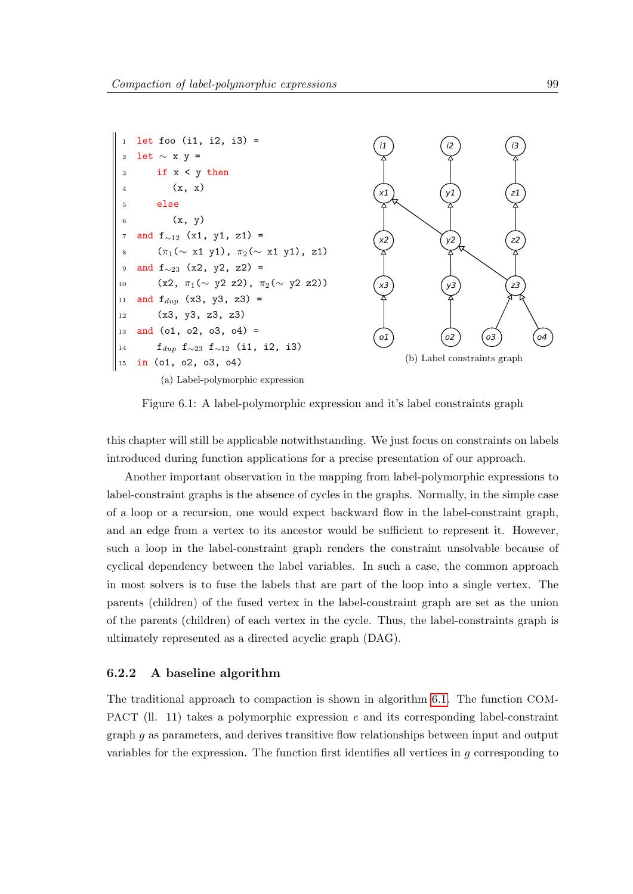<span id="page-98-2"></span><span id="page-98-1"></span>

Figure 6.1: A label-polymorphic expression and it's label constraints graph

this chapter will still be applicable notwithstanding. We just focus on constraints on labels introduced during function applications for a precise presentation of our approach.

Another important observation in the mapping from label-polymorphic expressions to label-constraint graphs is the absence of cycles in the graphs. Normally, in the simple case of a loop or a recursion, one would expect backward flow in the label-constraint graph, and an edge from a vertex to its ancestor would be sufficient to represent it. However, such a loop in the label-constraint graph renders the constraint unsolvable because of cyclical dependency between the label variables. In such a case, the common approach in most solvers is to fuse the labels that are part of the loop into a single vertex. The parents (children) of the fused vertex in the label-constraint graph are set as the union of the parents (children) of each vertex in the cycle. Thus, the label-constraints graph is ultimately represented as a directed acyclic graph (DAG).

### <span id="page-98-0"></span>6.2.2 A baseline algorithm

The traditional approach to compaction is shown in algorithm [6.1.](#page-99-1) The function COM-PACT  $(ll. 11)$  takes a polymorphic expression e and its corresponding label-constraint graph  $g$  as parameters, and derives transitive flow relationships between input and output variables for the expression. The function first identifies all vertices in g corresponding to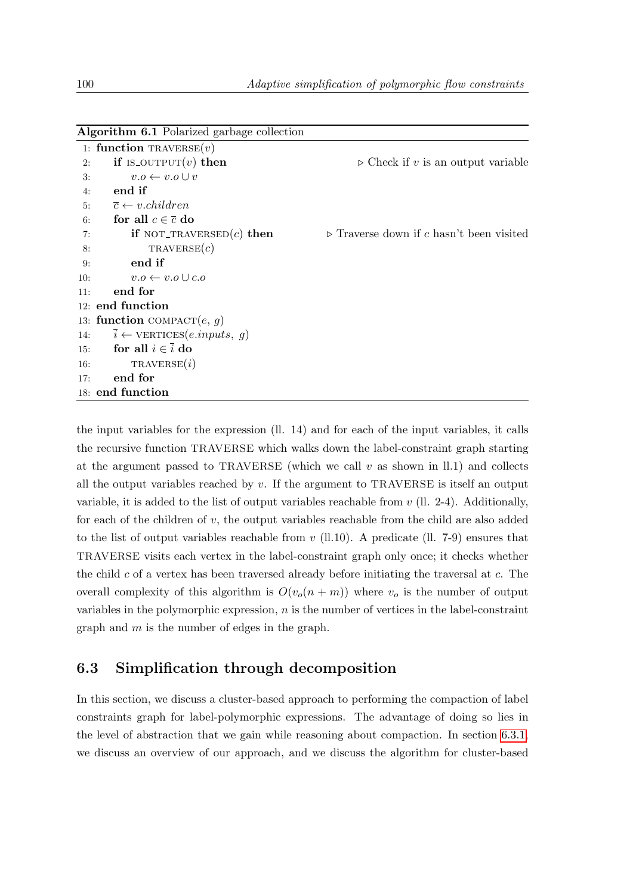|     | <b>Algorithm 6.1</b> Polarized garbage collection |                                                         |
|-----|---------------------------------------------------|---------------------------------------------------------|
|     | 1: function TRAVERSE $(v)$                        |                                                         |
| 2:  | if IS_OUTPUT $(v)$ then                           | $\triangleright$ Check if v is an output variable       |
| 3:  | $v.o \leftarrow v.o \cup v$                       |                                                         |
| 4:  | end if                                            |                                                         |
| 5:  | $\overline{c} \leftarrow v \dots$ children        |                                                         |
| 6:  | for all $c \in \overline{c}$ do                   |                                                         |
| 7:  | if NOT_TRAVERSED $(c)$ then                       | $\triangleright$ Traverse down if c hasn't been visited |
| 8:  | $\texttt{TRAVERSE}(c)$                            |                                                         |
| 9:  | end if                                            |                                                         |
| 10: | $v.o \leftarrow v.o \cup c.o$                     |                                                         |
| 11: | end for                                           |                                                         |
|     | 12: end function                                  |                                                         |
|     | 13: function COMPACT $(e, g)$                     |                                                         |
| 14: | $i \leftarrow$ VERTICES $(e.inputs, g)$           |                                                         |
| 15: | for all $i \in \overline{i}$ do                   |                                                         |
| 16: | $\text{TRANSE}(\mathbf{i})$                       |                                                         |
| 17: | end for                                           |                                                         |
|     | 18: end function                                  |                                                         |

<span id="page-99-1"></span>Algorithm 6.1 Polarized garbage collection

the input variables for the expression (ll. 14) and for each of the input variables, it calls the recursive function TRAVERSE which walks down the label-constraint graph starting at the argument passed to TRAVERSE (which we call  $v$  as shown in ll.1) and collects all the output variables reached by  $v$ . If the argument to TRAVERSE is itself an output variable, it is added to the list of output variables reachable from  $v$  (ll. 2-4). Additionally, for each of the children of v, the output variables reachable from the child are also added to the list of output variables reachable from  $v$  (ll.10). A predicate (ll. 7-9) ensures that TRAVERSE visits each vertex in the label-constraint graph only once; it checks whether the child c of a vertex has been traversed already before initiating the traversal at c. The overall complexity of this algorithm is  $O(v_o(n + m))$  where  $v_o$  is the number of output variables in the polymorphic expression,  $n$  is the number of vertices in the label-constraint graph and  $m$  is the number of edges in the graph.

# <span id="page-99-0"></span>6.3 Simplification through decomposition

In this section, we discuss a cluster-based approach to performing the compaction of label constraints graph for label-polymorphic expressions. The advantage of doing so lies in the level of abstraction that we gain while reasoning about compaction. In section [6.3.1,](#page-100-0) we discuss an overview of our approach, and we discuss the algorithm for cluster-based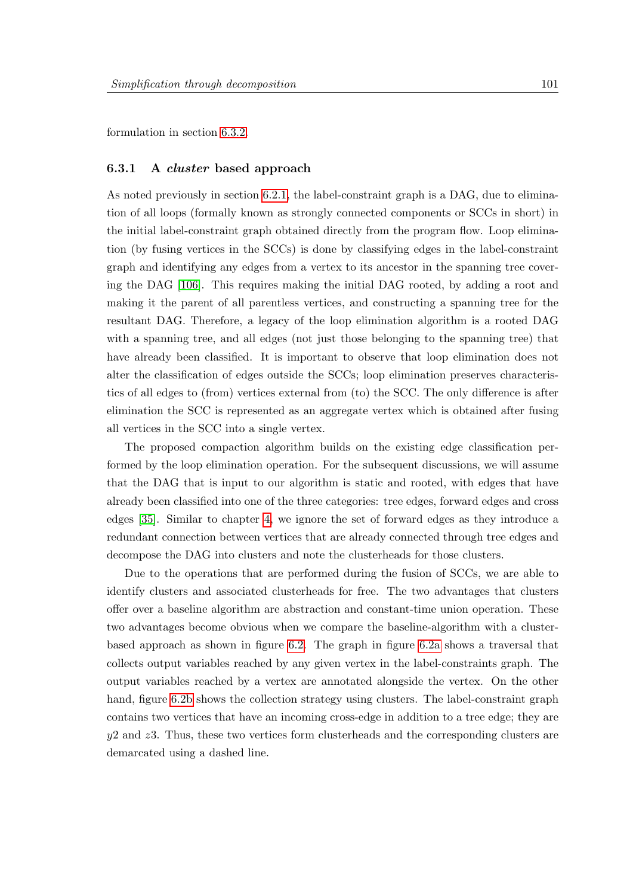formulation in section [6.3.2.](#page-102-0)

#### <span id="page-100-0"></span>6.3.1 A cluster based approach

As noted previously in section [6.2.1,](#page-97-1) the label-constraint graph is a DAG, due to elimination of all loops (formally known as strongly connected components or SCCs in short) in the initial label-constraint graph obtained directly from the program flow. Loop elimination (by fusing vertices in the SCCs) is done by classifying edges in the label-constraint graph and identifying any edges from a vertex to its ancestor in the spanning tree covering the DAG [\[106\]](#page-126-0). This requires making the initial DAG rooted, by adding a root and making it the parent of all parentless vertices, and constructing a spanning tree for the resultant DAG. Therefore, a legacy of the loop elimination algorithm is a rooted DAG with a spanning tree, and all edges (not just those belonging to the spanning tree) that have already been classified. It is important to observe that loop elimination does not alter the classification of edges outside the SCCs; loop elimination preserves characteristics of all edges to (from) vertices external from (to) the SCC. The only difference is after elimination the SCC is represented as an aggregate vertex which is obtained after fusing all vertices in the SCC into a single vertex.

The proposed compaction algorithm builds on the existing edge classification performed by the loop elimination operation. For the subsequent discussions, we will assume that the DAG that is input to our algorithm is static and rooted, with edges that have already been classified into one of the three categories: tree edges, forward edges and cross edges [\[35\]](#page-120-1). Similar to chapter [4,](#page-55-0) we ignore the set of forward edges as they introduce a redundant connection between vertices that are already connected through tree edges and decompose the DAG into clusters and note the clusterheads for those clusters.

Due to the operations that are performed during the fusion of SCCs, we are able to identify clusters and associated clusterheads for free. The two advantages that clusters offer over a baseline algorithm are abstraction and constant-time union operation. These two advantages become obvious when we compare the baseline-algorithm with a clusterbased approach as shown in figure [6.2.](#page-101-0) The graph in figure [6.2a](#page-101-1) shows a traversal that collects output variables reached by any given vertex in the label-constraints graph. The output variables reached by a vertex are annotated alongside the vertex. On the other hand, figure [6.2b](#page-101-2) shows the collection strategy using clusters. The label-constraint graph contains two vertices that have an incoming cross-edge in addition to a tree edge; they are  $y2$  and  $z3$ . Thus, these two vertices form clusterheads and the corresponding clusters are demarcated using a dashed line.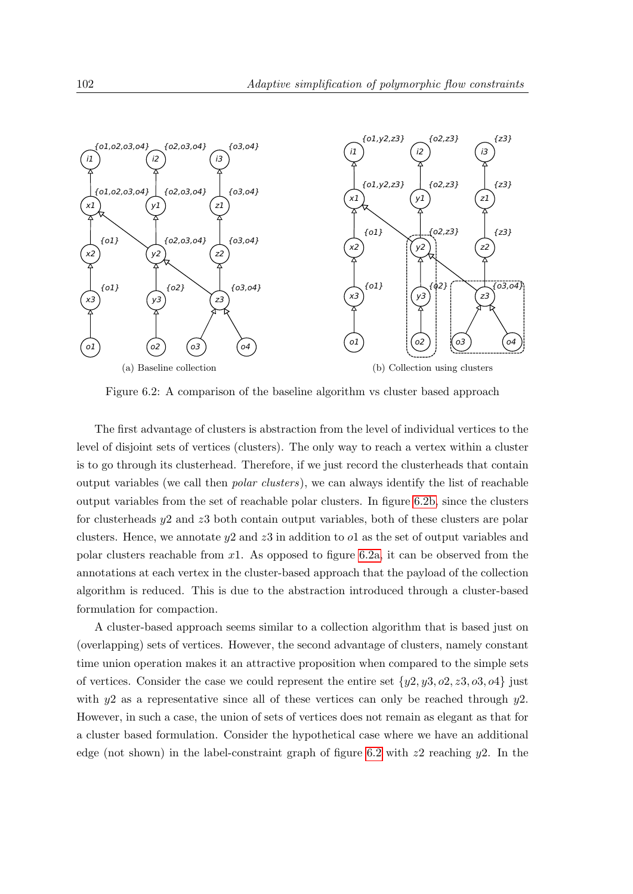<span id="page-101-1"></span><span id="page-101-0"></span>

<span id="page-101-2"></span>Figure 6.2: A comparison of the baseline algorithm vs cluster based approach

The first advantage of clusters is abstraction from the level of individual vertices to the level of disjoint sets of vertices (clusters). The only way to reach a vertex within a cluster is to go through its clusterhead. Therefore, if we just record the clusterheads that contain output variables (we call then polar clusters), we can always identify the list of reachable output variables from the set of reachable polar clusters. In figure [6.2b,](#page-101-2) since the clusters for clusterheads y2 and z3 both contain output variables, both of these clusters are polar clusters. Hence, we annotate  $y2$  and  $z3$  in addition to o1 as the set of output variables and polar clusters reachable from  $x1$ . As opposed to figure [6.2a,](#page-101-1) it can be observed from the annotations at each vertex in the cluster-based approach that the payload of the collection algorithm is reduced. This is due to the abstraction introduced through a cluster-based formulation for compaction.

A cluster-based approach seems similar to a collection algorithm that is based just on (overlapping) sets of vertices. However, the second advantage of clusters, namely constant time union operation makes it an attractive proposition when compared to the simple sets of vertices. Consider the case we could represent the entire set  $\{y_2, y_3, o_2, z_3, o_3, o_4\}$  just with  $y2$  as a representative since all of these vertices can only be reached through  $y2$ . However, in such a case, the union of sets of vertices does not remain as elegant as that for a cluster based formulation. Consider the hypothetical case where we have an additional edge (not shown) in the label-constraint graph of figure [6.2](#page-101-0) with  $z2$  reaching  $y2$ . In the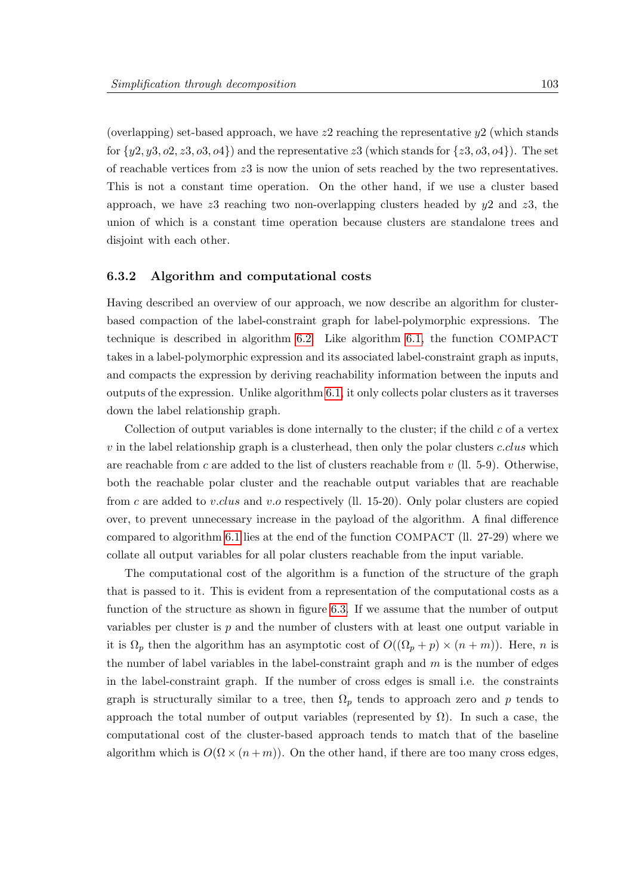(overlapping) set-based approach, we have  $z2$  reaching the representative  $y2$  (which stands for  $\{y2, y3, o2, z3, o3, o4\}$  and the representative  $z3$  (which stands for  $\{z3, o3, o4\}$ ). The set of reachable vertices from z3 is now the union of sets reached by the two representatives. This is not a constant time operation. On the other hand, if we use a cluster based approach, we have  $z3$  reaching two non-overlapping clusters headed by  $y2$  and  $z3$ , the union of which is a constant time operation because clusters are standalone trees and disjoint with each other.

#### <span id="page-102-0"></span>6.3.2 Algorithm and computational costs

Having described an overview of our approach, we now describe an algorithm for clusterbased compaction of the label-constraint graph for label-polymorphic expressions. The technique is described in algorithm [6.2.](#page-103-1) Like algorithm [6.1,](#page-99-1) the function COMPACT takes in a label-polymorphic expression and its associated label-constraint graph as inputs, and compacts the expression by deriving reachability information between the inputs and outputs of the expression. Unlike algorithm [6.1,](#page-99-1) it only collects polar clusters as it traverses down the label relationship graph.

Collection of output variables is done internally to the cluster; if the child  $c$  of a vertex  $v$  in the label relationship graph is a clusterhead, then only the polar clusters  $c$ .clus which are reachable from c are added to the list of clusters reachable from  $v$  (ll. 5-9). Otherwise, both the reachable polar cluster and the reachable output variables that are reachable from c are added to v.clus and v.o respectively  $(ll. 15-20)$ . Only polar clusters are copied over, to prevent unnecessary increase in the payload of the algorithm. A final difference compared to algorithm [6.1](#page-99-1) lies at the end of the function COMPACT (ll. 27-29) where we collate all output variables for all polar clusters reachable from the input variable.

The computational cost of the algorithm is a function of the structure of the graph that is passed to it. This is evident from a representation of the computational costs as a function of the structure as shown in figure [6.3.](#page-104-0) If we assume that the number of output variables per cluster is  $p$  and the number of clusters with at least one output variable in it is  $\Omega_p$  then the algorithm has an asymptotic cost of  $O((\Omega_p + p) \times (n + m))$ . Here, *n* is the number of label variables in the label-constraint graph and  $m$  is the number of edges in the label-constraint graph. If the number of cross edges is small i.e. the constraints graph is structurally similar to a tree, then  $\Omega_p$  tends to approach zero and p tends to approach the total number of output variables (represented by  $\Omega$ ). In such a case, the computational cost of the cluster-based approach tends to match that of the baseline algorithm which is  $O(\Omega \times (n+m))$ . On the other hand, if there are too many cross edges,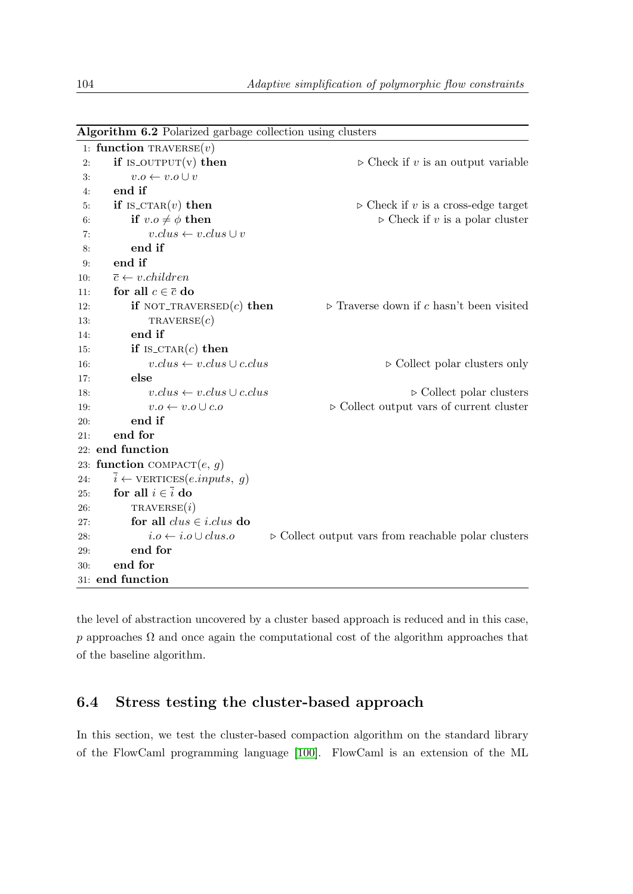<span id="page-103-1"></span>

| Algorithm 6.2 Polarized garbage collection using clusters |  |  |  |  |
|-----------------------------------------------------------|--|--|--|--|
|-----------------------------------------------------------|--|--|--|--|

|     | 1: function TRAVERSE $(v)$                |                                                                    |
|-----|-------------------------------------------|--------------------------------------------------------------------|
| 2:  | if $IS_$                                  | $\triangleright$ Check if v is an output variable                  |
| 3:  | $v.o \leftarrow v.o \cup v$               |                                                                    |
| 4:  | end if                                    |                                                                    |
| 5:  | if $IS_CTAR(v)$ then                      | $\triangleright$ Check if v is a cross-edge target                 |
| 6:  | if $v.o \neq \phi$ then                   | $\triangleright$ Check if v is a polar cluster                     |
| 7:  | $v.class \leftarrow v.class \cup v$       |                                                                    |
| 8:  | end if                                    |                                                                    |
| 9:  | end if                                    |                                                                    |
| 10: | $\overline{c} \leftarrow v. children$     |                                                                    |
| 11: | for all $c \in \overline{c}$ do           |                                                                    |
| 12: | if NOT_TRAVERSED $(c)$ then               | $\triangleright$ Traverse down if c hasn't been visited            |
| 13: | $\text{TRANSE}(\mathcal{C})$              |                                                                    |
| 14: | end if                                    |                                                                    |
| 15: | if $IS_CTAR(c)$ then                      |                                                                    |
| 16: | $v.class \leftarrow v.class \cup c.class$ | $\triangleright$ Collect polar clusters only                       |
| 17: | else                                      |                                                                    |
| 18: | $v.class \leftarrow v.class \cup c.class$ | $\triangleright$ Collect polar clusters                            |
| 19: | $v.o \leftarrow v.o \cup c.o$             | $\triangleright$ Collect output vars of current cluster            |
| 20: | end if                                    |                                                                    |
| 21: | end for                                   |                                                                    |
|     | 22: end function                          |                                                                    |
|     | 23: function COMPACT $(e, g)$             |                                                                    |
| 24: | $i \leftarrow$ VERTICES $(e.inputs, g)$   |                                                                    |
| 25: | for all $i \in \overline{i}$ do           |                                                                    |
| 26: | $\texttt{TRANSERSE}(i)$                   |                                                                    |
| 27: | for all $clus \in i-clus$ do              |                                                                    |
| 28: | $i.o \leftarrow i.o \cup clus.o$          | $\triangleright$ Collect output vars from reachable polar clusters |
| 29: | end for                                   |                                                                    |
| 30: | end for                                   |                                                                    |
|     | 31: end function                          |                                                                    |

the level of abstraction uncovered by a cluster based approach is reduced and in this case, p approaches  $\Omega$  and once again the computational cost of the algorithm approaches that of the baseline algorithm.

# <span id="page-103-0"></span>6.4 Stress testing the cluster-based approach

In this section, we test the cluster-based compaction algorithm on the standard library of the FlowCaml programming language [\[100\]](#page-126-1). FlowCaml is an extension of the ML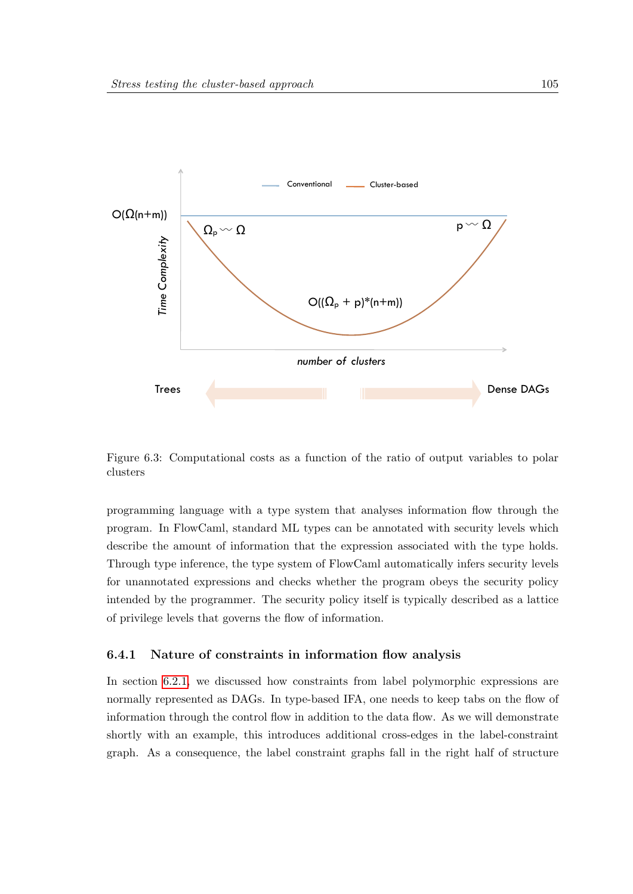<span id="page-104-0"></span>

Figure 6.3: Computational costs as a function of the ratio of output variables to polar clusters

programming language with a type system that analyses information flow through the program. In FlowCaml, standard ML types can be annotated with security levels which describe the amount of information that the expression associated with the type holds. Through type inference, the type system of FlowCaml automatically infers security levels for unannotated expressions and checks whether the program obeys the security policy intended by the programmer. The security policy itself is typically described as a lattice of privilege levels that governs the flow of information.

### <span id="page-104-1"></span>6.4.1 Nature of constraints in information flow analysis

In section [6.2.1,](#page-97-1) we discussed how constraints from label polymorphic expressions are normally represented as DAGs. In type-based IFA, one needs to keep tabs on the flow of information through the control flow in addition to the data flow. As we will demonstrate shortly with an example, this introduces additional cross-edges in the label-constraint graph. As a consequence, the label constraint graphs fall in the right half of structure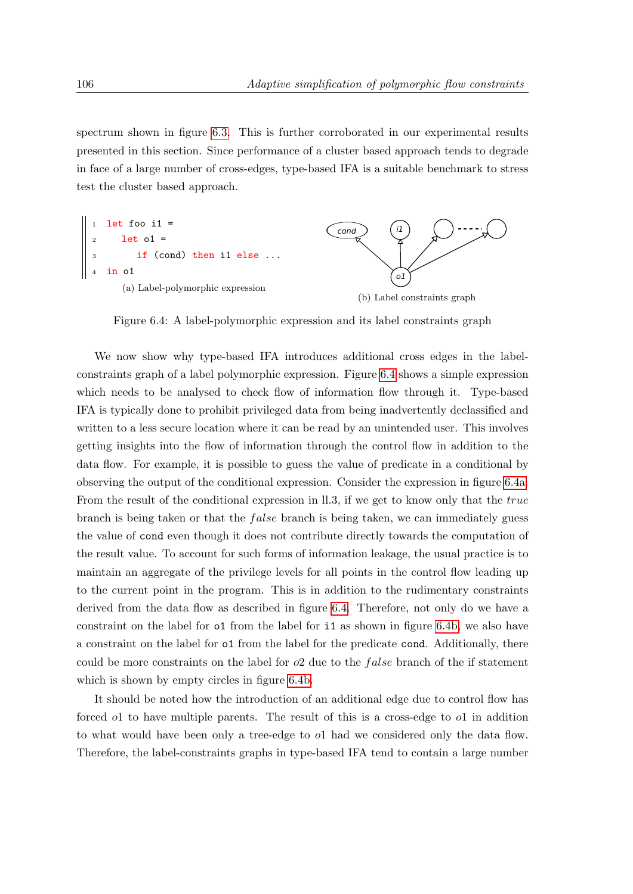spectrum shown in figure [6.3.](#page-104-0) This is further corroborated in our experimental results presented in this section. Since performance of a cluster based approach tends to degrade in face of a large number of cross-edges, type-based IFA is a suitable benchmark to stress test the cluster based approach.

<span id="page-105-1"></span><span id="page-105-0"></span>

<span id="page-105-2"></span>Figure 6.4: A label-polymorphic expression and its label constraints graph

We now show why type-based IFA introduces additional cross edges in the labelconstraints graph of a label polymorphic expression. Figure [6.4](#page-105-0) shows a simple expression which needs to be analysed to check flow of information flow through it. Type-based IFA is typically done to prohibit privileged data from being inadvertently declassified and written to a less secure location where it can be read by an unintended user. This involves getting insights into the flow of information through the control flow in addition to the data flow. For example, it is possible to guess the value of predicate in a conditional by observing the output of the conditional expression. Consider the expression in figure [6.4a.](#page-105-1) From the result of the conditional expression in ll.3, if we get to know only that the true branch is being taken or that the *false* branch is being taken, we can immediately guess the value of cond even though it does not contribute directly towards the computation of the result value. To account for such forms of information leakage, the usual practice is to maintain an aggregate of the privilege levels for all points in the control flow leading up to the current point in the program. This is in addition to the rudimentary constraints derived from the data flow as described in figure [6.4.](#page-105-0) Therefore, not only do we have a constraint on the label for o1 from the label for i1 as shown in figure [6.4b,](#page-105-2) we also have a constraint on the label for o1 from the label for the predicate cond. Additionally, there could be more constraints on the label for o2 due to the f alse branch of the if statement which is shown by empty circles in figure [6.4b.](#page-105-2)

It should be noted how the introduction of an additional edge due to control flow has forced o1 to have multiple parents. The result of this is a cross-edge to o1 in addition to what would have been only a tree-edge to o1 had we considered only the data flow. Therefore, the label-constraints graphs in type-based IFA tend to contain a large number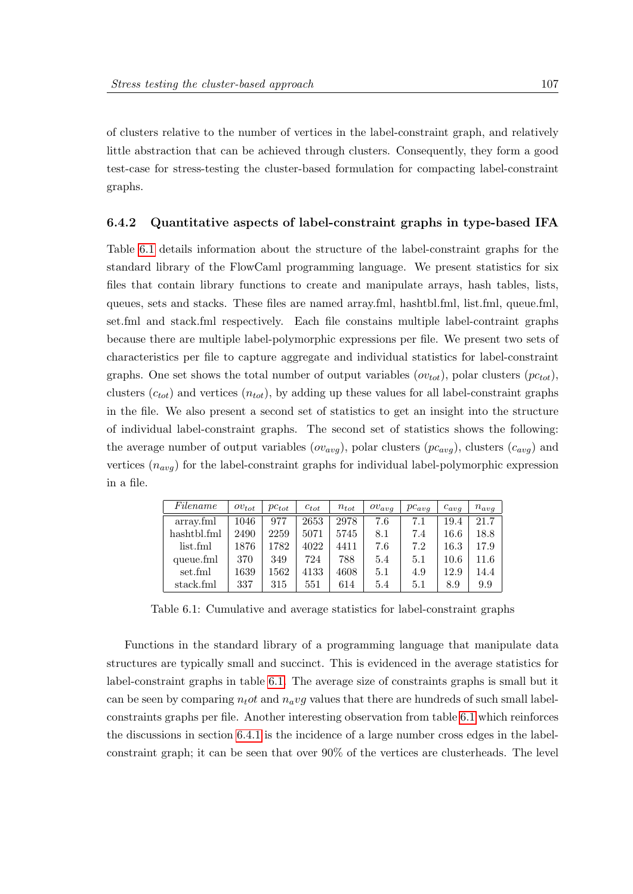of clusters relative to the number of vertices in the label-constraint graph, and relatively little abstraction that can be achieved through clusters. Consequently, they form a good test-case for stress-testing the cluster-based formulation for compacting label-constraint graphs.

### <span id="page-106-1"></span>6.4.2 Quantitative aspects of label-constraint graphs in type-based IFA

Table [6.1](#page-106-0) details information about the structure of the label-constraint graphs for the standard library of the FlowCaml programming language. We present statistics for six files that contain library functions to create and manipulate arrays, hash tables, lists, queues, sets and stacks. These files are named array.fml, hashtbl.fml, list.fml, queue.fml, set.fml and stack.fml respectively. Each file constains multiple label-contraint graphs because there are multiple label-polymorphic expressions per file. We present two sets of characteristics per file to capture aggregate and individual statistics for label-constraint graphs. One set shows the total number of output variables  $(ov_{tot})$ , polar clusters  $(pc_{tot})$ , clusters  $(c_{tot})$  and vertices  $(n_{tot})$ , by adding up these values for all label-constraint graphs in the file. We also present a second set of statistics to get an insight into the structure of individual label-constraint graphs. The second set of statistics shows the following: the average number of output variables  $(ov_{avg})$ , polar clusters  $(pc_{avg})$ , clusters  $(c_{avg})$  and vertices  $(n_{avg})$  for the label-constraint graphs for individual label-polymorphic expression in a file.

<span id="page-106-0"></span>

| Filename    | $ov_{tot}$ | $pc_{tot}$ | $c_{tot}$ | $n_{tot}$ | $ov_{avg}$ | $pc_{avg}$ | $c_{ava}$ | $n_{ava}$ |
|-------------|------------|------------|-----------|-----------|------------|------------|-----------|-----------|
| array.fml   | 1046       | 977        | 2653      | 2978      | 7.6        | 7.1        | 19.4      | 21.7      |
| hashtbl.fml | 2490       | 2259       | 5071      | 5745      | 8.1        | 7.4        | 16.6      | 18.8      |
| list.fml    | 1876       | 1782       | 4022      | 4411      | 7.6        | 7.2        | $16.3\,$  | 17.9      |
| queue.fml   | 370        | 349        | 724       | 788       | 5.4        | 5.1        | $10.6\,$  | 11.6      |
| set.fml     | 1639       | 1562       | 4133      | 4608      | 5.1        | 4.9        | 12.9      | 14.4      |
| stack.fml   | 337        | 315        | 551       | 614       | 5.4        | 5.1        | 8.9       | 9.9       |

Table 6.1: Cumulative and average statistics for label-constraint graphs

Functions in the standard library of a programming language that manipulate data structures are typically small and succinct. This is evidenced in the average statistics for label-constraint graphs in table [6.1.](#page-106-0) The average size of constraints graphs is small but it can be seen by comparing  $n_t$  and  $n_a v g$  values that there are hundreds of such small labelconstraints graphs per file. Another interesting observation from table [6.1](#page-106-0) which reinforces the discussions in section [6.4.1](#page-104-1) is the incidence of a large number cross edges in the labelconstraint graph; it can be seen that over 90% of the vertices are clusterheads. The level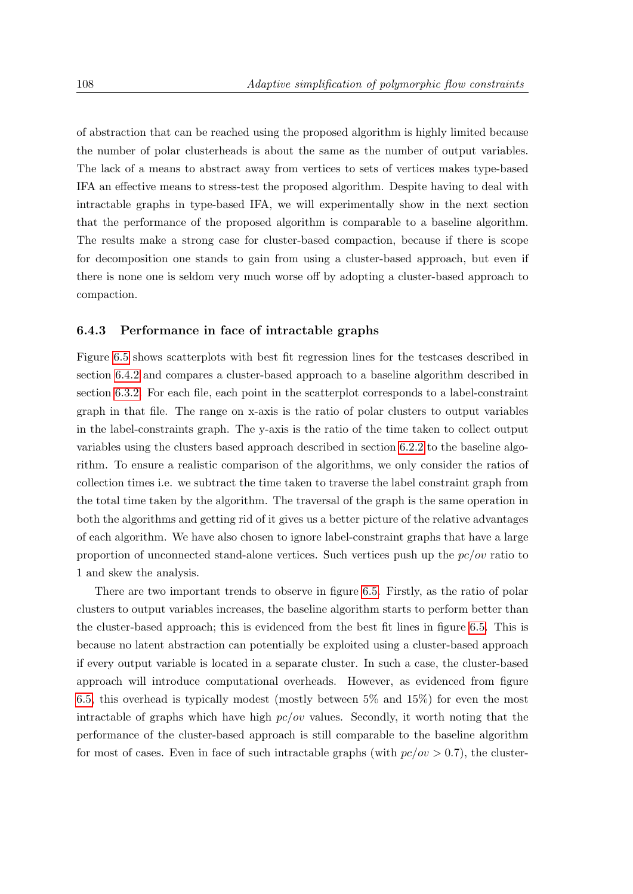of abstraction that can be reached using the proposed algorithm is highly limited because the number of polar clusterheads is about the same as the number of output variables. The lack of a means to abstract away from vertices to sets of vertices makes type-based IFA an effective means to stress-test the proposed algorithm. Despite having to deal with intractable graphs in type-based IFA, we will experimentally show in the next section that the performance of the proposed algorithm is comparable to a baseline algorithm. The results make a strong case for cluster-based compaction, because if there is scope for decomposition one stands to gain from using a cluster-based approach, but even if there is none one is seldom very much worse off by adopting a cluster-based approach to compaction.

#### 6.4.3 Performance in face of intractable graphs

Figure [6.5](#page-109-0) shows scatterplots with best fit regression lines for the testcases described in section [6.4.2](#page-106-1) and compares a cluster-based approach to a baseline algorithm described in section [6.3.2.](#page-102-0) For each file, each point in the scatterplot corresponds to a label-constraint graph in that file. The range on x-axis is the ratio of polar clusters to output variables in the label-constraints graph. The y-axis is the ratio of the time taken to collect output variables using the clusters based approach described in section [6.2.2](#page-98-0) to the baseline algorithm. To ensure a realistic comparison of the algorithms, we only consider the ratios of collection times i.e. we subtract the time taken to traverse the label constraint graph from the total time taken by the algorithm. The traversal of the graph is the same operation in both the algorithms and getting rid of it gives us a better picture of the relative advantages of each algorithm. We have also chosen to ignore label-constraint graphs that have a large proportion of unconnected stand-alone vertices. Such vertices push up the  $pc/ov$  ratio to 1 and skew the analysis.

There are two important trends to observe in figure [6.5.](#page-109-0) Firstly, as the ratio of polar clusters to output variables increases, the baseline algorithm starts to perform better than the cluster-based approach; this is evidenced from the best fit lines in figure [6.5.](#page-109-0) This is because no latent abstraction can potentially be exploited using a cluster-based approach if every output variable is located in a separate cluster. In such a case, the cluster-based approach will introduce computational overheads. However, as evidenced from figure [6.5,](#page-109-0) this overhead is typically modest (mostly between 5% and 15%) for even the most intractable of graphs which have high  $pc/ov$  values. Secondly, it worth noting that the performance of the cluster-based approach is still comparable to the baseline algorithm for most of cases. Even in face of such intractable graphs (with  $pc/ov > 0.7$ ), the cluster-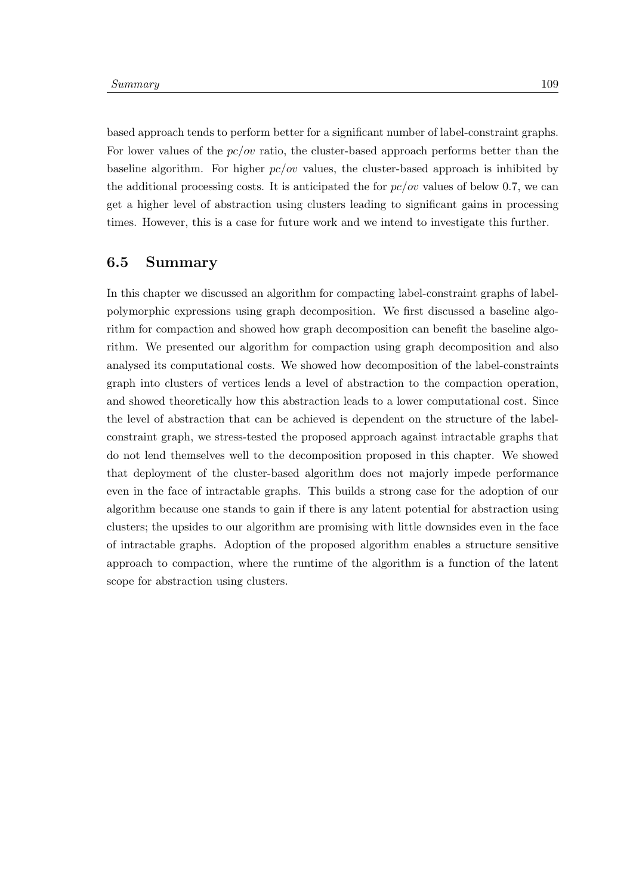based approach tends to perform better for a significant number of label-constraint graphs. For lower values of the  $pc/ov$  ratio, the cluster-based approach performs better than the baseline algorithm. For higher  $pc/ov$  values, the cluster-based approach is inhibited by the additional processing costs. It is anticipated the for  $pc/ov$  values of below 0.7, we can

get a higher level of abstraction using clusters leading to significant gains in processing times. However, this is a case for future work and we intend to investigate this further.

### 6.5 Summary

In this chapter we discussed an algorithm for compacting label-constraint graphs of labelpolymorphic expressions using graph decomposition. We first discussed a baseline algorithm for compaction and showed how graph decomposition can benefit the baseline algorithm. We presented our algorithm for compaction using graph decomposition and also analysed its computational costs. We showed how decomposition of the label-constraints graph into clusters of vertices lends a level of abstraction to the compaction operation, and showed theoretically how this abstraction leads to a lower computational cost. Since the level of abstraction that can be achieved is dependent on the structure of the labelconstraint graph, we stress-tested the proposed approach against intractable graphs that do not lend themselves well to the decomposition proposed in this chapter. We showed that deployment of the cluster-based algorithm does not majorly impede performance even in the face of intractable graphs. This builds a strong case for the adoption of our algorithm because one stands to gain if there is any latent potential for abstraction using clusters; the upsides to our algorithm are promising with little downsides even in the face of intractable graphs. Adoption of the proposed algorithm enables a structure sensitive approach to compaction, where the runtime of the algorithm is a function of the latent scope for abstraction using clusters.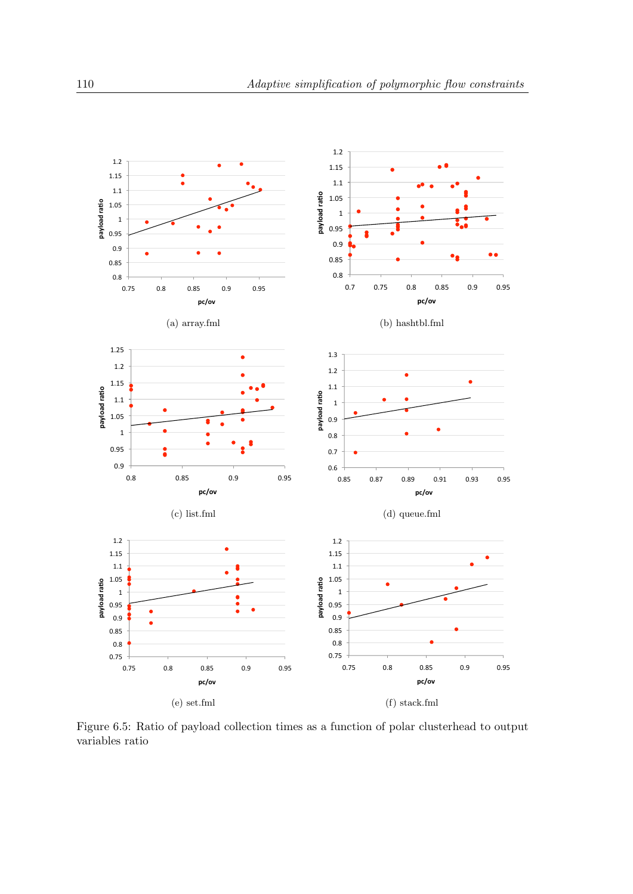

Figure 6.5: Ratio of payload collection times as a function of polar clusterhead to output variables ratio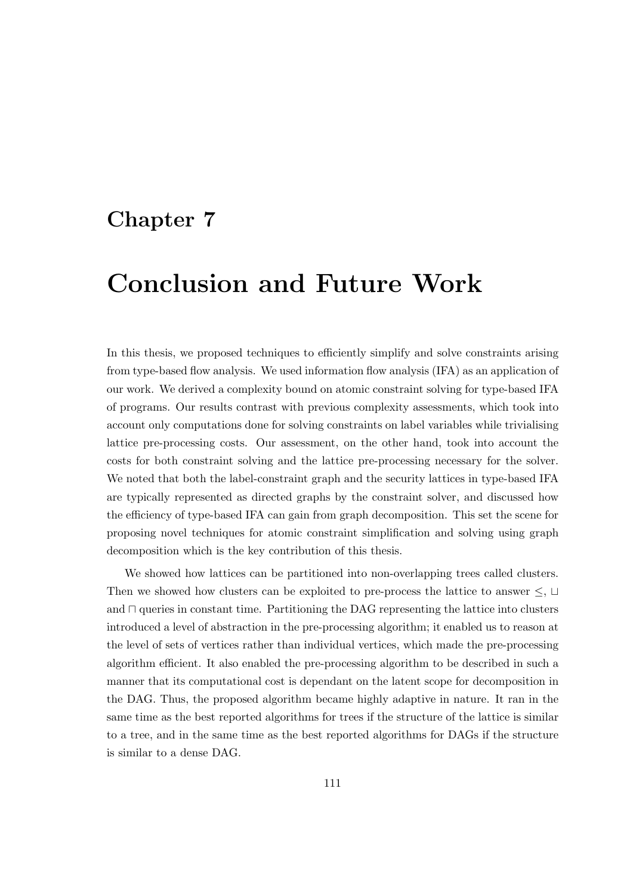## Chapter 7

# Conclusion and Future Work

In this thesis, we proposed techniques to efficiently simplify and solve constraints arising from type-based flow analysis. We used information flow analysis (IFA) as an application of our work. We derived a complexity bound on atomic constraint solving for type-based IFA of programs. Our results contrast with previous complexity assessments, which took into account only computations done for solving constraints on label variables while trivialising lattice pre-processing costs. Our assessment, on the other hand, took into account the costs for both constraint solving and the lattice pre-processing necessary for the solver. We noted that both the label-constraint graph and the security lattices in type-based IFA are typically represented as directed graphs by the constraint solver, and discussed how the efficiency of type-based IFA can gain from graph decomposition. This set the scene for proposing novel techniques for atomic constraint simplification and solving using graph decomposition which is the key contribution of this thesis.

We showed how lattices can be partitioned into non-overlapping trees called clusters. Then we showed how clusters can be exploited to pre-process the lattice to answer  $\leq, \sqcup$ and  $\Box$  queries in constant time. Partitioning the DAG representing the lattice into clusters introduced a level of abstraction in the pre-processing algorithm; it enabled us to reason at the level of sets of vertices rather than individual vertices, which made the pre-processing algorithm efficient. It also enabled the pre-processing algorithm to be described in such a manner that its computational cost is dependant on the latent scope for decomposition in the DAG. Thus, the proposed algorithm became highly adaptive in nature. It ran in the same time as the best reported algorithms for trees if the structure of the lattice is similar to a tree, and in the same time as the best reported algorithms for DAGs if the structure is similar to a dense DAG.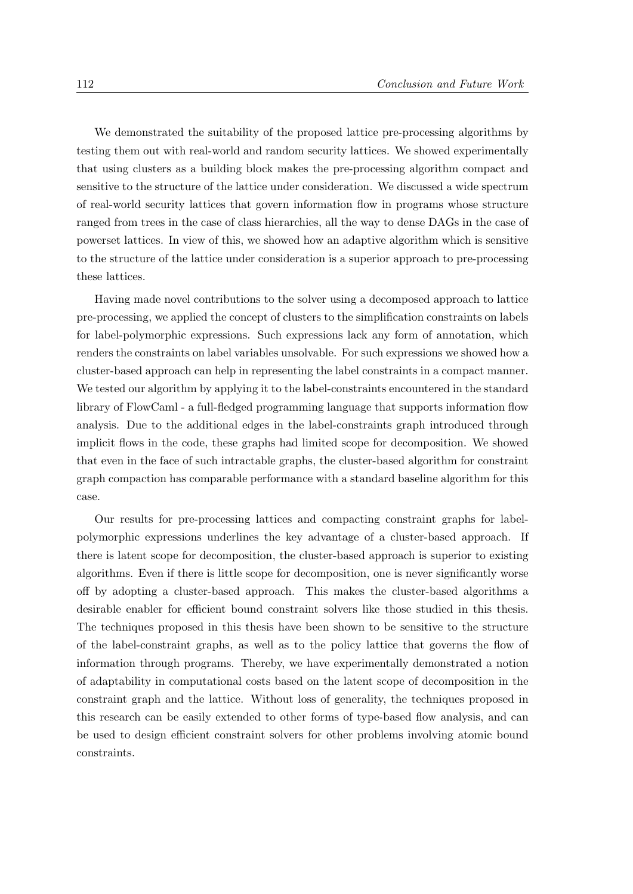We demonstrated the suitability of the proposed lattice pre-processing algorithms by testing them out with real-world and random security lattices. We showed experimentally that using clusters as a building block makes the pre-processing algorithm compact and sensitive to the structure of the lattice under consideration. We discussed a wide spectrum of real-world security lattices that govern information flow in programs whose structure ranged from trees in the case of class hierarchies, all the way to dense DAGs in the case of powerset lattices. In view of this, we showed how an adaptive algorithm which is sensitive to the structure of the lattice under consideration is a superior approach to pre-processing these lattices.

Having made novel contributions to the solver using a decomposed approach to lattice pre-processing, we applied the concept of clusters to the simplification constraints on labels for label-polymorphic expressions. Such expressions lack any form of annotation, which renders the constraints on label variables unsolvable. For such expressions we showed how a cluster-based approach can help in representing the label constraints in a compact manner. We tested our algorithm by applying it to the label-constraints encountered in the standard library of FlowCaml - a full-fledged programming language that supports information flow analysis. Due to the additional edges in the label-constraints graph introduced through implicit flows in the code, these graphs had limited scope for decomposition. We showed that even in the face of such intractable graphs, the cluster-based algorithm for constraint graph compaction has comparable performance with a standard baseline algorithm for this case.

Our results for pre-processing lattices and compacting constraint graphs for labelpolymorphic expressions underlines the key advantage of a cluster-based approach. If there is latent scope for decomposition, the cluster-based approach is superior to existing algorithms. Even if there is little scope for decomposition, one is never significantly worse off by adopting a cluster-based approach. This makes the cluster-based algorithms a desirable enabler for efficient bound constraint solvers like those studied in this thesis. The techniques proposed in this thesis have been shown to be sensitive to the structure of the label-constraint graphs, as well as to the policy lattice that governs the flow of information through programs. Thereby, we have experimentally demonstrated a notion of adaptability in computational costs based on the latent scope of decomposition in the constraint graph and the lattice. Without loss of generality, the techniques proposed in this research can be easily extended to other forms of type-based flow analysis, and can be used to design efficient constraint solvers for other problems involving atomic bound constraints.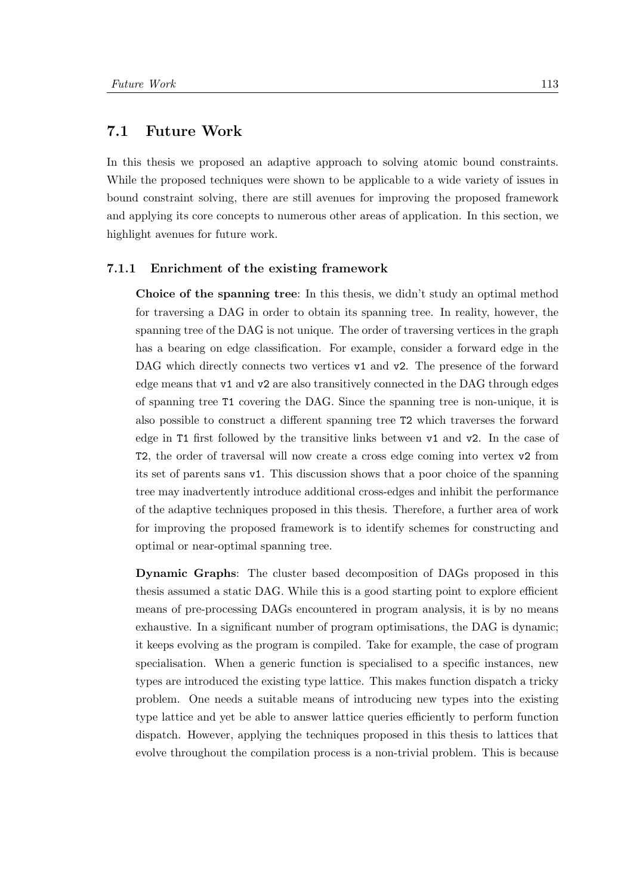### 7.1 Future Work

In this thesis we proposed an adaptive approach to solving atomic bound constraints. While the proposed techniques were shown to be applicable to a wide variety of issues in bound constraint solving, there are still avenues for improving the proposed framework and applying its core concepts to numerous other areas of application. In this section, we highlight avenues for future work.

#### 7.1.1 Enrichment of the existing framework

Choice of the spanning tree: In this thesis, we didn't study an optimal method for traversing a DAG in order to obtain its spanning tree. In reality, however, the spanning tree of the DAG is not unique. The order of traversing vertices in the graph has a bearing on edge classification. For example, consider a forward edge in the DAG which directly connects two vertices v1 and v2. The presence of the forward edge means that v1 and v2 are also transitively connected in the DAG through edges of spanning tree T1 covering the DAG. Since the spanning tree is non-unique, it is also possible to construct a different spanning tree T2 which traverses the forward edge in T1 first followed by the transitive links between v1 and v2. In the case of T2, the order of traversal will now create a cross edge coming into vertex v2 from its set of parents sans v1. This discussion shows that a poor choice of the spanning tree may inadvertently introduce additional cross-edges and inhibit the performance of the adaptive techniques proposed in this thesis. Therefore, a further area of work for improving the proposed framework is to identify schemes for constructing and optimal or near-optimal spanning tree.

Dynamic Graphs: The cluster based decomposition of DAGs proposed in this thesis assumed a static DAG. While this is a good starting point to explore efficient means of pre-processing DAGs encountered in program analysis, it is by no means exhaustive. In a significant number of program optimisations, the DAG is dynamic; it keeps evolving as the program is compiled. Take for example, the case of program specialisation. When a generic function is specialised to a specific instances, new types are introduced the existing type lattice. This makes function dispatch a tricky problem. One needs a suitable means of introducing new types into the existing type lattice and yet be able to answer lattice queries efficiently to perform function dispatch. However, applying the techniques proposed in this thesis to lattices that evolve throughout the compilation process is a non-trivial problem. This is because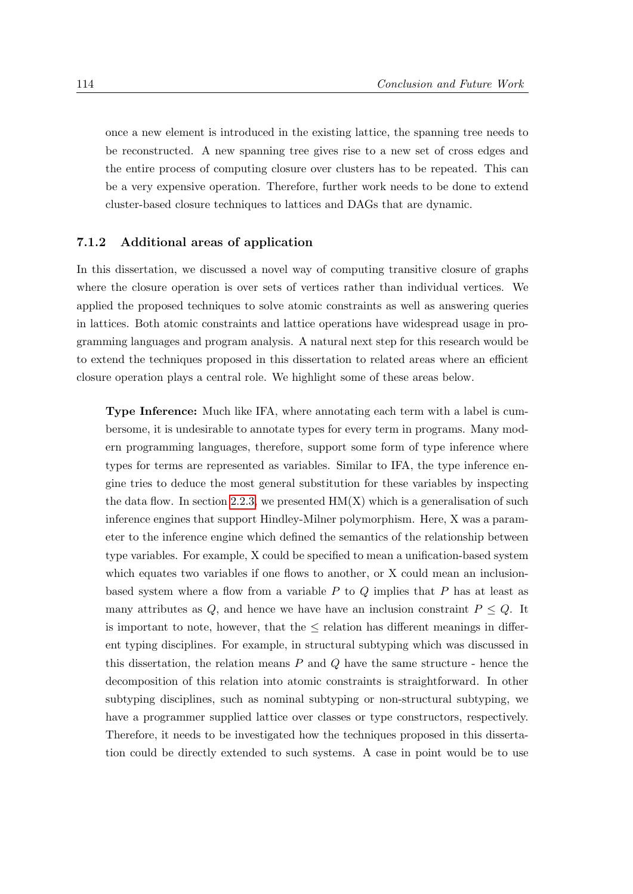once a new element is introduced in the existing lattice, the spanning tree needs to be reconstructed. A new spanning tree gives rise to a new set of cross edges and the entire process of computing closure over clusters has to be repeated. This can be a very expensive operation. Therefore, further work needs to be done to extend cluster-based closure techniques to lattices and DAGs that are dynamic.

#### 7.1.2 Additional areas of application

In this dissertation, we discussed a novel way of computing transitive closure of graphs where the closure operation is over sets of vertices rather than individual vertices. We applied the proposed techniques to solve atomic constraints as well as answering queries in lattices. Both atomic constraints and lattice operations have widespread usage in programming languages and program analysis. A natural next step for this research would be to extend the techniques proposed in this dissertation to related areas where an efficient closure operation plays a central role. We highlight some of these areas below.

Type Inference: Much like IFA, where annotating each term with a label is cumbersome, it is undesirable to annotate types for every term in programs. Many modern programming languages, therefore, support some form of type inference where types for terms are represented as variables. Similar to IFA, the type inference engine tries to deduce the most general substitution for these variables by inspecting the data flow. In section [2.2.3,](#page-21-0) we presented  $HM(X)$  which is a generalisation of such inference engines that support Hindley-Milner polymorphism. Here, X was a parameter to the inference engine which defined the semantics of the relationship between type variables. For example, X could be specified to mean a unification-based system which equates two variables if one flows to another, or X could mean an inclusionbased system where a flow from a variable  $P$  to  $Q$  implies that  $P$  has at least as many attributes as  $Q$ , and hence we have have an inclusion constraint  $P \leq Q$ . It is important to note, however, that the  $\leq$  relation has different meanings in different typing disciplines. For example, in structural subtyping which was discussed in this dissertation, the relation means  $P$  and  $Q$  have the same structure - hence the decomposition of this relation into atomic constraints is straightforward. In other subtyping disciplines, such as nominal subtyping or non-structural subtyping, we have a programmer supplied lattice over classes or type constructors, respectively. Therefore, it needs to be investigated how the techniques proposed in this dissertation could be directly extended to such systems. A case in point would be to use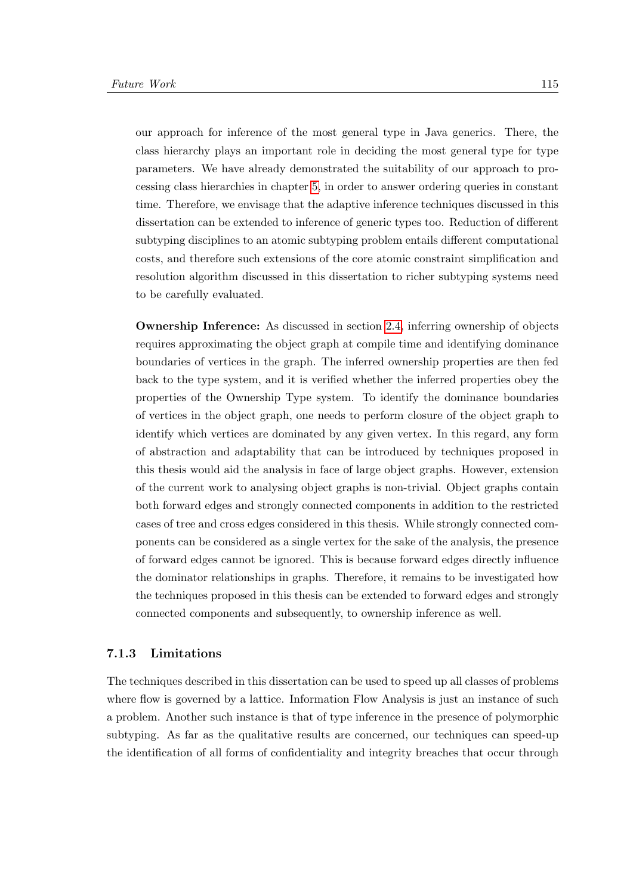our approach for inference of the most general type in Java generics. There, the class hierarchy plays an important role in deciding the most general type for type parameters. We have already demonstrated the suitability of our approach to processing class hierarchies in chapter [5,](#page-76-0) in order to answer ordering queries in constant time. Therefore, we envisage that the adaptive inference techniques discussed in this dissertation can be extended to inference of generic types too. Reduction of different subtyping disciplines to an atomic subtyping problem entails different computational costs, and therefore such extensions of the core atomic constraint simplification and resolution algorithm discussed in this dissertation to richer subtyping systems need to be carefully evaluated.

Ownership Inference: As discussed in section [2.4,](#page-24-0) inferring ownership of objects requires approximating the object graph at compile time and identifying dominance boundaries of vertices in the graph. The inferred ownership properties are then fed back to the type system, and it is verified whether the inferred properties obey the properties of the Ownership Type system. To identify the dominance boundaries of vertices in the object graph, one needs to perform closure of the object graph to identify which vertices are dominated by any given vertex. In this regard, any form of abstraction and adaptability that can be introduced by techniques proposed in this thesis would aid the analysis in face of large object graphs. However, extension of the current work to analysing object graphs is non-trivial. Object graphs contain both forward edges and strongly connected components in addition to the restricted cases of tree and cross edges considered in this thesis. While strongly connected components can be considered as a single vertex for the sake of the analysis, the presence of forward edges cannot be ignored. This is because forward edges directly influence the dominator relationships in graphs. Therefore, it remains to be investigated how the techniques proposed in this thesis can be extended to forward edges and strongly connected components and subsequently, to ownership inference as well.

#### 7.1.3 Limitations

The techniques described in this dissertation can be used to speed up all classes of problems where flow is governed by a lattice. Information Flow Analysis is just an instance of such a problem. Another such instance is that of type inference in the presence of polymorphic subtyping. As far as the qualitative results are concerned, our techniques can speed-up the identification of all forms of confidentiality and integrity breaches that occur through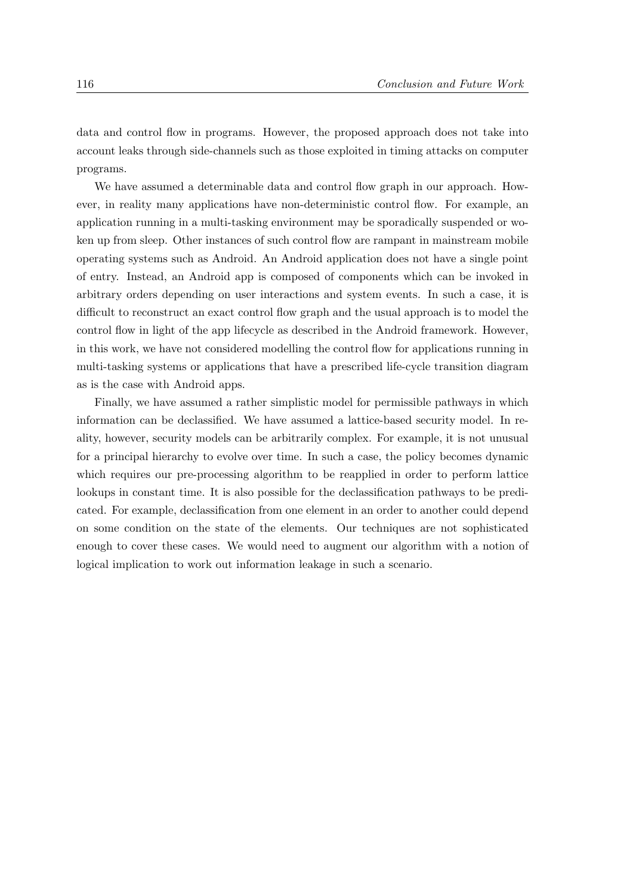data and control flow in programs. However, the proposed approach does not take into account leaks through side-channels such as those exploited in timing attacks on computer programs.

We have assumed a determinable data and control flow graph in our approach. However, in reality many applications have non-deterministic control flow. For example, an application running in a multi-tasking environment may be sporadically suspended or woken up from sleep. Other instances of such control flow are rampant in mainstream mobile operating systems such as Android. An Android application does not have a single point of entry. Instead, an Android app is composed of components which can be invoked in arbitrary orders depending on user interactions and system events. In such a case, it is difficult to reconstruct an exact control flow graph and the usual approach is to model the control flow in light of the app lifecycle as described in the Android framework. However, in this work, we have not considered modelling the control flow for applications running in multi-tasking systems or applications that have a prescribed life-cycle transition diagram as is the case with Android apps.

Finally, we have assumed a rather simplistic model for permissible pathways in which information can be declassified. We have assumed a lattice-based security model. In reality, however, security models can be arbitrarily complex. For example, it is not unusual for a principal hierarchy to evolve over time. In such a case, the policy becomes dynamic which requires our pre-processing algorithm to be reapplied in order to perform lattice lookups in constant time. It is also possible for the declassification pathways to be predicated. For example, declassification from one element in an order to another could depend on some condition on the state of the elements. Our techniques are not sophisticated enough to cover these cases. We would need to augment our algorithm with a notion of logical implication to work out information leakage in such a scenario.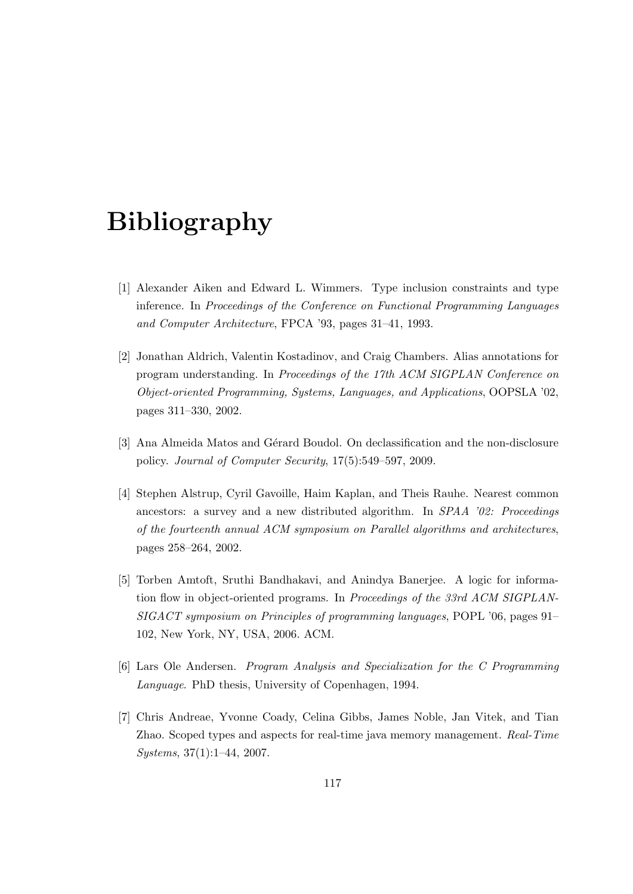# Bibliography

- [1] Alexander Aiken and Edward L. Wimmers. Type inclusion constraints and type inference. In Proceedings of the Conference on Functional Programming Languages and Computer Architecture, FPCA '93, pages 31–41, 1993.
- [2] Jonathan Aldrich, Valentin Kostadinov, and Craig Chambers. Alias annotations for program understanding. In Proceedings of the 17th ACM SIGPLAN Conference on Object-oriented Programming, Systems, Languages, and Applications, OOPSLA '02, pages 311–330, 2002.
- [3] Ana Almeida Matos and Gérard Boudol. On declassification and the non-disclosure policy. Journal of Computer Security, 17(5):549–597, 2009.
- [4] Stephen Alstrup, Cyril Gavoille, Haim Kaplan, and Theis Rauhe. Nearest common ancestors: a survey and a new distributed algorithm. In SPAA '02: Proceedings of the fourteenth annual ACM symposium on Parallel algorithms and architectures, pages 258–264, 2002.
- [5] Torben Amtoft, Sruthi Bandhakavi, and Anindya Banerjee. A logic for information flow in object-oriented programs. In Proceedings of the 33rd ACM SIGPLAN-SIGACT symposium on Principles of programming languages, POPL '06, pages 91– 102, New York, NY, USA, 2006. ACM.
- [6] Lars Ole Andersen. Program Analysis and Specialization for the C Programming Language. PhD thesis, University of Copenhagen, 1994.
- [7] Chris Andreae, Yvonne Coady, Celina Gibbs, James Noble, Jan Vitek, and Tian Zhao. Scoped types and aspects for real-time java memory management. Real-Time Systems, 37(1):1–44, 2007.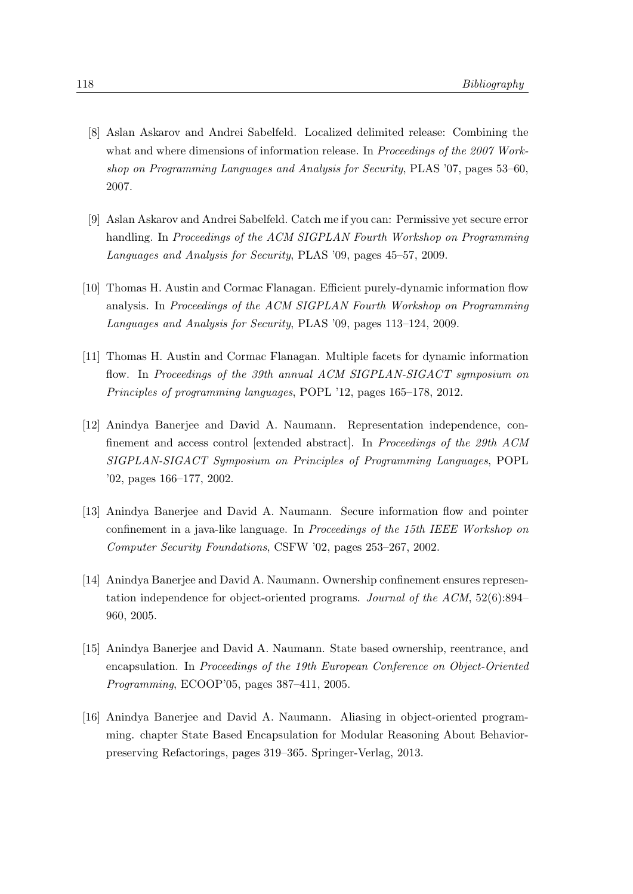- [8] Aslan Askarov and Andrei Sabelfeld. Localized delimited release: Combining the what and where dimensions of information release. In Proceedings of the 2007 Workshop on Programming Languages and Analysis for Security, PLAS '07, pages 53–60, 2007.
- [9] Aslan Askarov and Andrei Sabelfeld. Catch me if you can: Permissive yet secure error handling. In Proceedings of the ACM SIGPLAN Fourth Workshop on Programming Languages and Analysis for Security, PLAS '09, pages 45–57, 2009.
- [10] Thomas H. Austin and Cormac Flanagan. Efficient purely-dynamic information flow analysis. In Proceedings of the ACM SIGPLAN Fourth Workshop on Programming Languages and Analysis for Security, PLAS '09, pages 113–124, 2009.
- [11] Thomas H. Austin and Cormac Flanagan. Multiple facets for dynamic information flow. In Proceedings of the 39th annual ACM SIGPLAN-SIGACT symposium on Principles of programming languages, POPL '12, pages 165–178, 2012.
- [12] Anindya Banerjee and David A. Naumann. Representation independence, confinement and access control [extended abstract]. In Proceedings of the 29th ACM SIGPLAN-SIGACT Symposium on Principles of Programming Languages, POPL '02, pages 166–177, 2002.
- [13] Anindya Banerjee and David A. Naumann. Secure information flow and pointer confinement in a java-like language. In Proceedings of the 15th IEEE Workshop on Computer Security Foundations, CSFW '02, pages 253–267, 2002.
- [14] Anindya Banerjee and David A. Naumann. Ownership confinement ensures representation independence for object-oriented programs. Journal of the ACM, 52(6):894– 960, 2005.
- [15] Anindya Banerjee and David A. Naumann. State based ownership, reentrance, and encapsulation. In Proceedings of the 19th European Conference on Object-Oriented Programming, ECOOP'05, pages 387–411, 2005.
- [16] Anindya Banerjee and David A. Naumann. Aliasing in object-oriented programming. chapter State Based Encapsulation for Modular Reasoning About Behaviorpreserving Refactorings, pages 319–365. Springer-Verlag, 2013.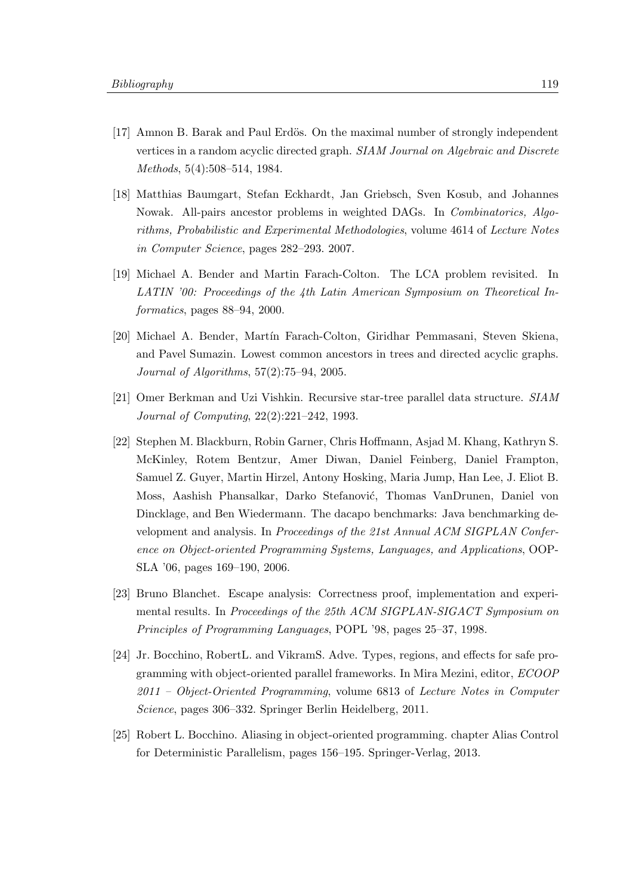- [17] Amnon B. Barak and Paul Erdös. On the maximal number of strongly independent vertices in a random acyclic directed graph. SIAM Journal on Algebraic and Discrete Methods, 5(4):508–514, 1984.
- [18] Matthias Baumgart, Stefan Eckhardt, Jan Griebsch, Sven Kosub, and Johannes Nowak. All-pairs ancestor problems in weighted DAGs. In Combinatorics, Algorithms, Probabilistic and Experimental Methodologies, volume 4614 of Lecture Notes in Computer Science, pages 282–293. 2007.
- [19] Michael A. Bender and Martin Farach-Colton. The LCA problem revisited. In LATIN '00: Proceedings of the 4th Latin American Symposium on Theoretical Informatics, pages  $88-94$ , 2000.
- [20] Michael A. Bender, Mart´ın Farach-Colton, Giridhar Pemmasani, Steven Skiena, and Pavel Sumazin. Lowest common ancestors in trees and directed acyclic graphs. Journal of Algorithms, 57(2):75–94, 2005.
- [21] Omer Berkman and Uzi Vishkin. Recursive star-tree parallel data structure. SIAM Journal of Computing, 22(2):221–242, 1993.
- [22] Stephen M. Blackburn, Robin Garner, Chris Hoffmann, Asjad M. Khang, Kathryn S. McKinley, Rotem Bentzur, Amer Diwan, Daniel Feinberg, Daniel Frampton, Samuel Z. Guyer, Martin Hirzel, Antony Hosking, Maria Jump, Han Lee, J. Eliot B. Moss, Aashish Phansalkar, Darko Stefanović, Thomas VanDrunen, Daniel von Dincklage, and Ben Wiedermann. The dacapo benchmarks: Java benchmarking development and analysis. In Proceedings of the 21st Annual ACM SIGPLAN Conference on Object-oriented Programming Systems, Languages, and Applications, OOP-SLA '06, pages 169–190, 2006.
- [23] Bruno Blanchet. Escape analysis: Correctness proof, implementation and experimental results. In Proceedings of the 25th ACM SIGPLAN-SIGACT Symposium on Principles of Programming Languages, POPL '98, pages 25–37, 1998.
- [24] Jr. Bocchino, RobertL. and VikramS. Adve. Types, regions, and effects for safe programming with object-oriented parallel frameworks. In Mira Mezini, editor, ECOOP 2011 – Object-Oriented Programming, volume 6813 of Lecture Notes in Computer Science, pages 306–332. Springer Berlin Heidelberg, 2011.
- [25] Robert L. Bocchino. Aliasing in object-oriented programming. chapter Alias Control for Deterministic Parallelism, pages 156–195. Springer-Verlag, 2013.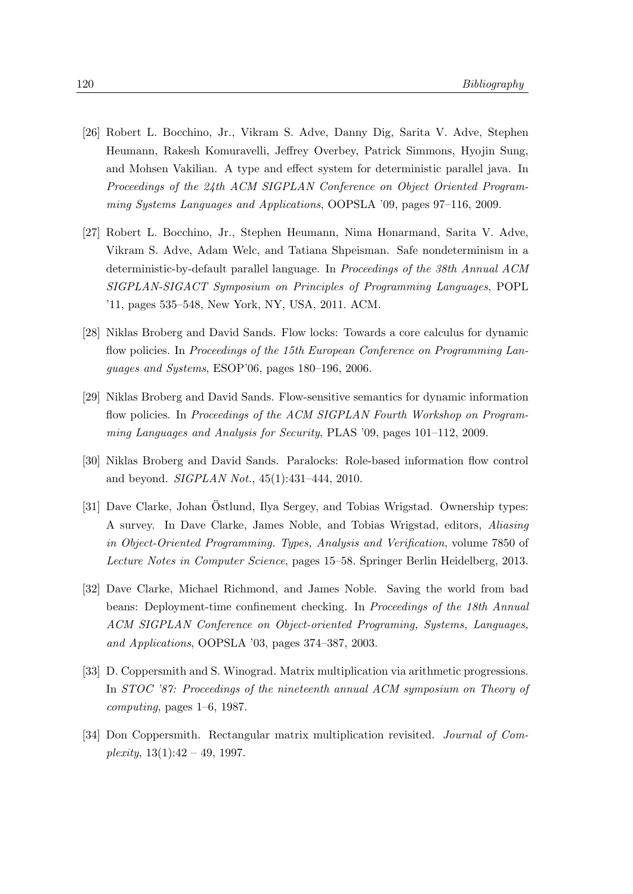- [26] Robert L. Bocchino, Jr., Vikram S. Adve, Danny Dig, Sarita V. Adve, Stephen Heumann, Rakesh Komuravelli, Jeffrey Overbey, Patrick Simmons, Hyojin Sung, and Mohsen Vakilian. A type and effect system for deterministic parallel java. In Proceedings of the 24th ACM SIGPLAN Conference on Object Oriented Programming Systems Languages and Applications, OOPSLA '09, pages 97–116, 2009.
- [27] Robert L. Bocchino, Jr., Stephen Heumann, Nima Honarmand, Sarita V. Adve, Vikram S. Adve, Adam Welc, and Tatiana Shpeisman. Safe nondeterminism in a deterministic-by-default parallel language. In Proceedings of the 38th Annual ACM SIGPLAN-SIGACT Symposium on Principles of Programming Languages, POPL '11, pages 535–548, New York, NY, USA, 2011. ACM.
- [28] Niklas Broberg and David Sands. Flow locks: Towards a core calculus for dynamic flow policies. In Proceedings of the 15th European Conference on Programming Languages and Systems, ESOP'06, pages 180–196, 2006.
- [29] Niklas Broberg and David Sands. Flow-sensitive semantics for dynamic information flow policies. In Proceedings of the ACM SIGPLAN Fourth Workshop on Programming Languages and Analysis for Security, PLAS '09, pages 101–112, 2009.
- [30] Niklas Broberg and David Sands. Paralocks: Role-based information flow control and beyond. SIGPLAN Not., 45(1):431–444, 2010.
- [31] Dave Clarke, Johan Östlund, Ilya Sergey, and Tobias Wrigstad. Ownership types: A survey. In Dave Clarke, James Noble, and Tobias Wrigstad, editors, Aliasing in Object-Oriented Programming. Types, Analysis and Verification, volume 7850 of Lecture Notes in Computer Science, pages 15–58. Springer Berlin Heidelberg, 2013.
- [32] Dave Clarke, Michael Richmond, and James Noble. Saving the world from bad beans: Deployment-time confinement checking. In Proceedings of the 18th Annual ACM SIGPLAN Conference on Object-oriented Programing, Systems, Languages, and Applications, OOPSLA '03, pages 374–387, 2003.
- [33] D. Coppersmith and S. Winograd. Matrix multiplication via arithmetic progressions. In STOC '87: Proceedings of the nineteenth annual ACM symposium on Theory of  $computing$ , pages 1–6, 1987.
- [34] Don Coppersmith. Rectangular matrix multiplication revisited. Journal of Com $plexity, 13(1):42-49, 1997.$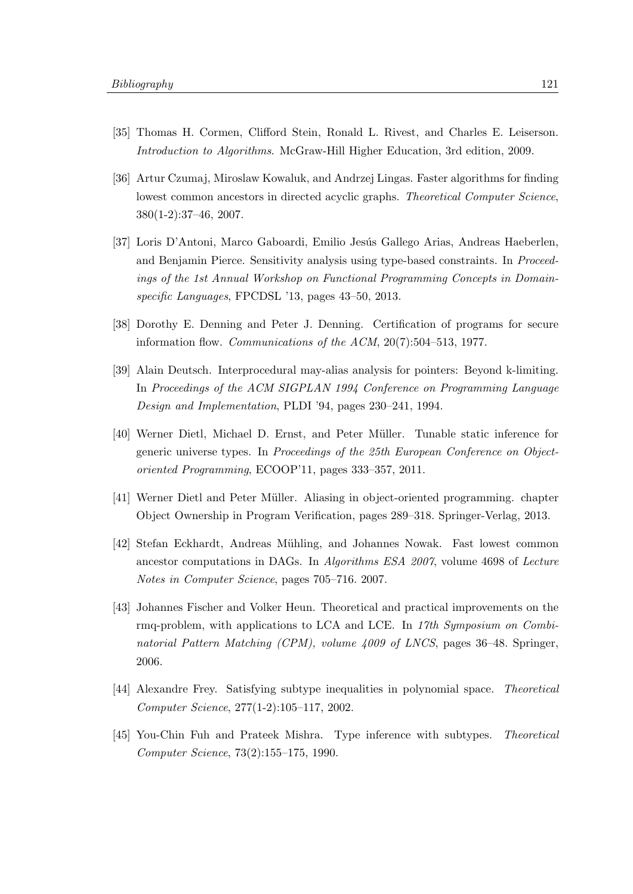- [35] Thomas H. Cormen, Clifford Stein, Ronald L. Rivest, and Charles E. Leiserson. Introduction to Algorithms. McGraw-Hill Higher Education, 3rd edition, 2009.
- [36] Artur Czumaj, Miroslaw Kowaluk, and Andrzej Lingas. Faster algorithms for finding lowest common ancestors in directed acyclic graphs. Theoretical Computer Science, 380(1-2):37–46, 2007.
- [37] Loris D'Antoni, Marco Gaboardi, Emilio Jesús Gallego Arias, Andreas Haeberlen, and Benjamin Pierce. Sensitivity analysis using type-based constraints. In Proceedings of the 1st Annual Workshop on Functional Programming Concepts in Domainspecific Languages, FPCDSL '13, pages 43–50, 2013.
- [38] Dorothy E. Denning and Peter J. Denning. Certification of programs for secure information flow. Communications of the ACM, 20(7):504–513, 1977.
- [39] Alain Deutsch. Interprocedural may-alias analysis for pointers: Beyond k-limiting. In Proceedings of the ACM SIGPLAN 1994 Conference on Programming Language Design and Implementation, PLDI '94, pages 230–241, 1994.
- [40] Werner Dietl, Michael D. Ernst, and Peter M¨uller. Tunable static inference for generic universe types. In Proceedings of the 25th European Conference on Objectoriented Programming, ECOOP'11, pages 333–357, 2011.
- [41] Werner Dietl and Peter Müller. Aliasing in object-oriented programming. chapter Object Ownership in Program Verification, pages 289–318. Springer-Verlag, 2013.
- [42] Stefan Eckhardt, Andreas Mühling, and Johannes Nowak. Fast lowest common ancestor computations in DAGs. In Algorithms ESA 2007, volume 4698 of Lecture Notes in Computer Science, pages 705–716. 2007.
- [43] Johannes Fischer and Volker Heun. Theoretical and practical improvements on the rmq-problem, with applications to LCA and LCE. In 17th Symposium on Combinatorial Pattern Matching (CPM), volume 4009 of LNCS, pages 36–48. Springer, 2006.
- [44] Alexandre Frey. Satisfying subtype inequalities in polynomial space. Theoretical Computer Science, 277(1-2):105–117, 2002.
- [45] You-Chin Fuh and Prateek Mishra. Type inference with subtypes. Theoretical Computer Science, 73(2):155–175, 1990.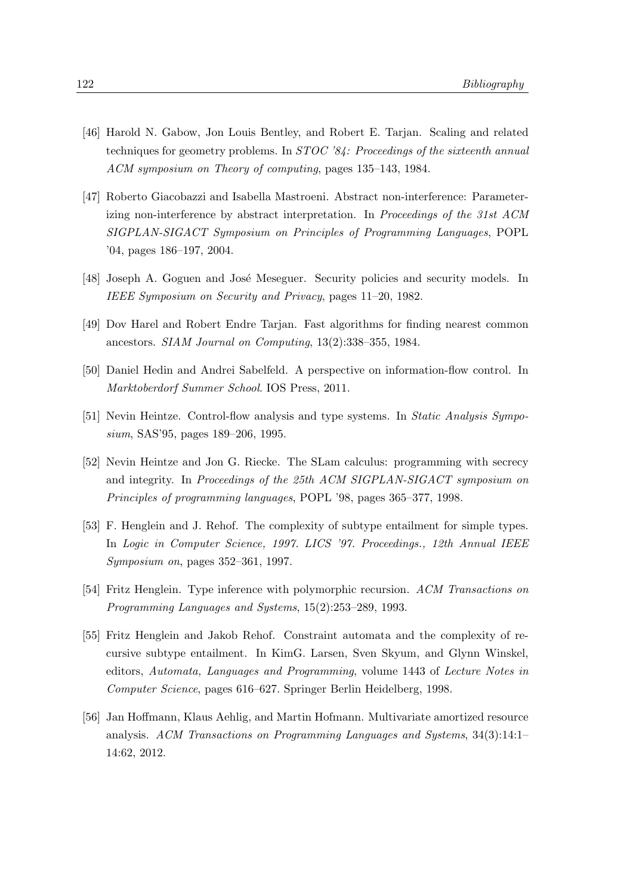- [46] Harold N. Gabow, Jon Louis Bentley, and Robert E. Tarjan. Scaling and related techniques for geometry problems. In STOC '84: Proceedings of the sixteenth annual ACM symposium on Theory of computing, pages 135–143, 1984.
- [47] Roberto Giacobazzi and Isabella Mastroeni. Abstract non-interference: Parameterizing non-interference by abstract interpretation. In Proceedings of the 31st ACM SIGPLAN-SIGACT Symposium on Principles of Programming Languages, POPL '04, pages 186–197, 2004.
- [48] Joseph A. Goguen and José Meseguer. Security policies and security models. In IEEE Symposium on Security and Privacy, pages 11–20, 1982.
- [49] Dov Harel and Robert Endre Tarjan. Fast algorithms for finding nearest common ancestors. SIAM Journal on Computing, 13(2):338–355, 1984.
- [50] Daniel Hedin and Andrei Sabelfeld. A perspective on information-flow control. In Marktoberdorf Summer School. IOS Press, 2011.
- [51] Nevin Heintze. Control-flow analysis and type systems. In Static Analysis Symposium, SAS'95, pages 189–206, 1995.
- [52] Nevin Heintze and Jon G. Riecke. The SLam calculus: programming with secrecy and integrity. In Proceedings of the 25th ACM SIGPLAN-SIGACT symposium on Principles of programming languages, POPL '98, pages 365–377, 1998.
- [53] F. Henglein and J. Rehof. The complexity of subtype entailment for simple types. In Logic in Computer Science, 1997. LICS '97. Proceedings., 12th Annual IEEE Symposium on, pages 352–361, 1997.
- [54] Fritz Henglein. Type inference with polymorphic recursion. ACM Transactions on Programming Languages and Systems, 15(2):253–289, 1993.
- [55] Fritz Henglein and Jakob Rehof. Constraint automata and the complexity of recursive subtype entailment. In KimG. Larsen, Sven Skyum, and Glynn Winskel, editors, Automata, Languages and Programming, volume 1443 of Lecture Notes in Computer Science, pages 616–627. Springer Berlin Heidelberg, 1998.
- [56] Jan Hoffmann, Klaus Aehlig, and Martin Hofmann. Multivariate amortized resource analysis. ACM Transactions on Programming Languages and Systems, 34(3):14:1– 14:62, 2012.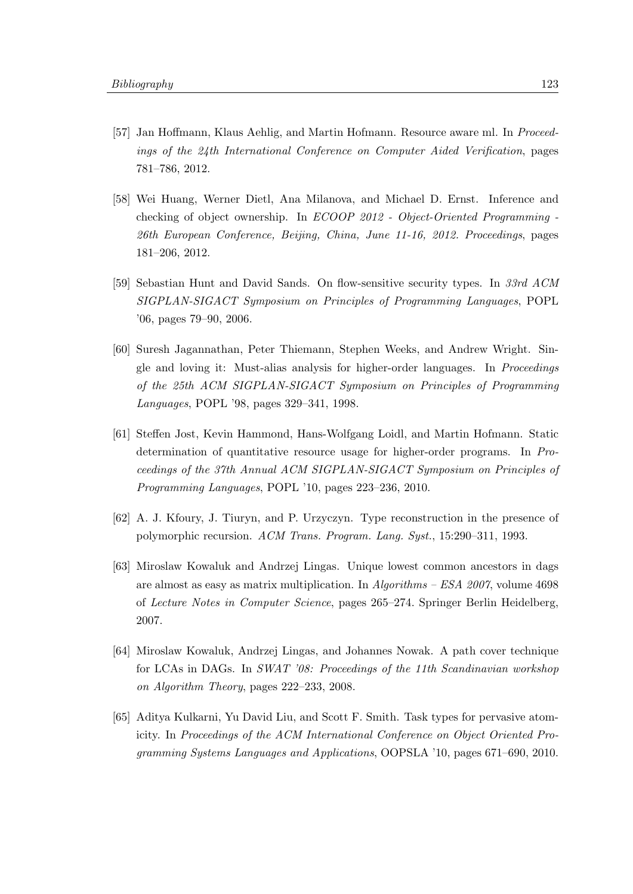- [57] Jan Hoffmann, Klaus Aehlig, and Martin Hofmann. Resource aware ml. In *Proceed*ings of the 24th International Conference on Computer Aided Verification, pages 781–786, 2012.
- [58] Wei Huang, Werner Dietl, Ana Milanova, and Michael D. Ernst. Inference and checking of object ownership. In *ECOOP 2012 - Object-Oriented Programming -*26th European Conference, Beijing, China, June 11-16, 2012. Proceedings, pages 181–206, 2012.
- [59] Sebastian Hunt and David Sands. On flow-sensitive security types. In 33rd ACM SIGPLAN-SIGACT Symposium on Principles of Programming Languages, POPL '06, pages 79–90, 2006.
- [60] Suresh Jagannathan, Peter Thiemann, Stephen Weeks, and Andrew Wright. Single and loving it: Must-alias analysis for higher-order languages. In Proceedings of the 25th ACM SIGPLAN-SIGACT Symposium on Principles of Programming Languages, POPL '98, pages 329–341, 1998.
- [61] Steffen Jost, Kevin Hammond, Hans-Wolfgang Loidl, and Martin Hofmann. Static determination of quantitative resource usage for higher-order programs. In Proceedings of the 37th Annual ACM SIGPLAN-SIGACT Symposium on Principles of Programming Languages, POPL '10, pages 223–236, 2010.
- [62] A. J. Kfoury, J. Tiuryn, and P. Urzyczyn. Type reconstruction in the presence of polymorphic recursion. ACM Trans. Program. Lang. Syst., 15:290–311, 1993.
- [63] Miroslaw Kowaluk and Andrzej Lingas. Unique lowest common ancestors in dags are almost as easy as matrix multiplication. In Algorithms – ESA 2007, volume 4698 of Lecture Notes in Computer Science, pages 265–274. Springer Berlin Heidelberg, 2007.
- [64] Miroslaw Kowaluk, Andrzej Lingas, and Johannes Nowak. A path cover technique for LCAs in DAGs. In SWAT '08: Proceedings of the 11th Scandinavian workshop on Algorithm Theory, pages 222–233, 2008.
- [65] Aditya Kulkarni, Yu David Liu, and Scott F. Smith. Task types for pervasive atomicity. In Proceedings of the ACM International Conference on Object Oriented Programming Systems Languages and Applications, OOPSLA '10, pages 671–690, 2010.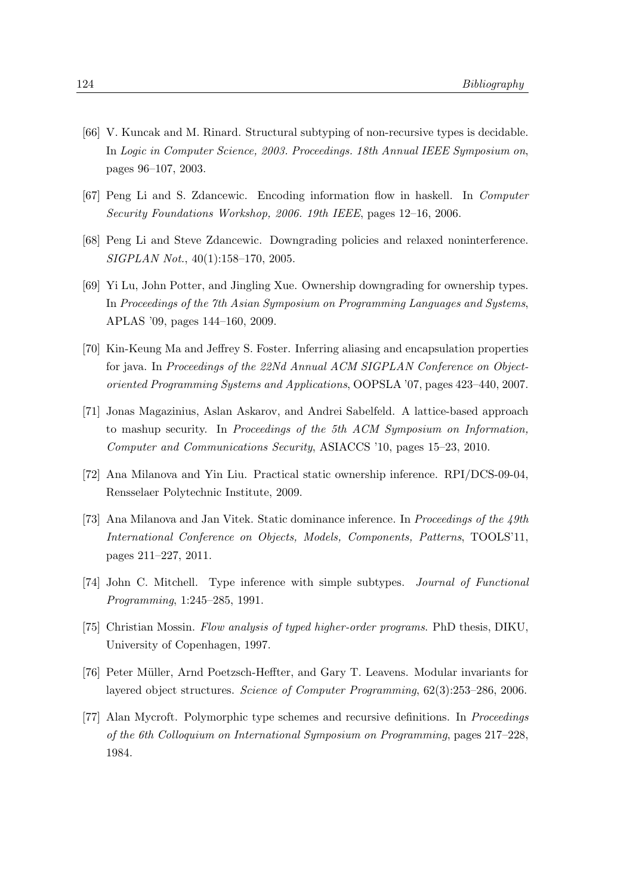- [66] V. Kuncak and M. Rinard. Structural subtyping of non-recursive types is decidable. In Logic in Computer Science, 2003. Proceedings. 18th Annual IEEE Symposium on, pages 96–107, 2003.
- [67] Peng Li and S. Zdancewic. Encoding information flow in haskell. In Computer Security Foundations Workshop, 2006. 19th IEEE, pages 12–16, 2006.
- [68] Peng Li and Steve Zdancewic. Downgrading policies and relaxed noninterference. SIGPLAN Not., 40(1):158–170, 2005.
- [69] Yi Lu, John Potter, and Jingling Xue. Ownership downgrading for ownership types. In Proceedings of the 7th Asian Symposium on Programming Languages and Systems, APLAS '09, pages 144–160, 2009.
- [70] Kin-Keung Ma and Jeffrey S. Foster. Inferring aliasing and encapsulation properties for java. In Proceedings of the 22Nd Annual ACM SIGPLAN Conference on Objectoriented Programming Systems and Applications, OOPSLA '07, pages 423–440, 2007.
- [71] Jonas Magazinius, Aslan Askarov, and Andrei Sabelfeld. A lattice-based approach to mashup security. In Proceedings of the 5th ACM Symposium on Information, Computer and Communications Security, ASIACCS '10, pages 15–23, 2010.
- [72] Ana Milanova and Yin Liu. Practical static ownership inference. RPI/DCS-09-04, Rensselaer Polytechnic Institute, 2009.
- [73] Ana Milanova and Jan Vitek. Static dominance inference. In Proceedings of the 49th International Conference on Objects, Models, Components, Patterns, TOOLS'11, pages 211–227, 2011.
- [74] John C. Mitchell. Type inference with simple subtypes. Journal of Functional Programming, 1:245–285, 1991.
- [75] Christian Mossin. Flow analysis of typed higher-order programs. PhD thesis, DIKU, University of Copenhagen, 1997.
- [76] Peter Müller, Arnd Poetzsch-Heffter, and Gary T. Leavens. Modular invariants for layered object structures. Science of Computer Programming, 62(3):253–286, 2006.
- [77] Alan Mycroft. Polymorphic type schemes and recursive definitions. In Proceedings of the 6th Colloquium on International Symposium on Programming, pages 217–228, 1984.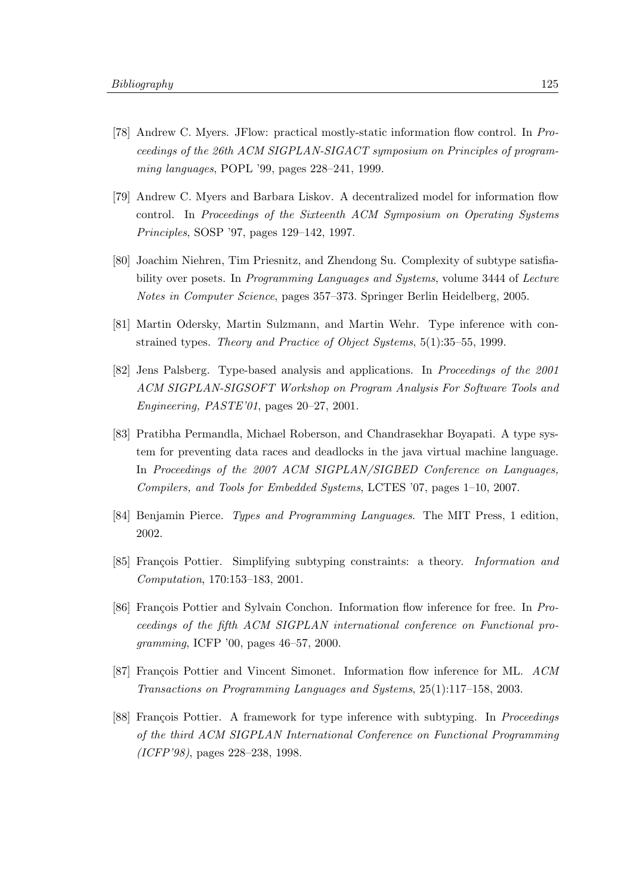- [78] Andrew C. Myers. JFlow: practical mostly-static information flow control. In Proceedings of the 26th ACM SIGPLAN-SIGACT symposium on Principles of programming languages, POPL '99, pages 228–241, 1999.
- [79] Andrew C. Myers and Barbara Liskov. A decentralized model for information flow control. In Proceedings of the Sixteenth ACM Symposium on Operating Systems Principles, SOSP '97, pages 129–142, 1997.
- [80] Joachim Niehren, Tim Priesnitz, and Zhendong Su. Complexity of subtype satisfiability over posets. In Programming Languages and Systems, volume 3444 of Lecture Notes in Computer Science, pages 357–373. Springer Berlin Heidelberg, 2005.
- [81] Martin Odersky, Martin Sulzmann, and Martin Wehr. Type inference with constrained types. Theory and Practice of Object Systems, 5(1):35–55, 1999.
- [82] Jens Palsberg. Type-based analysis and applications. In Proceedings of the 2001 ACM SIGPLAN-SIGSOFT Workshop on Program Analysis For Software Tools and Engineering, PASTE'01, pages 20–27, 2001.
- [83] Pratibha Permandla, Michael Roberson, and Chandrasekhar Boyapati. A type system for preventing data races and deadlocks in the java virtual machine language. In Proceedings of the 2007 ACM SIGPLAN/SIGBED Conference on Languages, Compilers, and Tools for Embedded Systems, LCTES '07, pages 1–10, 2007.
- [84] Benjamin Pierce. Types and Programming Languages. The MIT Press, 1 edition, 2002.
- [85] François Pottier. Simplifying subtyping constraints: a theory. *Information and* Computation, 170:153–183, 2001.
- [86] François Pottier and Sylvain Conchon. Information flow inference for free. In Proceedings of the fifth ACM SIGPLAN international conference on Functional programming, ICFP '00, pages 46–57, 2000.
- [87] François Pottier and Vincent Simonet. Information flow inference for ML. ACM Transactions on Programming Languages and Systems, 25(1):117–158, 2003.
- [88] François Pottier. A framework for type inference with subtyping. In *Proceedings* of the third ACM SIGPLAN International Conference on Functional Programming (ICFP'98), pages 228–238, 1998.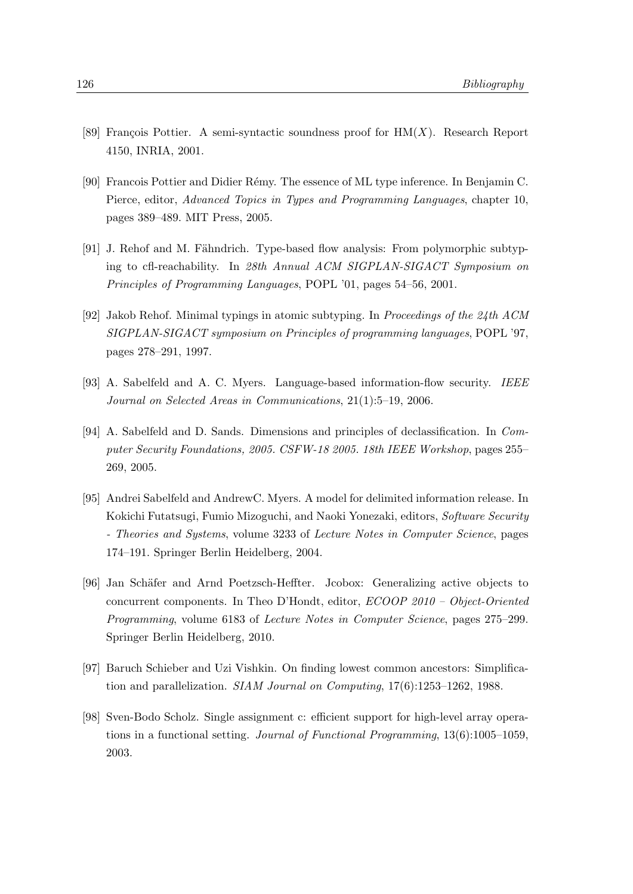- [89] François Pottier. A semi-syntactic soundness proof for  $HM(X)$ . Research Report 4150, INRIA, 2001.
- [90] Francois Pottier and Didier Rémy. The essence of ML type inference. In Benjamin C. Pierce, editor, Advanced Topics in Types and Programming Languages, chapter 10, pages 389–489. MIT Press, 2005.
- [91] J. Rehof and M. Fähndrich. Type-based flow analysis: From polymorphic subtyping to cfl-reachability. In 28th Annual ACM SIGPLAN-SIGACT Symposium on Principles of Programming Languages, POPL '01, pages 54–56, 2001.
- [92] Jakob Rehof. Minimal typings in atomic subtyping. In Proceedings of the 24th ACM SIGPLAN-SIGACT symposium on Principles of programming languages, POPL '97, pages 278–291, 1997.
- [93] A. Sabelfeld and A. C. Myers. Language-based information-flow security. IEEE Journal on Selected Areas in Communications, 21(1):5–19, 2006.
- [94] A. Sabelfeld and D. Sands. Dimensions and principles of declassification. In Computer Security Foundations, 2005. CSFW-18 2005. 18th IEEE Workshop, pages 255– 269, 2005.
- [95] Andrei Sabelfeld and AndrewC. Myers. A model for delimited information release. In Kokichi Futatsugi, Fumio Mizoguchi, and Naoki Yonezaki, editors, Software Security - Theories and Systems, volume 3233 of Lecture Notes in Computer Science, pages 174–191. Springer Berlin Heidelberg, 2004.
- [96] Jan Schäfer and Arnd Poetzsch-Heffter. Jcobox: Generalizing active objects to concurrent components. In Theo D'Hondt, editor, ECOOP 2010 – Object-Oriented Programming, volume 6183 of Lecture Notes in Computer Science, pages 275–299. Springer Berlin Heidelberg, 2010.
- [97] Baruch Schieber and Uzi Vishkin. On finding lowest common ancestors: Simplification and parallelization. SIAM Journal on Computing, 17(6):1253–1262, 1988.
- [98] Sven-Bodo Scholz. Single assignment c: efficient support for high-level array operations in a functional setting. Journal of Functional Programming, 13(6):1005–1059, 2003.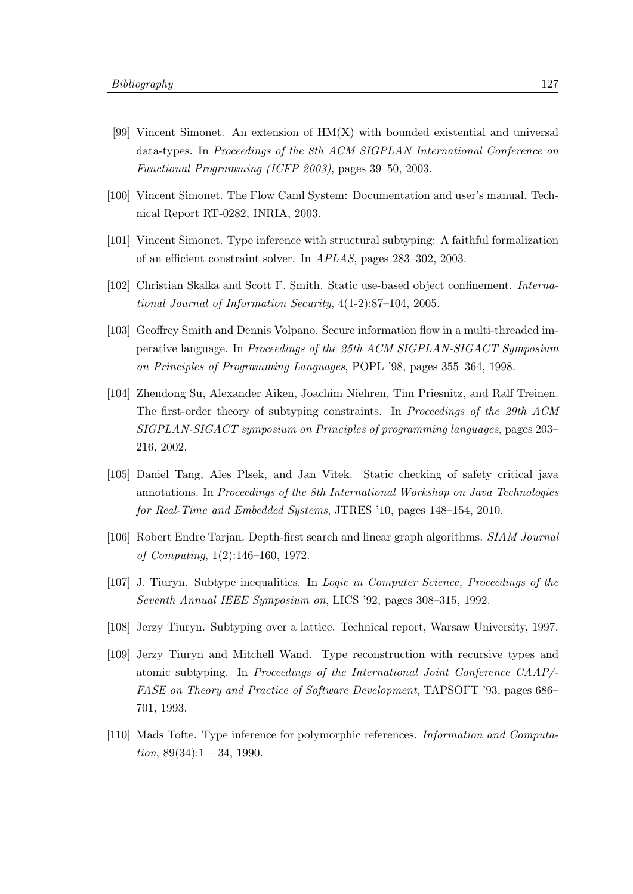- [99] Vincent Simonet. An extension of HM(X) with bounded existential and universal data-types. In Proceedings of the 8th ACM SIGPLAN International Conference on Functional Programming (ICFP 2003), pages 39–50, 2003.
- [100] Vincent Simonet. The Flow Caml System: Documentation and user's manual. Technical Report RT-0282, INRIA, 2003.
- [101] Vincent Simonet. Type inference with structural subtyping: A faithful formalization of an efficient constraint solver. In APLAS, pages 283–302, 2003.
- [102] Christian Skalka and Scott F. Smith. Static use-based object confinement. International Journal of Information Security, 4(1-2):87–104, 2005.
- [103] Geoffrey Smith and Dennis Volpano. Secure information flow in a multi-threaded imperative language. In Proceedings of the 25th ACM SIGPLAN-SIGACT Symposium on Principles of Programming Languages, POPL '98, pages 355–364, 1998.
- [104] Zhendong Su, Alexander Aiken, Joachim Niehren, Tim Priesnitz, and Ralf Treinen. The first-order theory of subtyping constraints. In Proceedings of the 29th ACM SIGPLAN-SIGACT symposium on Principles of programming languages, pages 203– 216, 2002.
- [105] Daniel Tang, Ales Plsek, and Jan Vitek. Static checking of safety critical java annotations. In Proceedings of the 8th International Workshop on Java Technologies for Real-Time and Embedded Systems, JTRES '10, pages 148–154, 2010.
- [106] Robert Endre Tarjan. Depth-first search and linear graph algorithms. SIAM Journal of Computing, 1(2):146–160, 1972.
- [107] J. Tiuryn. Subtype inequalities. In Logic in Computer Science, Proceedings of the Seventh Annual IEEE Symposium on, LICS '92, pages 308–315, 1992.
- [108] Jerzy Tiuryn. Subtyping over a lattice. Technical report, Warsaw University, 1997.
- [109] Jerzy Tiuryn and Mitchell Wand. Type reconstruction with recursive types and atomic subtyping. In Proceedings of the International Joint Conference CAAP/- FASE on Theory and Practice of Software Development, TAPSOFT '93, pages 686– 701, 1993.
- [110] Mads Tofte. Type inference for polymorphic references. Information and Computation,  $89(34):1 - 34$ , 1990.